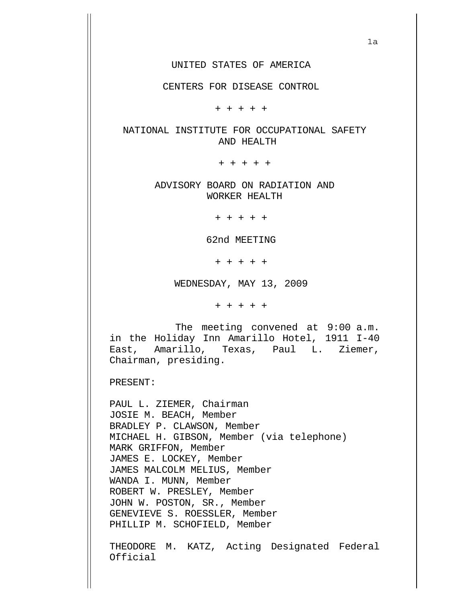CENTERS FOR DISEASE CONTROL

+ + + + +

## NATIONAL INSTITUTE FOR OCCUPATIONAL SAFETY AND HEALTH

+ + + + +

ADVISORY BOARD ON RADIATION AND WORKER HEALTH

+ + + + +

62nd MEETING

+ + + + +

WEDNESDAY, MAY 13, 2009

+ + + + +

 The meeting convened at 9:00 a.m. in the Holiday Inn Amarillo Hotel, 1911 I-40 East, Amarillo, Texas, Paul L. Ziemer, Chairman, presiding.

PRESENT:

PAUL L. ZIEMER, Chairman JOSIE M. BEACH, Member BRADLEY P. CLAWSON, Member MICHAEL H. GIBSON, Member (via telephone) MARK GRIFFON, Member JAMES E. LOCKEY, Member JAMES MALCOLM MELIUS, Member WANDA I. MUNN, Member ROBERT W. PRESLEY, Member JOHN W. POSTON, SR., Member GENEVIEVE S. ROESSLER, Member PHILLIP M. SCHOFIELD, Member

THEODORE M. KATZ, Acting Designated Federal Official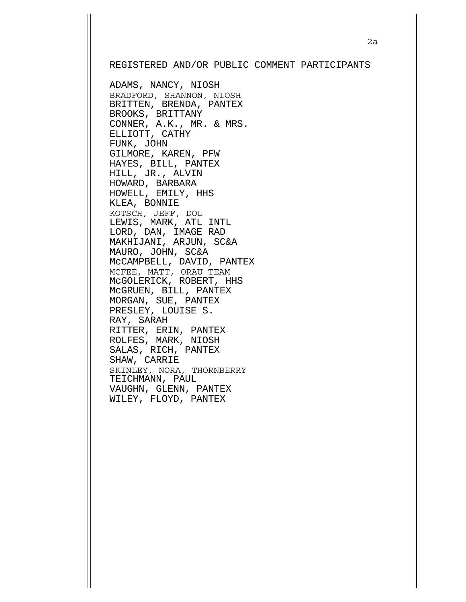## REGISTERED AND/OR PUBLIC COMMENT PARTICIPANTS

ADAMS, NANCY, NIOSH BRADFORD, SHANNON, NIOSH BRITTEN, BRENDA, PANTEX BROOKS, BRITTANY CONNER, A.K., MR. & MRS. ELLIOTT, CATHY FUNK, JOHN GILMORE, KAREN, PFW HAYES, BILL, PANTEX HILL, JR., ALVIN HOWARD, BARBARA HOWELL, EMILY, HHS KLEA, BONNIE KOTSCH, JEFF, DOL LEWIS, MARK, ATL INTL LORD, DAN, IMAGE RAD MAKHIJANI, ARJUN, SC&A MAURO, JOHN, SC&A McCAMPBELL, DAVID, PANTEX MCFEE, MATT, ORAU TEAM McGOLERICK, ROBERT, HHS McGRUEN, BILL, PANTEX MORGAN, SUE, PANTEX PRESLEY, LOUISE S. RAY, SARAH RITTER, ERIN, PANTEX ROLFES, MARK, NIOSH SALAS, RICH, PANTEX SHAW, CARRIE SKINLEY, NORA, THORNBERRY TEICHMANN, PAUL VAUGHN, GLENN, PANTEX WILEY, FLOYD, PANTEX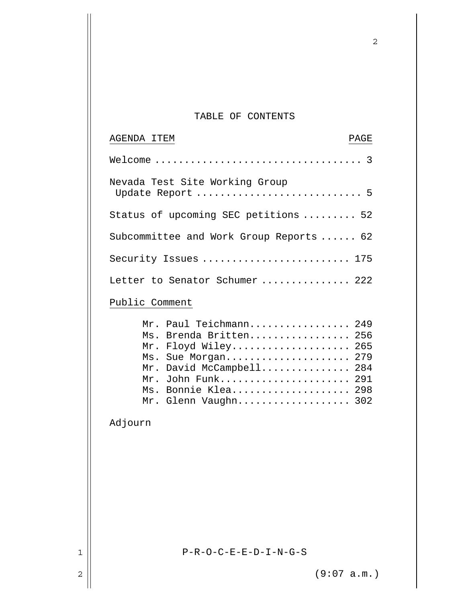## TABLE OF CONTENTS

2

| AGENDA ITEM<br>PAGE                                                                                                                                                   |
|-----------------------------------------------------------------------------------------------------------------------------------------------------------------------|
|                                                                                                                                                                       |
| Nevada Test Site Working Group<br>Update Report  5                                                                                                                    |
| Status of upcoming SEC petitions  52                                                                                                                                  |
| Subcommittee and Work Group Reports  62                                                                                                                               |
| Security Issues  175                                                                                                                                                  |
| Letter to Senator Schumer  222                                                                                                                                        |
| Public Comment                                                                                                                                                        |
| Mr. Paul Teichmann 249<br>Ms. Brenda Britten 256<br>Mr. Floyd Wiley 265<br>Ms. Sue Morgan 279<br>Mr. David McCampbell 284<br>Mr. John Funk 291<br>Ms. Bonnie Klea 298 |
| Mr. Glenn Vaughn 302                                                                                                                                                  |

Adjourn

 $1$  | P-R-O-C-E-E-D-I-N-G-S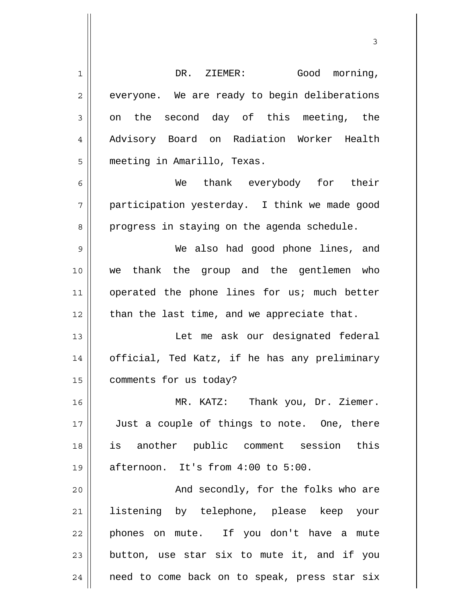1 2 3 4 5 6 7 8 9 10 11 12 13 14 15 16 17 18 19 20 21 22 23 24 DR. ZIEMER: Good morning, everyone. We are ready to begin deliberations on the second day of this meeting, the Advisory Board on Radiation Worker Health meeting in Amarillo, Texas. We thank everybody for their participation yesterday. I think we made good progress in staying on the agenda schedule. We also had good phone lines, and we thank the group and the gentlemen who operated the phone lines for us; much better than the last time, and we appreciate that. Let me ask our designated federal official, Ted Katz, if he has any preliminary comments for us today? MR. KATZ: Thank you, Dr. Ziemer. Just a couple of things to note. One, there is another public comment session this afternoon. It's from 4:00 to 5:00. And secondly, for the folks who are listening by telephone, please keep your phones on mute. If you don't have a mute button, use star six to mute it, and if you need to come back on to speak, press star six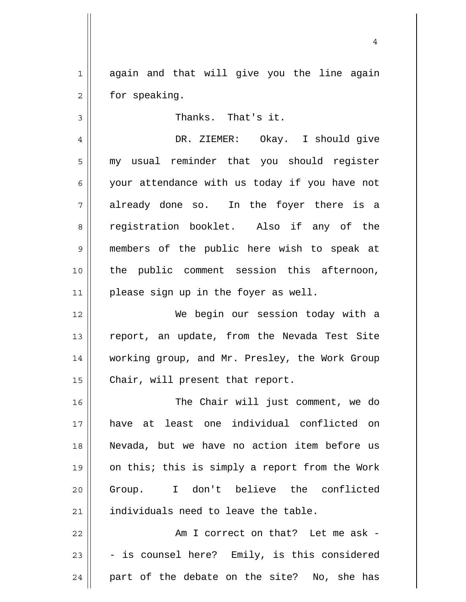1 2 again and that will give you the line again for speaking.

Thanks. That's it.

3

4 5 6 7 8 9 10 11 DR. ZIEMER: Okay. I should give my usual reminder that you should register your attendance with us today if you have not already done so. In the foyer there is a registration booklet. Also if any of the members of the public here wish to speak at the public comment session this afternoon, please sign up in the foyer as well.

12 13 14 15 We begin our session today with a report, an update, from the Nevada Test Site working group, and Mr. Presley, the Work Group Chair, will present that report.

16 17 18 19 20 21 The Chair will just comment, we do have at least one individual conflicted on Nevada, but we have no action item before us on this; this is simply a report from the Work Group. I don't believe the conflicted individuals need to leave the table.

22 23 24 Am I correct on that? Let me ask - - is counsel here? Emily, is this considered part of the debate on the site? No, she has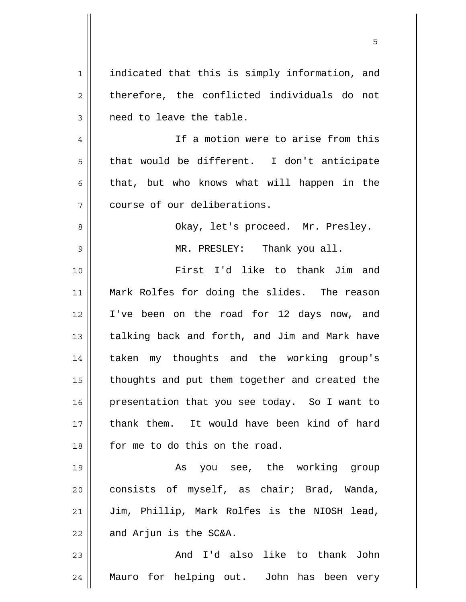1 2 3 4 5 6 7 8 9 10 11 12 13 14 15 16 17 18 19 20 21 22 23 24 indicated that this is simply information, and therefore, the conflicted individuals do not need to leave the table. If a motion were to arise from this that would be different. I don't anticipate that, but who knows what will happen in the course of our deliberations. Okay, let's proceed. Mr. Presley. MR. PRESLEY: Thank you all. First I'd like to thank Jim and Mark Rolfes for doing the slides. The reason I've been on the road for 12 days now, and talking back and forth, and Jim and Mark have taken my thoughts and the working group's thoughts and put them together and created the presentation that you see today. So I want to thank them. It would have been kind of hard for me to do this on the road. As you see, the working group consists of myself, as chair; Brad, Wanda, Jim, Phillip, Mark Rolfes is the NIOSH lead, and Arjun is the SC&A. And I'd also like to thank John Mauro for helping out. John has been very

 $\sim$  5  $\sim$  5  $\sim$  5  $\sim$  5  $\sim$  5  $\sim$  5  $\sim$  5  $\sim$  5  $\sim$  5  $\sim$  5  $\sim$  5  $\sim$  5  $\sim$  5  $\sim$  5  $\sim$  5  $\sim$  5  $\sim$  5  $\sim$  5  $\sim$  5  $\sim$  5  $\sim$  5  $\sim$  5  $\sim$  5  $\sim$  5  $\sim$  5  $\sim$  5  $\sim$  5  $\sim$  5  $\sim$  5  $\sim$  5  $\sim$  5  $\sim$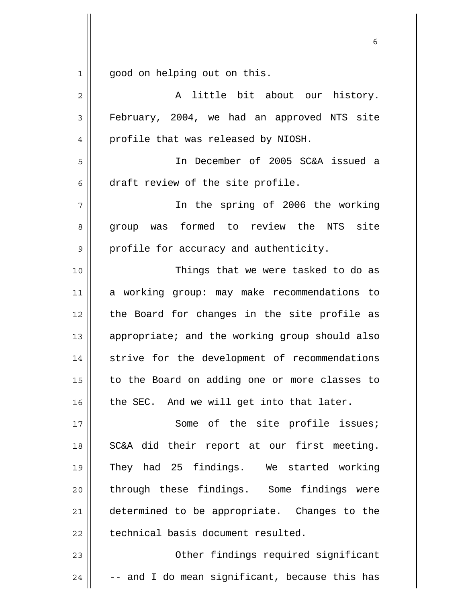1 good on helping out on this.

| $\overline{2}$ | A little bit about our history.                |
|----------------|------------------------------------------------|
| 3              | February, 2004, we had an approved NTS site    |
| 4              | profile that was released by NIOSH.            |
| 5              | In December of 2005 SC&A issued a              |
| 6              | draft review of the site profile.              |
| $\overline{7}$ | In the spring of 2006 the working              |
| 8              | group was formed to review the NTS site        |
| 9              | profile for accuracy and authenticity.         |
| 10             | Things that we were tasked to do as            |
| 11             | a working group: may make recommendations to   |
| 12             | the Board for changes in the site profile as   |
| 13             | appropriate; and the working group should also |
| 14             | strive for the development of recommendations  |
| 15             | to the Board on adding one or more classes to  |
| 16             | the SEC. And we will get into that later.      |
| 17             | Some of the site profile issues;               |
| 18             | SC&A did their report at our first meeting.    |
| 19             | They had 25 findings. We started working       |
| 20             | through these findings. Some findings were     |
| 21             | determined to be appropriate. Changes to the   |
| 22             | technical basis document resulted.             |
| 23             | Other findings required significant            |
| 24             | -- and I do mean significant, because this has |

 $\sim$  6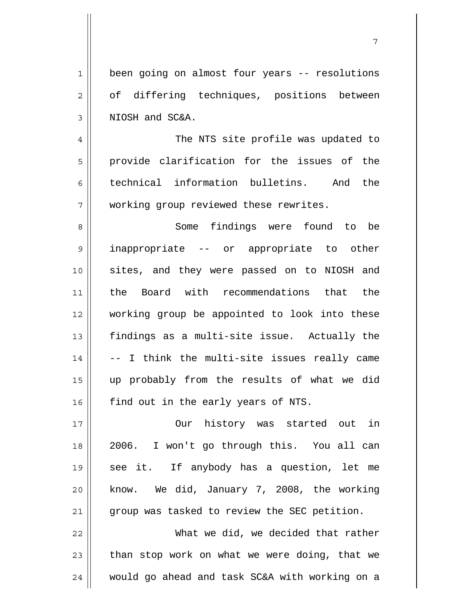1 2 3 been going on almost four years -- resolutions of differing techniques, positions between NIOSH and SC&A.

4 5 6 7 The NTS site profile was updated to provide clarification for the issues of the technical information bulletins. And the working group reviewed these rewrites.

8 9 10 11 12 13 14 15 16 Some findings were found to be inappropriate -- or appropriate to other sites, and they were passed on to NIOSH and the Board with recommendations that the working group be appointed to look into these findings as a multi-site issue. Actually the -- I think the multi-site issues really came up probably from the results of what we did find out in the early years of NTS.

17 18 19 20 21 Our history was started out in 2006. I won't go through this. You all can see it. If anybody has a question, let me know. We did, January 7, 2008, the working group was tasked to review the SEC petition.

22 23 24 What we did, we decided that rather than stop work on what we were doing, that we would go ahead and task SC&A with working on a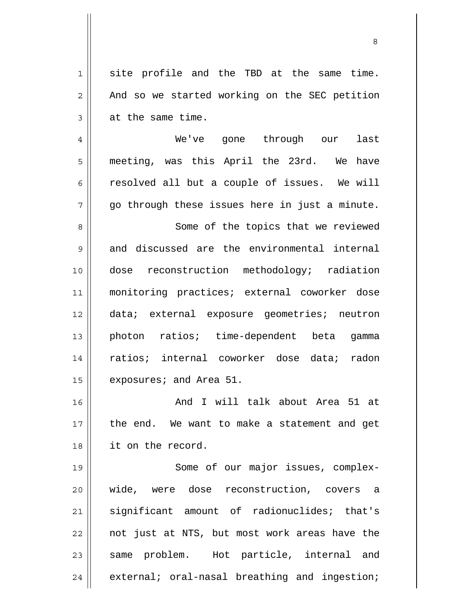1 2 3 4 5 6 7 8 9 10 11 12 13 14 15 16 17 18 19 20 site profile and the TBD at the same time. And so we started working on the SEC petition at the same time. We've gone through our last meeting, was this April the 23rd. We have resolved all but a couple of issues. We will go through these issues here in just a minute. Some of the topics that we reviewed and discussed are the environmental internal dose reconstruction methodology; radiation monitoring practices; external coworker dose data; external exposure geometries; neutron photon ratios; time-dependent beta gamma ratios; internal coworker dose data; radon exposures; and Area 51. And I will talk about Area 51 at the end. We want to make a statement and get it on the record. Some of our major issues, complexwide, were dose reconstruction, covers a

21 22 23 24 significant amount of radionuclides; that's not just at NTS, but most work areas have the same problem. Hot particle, internal and external; oral-nasal breathing and ingestion;

<u>83 - Santa Carlos de Santa Carlos de Santa Carlos de Santa Carlos de Santa Carlos de Santa Carlos de Santa Ca</u>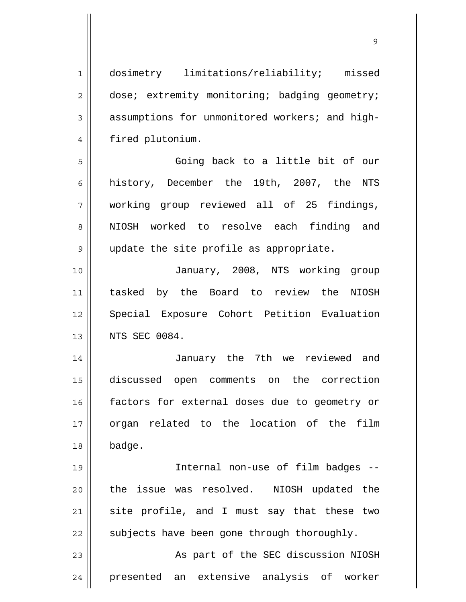1 2 3 4 5 6 7 8 9 10 11 12 13 14 15 16 17 18 19 20 21 22 23 24 dosimetry limitations/reliability; missed dose; extremity monitoring; badging geometry; assumptions for unmonitored workers; and highfired plutonium. Going back to a little bit of our history, December the 19th, 2007, the NTS working group reviewed all of 25 findings, NIOSH worked to resolve each finding and update the site profile as appropriate. January, 2008, NTS working group tasked by the Board to review the NIOSH Special Exposure Cohort Petition Evaluation NTS SEC 0084. January the 7th we reviewed and discussed open comments on the correction factors for external doses due to geometry or organ related to the location of the film badge. Internal non-use of film badges - the issue was resolved. NIOSH updated the site profile, and I must say that these two subjects have been gone through thoroughly. As part of the SEC discussion NIOSH presented an extensive analysis of worker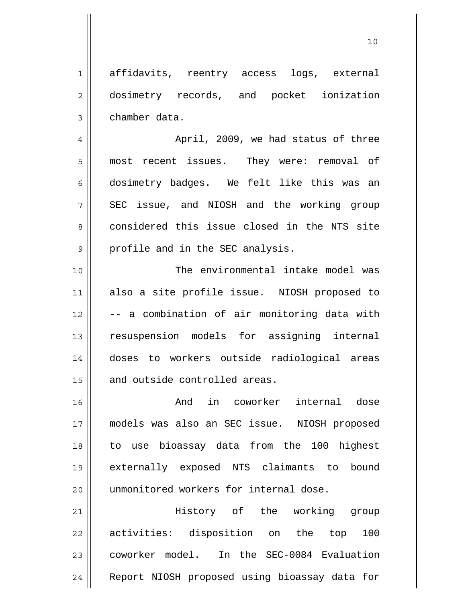1 2 3 affidavits, reentry access logs, external dosimetry records, and pocket ionization chamber data.

4 5 6 7 8 9 April, 2009, we had status of three most recent issues. They were: removal of dosimetry badges. We felt like this was an SEC issue, and NIOSH and the working group considered this issue closed in the NTS site profile and in the SEC analysis.

10 11 12 13 14 15 The environmental intake model was also a site profile issue. NIOSH proposed to -- a combination of air monitoring data with resuspension models for assigning internal doses to workers outside radiological areas and outside controlled areas.

16 17 18 19 20 And in coworker internal dose models was also an SEC issue. NIOSH proposed to use bioassay data from the 100 highest externally exposed NTS claimants to bound unmonitored workers for internal dose.

21 22 23 24 History of the working group activities: disposition on the top 100 coworker model. In the SEC-0084 Evaluation Report NIOSH proposed using bioassay data for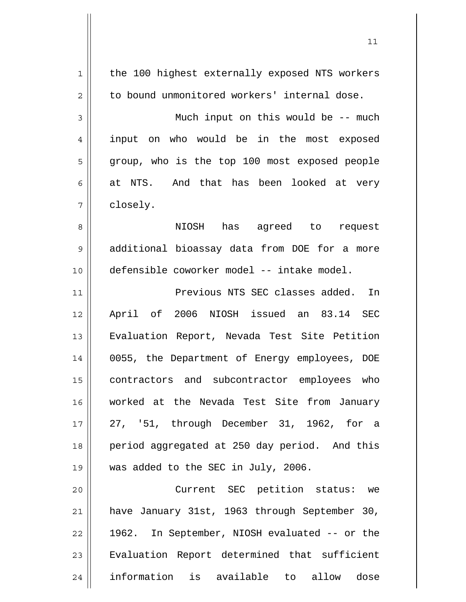| 1              | the 100 highest externally exposed NTS workers |
|----------------|------------------------------------------------|
| $\overline{2}$ | to bound unmonitored workers' internal dose.   |
| 3              | Much input on this would be -- much            |
| 4              | input on who would be in the most exposed      |
| 5              | group, who is the top 100 most exposed people  |
| 6              | at NTS. And that has been looked at very       |
| 7              | closely.                                       |
| 8              | NIOSH has agreed to<br>request                 |
| 9              | additional bioassay data from DOE for a more   |
| 10             | defensible coworker model -- intake model.     |
| 11             | Previous NTS SEC classes added.<br>In          |
| 12             | April of 2006 NIOSH issued an 83.14 SEC        |
| 13             | Evaluation Report, Nevada Test Site Petition   |
| 14             | 0055, the Department of Energy employees, DOE  |
| 15             | contractors and subcontractor employees who    |
| 16             | worked at the Nevada Test Site from January    |
| 17             | 27, '51, through December 31, 1962, for a      |
| 18             | period aggregated at 250 day period. And this  |
| 19             | was added to the SEC in July, 2006.            |
| 20             | Current SEC petition status: we                |
| 21             | have January 31st, 1963 through September 30,  |
| 22             | 1962. In September, NIOSH evaluated -- or the  |
| 23             | Evaluation Report determined that sufficient   |
| 24             | information is available to allow dose         |
|                |                                                |

 $\mathsf{I}$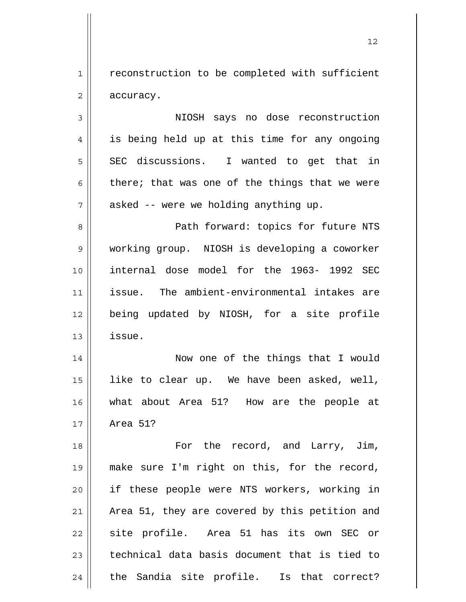1 2 reconstruction to be completed with sufficient accuracy.

3 4 5 6 7 NIOSH says no dose reconstruction is being held up at this time for any ongoing SEC discussions. I wanted to get that in there; that was one of the things that we were asked -- were we holding anything up.

8 9 10 11 12 13 Path forward: topics for future NTS working group. NIOSH is developing a coworker internal dose model for the 1963- 1992 SEC issue. The ambient-environmental intakes are being updated by NIOSH, for a site profile issue.

14 15 16 17 Now one of the things that I would like to clear up. We have been asked, well, what about Area 51? How are the people at Area 51?

18 19 20 21 22 23 24 For the record, and Larry, Jim, make sure I'm right on this, for the record, if these people were NTS workers, working in Area 51, they are covered by this petition and site profile. Area 51 has its own SEC or technical data basis document that is tied to the Sandia site profile. Is that correct?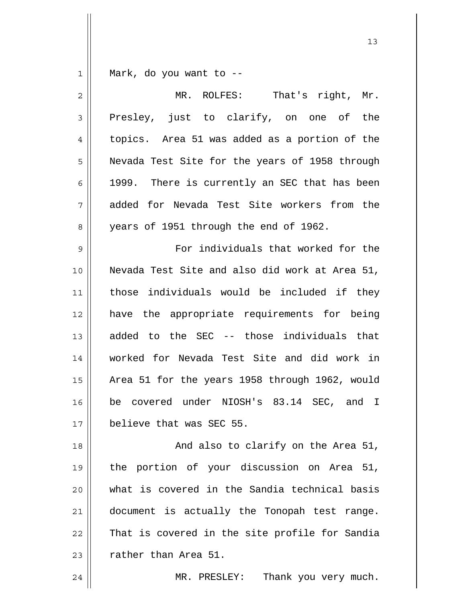1 Mark, do you want to --

| $\overline{c}$ | MR. ROLFES:<br>That's right, Mr.               |
|----------------|------------------------------------------------|
| 3              | Presley, just to clarify, on one of the        |
| 4              | topics. Area 51 was added as a portion of the  |
| 5              | Nevada Test Site for the years of 1958 through |
| 6              | 1999. There is currently an SEC that has been  |
| 7              | added for Nevada Test Site workers from the    |
| 8              | years of 1951 through the end of 1962.         |
| $\mathsf 9$    | For individuals that worked for the            |
| 10             | Nevada Test Site and also did work at Area 51, |
| 11             | those individuals would be included if they    |
| 12             | have the appropriate requirements for being    |
| 13             | added to the SEC -- those individuals that     |
| 14             | worked for Nevada Test Site and did work in    |
| 15             | Area 51 for the years 1958 through 1962, would |
| 16             | be covered under NIOSH's 83.14 SEC, and I      |
| 17             | believe that was SEC 55.                       |
| 18             | And also to clarify on the Area 51,            |
| 19             | the portion of your discussion on Area 51,     |
| 20             | what is covered in the Sandia technical basis  |
| 21             | document is actually the Tonopah test range.   |
| 22             | That is covered in the site profile for Sandia |
| 23             | rather than Area 51.                           |
| 24             | Thank you very much.<br>MR. PRESLEY:           |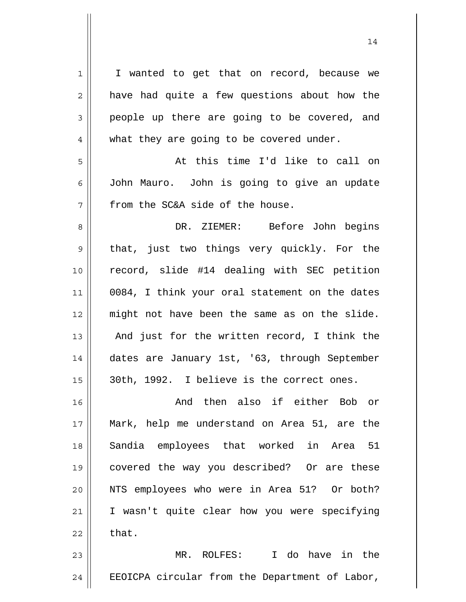1 2 3 4 5 6 7 8 9 10 11 12 13 14 15 16 17 18 19 20 21 22 23 24 I wanted to get that on record, because we have had quite a few questions about how the people up there are going to be covered, and what they are going to be covered under. At this time I'd like to call on John Mauro. John is going to give an update from the SC&A side of the house. DR. ZIEMER: Before John begins that, just two things very quickly. For the record, slide #14 dealing with SEC petition 0084, I think your oral statement on the dates might not have been the same as on the slide. And just for the written record, I think the dates are January 1st, '63, through September 30th, 1992. I believe is the correct ones. And then also if either Bob or Mark, help me understand on Area 51, are the Sandia employees that worked in Area 51 covered the way you described? Or are these NTS employees who were in Area 51? Or both? I wasn't quite clear how you were specifying that. MR. ROLFES: I do have in the EEOICPA circular from the Department of Labor,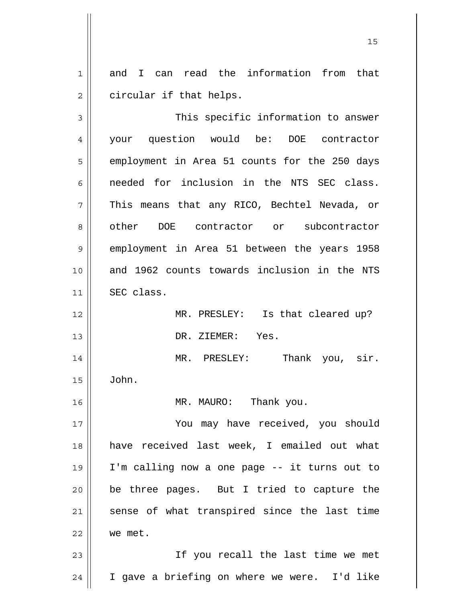1 2 and I can read the information from that circular if that helps.

3 4 5 6 7 8 9 10 11 12 13 14 15 16 17 18 19 20 21 22 23 24 This specific information to answer your question would be: DOE contractor employment in Area 51 counts for the 250 days needed for inclusion in the NTS SEC class. This means that any RICO, Bechtel Nevada, or other DOE contractor or subcontractor employment in Area 51 between the years 1958 and 1962 counts towards inclusion in the NTS SEC class. MR. PRESLEY: Is that cleared up? DR. ZIEMER: Yes. MR. PRESLEY: Thank you, sir. John. MR. MAURO: Thank you. You may have received, you should have received last week, I emailed out what I'm calling now a one page -- it turns out to be three pages. But I tried to capture the sense of what transpired since the last time we met. If you recall the last time we met I gave a briefing on where we were. I'd like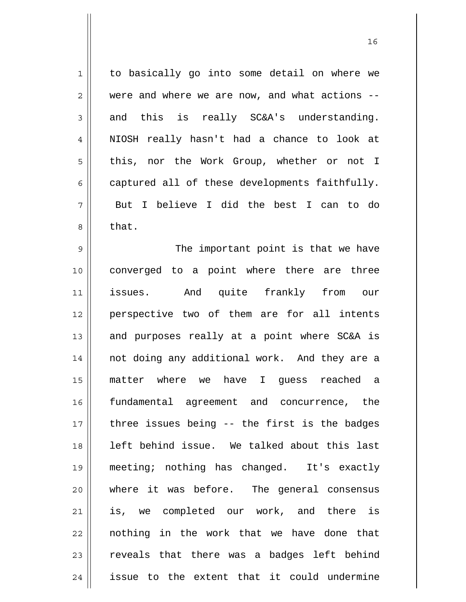1 2 3 4 5 6 7 8 9 10 11 12 13 14 15 16 17 18 19 20 21 22 23 24 to basically go into some detail on where we were and where we are now, and what actions - and this is really SC&A's understanding. NIOSH really hasn't had a chance to look at this, nor the Work Group, whether or not I captured all of these developments faithfully. But I believe I did the best I can to do that. The important point is that we have converged to a point where there are three issues. And quite frankly from our perspective two of them are for all intents and purposes really at a point where SC&A is not doing any additional work. And they are a matter where we have I guess reached a fundamental agreement and concurrence, the three issues being -- the first is the badges left behind issue. We talked about this last meeting; nothing has changed. It's exactly where it was before. The general consensus is, we completed our work, and there is nothing in the work that we have done that reveals that there was a badges left behind issue to the extent that it could undermine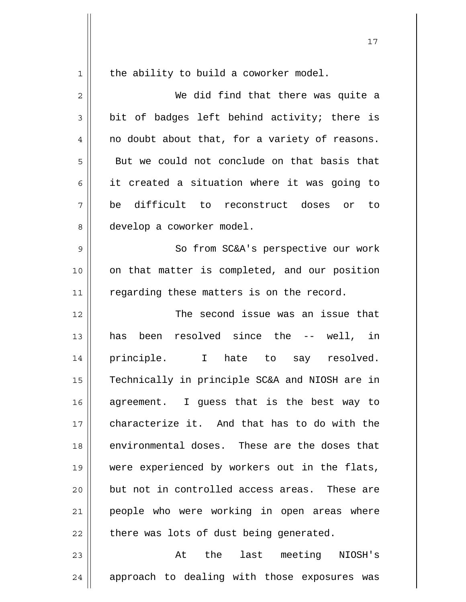1

the ability to build a coworker model.

2 3 4 5 6 7 8 9 10 11 12 13 14 15 16 17 18 19 20 21 22 23 We did find that there was quite a bit of badges left behind activity; there is no doubt about that, for a variety of reasons. But we could not conclude on that basis that it created a situation where it was going to be difficult to reconstruct doses or to develop a coworker model. So from SC&A's perspective our work on that matter is completed, and our position regarding these matters is on the record. The second issue was an issue that has been resolved since the -- well, in principle. I hate to say resolved. Technically in principle SC&A and NIOSH are in agreement. I guess that is the best way to characterize it. And that has to do with the environmental doses. These are the doses that were experienced by workers out in the flats, but not in controlled access areas. These are people who were working in open areas where there was lots of dust being generated. At the last meeting NIOSH's

24 approach to dealing with those exposures was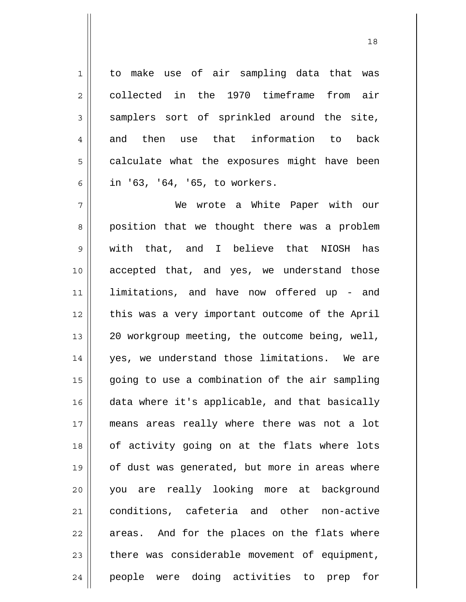1 2 3 4 5 6 to make use of air sampling data that was collected in the 1970 timeframe from air samplers sort of sprinkled around the site, and then use that information to back calculate what the exposures might have been in '63, '64, '65, to workers.

7 8 9 10 11 12 13 14 15 16 17 18 19 20 21 22 23 24 We wrote a White Paper with our position that we thought there was a problem with that, and I believe that NIOSH has accepted that, and yes, we understand those limitations, and have now offered up - and this was a very important outcome of the April 20 workgroup meeting, the outcome being, well, yes, we understand those limitations. We are going to use a combination of the air sampling data where it's applicable, and that basically means areas really where there was not a lot of activity going on at the flats where lots of dust was generated, but more in areas where you are really looking more at background conditions, cafeteria and other non-active areas. And for the places on the flats where there was considerable movement of equipment, people were doing activities to prep for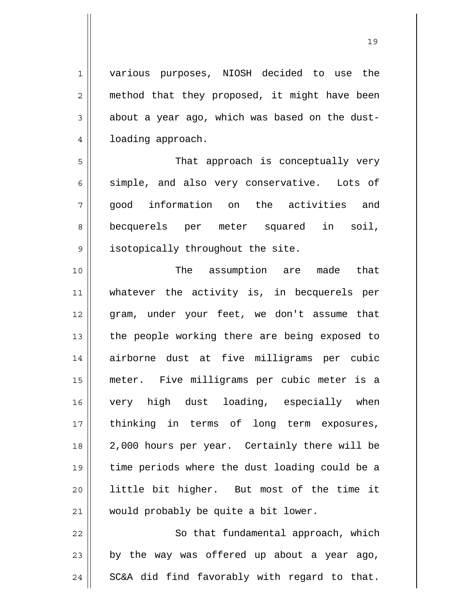1 various purposes, NIOSH decided to use the method that they proposed, it might have been about a year ago, which was based on the dustloading approach.

2

3

4

5

6

8

9

7 That approach is conceptually very simple, and also very conservative. Lots of good information on the activities and becquerels per meter squared in soil, isotopically throughout the site.

10 11 12 13 14 15 16 17 18 19 20 21 The assumption are made that whatever the activity is, in becquerels per gram, under your feet, we don't assume that the people working there are being exposed to airborne dust at five milligrams per cubic meter. Five milligrams per cubic meter is a very high dust loading, especially when thinking in terms of long term exposures, 2,000 hours per year. Certainly there will be time periods where the dust loading could be a little bit higher. But most of the time it would probably be quite a bit lower.

22 23 24 So that fundamental approach, which by the way was offered up about a year ago, SC&A did find favorably with regard to that.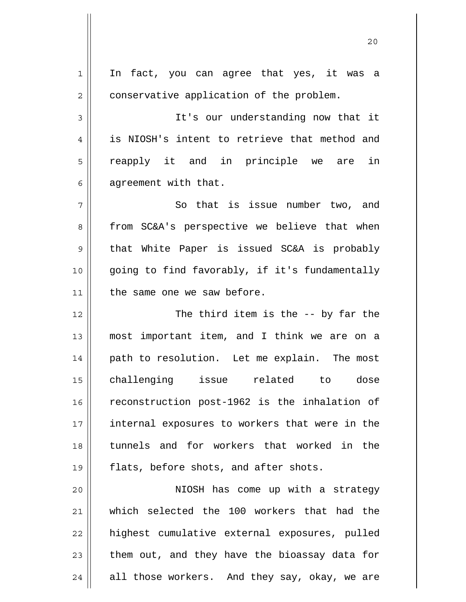1 2 3 4 5 6 7 8 9 10 11 12 13 14 15 16 17 18 19 20 21 22 23 24 In fact, you can agree that yes, it was a conservative application of the problem. It's our understanding now that it is NIOSH's intent to retrieve that method and reapply it and in principle we are in agreement with that. So that is issue number two, and from SC&A's perspective we believe that when that White Paper is issued SC&A is probably going to find favorably, if it's fundamentally the same one we saw before. The third item is the -- by far the most important item, and I think we are on a path to resolution. Let me explain. The most challenging issue related to dose reconstruction post-1962 is the inhalation of internal exposures to workers that were in the tunnels and for workers that worked in the flats, before shots, and after shots. NIOSH has come up with a strategy which selected the 100 workers that had the highest cumulative external exposures, pulled them out, and they have the bioassay data for all those workers. And they say, okay, we are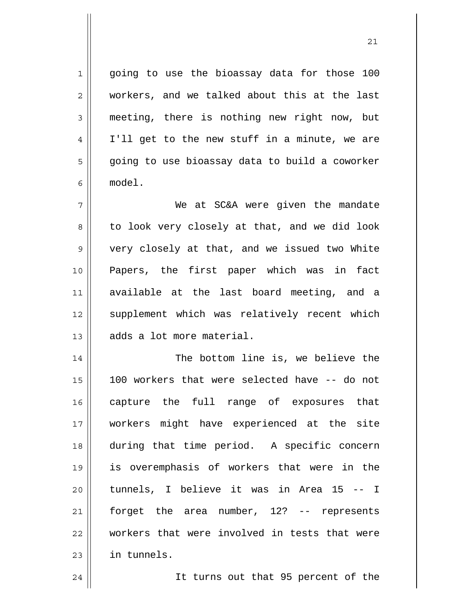going to use the bioassay data for those 100 workers, and we talked about this at the last meeting, there is nothing new right now, but I'll get to the new stuff in a minute, we are going to use bioassay data to build a coworker model.

7 8 9 10 11 12 13 We at SC&A were given the mandate to look very closely at that, and we did look very closely at that, and we issued two White Papers, the first paper which was in fact available at the last board meeting, and a supplement which was relatively recent which adds a lot more material.

14 15 16 17 18 19 20 21 22 23 The bottom line is, we believe the 100 workers that were selected have -- do not capture the full range of exposures that workers might have experienced at the site during that time period. A specific concern is overemphasis of workers that were in the tunnels, I believe it was in Area 15 -- I forget the area number, 12? -- represents workers that were involved in tests that were in tunnels.

It turns out that 95 percent of the

24

1

2

3

4

5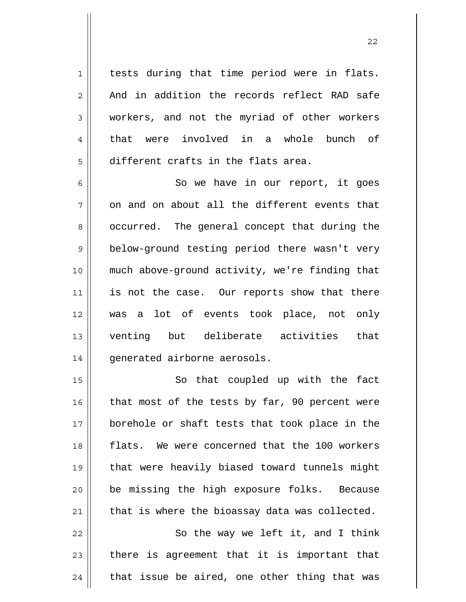tests during that time period were in flats. And in addition the records reflect RAD safe workers, and not the myriad of other workers that were involved in a whole bunch of different crafts in the flats area.

1

2

3

4

5

6 7 8 9 10 11 12 13 14 So we have in our report, it goes on and on about all the different events that occurred. The general concept that during the below-ground testing period there wasn't very much above-ground activity, we're finding that is not the case. Our reports show that there was a lot of events took place, not only venting but deliberate activities that generated airborne aerosols.

15 16 17 18 19 20 21 So that coupled up with the fact that most of the tests by far, 90 percent were borehole or shaft tests that took place in the flats. We were concerned that the 100 workers that were heavily biased toward tunnels might be missing the high exposure folks. Because that is where the bioassay data was collected.

22 23 24 So the way we left it, and I think there is agreement that it is important that that issue be aired, one other thing that was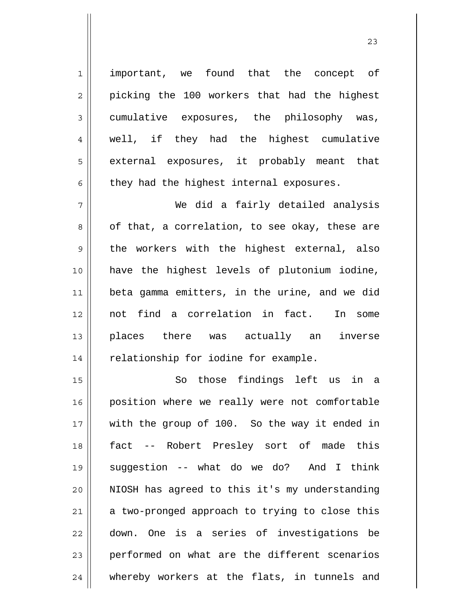1 2 3 4 5 6 7 important, we found that the concept of picking the 100 workers that had the highest cumulative exposures, the philosophy was, well, if they had the highest cumulative external exposures, it probably meant that they had the highest internal exposures. We did a fairly detailed analysis of that, a correlation, to see okay, these are

8 9 10 11 12 13 14 the workers with the highest external, also have the highest levels of plutonium iodine, beta gamma emitters, in the urine, and we did not find a correlation in fact. In some places there was actually an inverse relationship for iodine for example.

15 16 17 18 19 20 21 22 23 24 So those findings left us in a position where we really were not comfortable with the group of 100. So the way it ended in fact -- Robert Presley sort of made this suggestion -- what do we do? And I think NIOSH has agreed to this it's my understanding a two-pronged approach to trying to close this down. One is a series of investigations be performed on what are the different scenarios whereby workers at the flats, in tunnels and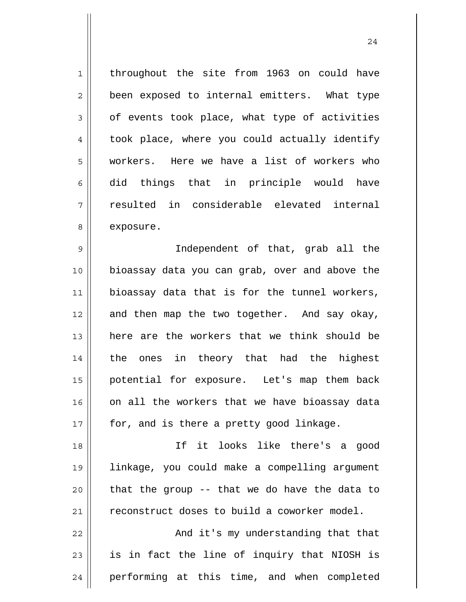1 2 3 4 5 6 7 8 throughout the site from 1963 on could have been exposed to internal emitters. What type of events took place, what type of activities took place, where you could actually identify workers. Here we have a list of workers who did things that in principle would have resulted in considerable elevated internal exposure.

9 10 11 12 13 14 15 16 17 Independent of that, grab all the bioassay data you can grab, over and above the bioassay data that is for the tunnel workers, and then map the two together. And say okay, here are the workers that we think should be the ones in theory that had the highest potential for exposure. Let's map them back on all the workers that we have bioassay data for, and is there a pretty good linkage.

18 19 20 21 If it looks like there's a good linkage, you could make a compelling argument that the group -- that we do have the data to reconstruct doses to build a coworker model.

22 23 24 And it's my understanding that that is in fact the line of inquiry that NIOSH is performing at this time, and when completed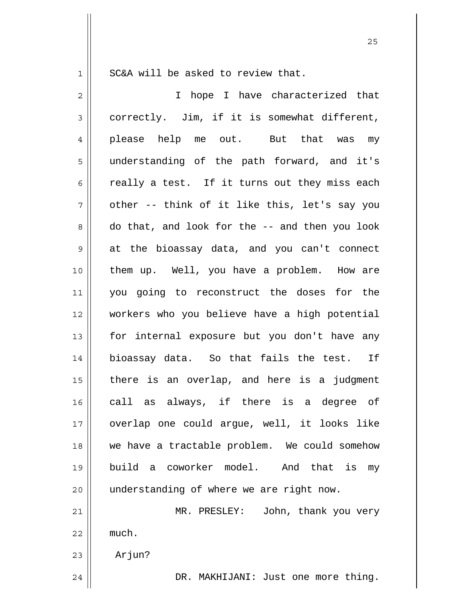1

SC&A will be asked to review that.

2 3 4 5 6 7 8 9 10 11 12 13 14 15 16 17 18 19 20 21 22 23 24 I hope I have characterized that correctly. Jim, if it is somewhat different, please help me out. But that was my understanding of the path forward, and it's really a test. If it turns out they miss each other -- think of it like this, let's say you do that, and look for the -- and then you look at the bioassay data, and you can't connect them up. Well, you have a problem. How are you going to reconstruct the doses for the workers who you believe have a high potential for internal exposure but you don't have any bioassay data. So that fails the test. If there is an overlap, and here is a judgment call as always, if there is a degree of overlap one could argue, well, it looks like we have a tractable problem. We could somehow build a coworker model. And that is my understanding of where we are right now. MR. PRESLEY: John, thank you very much. Arjun? DR. MAKHIJANI: Just one more thing.

<u>25</u>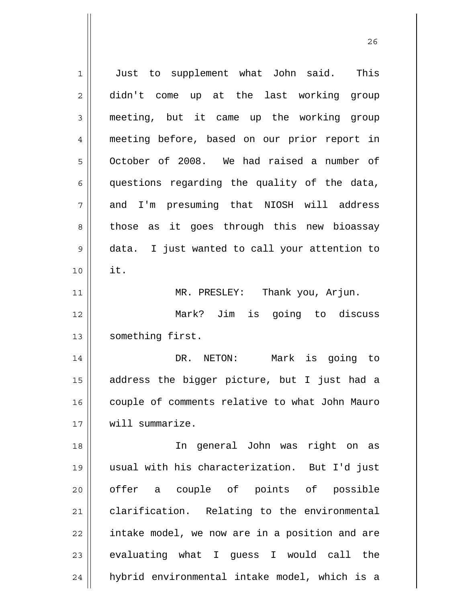1 2 3 4 5 6 7 8 9 10 11 12 13 14 15 16 17 18 19 20 21 22 23 24 Just to supplement what John said. This didn't come up at the last working group meeting, but it came up the working group meeting before, based on our prior report in October of 2008. We had raised a number of questions regarding the quality of the data, and I'm presuming that NIOSH will address those as it goes through this new bioassay data. I just wanted to call your attention to it. MR. PRESLEY: Thank you, Arjun. Mark? Jim is going to discuss something first. DR. NETON: Mark is going to address the bigger picture, but I just had a couple of comments relative to what John Mauro will summarize. In general John was right on as usual with his characterization. But I'd just offer a couple of points of possible clarification. Relating to the environmental intake model, we now are in a position and are evaluating what I guess I would call the hybrid environmental intake model, which is a

<u>26</u>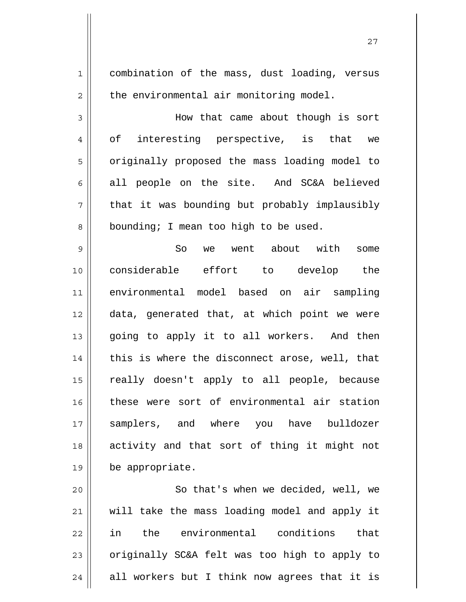1 2 3 4 5 6 7 8 9 10 11 12 13 14 15 16 17 18 19 20 21 combination of the mass, dust loading, versus the environmental air monitoring model. How that came about though is sort of interesting perspective, is that we originally proposed the mass loading model to all people on the site. And SC&A believed that it was bounding but probably implausibly bounding; I mean too high to be used. So we went about with some considerable effort to develop the environmental model based on air sampling data, generated that, at which point we were going to apply it to all workers. And then this is where the disconnect arose, well, that really doesn't apply to all people, because these were sort of environmental air station samplers, and where you have bulldozer activity and that sort of thing it might not be appropriate. So that's when we decided, well, we will take the mass loading model and apply it

22 23 24 in the environmental conditions that originally SC&A felt was too high to apply to all workers but I think now agrees that it is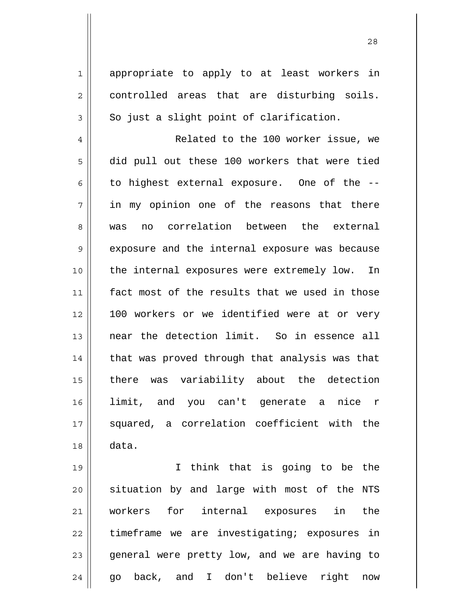appropriate to apply to at least workers in controlled areas that are disturbing soils. So just a slight point of clarification.

1

2

3

4 5 6 7 8 9 10 11 12 13 14 15 16 17 18 Related to the 100 worker issue, we did pull out these 100 workers that were tied to highest external exposure. One of the - in my opinion one of the reasons that there was no correlation between the external exposure and the internal exposure was because the internal exposures were extremely low. In fact most of the results that we used in those 100 workers or we identified were at or very near the detection limit. So in essence all that was proved through that analysis was that there was variability about the detection limit, and you can't generate a nice r squared, a correlation coefficient with the data.

19 20 21 22 23 24 I think that is going to be the situation by and large with most of the NTS workers for internal exposures in the timeframe we are investigating; exposures in general were pretty low, and we are having to go back, and I don't believe right now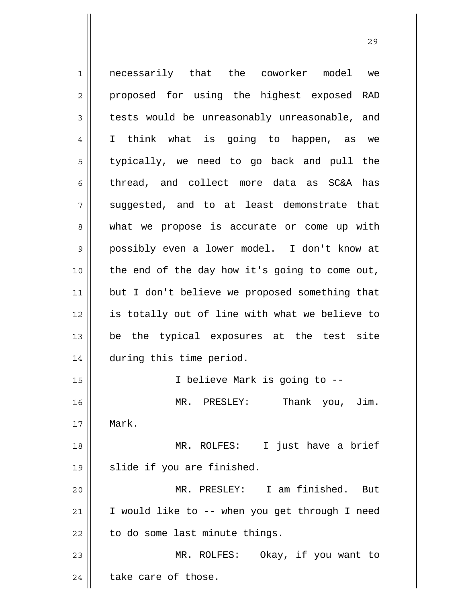1 2 3 4 5 6 7 8 9 10 11 12 13 14 15 16 17 18 19 20 21 22 23 24 necessarily that the coworker model we proposed for using the highest exposed RAD tests would be unreasonably unreasonable, and I think what is going to happen, as we typically, we need to go back and pull the thread, and collect more data as SC&A has suggested, and to at least demonstrate that what we propose is accurate or come up with possibly even a lower model. I don't know at the end of the day how it's going to come out, but I don't believe we proposed something that is totally out of line with what we believe to be the typical exposures at the test site during this time period. I believe Mark is going to -- MR. PRESLEY: Thank you, Jim. Mark. MR. ROLFES: I just have a brief slide if you are finished. MR. PRESLEY: I am finished. But I would like to -- when you get through I need to do some last minute things. MR. ROLFES: Okay, if you want to take care of those.

<u>29</u>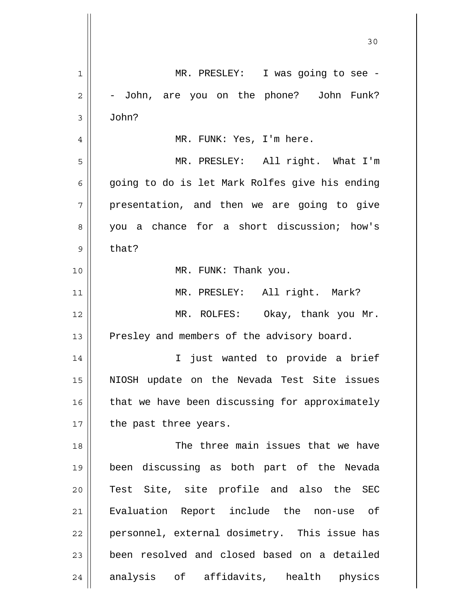| 1            | MR. PRESLEY: I was going to see -              |
|--------------|------------------------------------------------|
| $\mathbf{2}$ | - John, are you on the phone? John Funk?       |
| 3            | John?                                          |
| 4            | MR. FUNK: Yes, I'm here.                       |
| 5            | MR. PRESLEY: All right. What I'm               |
| 6            | going to do is let Mark Rolfes give his ending |
| 7            | presentation, and then we are going to give    |
| 8            | you a chance for a short discussion; how's     |
| 9            | that?                                          |
| 10           | MR. FUNK: Thank you.                           |
| 11           | MR. PRESLEY: All right. Mark?                  |
| 12           | MR. ROLFES: Okay, thank you Mr.                |
| 13           | Presley and members of the advisory board.     |
| 14           | I just wanted to provide a brief               |
| 15           | NIOSH update on the Nevada Test Site issues    |
| 16           | that we have been discussing for approximately |
| 17           | the past three years.                          |
| 18           | The three main issues that we have             |
| 19           | been discussing as both part of the Nevada     |
| 20           | Test Site, site profile and also the SEC       |
| 21           | Evaluation Report include the non-use of       |
| 22           | personnel, external dosimetry. This issue has  |
| 23           | been resolved and closed based on a detailed   |
| 24           | analysis of affidavits, health physics         |
|              |                                                |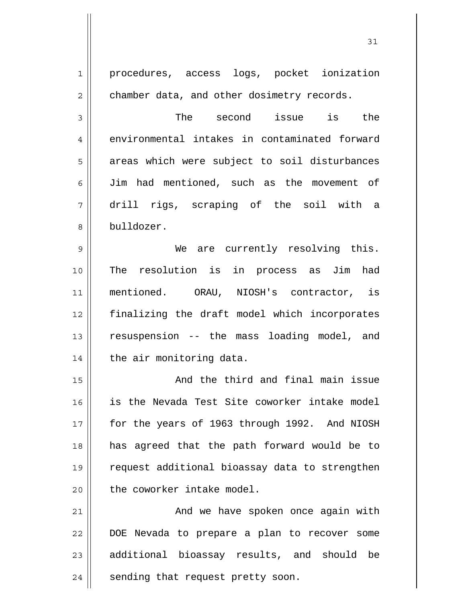| $\mathbf 1$    | procedures, access logs, pocket ionization     |
|----------------|------------------------------------------------|
| $\overline{2}$ | chamber data, and other dosimetry records.     |
| 3              | The second issue is the                        |
| $\overline{4}$ | environmental intakes in contaminated forward  |
| 5              | areas which were subject to soil disturbances  |
| 6              | Jim had mentioned, such as the movement of     |
| 7              | drill rigs, scraping of the soil with a        |
| 8              | bulldozer.                                     |
| $\mathsf 9$    | We are currently resolving this.               |
| 10             | The resolution is in process as Jim had        |
| 11             | mentioned. ORAU, NIOSH's contractor, is        |
| 12             | finalizing the draft model which incorporates  |
| 13             | resuspension -- the mass loading model, and    |
| 14             | the air monitoring data.                       |
| 15             | And the third and final main issue             |
| 16             | is the Nevada Test Site coworker intake model  |
| 17             | for the years of 1963 through 1992. And NIOSH  |
| 18             | has agreed that the path forward would be to   |
| 19             | request additional bioassay data to strengthen |
| 20             | the coworker intake model.                     |
| 21             | And we have spoken once again with             |
| 22             | DOE Nevada to prepare a plan to recover some   |
| 23             | additional bioassay results, and should be     |
| 24             | sending that request pretty soon.              |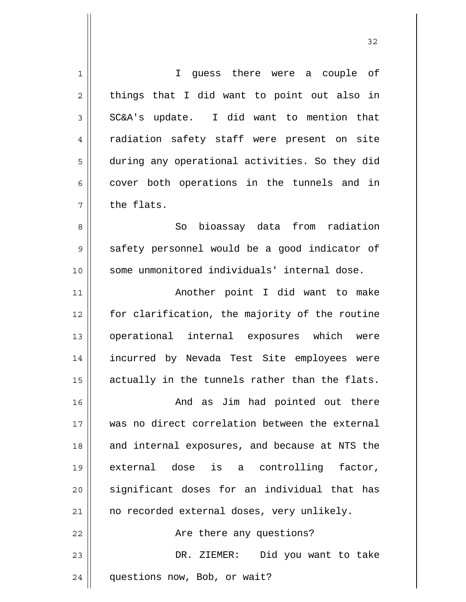| $\mathbf 1$    | I guess there were a couple of                 |
|----------------|------------------------------------------------|
| $\overline{c}$ | things that I did want to point out also in    |
| 3              | SC&A's update. I did want to mention that      |
| $\overline{4}$ | radiation safety staff were present on site    |
| 5              | during any operational activities. So they did |
| 6              | cover both operations in the tunnels and in    |
| 7              | the flats.                                     |
| 8              | bioassay data from radiation<br>So             |
| 9              | safety personnel would be a good indicator of  |
| 10             | some unmonitored individuals' internal dose.   |
| 11             | Another point I did want to make               |
| 12             | for clarification, the majority of the routine |
| 13             | operational internal exposures which were      |
| 14             | incurred by Nevada Test Site employees were    |
| 15             | actually in the tunnels rather than the flats. |
| 16             | And as Jim had pointed out there               |
| 17             | was no direct correlation between the external |
| 18             | and internal exposures, and because at NTS the |
| 19             | external dose is a controlling factor,         |
| 20             | significant doses for an individual that has   |
| 21             | no recorded external doses, very unlikely.     |
| 22             | Are there any questions?                       |
| 23             | DR. ZIEMER: Did you want to take               |
| 24             | questions now, Bob, or wait?                   |

 $\mathsf{I}$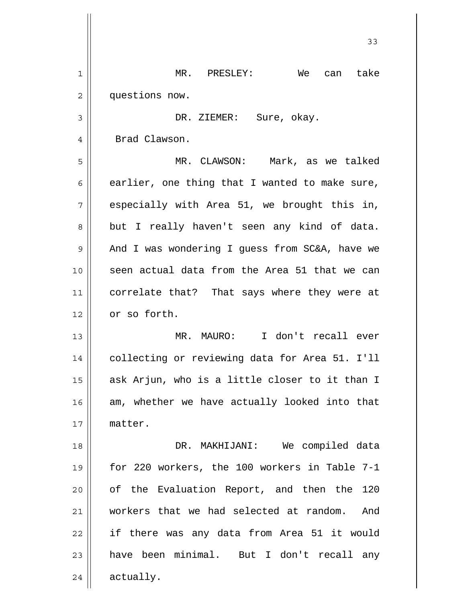|    | 33                                             |
|----|------------------------------------------------|
| 1  | MR. PRESLEY:<br>We<br>take<br>can              |
| 2  | questions now.                                 |
| 3  | DR. ZIEMER:<br>Sure, okay.                     |
| 4  | Brad Clawson.                                  |
| 5  | MR. CLAWSON: Mark, as we talked                |
| 6  | earlier, one thing that I wanted to make sure, |
| 7  | especially with Area 51, we brought this in,   |
| 8  | but I really haven't seen any kind of data.    |
| 9  | And I was wondering I guess from SC&A, have we |
| 10 | seen actual data from the Area 51 that we can  |
| 11 | correlate that? That says where they were at   |
| 12 | or so forth.                                   |
| 13 | MR. MAURO: I don't recall ever                 |
| 14 | collecting or reviewing data for Area 51. I'll |
| 15 | ask Arjun, who is a little closer to it than I |
| 16 | am, whether we have actually looked into that  |
| 17 | matter.                                        |
| 18 | DR. MAKHIJANI: We compiled data                |
| 19 | for 220 workers, the 100 workers in Table 7-1  |
| 20 | of the Evaluation Report, and then the 120     |
| 21 | workers that we had selected at random. And    |
| 22 | if there was any data from Area 51 it would    |
| 23 | have been minimal. But I don't recall any      |
| 24 | actually.                                      |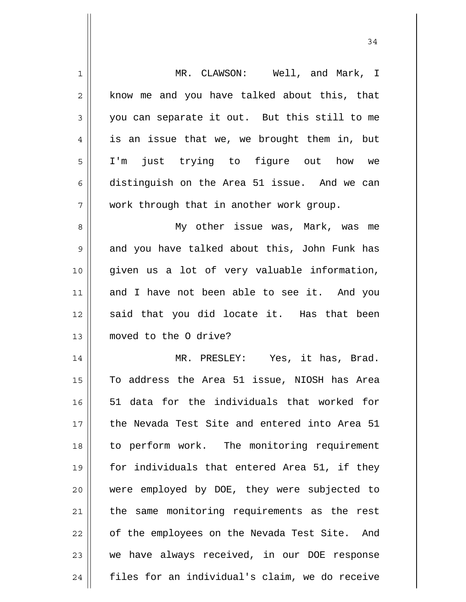| 1  | MR. CLAWSON: Well, and Mark, I                 |
|----|------------------------------------------------|
| 2  | know me and you have talked about this, that   |
| 3  | you can separate it out. But this still to me  |
| 4  | is an issue that we, we brought them in, but   |
| 5  | just trying to figure out how we<br>$I'$ m     |
| 6  | distinguish on the Area 51 issue. And we can   |
| 7  | work through that in another work group.       |
| 8  | My other issue was, Mark, was me               |
| 9  | and you have talked about this, John Funk has  |
| 10 | given us a lot of very valuable information,   |
| 11 | and I have not been able to see it. And you    |
| 12 | said that you did locate it. Has that been     |
| 13 | moved to the 0 drive?                          |
| 14 | MR. PRESLEY: Yes, it has, Brad.                |
| 15 | To address the Area 51 issue, NIOSH has Area   |
| 16 | 51 data for the individuals that worked for    |
| 17 | the Nevada Test Site and entered into Area 51  |
| 18 | to perform work. The monitoring requirement    |
| 19 | for individuals that entered Area 51, if they  |
| 20 | were employed by DOE, they were subjected to   |
| 21 | the same monitoring requirements as the rest   |
| 22 | of the employees on the Nevada Test Site. And  |
| 23 | we have always received, in our DOE response   |
| 24 | files for an individual's claim, we do receive |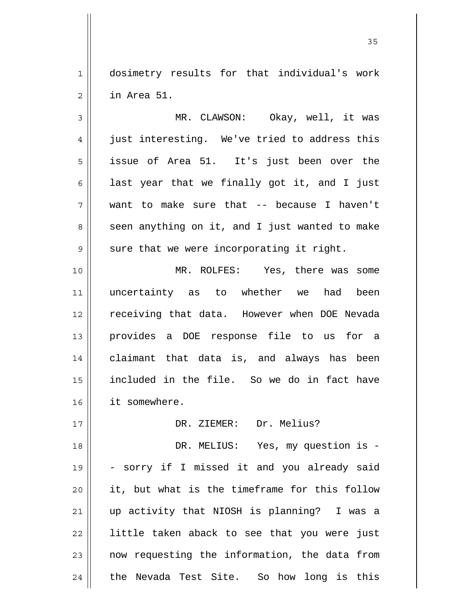1 2 dosimetry results for that individual's work in Area 51.

3 4 5 6 7 8 9 MR. CLAWSON: Okay, well, it was just interesting. We've tried to address this issue of Area 51. It's just been over the last year that we finally got it, and I just want to make sure that -- because I haven't seen anything on it, and I just wanted to make sure that we were incorporating it right.

10 11 12 13 14 15 16 MR. ROLFES: Yes, there was some uncertainty as to whether we had been receiving that data. However when DOE Nevada provides a DOE response file to us for a claimant that data is, and always has been included in the file. So we do in fact have it somewhere.

DR. ZIEMER: Dr. Melius?

18 19 20 21 22 23 24 DR. MELIUS: Yes, my question is - - sorry if I missed it and you already said it, but what is the timeframe for this follow up activity that NIOSH is planning? I was a little taken aback to see that you were just now requesting the information, the data from the Nevada Test Site. So how long is this

17

<u>35</u>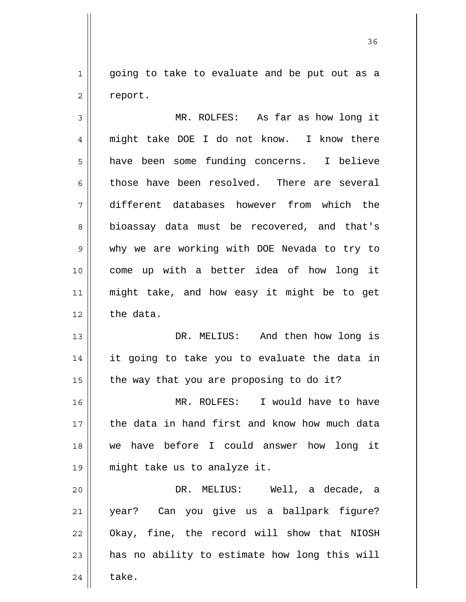1 2 going to take to evaluate and be put out as a report.

3 4 5 6 7 8 9 10 11 12 MR. ROLFES: As far as how long it might take DOE I do not know. I know there have been some funding concerns. I believe those have been resolved. There are several different databases however from which the bioassay data must be recovered, and that's why we are working with DOE Nevada to try to come up with a better idea of how long it might take, and how easy it might be to get the data.

13 14 15 DR. MELIUS: And then how long is it going to take you to evaluate the data in the way that you are proposing to do it?

16 17 18 19 MR. ROLFES: I would have to have the data in hand first and know how much data we have before I could answer how long it might take us to analyze it.

20 21 22 23 24 DR. MELIUS: Well, a decade, a year? Can you give us a ballpark figure? Okay, fine, the record will show that NIOSH has no ability to estimate how long this will take.

<u>36 and 36</u>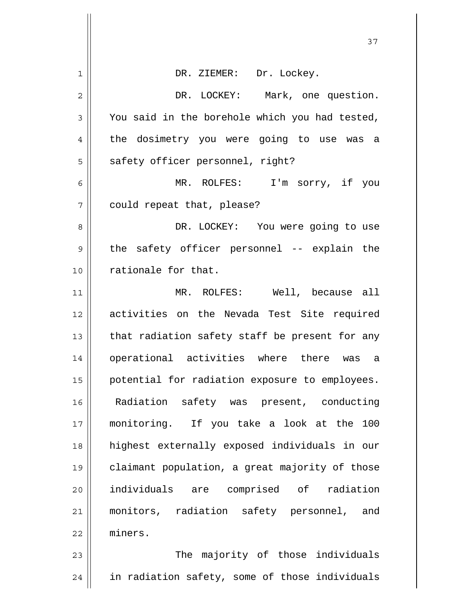| 1            | DR. ZIEMER: Dr. Lockey.                        |
|--------------|------------------------------------------------|
| $\mathbf{2}$ | DR. LOCKEY: Mark, one question.                |
| 3            | You said in the borehole which you had tested, |
| 4            | the dosimetry you were going to use was<br>a   |
| 5            | safety officer personnel, right?               |
| 6            | MR. ROLFES: I'm sorry, if you                  |
| 7            | could repeat that, please?                     |
| 8            | DR. LOCKEY: You were going to use              |
| 9            | the safety officer personnel -- explain the    |
| 10           | rationale for that.                            |
| 11           | MR. ROLFES: Well, because all                  |
| 12           | activities on the Nevada Test Site required    |
| 13           | that radiation safety staff be present for any |
| 14           | operational activities where there was<br>a    |
| 15           | potential for radiation exposure to employees. |
| 16           | Radiation safety was present, conducting       |
| 17           | monitoring. If you take a look at the 100      |
| 18           | highest externally exposed individuals in our  |
| 19           | claimant population, a great majority of those |
| 20           | individuals are comprised of radiation         |
| 21           | monitors, radiation safety personnel, and      |
| 22           | miners.                                        |
| 23           | The majority of those individuals              |
| 24           | in radiation safety, some of those individuals |

 $\overline{\mathsf{I}}$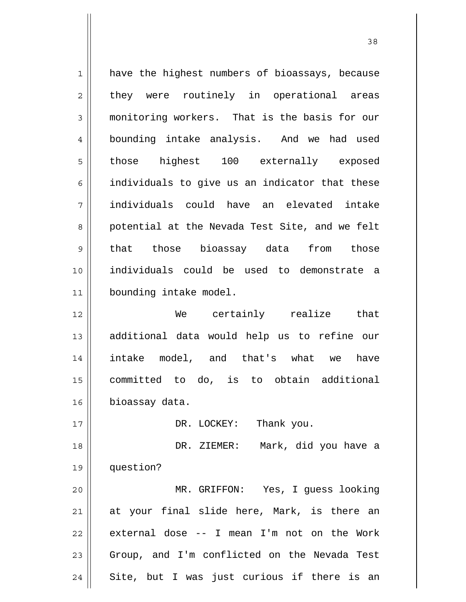1 2 3 4 5 6 7 8 9 10 11 12 13 14 15 16 17 18 19 20 21 22 23 24 have the highest numbers of bioassays, because they were routinely in operational areas monitoring workers. That is the basis for our bounding intake analysis. And we had used those highest 100 externally exposed individuals to give us an indicator that these individuals could have an elevated intake potential at the Nevada Test Site, and we felt that those bioassay data from those individuals could be used to demonstrate a bounding intake model. We certainly realize that additional data would help us to refine our intake model, and that's what we have committed to do, is to obtain additional bioassay data. DR. LOCKEY: Thank you. DR. ZIEMER: Mark, did you have a question? MR. GRIFFON: Yes, I guess looking at your final slide here, Mark, is there an external dose -- I mean I'm not on the Work Group, and I'm conflicted on the Nevada Test Site, but I was just curious if there is an

<u>38</u>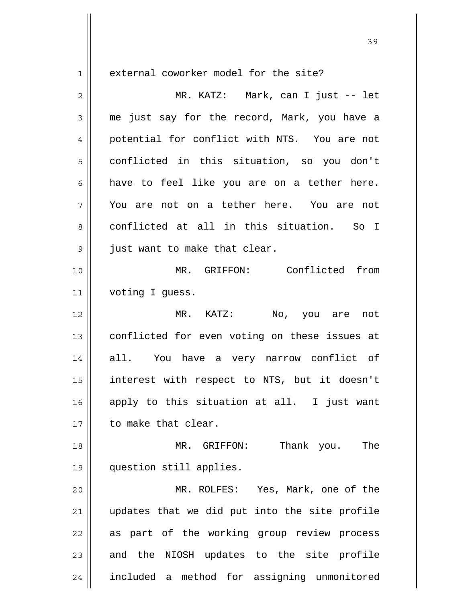$1$ 

external coworker model for the site?

| $\overline{2}$ | MR. KATZ: Mark, can I just -- let             |
|----------------|-----------------------------------------------|
| 3              | me just say for the record, Mark, you have a  |
| 4              | potential for conflict with NTS. You are not  |
| 5              | conflicted in this situation, so you don't    |
| 6              | have to feel like you are on a tether here.   |
| 7              | You are not on a tether here. You are not     |
| 8              | conflicted at all in this situation. So I     |
| 9              | just want to make that clear.                 |
| 10             | MR. GRIFFON: Conflicted from                  |
| 11             | voting I guess.                               |
| 12             | MR. KATZ: No, you are not                     |
| 13             | conflicted for even voting on these issues at |
| 14             | all. You have a very narrow conflict of       |
| 15             | interest with respect to NTS, but it doesn't  |
| 16             | apply to this situation at all. I just want   |
| 17             | to make that clear.                           |
| 18             | Thank you.<br>The<br>MR. GRIFFON:             |
| 19             | question still applies.                       |
| 20             | MR. ROLFES: Yes, Mark, one of the             |
| 21             | updates that we did put into the site profile |
| 22             | as part of the working group review process   |
| 23             | and the NIOSH updates to the site profile     |
| 24             | included a method for assigning unmonitored   |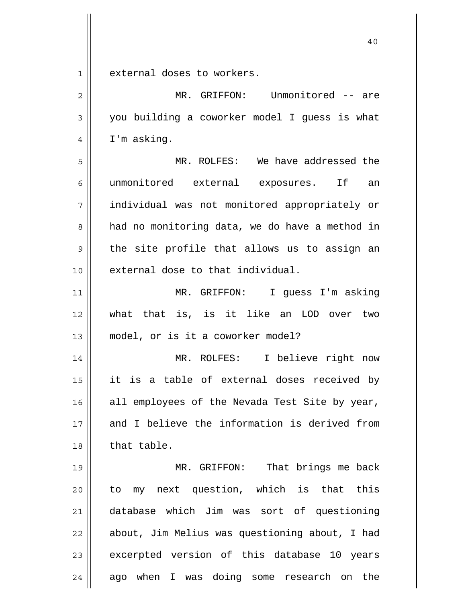1 external doses to workers.

| $\overline{2}$ | MR. GRIFFON: Unmonitored -- are                |
|----------------|------------------------------------------------|
| 3              | you building a coworker model I guess is what  |
| 4              | I'm asking.                                    |
| 5              | MR. ROLFES: We have addressed the              |
| 6              | unmonitored external exposures. If<br>an       |
| 7              | individual was not monitored appropriately or  |
| 8              | had no monitoring data, we do have a method in |
| 9              | the site profile that allows us to assign an   |
| 10             | external dose to that individual.              |
| 11             | MR. GRIFFON: I guess I'm asking                |
| 12             | that is, is it like an LOD over two<br>what    |
| 13             | model, or is it a coworker model?              |
| 14             | I believe right now<br>MR. ROLFES:             |
| 15             | it is a table of external doses received by    |
| 16             | all employees of the Nevada Test Site by year, |
| 17             | and I believe the information is derived from  |
| 18             | that table.                                    |
| 19             | MR. GRIFFON: That brings me back               |
| 20             | to my next question, which is that this        |
| 21             | database which Jim was sort of questioning     |
| 22             | about, Jim Melius was questioning about, I had |
| 23             | excerpted version of this database 10 years    |
| 24             | ago when I was doing some research on the      |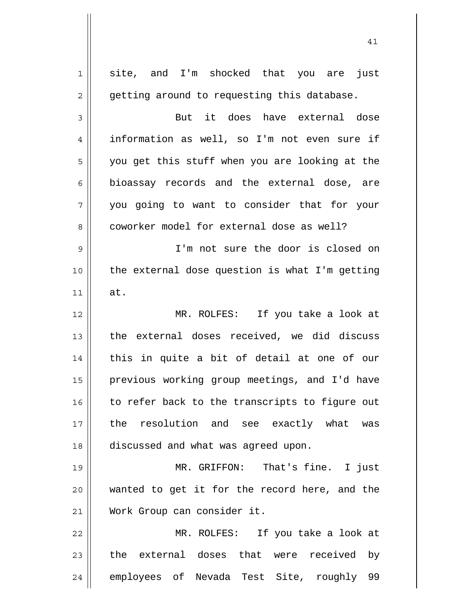| 1  | site, and I'm shocked that you are just        |
|----|------------------------------------------------|
| 2  | getting around to requesting this database.    |
| 3  | But it does have external dose                 |
| 4  | information as well, so I'm not even sure if   |
| 5  | you get this stuff when you are looking at the |
| 6  | bioassay records and the external dose, are    |
| 7  | you going to want to consider that for your    |
| 8  | coworker model for external dose as well?      |
| 9  | I'm not sure the door is closed on             |
| 10 | the external dose question is what I'm getting |
| 11 | at.                                            |
| 12 | MR. ROLFES: If you take a look at              |
| 13 | the external doses received, we did discuss    |
| 14 | this in quite a bit of detail at one of our    |
| 15 | previous working group meetings, and I'd have  |
| 16 | to refer back to the transcripts to figure out |
| 17 | the resolution and see exactly what was        |
| 18 | discussed and what was agreed upon.            |
| 19 | MR. GRIFFON: That's fine. I just               |
| 20 | wanted to get it for the record here, and the  |
| 21 | Work Group can consider it.                    |
| 22 | MR. ROLFES: If you take a look at              |
| 23 | the external doses that were received by       |
| 24 | employees of Nevada Test Site, roughly 99      |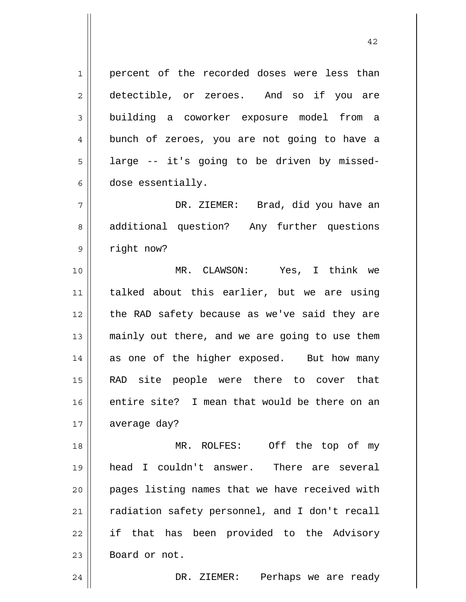1 2 3 4 5 6 7 8 9 10 11 12 13 14 15 16 17 18 19 20 21 22 23 24 percent of the recorded doses were less than detectible, or zeroes. And so if you are building a coworker exposure model from a bunch of zeroes, you are not going to have a large -- it's going to be driven by misseddose essentially. DR. ZIEMER: Brad, did you have an additional question? Any further questions right now? MR. CLAWSON: Yes, I think we talked about this earlier, but we are using the RAD safety because as we've said they are mainly out there, and we are going to use them as one of the higher exposed. But how many RAD site people were there to cover that entire site? I mean that would be there on an average day? MR. ROLFES: Off the top of my head I couldn't answer. There are several pages listing names that we have received with radiation safety personnel, and I don't recall if that has been provided to the Advisory Board or not. DR. ZIEMER: Perhaps we are ready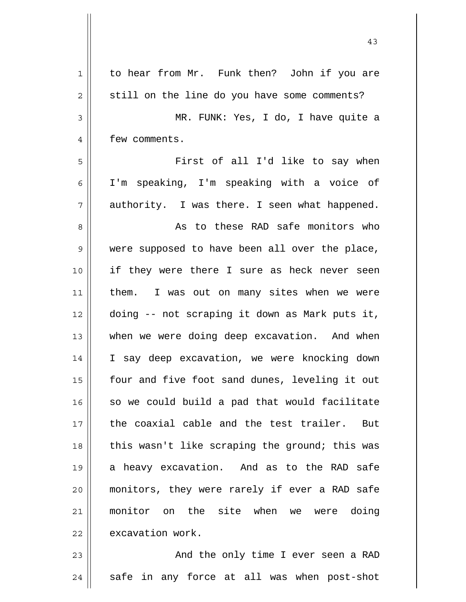| $\mathbf 1$    | to hear from Mr. Funk then? John if you are    |
|----------------|------------------------------------------------|
| $\overline{2}$ | still on the line do you have some comments?   |
| $\mathsf 3$    | MR. FUNK: Yes, I do, I have quite a            |
| 4              | few comments.                                  |
| 5              | First of all I'd like to say when              |
| 6              | I'm speaking, I'm speaking with a voice of     |
| 7              | authority. I was there. I seen what happened.  |
| 8              | As to these RAD safe monitors who              |
| 9              | were supposed to have been all over the place, |
| 10             | if they were there I sure as heck never seen   |
| 11             | them. I was out on many sites when we were     |
| 12             | doing -- not scraping it down as Mark puts it, |
| 13             | when we were doing deep excavation. And when   |
| 14             | I say deep excavation, we were knocking down   |
| 15             | four and five foot sand dunes, leveling it out |
| 16             | so we could build a pad that would facilitate  |
| 17             | the coaxial cable and the test trailer. But    |
| 18             | this wasn't like scraping the ground; this was |
| 19             | a heavy excavation. And as to the RAD safe     |
| 20             | monitors, they were rarely if ever a RAD safe  |
| 21             | monitor on the site when we were doing         |
| 22             | excavation work.                               |
| 23             | And the only time I ever seen a RAD            |
| 24             | safe in any force at all was when post-shot    |

 $\mathsf{I}$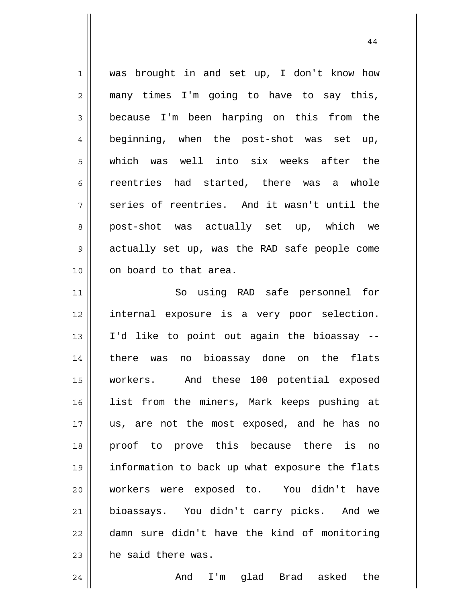1 2 3 4 5 6 7 8 9 10 11 was brought in and set up, I don't know how many times I'm going to have to say this, because I'm been harping on this from the beginning, when the post-shot was set up, which was well into six weeks after the reentries had started, there was a whole series of reentries. And it wasn't until the post-shot was actually set up, which we actually set up, was the RAD safe people come on board to that area. So using RAD safe personnel for

12 13 14 15 16 17 18 19 20 21 22 23 internal exposure is a very poor selection. I'd like to point out again the bioassay - there was no bioassay done on the flats workers. And these 100 potential exposed list from the miners, Mark keeps pushing at us, are not the most exposed, and he has no proof to prove this because there is no information to back up what exposure the flats workers were exposed to. You didn't have bioassays. You didn't carry picks. And we damn sure didn't have the kind of monitoring he said there was.

And I'm glad Brad asked the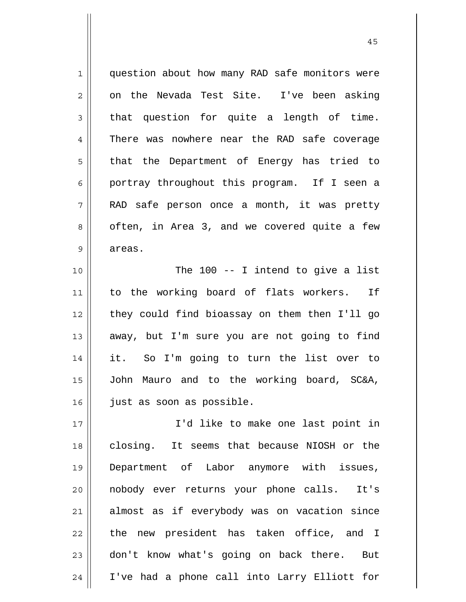1 2 3 4 5 6 7 8 9 10 11 12 13 14 15 16 17 18 19 20 21 22 23 24 question about how many RAD safe monitors were on the Nevada Test Site. I've been asking that question for quite a length of time. There was nowhere near the RAD safe coverage that the Department of Energy has tried to portray throughout this program. If I seen a RAD safe person once a month, it was pretty often, in Area 3, and we covered quite a few areas. The 100 -- I intend to give a list to the working board of flats workers. If they could find bioassay on them then I'll go away, but I'm sure you are not going to find it. So I'm going to turn the list over to John Mauro and to the working board, SC&A, just as soon as possible. I'd like to make one last point in closing. It seems that because NIOSH or the Department of Labor anymore with issues, nobody ever returns your phone calls. It's almost as if everybody was on vacation since the new president has taken office, and I don't know what's going on back there. But I've had a phone call into Larry Elliott for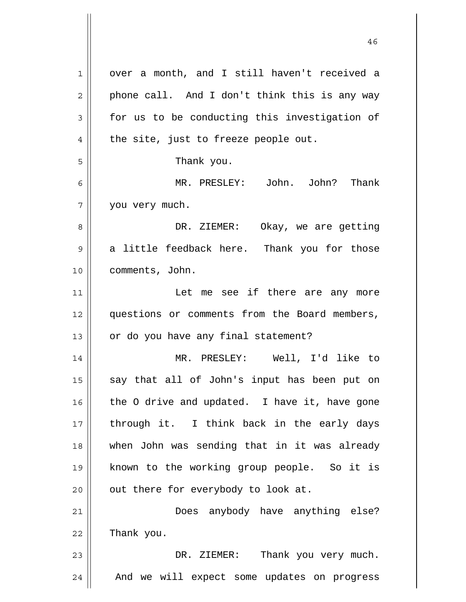| 1  | over a month, and I still haven't received a  |
|----|-----------------------------------------------|
| 2  | phone call. And I don't think this is any way |
| 3  | for us to be conducting this investigation of |
| 4  | the site, just to freeze people out.          |
| 5  | Thank you.                                    |
| 6  | MR. PRESLEY: John. John? Thank                |
| 7  | you very much.                                |
| 8  | DR. ZIEMER: Okay, we are getting              |
| 9  | a little feedback here. Thank you for those   |
| 10 | comments, John.                               |
| 11 | Let me see if there are any more              |
| 12 | questions or comments from the Board members, |
| 13 | or do you have any final statement?           |
| 14 | MR. PRESLEY: Well, I'd like to                |
| 15 | say that all of John's input has been put on  |
| 16 | the O drive and updated. I have it, have gone |
| 17 | through it. I think back in the early days    |
| 18 | when John was sending that in it was already  |
| 19 | known to the working group people. So it is   |
| 20 | out there for everybody to look at.           |
| 21 | Does anybody have anything else?              |
| 22 | Thank you.                                    |
| 23 | Thank you very much.<br>DR. ZIEMER:           |
| 24 | And we will expect some updates on progress   |

 $\mathsf{I}$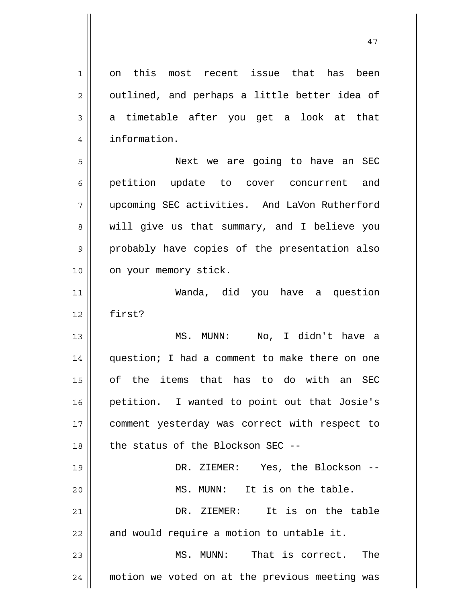1 2 3 4 on this most recent issue that has been outlined, and perhaps a little better idea of a timetable after you get a look at that information.

5 6 7 8 9 10 Next we are going to have an SEC petition update to cover concurrent and upcoming SEC activities. And LaVon Rutherford will give us that summary, and I believe you probably have copies of the presentation also on your memory stick.

11 12 Wanda, did you have a question first?

13 14 15 16 17 18 MS. MUNN: No, I didn't have a question; I had a comment to make there on one of the items that has to do with an SEC petition. I wanted to point out that Josie's comment yesterday was correct with respect to the status of the Blockson SEC --

19 20 21 22 23 24 DR. ZIEMER: Yes, the Blockson -- MS. MUNN: It is on the table. DR. ZIEMER: It is on the table and would require a motion to untable it. MS. MUNN: That is correct. The motion we voted on at the previous meeting was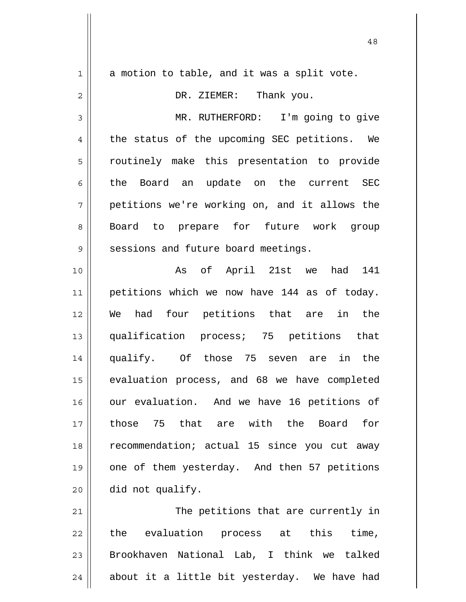| $\mathbf 1$    | a motion to table, and it was a split vote.   |
|----------------|-----------------------------------------------|
| $\overline{c}$ | DR. ZIEMER: Thank you.                        |
| 3              | MR. RUTHERFORD: I'm going to give             |
| $\overline{4}$ | the status of the upcoming SEC petitions. We  |
| 5              | routinely make this presentation to provide   |
| 6              | the Board an update on the current SEC        |
| 7              | petitions we're working on, and it allows the |
| 8              | Board to prepare for future work group        |
| 9              | sessions and future board meetings.           |
| 10             | As of April 21st we had 141                   |
| 11             | petitions which we now have 144 as of today.  |
| 12             | We had four petitions that are in the         |
| 13             | qualification process; 75 petitions that      |
| 14             | qualify. Of those 75 seven are in the         |
| 15             | evaluation process, and 68 we have completed  |
| 16             | our evaluation. And we have 16 petitions of   |
| 17             | 75 that are with the<br>Board<br>for<br>those |
| 18             | recommendation; actual 15 since you cut away  |
| 19             | one of them yesterday. And then 57 petitions  |
| 20             | did not qualify.                              |
| 21             | The petitions that are currently in           |
| 22             | evaluation process at this time,<br>the       |
| 23             | Brookhaven National Lab, I think we talked    |
| 24             | about it a little bit yesterday. We have had  |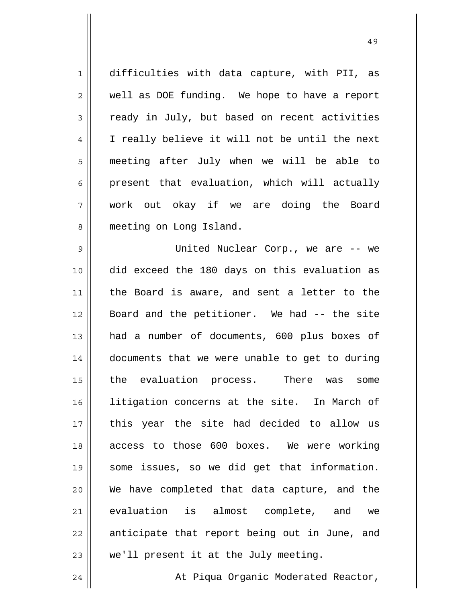1 2 3 4 5 6 7 8 difficulties with data capture, with PII, as well as DOE funding. We hope to have a report ready in July, but based on recent activities I really believe it will not be until the next meeting after July when we will be able to present that evaluation, which will actually work out okay if we are doing the Board meeting on Long Island.

9 10 11 12 13 14 15 16 17 18 19 20 21 22 23 United Nuclear Corp., we are -- we did exceed the 180 days on this evaluation as the Board is aware, and sent a letter to the Board and the petitioner. We had -- the site had a number of documents, 600 plus boxes of documents that we were unable to get to during the evaluation process. There was some litigation concerns at the site. In March of this year the site had decided to allow us access to those 600 boxes. We were working some issues, so we did get that information. We have completed that data capture, and the evaluation is almost complete, and we anticipate that report being out in June, and we'll present it at the July meeting.

24 At Piqua Organic Moderated Reactor,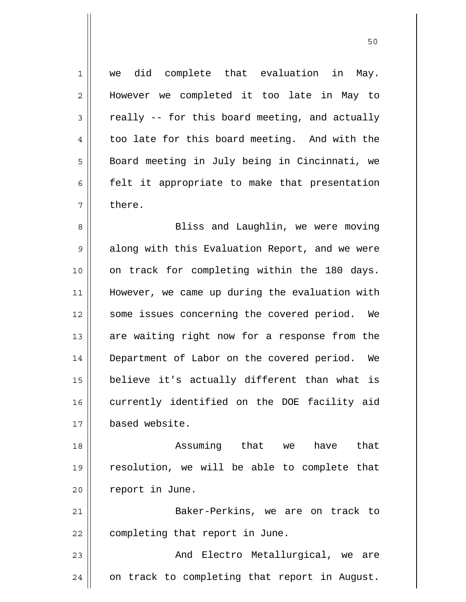1 2 3 4 5 6 7 8 9 10 11 12 13 14 15 16 17 18 19 20 21 22 23 24 we did complete that evaluation in May. However we completed it too late in May to really -- for this board meeting, and actually too late for this board meeting. And with the Board meeting in July being in Cincinnati, we felt it appropriate to make that presentation there. Bliss and Laughlin, we were moving along with this Evaluation Report, and we were on track for completing within the 180 days. However, we came up during the evaluation with some issues concerning the covered period. We are waiting right now for a response from the Department of Labor on the covered period. We believe it's actually different than what is currently identified on the DOE facility aid based website. Assuming that we have that resolution, we will be able to complete that report in June. Baker-Perkins, we are on track to completing that report in June. And Electro Metallurgical, we are on track to completing that report in August.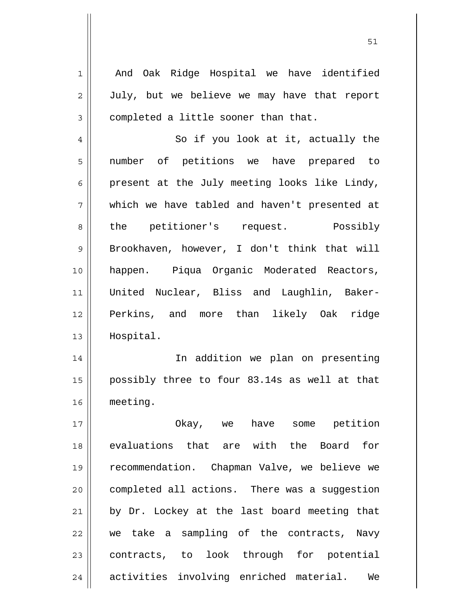And Oak Ridge Hospital we have identified July, but we believe we may have that report completed a little sooner than that.

1

2

3

4 5 6 7 8 9 10 11 12 13 So if you look at it, actually the number of petitions we have prepared to present at the July meeting looks like Lindy, which we have tabled and haven't presented at the petitioner's request. Possibly Brookhaven, however, I don't think that will happen. Piqua Organic Moderated Reactors, United Nuclear, Bliss and Laughlin, Baker-Perkins, and more than likely Oak ridge Hospital.

14 15 16 In addition we plan on presenting possibly three to four 83.14s as well at that meeting.

17 18 19 20 21 22 23 24 Okay, we have some petition evaluations that are with the Board for recommendation. Chapman Valve, we believe we completed all actions. There was a suggestion by Dr. Lockey at the last board meeting that we take a sampling of the contracts, Navy contracts, to look through for potential activities involving enriched material. We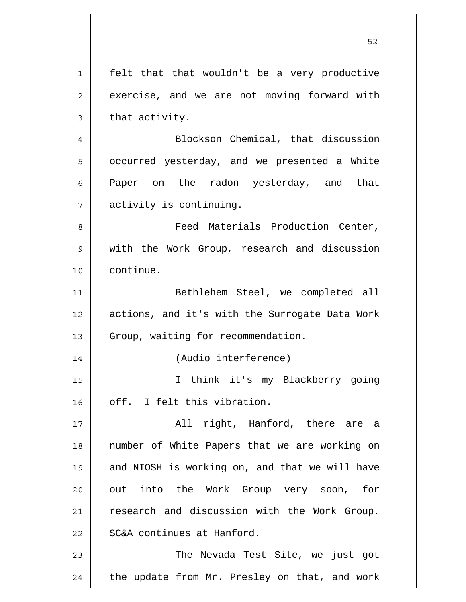| 1  | felt that that wouldn't be a very productive   |
|----|------------------------------------------------|
| 2  | exercise, and we are not moving forward with   |
| 3  | that activity.                                 |
| 4  | Blockson Chemical, that discussion             |
| 5  | occurred yesterday, and we presented a White   |
| 6  | Paper on the radon yesterday, and that         |
| 7  | activity is continuing.                        |
| 8  | Feed Materials Production Center,              |
| 9  | with the Work Group, research and discussion   |
| 10 | continue.                                      |
| 11 | Bethlehem Steel, we completed all              |
| 12 | actions, and it's with the Surrogate Data Work |
| 13 | Group, waiting for recommendation.             |
| 14 | (Audio interference)                           |
| 15 | I think it's my Blackberry going               |
| 16 | off. I felt this vibration.                    |
| 17 | All right, Hanford, there are a                |
| 18 | number of White Papers that we are working on  |
| 19 | and NIOSH is working on, and that we will have |
| 20 | out into the Work Group very soon, for         |
| 21 | research and discussion with the Work Group.   |
| 22 | SC&A continues at Hanford.                     |
| 23 | The Nevada Test Site, we just got              |
| 24 | the update from Mr. Presley on that, and work  |
|    |                                                |

 $\overline{\phantom{a}}$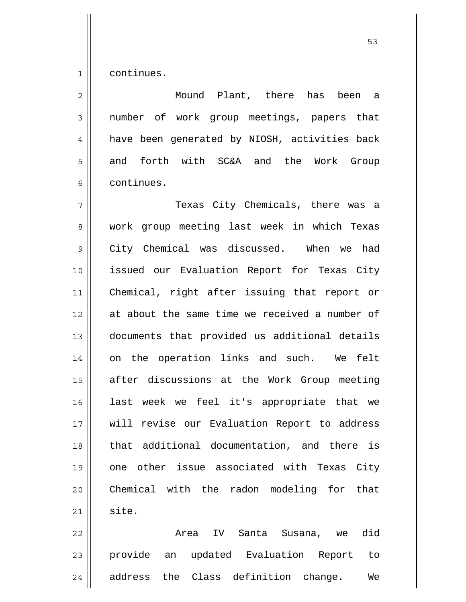1 continues.

2 3 4 5 6 7 8 9 10 11 12 13 14 15 16 17 18 19 20 21 Mound Plant, there has been a number of work group meetings, papers that have been generated by NIOSH, activities back and forth with SC&A and the Work Group continues. Texas City Chemicals, there was a work group meeting last week in which Texas City Chemical was discussed. When we had issued our Evaluation Report for Texas City Chemical, right after issuing that report or at about the same time we received a number of documents that provided us additional details on the operation links and such. We felt after discussions at the Work Group meeting last week we feel it's appropriate that we will revise our Evaluation Report to address that additional documentation, and there is one other issue associated with Texas City Chemical with the radon modeling for that site.

22 23 24 Area IV Santa Susana, we did provide an updated Evaluation Report to address the Class definition change. We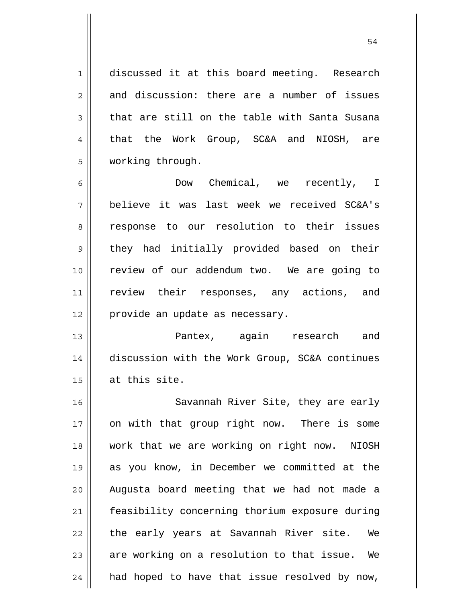discussed it at this board meeting. Research and discussion: there are a number of issues that are still on the table with Santa Susana that the Work Group, SC&A and NIOSH, are working through.

1

2

3

4

5

6 7 8 9 10 11 12 Dow Chemical, we recently, I believe it was last week we received SC&A's response to our resolution to their issues they had initially provided based on their review of our addendum two. We are going to review their responses, any actions, and provide an update as necessary.

13 14 15 Pantex, again research and discussion with the Work Group, SC&A continues at this site.

16 17 18 19 20 21 22 23 24 Savannah River Site, they are early on with that group right now. There is some work that we are working on right now. NIOSH as you know, in December we committed at the Augusta board meeting that we had not made a feasibility concerning thorium exposure during the early years at Savannah River site. We are working on a resolution to that issue. We had hoped to have that issue resolved by now,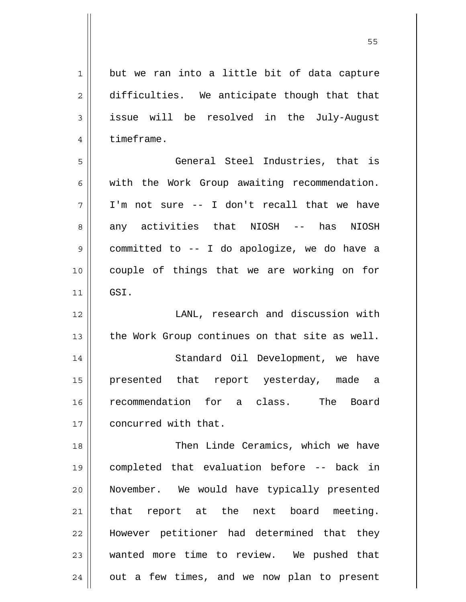1 2 3 4 5 6 7 8 9 10 11 12 13 14 15 16 17 18 19 20 21 22 23 24 but we ran into a little bit of data capture difficulties. We anticipate though that that issue will be resolved in the July-August timeframe. General Steel Industries, that is with the Work Group awaiting recommendation. I'm not sure -- I don't recall that we have any activities that NIOSH -- has NIOSH committed to -- I do apologize, we do have a couple of things that we are working on for GSI. LANL, research and discussion with the Work Group continues on that site as well. Standard Oil Development, we have presented that report yesterday, made a recommendation for a class. The Board concurred with that. Then Linde Ceramics, which we have completed that evaluation before -- back in November. We would have typically presented that report at the next board meeting. However petitioner had determined that they wanted more time to review. We pushed that out a few times, and we now plan to present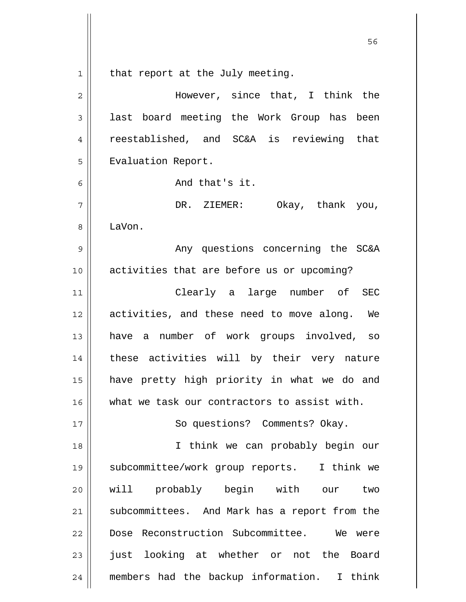$1\vert$ that report at the July meeting.

| $\overline{2}$ | However, since that, I think the              |
|----------------|-----------------------------------------------|
| 3              | last board meeting the Work Group has been    |
| 4              | reestablished, and SC&A is reviewing that     |
| 5              | Evaluation Report.                            |
| 6              | And that's it.                                |
| 7              | DR. ZIEMER: Okay, thank you,                  |
| 8              | LaVon.                                        |
| 9              | Any questions concerning the SC&A             |
| 10             | activities that are before us or upcoming?    |
| 11             | Clearly a large number of SEC                 |
| 12             | activities, and these need to move along. We  |
| 13             | have a number of work groups involved, so     |
| 14             | these activities will by their very nature    |
| 15             | have pretty high priority in what we do and   |
| 16             | what we task our contractors to assist with.  |
| 17             | So questions? Comments? Okay.                 |
| 18             | I think we can probably begin our             |
| 19             | subcommittee/work group reports. I think we   |
| 20             | will probably begin with our two              |
| 21             | subcommittees. And Mark has a report from the |
| 22             | Dose Reconstruction Subcommittee. We were     |
| 23             | just looking at whether or not the Board      |
| 24             | members had the backup information. I think   |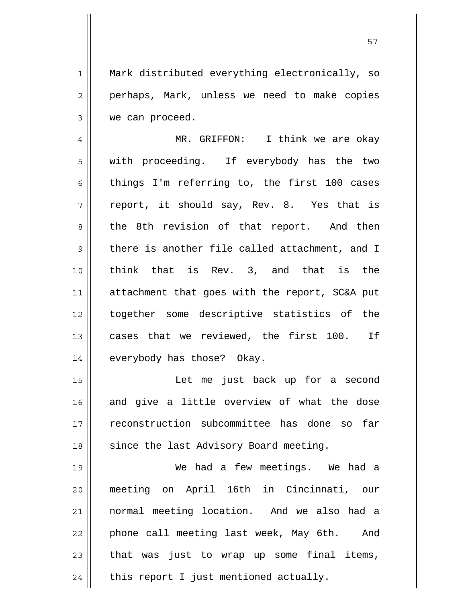Mark distributed everything electronically, so perhaps, Mark, unless we need to make copies we can proceed.

1

2

3

4 5 6 7 8 9 10 11 12 13 14 MR. GRIFFON: I think we are okay with proceeding. If everybody has the two things I'm referring to, the first 100 cases report, it should say, Rev. 8. Yes that is the 8th revision of that report. And then there is another file called attachment, and I think that is Rev. 3, and that is the attachment that goes with the report, SC&A put together some descriptive statistics of the cases that we reviewed, the first 100. If everybody has those? Okay.

15 16 17 18 Let me just back up for a second and give a little overview of what the dose reconstruction subcommittee has done so far since the last Advisory Board meeting.

19 20 21 22 23 24 We had a few meetings. We had a meeting on April 16th in Cincinnati, our normal meeting location. And we also had a phone call meeting last week, May 6th. And that was just to wrap up some final items, this report I just mentioned actually.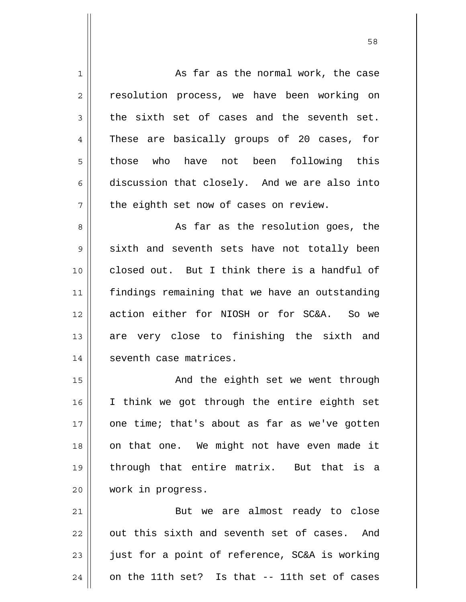1 2 3 4 5 6 7 8 9 10 11 12 13 14 15 16 17 18 19 20 21 22 23 24 As far as the normal work, the case resolution process, we have been working on the sixth set of cases and the seventh set. These are basically groups of 20 cases, for those who have not been following this discussion that closely. And we are also into the eighth set now of cases on review. As far as the resolution goes, the sixth and seventh sets have not totally been closed out. But I think there is a handful of findings remaining that we have an outstanding action either for NIOSH or for SC&A. So we are very close to finishing the sixth and seventh case matrices. And the eighth set we went through I think we got through the entire eighth set one time; that's about as far as we've gotten on that one. We might not have even made it through that entire matrix. But that is a work in progress. But we are almost ready to close out this sixth and seventh set of cases. And just for a point of reference, SC&A is working on the 11th set? Is that -- 11th set of cases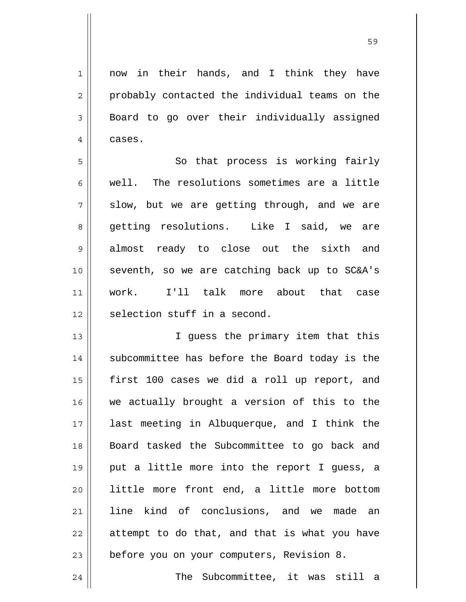now in their hands, and I think they have probably contacted the individual teams on the Board to go over their individually assigned

1

2

3

4

cases.

24

5 6 7 8 9 10 11 12 So that process is working fairly well. The resolutions sometimes are a little slow, but we are getting through, and we are getting resolutions. Like I said, we are almost ready to close out the sixth and seventh, so we are catching back up to SC&A's work. I'll talk more about that case selection stuff in a second.

13 14 15 16 17 18 19 20 21 22 23 I guess the primary item that this subcommittee has before the Board today is the first 100 cases we did a roll up report, and we actually brought a version of this to the last meeting in Albuquerque, and I think the Board tasked the Subcommittee to go back and put a little more into the report I guess, a little more front end, a little more bottom line kind of conclusions, and we made an attempt to do that, and that is what you have before you on your computers, Revision 8.

The Subcommittee, it was still a

<u>59 September 2005 September 2005 September 2005 September 2005 September 2005 September 2005 September 2005 S</u>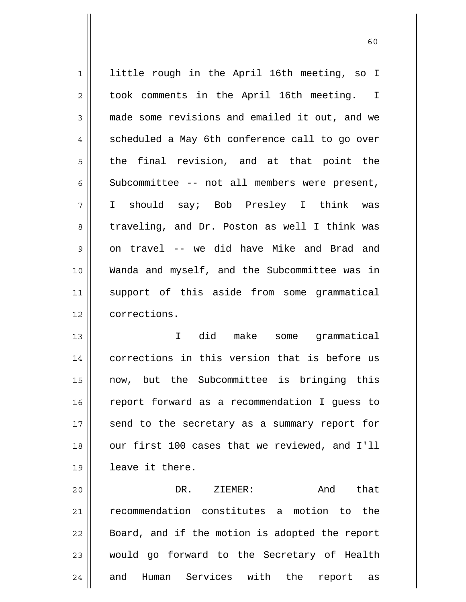1 2 3 4 5 6 7 8 9 10 11 12 13 14 15 little rough in the April 16th meeting, so I took comments in the April 16th meeting. I made some revisions and emailed it out, and we scheduled a May 6th conference call to go over the final revision, and at that point the Subcommittee -- not all members were present, I should say; Bob Presley I think was traveling, and Dr. Poston as well I think was on travel -- we did have Mike and Brad and Wanda and myself, and the Subcommittee was in support of this aside from some grammatical corrections. I did make some grammatical corrections in this version that is before us now, but the Subcommittee is bringing this

20 21 22 23 24 DR. ZIEMER: And that recommendation constitutes a motion to the Board, and if the motion is adopted the report would go forward to the Secretary of Health and Human Services with the report as

report forward as a recommendation I guess to

send to the secretary as a summary report for

our first 100 cases that we reviewed, and I'll

16

17

18

19

leave it there.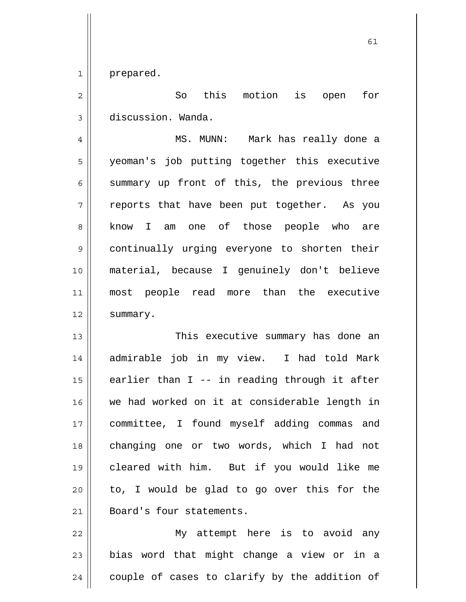1 prepared.

2 3 So this motion is open for discussion. Wanda.

4 5 6 7 8 9 10 11 12 MS. MUNN: Mark has really done a yeoman's job putting together this executive summary up front of this, the previous three reports that have been put together. As you know I am one of those people who are continually urging everyone to shorten their material, because I genuinely don't believe most people read more than the executive summary.

13 14 15 16 17 18 19 20 21 This executive summary has done an admirable job in my view. I had told Mark earlier than I -- in reading through it after we had worked on it at considerable length in committee, I found myself adding commas and changing one or two words, which I had not cleared with him. But if you would like me to, I would be glad to go over this for the Board's four statements.

22 23 24 My attempt here is to avoid any bias word that might change a view or in a couple of cases to clarify by the addition of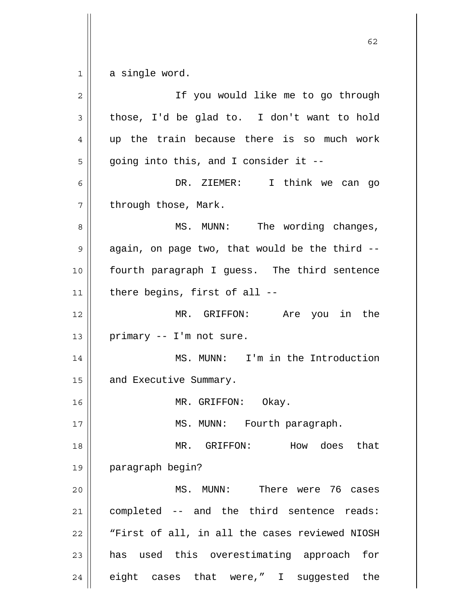1 a single word.

| $\overline{2}$ | If you would like me to go through             |
|----------------|------------------------------------------------|
| 3              | those, I'd be glad to. I don't want to hold    |
| 4              | up the train because there is so much work     |
| 5              | going into this, and I consider it --          |
| 6              | DR. ZIEMER: I think we can go                  |
| 7              | through those, Mark.                           |
| 8              | MS. MUNN: The wording changes,                 |
| 9              | again, on page two, that would be the third -- |
| 10             | fourth paragraph I guess. The third sentence   |
| 11             | there begins, first of all --                  |
| 12             | MR. GRIFFON: Are you in the                    |
| 13             | primary -- I'm not sure.                       |
| 14             | MS. MUNN: I'm in the Introduction              |
| 15             | and Executive Summary.                         |
| 16             | MR. GRIFFON: Okay.                             |
| 17             | MS. MUNN: Fourth paragraph.                    |
| 18             | How does that<br>MR. GRIFFON:                  |
| 19             | paragraph begin?                               |
| 20             | MS. MUNN: There were 76 cases                  |
| 21             | completed -- and the third sentence reads:     |
| 22             | "First of all, in all the cases reviewed NIOSH |
| 23             | has used this overestimating approach for      |
|                |                                                |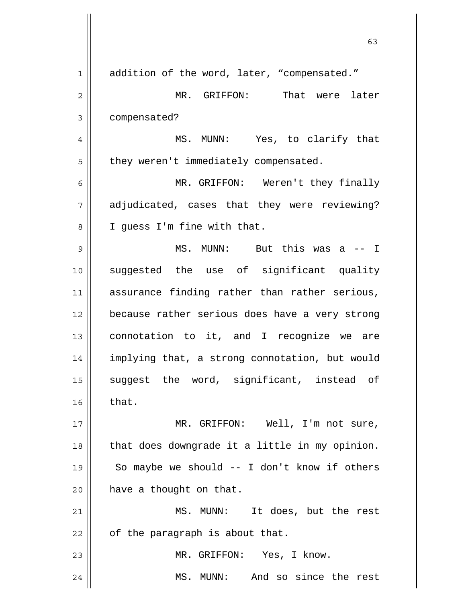| 1              | addition of the word, later, "compensated."    |
|----------------|------------------------------------------------|
| 2              | MR. GRIFFON: That were later                   |
| 3              | compensated?                                   |
| $\overline{4}$ | MS. MUNN: Yes, to clarify that                 |
| 5              | they weren't immediately compensated.          |
| 6              | MR. GRIFFON: Weren't they finally              |
| 7              | adjudicated, cases that they were reviewing?   |
| 8              | I quess I'm fine with that.                    |
| 9              | MS. MUNN: But this was a -- I                  |
| 10             | suggested the use of significant quality       |
| 11             | assurance finding rather than rather serious,  |
| 12             | because rather serious does have a very strong |
| 13             | connotation to it, and I recognize we are      |
| 14             | implying that, a strong connotation, but would |
| 15             | suggest the word, significant, instead of      |
| 16             | that.                                          |
| 17             | MR. GRIFFON: Well, I'm not sure,               |
| 18             | that does downgrade it a little in my opinion. |
| 19             | So maybe we should $-$ I don't know if others  |
| 20             | have a thought on that.                        |
| 21             | MS. MUNN: It does, but the rest                |
| 22             | of the paragraph is about that.                |
| 23             | MR. GRIFFON: Yes, I know.                      |
| 24             | MS. MUNN: And so since the rest                |

63

 $\mathsf{I}$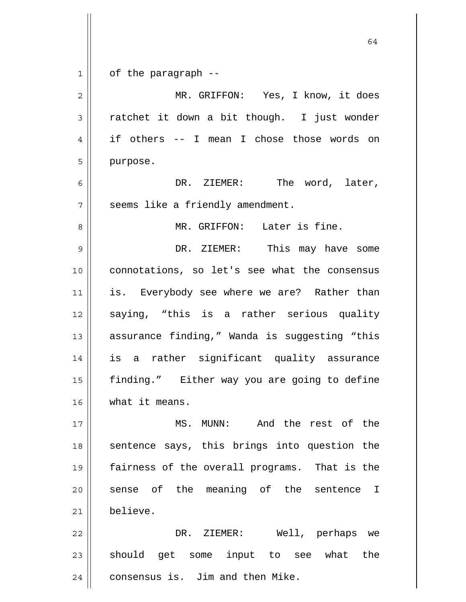| $\mathbf 1$    | of the paragraph --                           |
|----------------|-----------------------------------------------|
| $\overline{2}$ | MR. GRIFFON: Yes, I know, it does             |
| 3              | ratchet it down a bit though. I just wonder   |
| 4              | if others -- I mean I chose those words on    |
| 5              | purpose.                                      |
| 6              | DR. ZIEMER: The word, later,                  |
| 7              | seems like a friendly amendment.              |
| 8              | MR. GRIFFON: Later is fine.                   |
| 9              | DR. ZIEMER: This may have some                |
| 10             | connotations, so let's see what the consensus |
| 11             | is. Everybody see where we are? Rather than   |
| 12             | saying, "this is a rather serious quality     |
| 13             | assurance finding," Wanda is suggesting "this |
| 14             | is a rather significant quality assurance     |
| 15             | finding." Either way you are going to define  |
| 16             | what it means.                                |
| 17             | MS. MUNN: And the rest of the                 |
| 18             | sentence says, this brings into question the  |
| 19             | fairness of the overall programs. That is the |
| 20             | sense of the meaning of the sentence I        |
| 21             | believe.                                      |
| 22             | DR. ZIEMER:<br>Well, perhaps we               |
| 23             | should get some input to see what the         |
| 24             | consensus is. Jim and then Mike.              |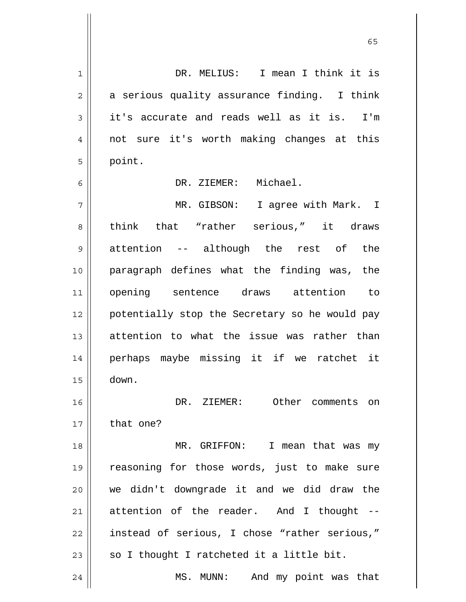1 2 3 4 5 6 7 8 9 10 11 12 13 14 15 16 17 18 19 20 21 22 23 24 DR. MELIUS: I mean I think it is a serious quality assurance finding. I think it's accurate and reads well as it is. I'm not sure it's worth making changes at this point. DR. ZIEMER: Michael. MR. GIBSON: I agree with Mark. I think that "rather serious," it draws attention -- although the rest of the paragraph defines what the finding was, the opening sentence draws attention to potentially stop the Secretary so he would pay attention to what the issue was rather than perhaps maybe missing it if we ratchet it down. DR. ZIEMER: Other comments on that one? MR. GRIFFON: I mean that was my reasoning for those words, just to make sure we didn't downgrade it and we did draw the attention of the reader. And I thought - instead of serious, I chose "rather serious," so I thought I ratcheted it a little bit. MS. MUNN: And my point was that

 $\sim$  65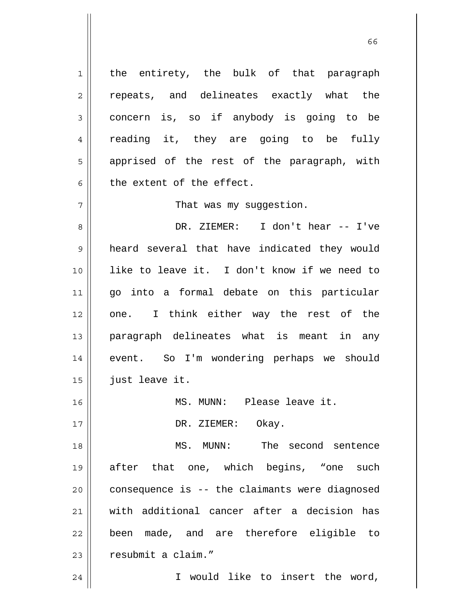1 the entirety, the bulk of that paragraph repeats, and delineates exactly what the concern is, so if anybody is going to be reading it, they are going to be fully apprised of the rest of the paragraph, with the extent of the effect.

That was my suqqestion.

8 9 10 11 12 13 14 15 DR. ZIEMER: I don't hear -- I've heard several that have indicated they would like to leave it. I don't know if we need to go into a formal debate on this particular one. I think either way the rest of the paragraph delineates what is meant in any event. So I'm wondering perhaps we should just leave it.

16 17 MS. MUNN: Please leave it. DR. ZIEMER: Okay.

18 19 20 21 22 23 MS. MUNN: The second sentence after that one, which begins, "one such consequence is -- the claimants were diagnosed with additional cancer after a decision has been made, and are therefore eligible to resubmit a claim."

I would like to insert the word,

24

2

3

4

5

6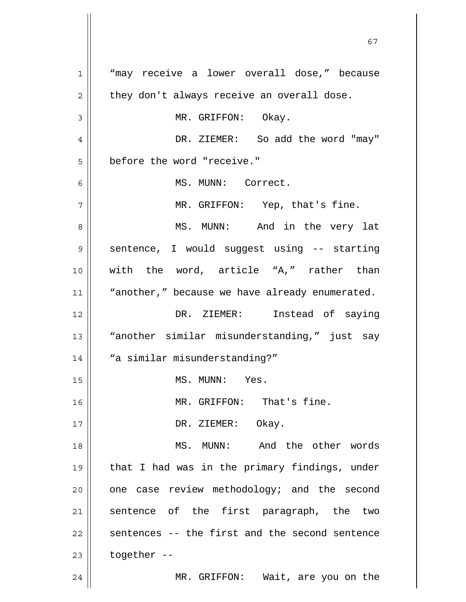1 2 3 4 5 6 7 8 9 10 11 12 13 14 15 16 17 18 19 20 21 22 23 24 "may receive a lower overall dose," because they don't always receive an overall dose. MR. GRIFFON: Okay. DR. ZIEMER: So add the word "may" before the word "receive." MS. MUNN: Correct. MR. GRIFFON: Yep, that's fine. MS. MUNN: And in the very lat sentence, I would suggest using -- starting with the word, article "A," rather than "another," because we have already enumerated. DR. ZIEMER: Instead of saying "another similar misunderstanding," just say "a similar misunderstanding?" MS. MUNN: Yes. MR. GRIFFON: That's fine. DR. ZIEMER: Okay. MS. MUNN: And the other words that I had was in the primary findings, under one case review methodology; and the second sentence of the first paragraph, the two sentences -- the first and the second sentence together -- MR. GRIFFON: Wait, are you on the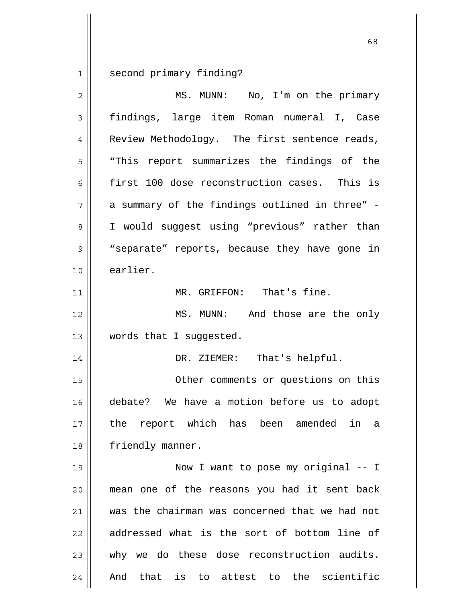1 second primary finding?

| $\overline{2}$ | MS. MUNN: No, I'm on the primary               |
|----------------|------------------------------------------------|
| 3              | findings, large item Roman numeral I, Case     |
| 4              | Review Methodology. The first sentence reads,  |
| 5              | "This report summarizes the findings of the    |
| 6              | first 100 dose reconstruction cases. This is   |
| 7              | a summary of the findings outlined in three" - |
| 8              | I would suggest using "previous" rather than   |
| 9              | "separate" reports, because they have gone in  |
| 10             | earlier.                                       |
| 11             | MR. GRIFFON: That's fine.                      |
| 12             | MS. MUNN: And those are the only               |
| 13             | words that I suggested.                        |
| 14             | DR. ZIEMER: That's helpful.                    |
| 15             | Other comments or questions on this            |
| 16             | debate? We have a motion before us to adopt    |
| 17             | the report which has been amended in a         |
| 18             | friendly manner.                               |
| 19             | Now I want to pose my original -- I            |
| 20             | mean one of the reasons you had it sent back   |
| 21             | was the chairman was concerned that we had not |
| 22             | addressed what is the sort of bottom line of   |
| 23             | why we do these dose reconstruction audits.    |
| 24             | And that is to attest to the scientific        |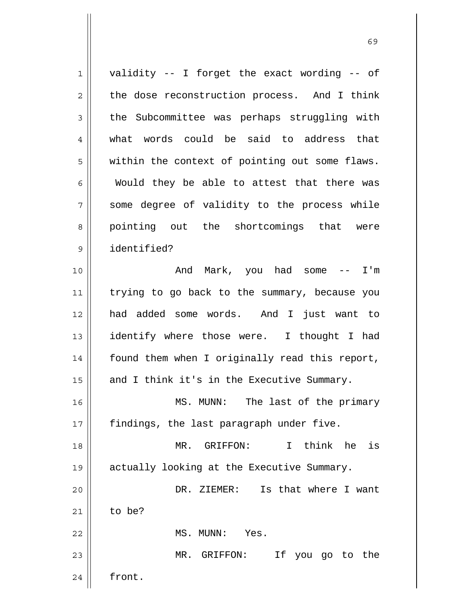1 2 3 4 5 6 7 8 9 10 11 12 13 14 15 16 17 18 19 20 21 22 23 24 validity -- I forget the exact wording -- of the dose reconstruction process. And I think the Subcommittee was perhaps struggling with what words could be said to address that within the context of pointing out some flaws. Would they be able to attest that there was some degree of validity to the process while pointing out the shortcomings that were identified? And Mark, you had some -- I'm trying to go back to the summary, because you had added some words. And I just want to identify where those were. I thought I had found them when I originally read this report, and I think it's in the Executive Summary. MS. MUNN: The last of the primary findings, the last paragraph under five. MR. GRIFFON: I think he is actually looking at the Executive Summary. DR. ZIEMER: Is that where I want to be? MS. MUNN: Yes. MR. GRIFFON: If you go to the front.

 $\sim$  69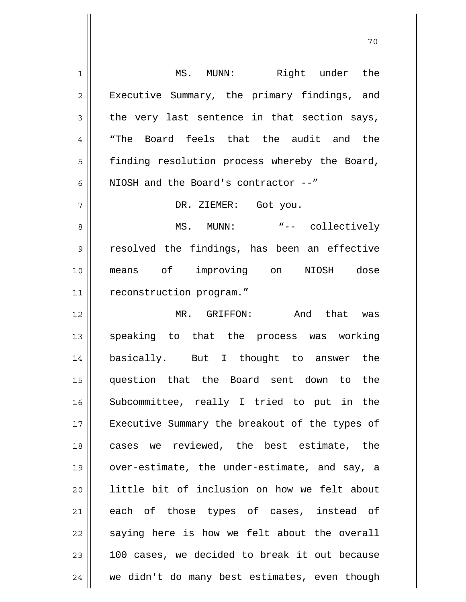| 1              | MS. MUNN: Right under the                      |
|----------------|------------------------------------------------|
| $\overline{2}$ | Executive Summary, the primary findings, and   |
| 3              | the very last sentence in that section says,   |
| 4              | Board feels that the audit and the<br>"The     |
| 5              | finding resolution process whereby the Board,  |
| 6              | NIOSH and the Board's contractor --"           |
| 7              | DR. ZIEMER: Got you.                           |
| 8              | MS. MUNN: "-- collectively                     |
| 9              | resolved the findings, has been an effective   |
| 10             | means of improving on NIOSH dose               |
| 11             | reconstruction program."                       |
| 12             | MR. GRIFFON: And that was                      |
| 13             | speaking to that the process was working       |
| 14             | basically. But I thought to answer the         |
| 15             | question that the Board sent down to the       |
| 16             | Subcommittee, really I tried to put in the     |
| 17             | Executive Summary the breakout of the types of |
| 18             | cases we reviewed, the best estimate, the      |
| 19             | over-estimate, the under-estimate, and say, a  |
| 20             | little bit of inclusion on how we felt about   |
| 21             | each of those types of cases, instead of       |
| 22             | saying here is how we felt about the overall   |
| 23             | 100 cases, we decided to break it out because  |
| 24             | we didn't do many best estimates, even though  |

 $\overline{1}$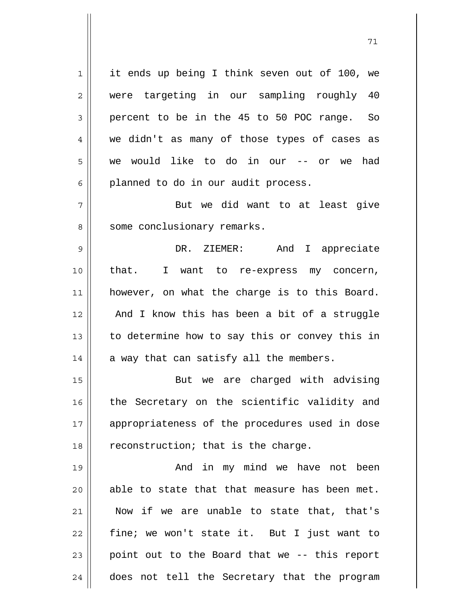1 2 3 4 5 6 7 8 9 10 11 12 13 14 15 16 17 18 19 20 21 22 23 it ends up being I think seven out of 100, we were targeting in our sampling roughly 40 percent to be in the 45 to 50 POC range. So we didn't as many of those types of cases as we would like to do in our -- or we had planned to do in our audit process. But we did want to at least give some conclusionary remarks. DR. ZIEMER: And I appreciate that. I want to re-express my concern, however, on what the charge is to this Board. And I know this has been a bit of a struggle to determine how to say this or convey this in a way that can satisfy all the members. But we are charged with advising the Secretary on the scientific validity and appropriateness of the procedures used in dose reconstruction; that is the charge. And in my mind we have not been able to state that that measure has been met. Now if we are unable to state that, that's fine; we won't state it. But I just want to point out to the Board that we -- this report

does not tell the Secretary that the program

24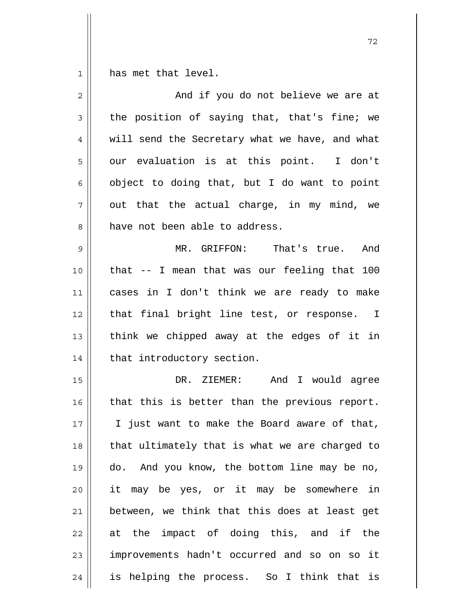1 has met that level.

| $\overline{2}$ | And if you do not believe we are at            |
|----------------|------------------------------------------------|
| 3              | the position of saying that, that's fine; we   |
| 4              | will send the Secretary what we have, and what |
| 5              | our evaluation is at this point. I don't       |
| 6              | object to doing that, but I do want to point   |
| 7              | out that the actual charge, in my mind, we     |
| 8              | have not been able to address.                 |
| 9              | MR. GRIFFON: That's true. And                  |
| 10             | that -- I mean that was our feeling that 100   |
| 11             | cases in I don't think we are ready to make    |
| 12             | that final bright line test, or response. I    |
| 13             | think we chipped away at the edges of it in    |
| 14             | that introductory section.                     |
| 15             | DR. ZIEMER: And I would agree                  |
| 16             | that this is better than the previous report.  |
| 17             | I just want to make the Board aware of that,   |
| 18             | that ultimately that is what we are charged to |
| 19             | do. And you know, the bottom line may be no,   |
| 20             | it may be yes, or it may be somewhere in       |
| 21             | between, we think that this does at least get  |
| 22             | at the impact of doing this, and if the        |
| 23             | improvements hadn't occurred and so on so it   |
| 24             | is helping the process. So I think that is     |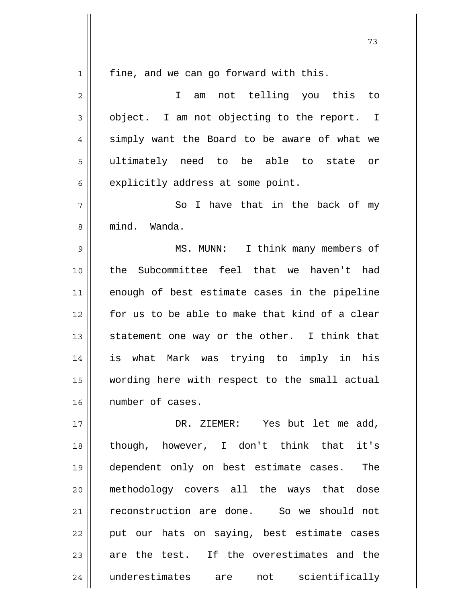1

fine, and we can go forward with this.

| $\overline{2}$ | not telling you this to<br>I<br>am             |
|----------------|------------------------------------------------|
| 3              | object. I am not objecting to the report. I    |
| $\overline{4}$ | simply want the Board to be aware of what we   |
| 5              | ultimately need to be able to state or         |
| 6              | explicitly address at some point.              |
| 7              | So I have that in the back of<br>my            |
| 8              | mind. Wanda.                                   |
| 9              | I think many members of<br>MS. MUNN:           |
| 10             | Subcommittee feel that we haven't had<br>the   |
| 11             | enough of best estimate cases in the pipeline  |
| 12             | for us to be able to make that kind of a clear |
| 13             | statement one way or the other. I think that   |
| 14             | is what Mark was trying to imply in his        |
| 15             | wording here with respect to the small actual  |
| 16             | number of cases.                               |
| 17             | DR. ZIEMER: Yes but let me add,                |
| 18             | though, however, I don't think that it's       |
| 19             | dependent only on best estimate cases. The     |
| 20             | methodology covers all the ways that dose      |
| 21             | reconstruction are done. So we should not      |
| 22             | put our hats on saying, best estimate cases    |
| 23             | are the test. If the overestimates and the     |
| 24             | underestimates are<br>not scientifically       |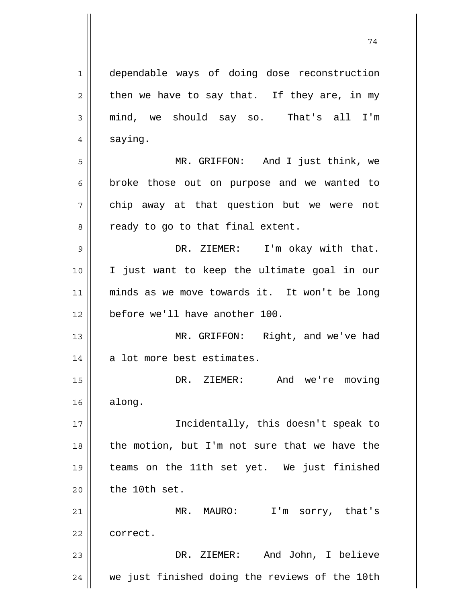1 2 3 4 5 6 7 8 9 10 11 12 13 14 15 16 17 18 19 20 21 22 23 24 dependable ways of doing dose reconstruction then we have to say that. If they are, in my mind, we should say so. That's all I'm saying. MR. GRIFFON: And I just think, we broke those out on purpose and we wanted to chip away at that question but we were not ready to go to that final extent. DR. ZIEMER: I'm okay with that. I just want to keep the ultimate goal in our minds as we move towards it. It won't be long before we'll have another 100. MR. GRIFFON: Right, and we've had a lot more best estimates. DR. ZIEMER: And we're moving along. Incidentally, this doesn't speak to the motion, but I'm not sure that we have the teams on the 11th set yet. We just finished the 10th set. MR. MAURO: I'm sorry, that's correct. DR. ZIEMER: And John, I believe we just finished doing the reviews of the 10th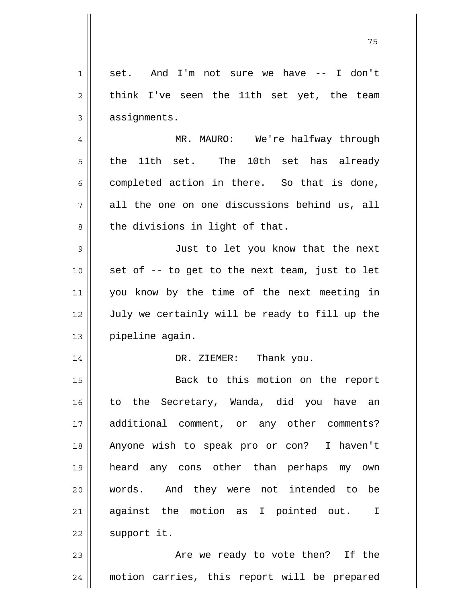| 1  | set. And I'm not sure we have -- I don't       |
|----|------------------------------------------------|
| 2  | think I've seen the 11th set yet, the team     |
| 3  | assignments.                                   |
| 4  | MR. MAURO: We're halfway through               |
| 5  | 10th set has already<br>the<br>11th set. The   |
| 6  | completed action in there. So that is done,    |
| 7  | all the one on one discussions behind us, all  |
| 8  | the divisions in light of that.                |
| 9  | Just to let you know that the next             |
| 10 | set of -- to get to the next team, just to let |
| 11 | you know by the time of the next meeting in    |
| 12 | July we certainly will be ready to fill up the |
| 13 | pipeline again.                                |
| 14 | DR. ZIEMER: Thank you.                         |
| 15 | Back to this motion on the report              |
| 16 | to the Secretary, Wanda, did you have an       |
| 17 | additional comment, or any other comments?     |
| 18 | Anyone wish to speak pro or con? I haven't     |
| 19 | heard any cons other than perhaps my own       |
| 20 | words. And they were not intended to be        |
| 21 | against the motion as I pointed out. I         |
| 22 | support it.                                    |
| 23 | Are we ready to vote then? If the              |
| 24 | motion carries, this report will be prepared   |

75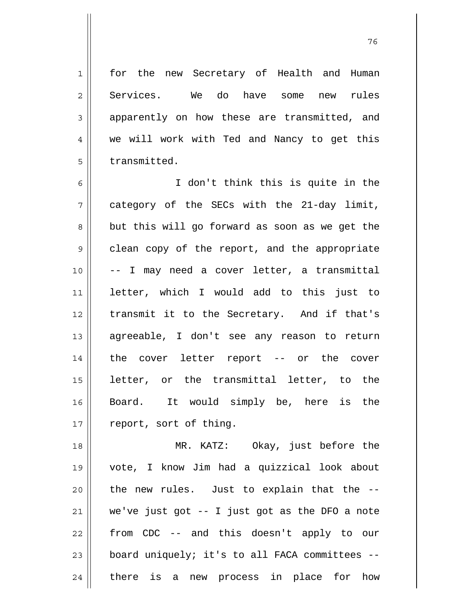for the new Secretary of Health and Human Services. We do have some new rules apparently on how these are transmitted, and we will work with Ted and Nancy to get this transmitted.

1

2

3

4

5

6 7 8 9 10 11 12 13 14 15 16 17 I don't think this is quite in the category of the SECs with the 21-day limit, but this will go forward as soon as we get the clean copy of the report, and the appropriate -- I may need a cover letter, a transmittal letter, which I would add to this just to transmit it to the Secretary. And if that's agreeable, I don't see any reason to return the cover letter report -- or the cover letter, or the transmittal letter, to the Board. It would simply be, here is the report, sort of thing.

18 19 20 21 22 23 24 MR. KATZ: Okay, just before the vote, I know Jim had a quizzical look about the new rules. Just to explain that the - we've just got -- I just got as the DFO a note from CDC -- and this doesn't apply to our board uniquely; it's to all FACA committees - there is a new process in place for how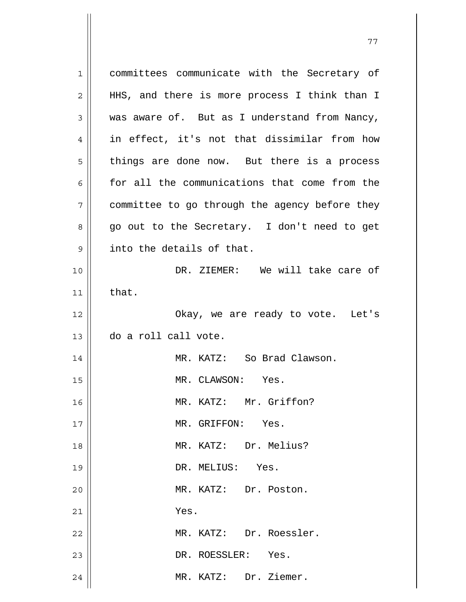| $\mathbf 1$  | committees communicate with the Secretary of   |
|--------------|------------------------------------------------|
| $\mathbf{2}$ | HHS, and there is more process I think than I  |
| 3            | was aware of. But as I understand from Nancy,  |
| 4            | in effect, it's not that dissimilar from how   |
| 5            | things are done now. But there is a process    |
| 6            | for all the communications that come from the  |
| 7            | committee to go through the agency before they |
| 8            | go out to the Secretary. I don't need to get   |
| 9            | into the details of that.                      |
| 10           | DR. ZIEMER: We will take care of               |
| 11           | that.                                          |
| 12           | Okay, we are ready to vote. Let's              |
| 13           | do a roll call vote.                           |
| 14           | MR. KATZ: So Brad Clawson.                     |
| 15           | MR. CLAWSON: Yes.                              |
| 16           | MR. KATZ: Mr. Griffon?                         |
| 17           | MR. GRIFFON: Yes.                              |
| 18           | MR. KATZ: Dr. Melius?                          |
| 19           | DR. MELIUS: Yes.                               |
| 20           | MR. KATZ: Dr. Poston.                          |
| 21           | Yes.                                           |
| 22           | MR. KATZ: Dr. Roessler.                        |
| 23           | DR. ROESSLER: Yes.                             |
| 24           | MR. KATZ: Dr. Ziemer.                          |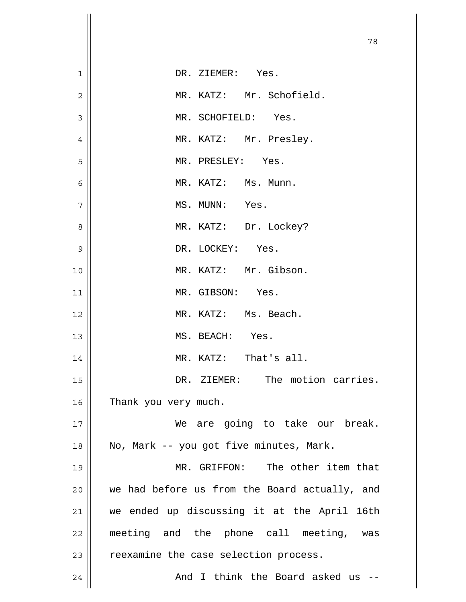|                | 78                                            |
|----------------|-----------------------------------------------|
| $\mathbf 1$    | DR. ZIEMER: Yes.                              |
| $\overline{2}$ | MR. KATZ: Mr. Schofield.                      |
| 3              | MR. SCHOFIELD: Yes.                           |
| $\overline{4}$ | MR. KATZ: Mr. Presley.                        |
| 5              | MR. PRESLEY: Yes.                             |
| 6              | MR. KATZ: Ms. Munn.                           |
| 7              | MS. MUNN: Yes.                                |
| 8              | MR. KATZ: Dr. Lockey?                         |
| 9              | DR. LOCKEY: Yes.                              |
| 10             | MR. KATZ: Mr. Gibson.                         |
| 11             | MR. GIBSON: Yes.                              |
| 12             | MR. KATZ: Ms. Beach.                          |
| 13             | MS. BEACH: Yes.                               |
| 14             | MR. KATZ: That's all.                         |
| 15             | DR. ZIEMER: The motion carries.               |
| 16             | Thank you very much.                          |
| 17             | We are going to take our break.               |
| 18             | No, Mark -- you got five minutes, Mark.       |
| 19             | MR. GRIFFON: The other item that              |
| 20             | we had before us from the Board actually, and |
| 21             | we ended up discussing it at the April 16th   |
| 22             | meeting and the phone call meeting, was       |
| 23             | reexamine the case selection process.         |
| 24             | And I think the Board asked us --             |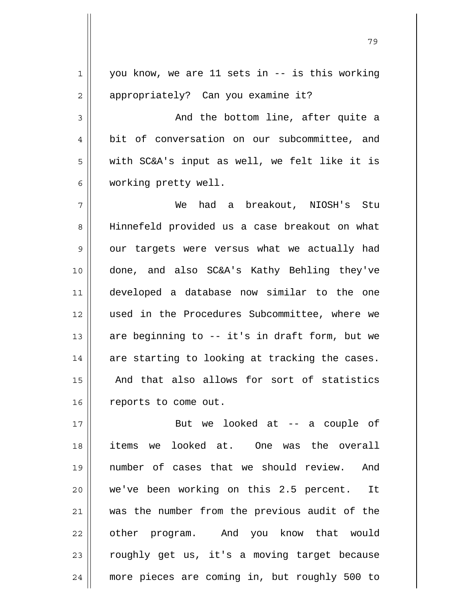1 2 3 4 5 6 7 8 9 10 11 12 13 14 15 16 17 18 19 20 21 22 23 24 you know, we are 11 sets in -- is this working appropriately? Can you examine it? And the bottom line, after quite a bit of conversation on our subcommittee, and with SC&A's input as well, we felt like it is working pretty well. We had a breakout, NIOSH's Stu Hinnefeld provided us a case breakout on what our targets were versus what we actually had done, and also SC&A's Kathy Behling they've developed a database now similar to the one used in the Procedures Subcommittee, where we are beginning to -- it's in draft form, but we are starting to looking at tracking the cases. And that also allows for sort of statistics reports to come out. But we looked at -- a couple of items we looked at. One was the overall number of cases that we should review. And we've been working on this 2.5 percent. It was the number from the previous audit of the other program. And you know that would roughly get us, it's a moving target because more pieces are coming in, but roughly 500 to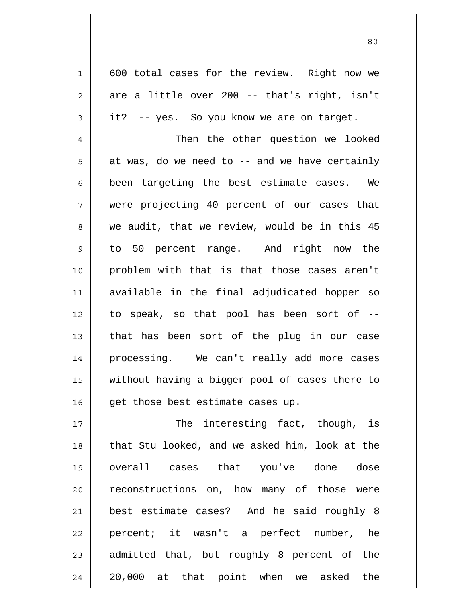600 total cases for the review. Right now we are a little over 200 -- that's right, isn't it? -- yes. So you know we are on target.

1

2

3

4 5 6 7 8 9 10 11 12 13 14 15 16 Then the other question we looked at was, do we need to -- and we have certainly been targeting the best estimate cases. We were projecting 40 percent of our cases that we audit, that we review, would be in this 45 to 50 percent range. And right now the problem with that is that those cases aren't available in the final adjudicated hopper so to speak, so that pool has been sort of - that has been sort of the plug in our case processing. We can't really add more cases without having a bigger pool of cases there to get those best estimate cases up.

17 18 19 20 21 22 23 24 The interesting fact, though, is that Stu looked, and we asked him, look at the overall cases that you've done dose reconstructions on, how many of those were best estimate cases? And he said roughly 8 percent; it wasn't a perfect number, he admitted that, but roughly 8 percent of the 20,000 at that point when we asked the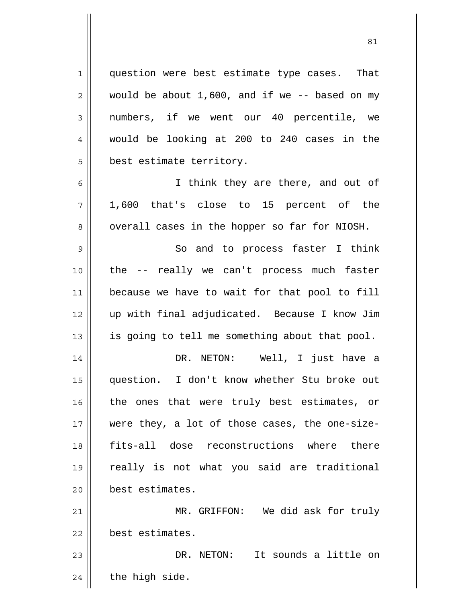question were best estimate type cases. That would be about 1,600, and if we -- based on my numbers, if we went our 40 percentile, we would be looking at 200 to 240 cases in the best estimate territory.

1

2

3

4

5

6 7 8 I think they are there, and out of 1,600 that's close to 15 percent of the overall cases in the hopper so far for NIOSH.

9 10 11 12 13 So and to process faster I think the -- really we can't process much faster because we have to wait for that pool to fill up with final adjudicated. Because I know Jim is going to tell me something about that pool.

14 15 16 17 18 19 20 DR. NETON: Well, I just have a question. I don't know whether Stu broke out the ones that were truly best estimates, or were they, a lot of those cases, the one-sizefits-all dose reconstructions where there really is not what you said are traditional best estimates.

21 22 MR. GRIFFON: We did ask for truly best estimates.

23 24 DR. NETON: It sounds a little on the high side.

<u>81</u>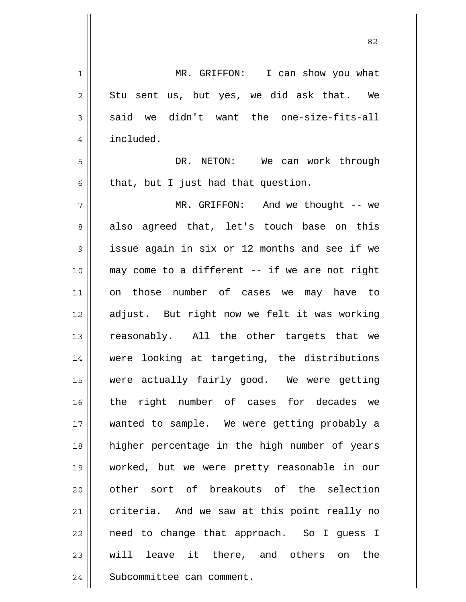| $\mathbf 1$    | MR. GRIFFON: I can show you what               |
|----------------|------------------------------------------------|
| $\overline{2}$ | Stu sent us, but yes, we did ask that. We      |
| 3              | said we didn't want the one-size-fits-all      |
| 4              | included.                                      |
| 5              | DR. NETON: We can work through                 |
| 6              | that, but I just had that question.            |
| 7              | MR. GRIFFON: And we thought -- we              |
| 8              | also agreed that, let's touch base on this     |
| $\mathsf 9$    | issue again in six or 12 months and see if we  |
| 10             | may come to a different -- if we are not right |
| 11             | on those number of cases we may have to        |
| 12             | adjust. But right now we felt it was working   |
| 13             | reasonably. All the other targets that we      |
| 14             | were looking at targeting, the distributions   |
| 15             | were actually fairly good. We were getting     |
| 16             | the right number of cases for decades we       |
| 17             | wanted to sample. We were getting probably a   |
| 18             | higher percentage in the high number of years  |
| 19             | worked, but we were pretty reasonable in our   |
| 20             | other sort of breakouts of the selection       |
| 21             | criteria. And we saw at this point really no   |
| 22             | need to change that approach. So I guess I     |
| 23             | will leave it there, and others on the         |
| 24             | Subcommittee can comment.                      |

<u>82</u>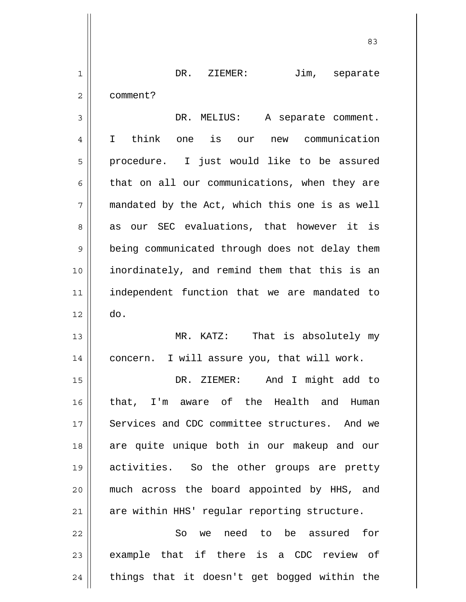| $\mathbf 1$    | DR. ZIEMER:<br>Jim, separate                   |
|----------------|------------------------------------------------|
| $\mathbf 2$    | comment?                                       |
| $\mathfrak{Z}$ | DR. MELIUS: A separate comment.                |
| 4              | I think one is our new communication           |
| 5              | procedure. I just would like to be assured     |
| 6              | that on all our communications, when they are  |
| 7              | mandated by the Act, which this one is as well |
| 8              | as our SEC evaluations, that however it is     |
| 9              | being communicated through does not delay them |
| 10             | inordinately, and remind them that this is an  |
| 11             | independent function that we are mandated to   |
| 12             | do.                                            |
| 13             | MR. KATZ: That is absolutely my                |
| 14             | concern. I will assure you, that will work.    |
| 15             | And I might add to<br>DR. ZIEMER:              |
| 16             | that, I'm aware of the Health and Human        |
| 17             | Services and CDC committee structures. And we  |
| 18             | are quite unique both in our makeup and our    |
| 19             | activities. So the other groups are pretty     |
| 20             | much across the board appointed by HHS, and    |
| 21             | are within HHS' regular reporting structure.   |
| 22             | we need to be assured<br>So<br>for             |
| 23             | example that if there is a CDC review of       |
| 24             | things that it doesn't get bogged within the   |

<u>83</u>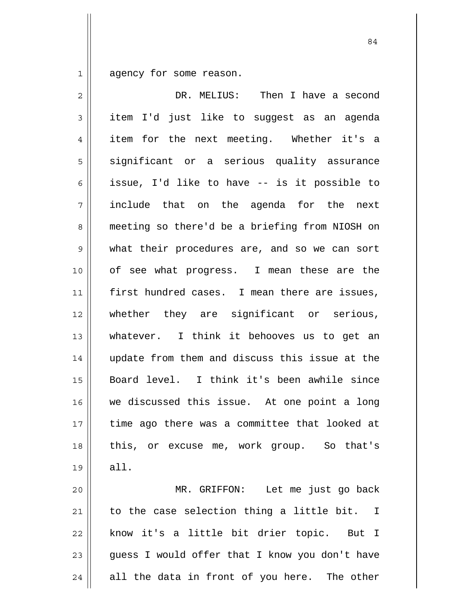1 agency for some reason.

| DR. MELIUS: Then I have a second               |
|------------------------------------------------|
| item I'd just like to suggest as an agenda     |
| item for the next meeting. Whether it's a      |
| significant or a serious quality assurance     |
| issue, I'd like to have -- is it possible to   |
| include that on the agenda for the next        |
| meeting so there'd be a briefing from NIOSH on |
| what their procedures are, and so we can sort  |
| of see what progress. I mean these are the     |
| first hundred cases. I mean there are issues,  |
| whether they are significant or serious,       |
| whatever. I think it behooves us to get an     |
| update from them and discuss this issue at the |
| Board level. I think it's been awhile since    |
| we discussed this issue. At one point a long   |
| time ago there was a committee that looked at  |
| this, or excuse me, work group. So that's      |
| all.                                           |
| MR. GRIFFON: Let me just go back               |
| to the case selection thing a little bit. I    |
| know it's a little bit drier topic. But I      |
| guess I would offer that I know you don't have |
| all the data in front of you here. The other   |
|                                                |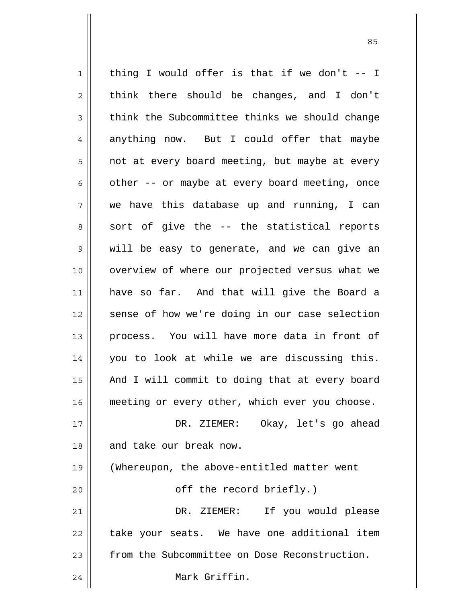1 2 3 4 5 6 7 8 9 10 11 12 13 14 15 16 17 18 19 20 21 22 23 24 thing I would offer is that if we don't -- I think there should be changes, and I don't think the Subcommittee thinks we should change anything now. But I could offer that maybe not at every board meeting, but maybe at every other -- or maybe at every board meeting, once we have this database up and running, I can sort of give the -- the statistical reports will be easy to generate, and we can give an overview of where our projected versus what we have so far. And that will give the Board a sense of how we're doing in our case selection process. You will have more data in front of you to look at while we are discussing this. And I will commit to doing that at every board meeting or every other, which ever you choose. DR. ZIEMER: Okay, let's go ahead and take our break now. (Whereupon, the above-entitled matter went off the record briefly.) DR. ZIEMER: If you would please take your seats. We have one additional item from the Subcommittee on Dose Reconstruction. Mark Griffin.

<u>85 and 2001 and 2001 and 2001 and 2001 and 2001 and 2001 and 2001 and 2001 and 2001 and 2001 and 2001 and 200</u>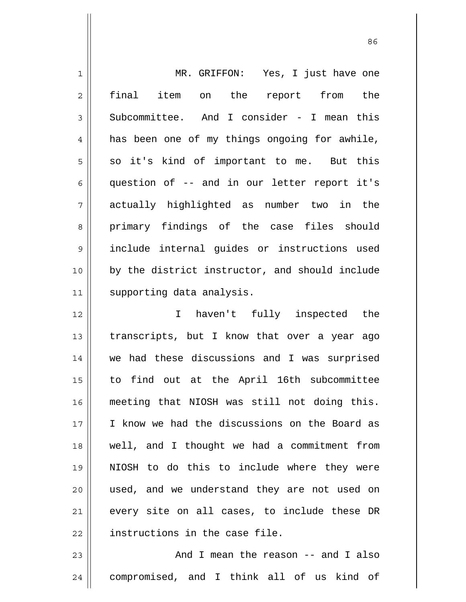| $\mathbf 1$    | MR. GRIFFON: Yes, I just have one              |
|----------------|------------------------------------------------|
| $\overline{2}$ | final item<br>on the report<br>the<br>from     |
| $\mathfrak{Z}$ | Subcommittee. And I consider - I mean this     |
| $\overline{4}$ | has been one of my things ongoing for awhile,  |
| 5              | so it's kind of important to me. But this      |
| 6              | question of -- and in our letter report it's   |
| 7              | actually highlighted as number two in the      |
| 8              | primary findings of the case files should      |
| 9              | include internal guides or instructions used   |
| 10             | by the district instructor, and should include |
| 11             | supporting data analysis.                      |
| 12             | haven't fully inspected<br>$\mathbf I$<br>the  |
| 13             | transcripts, but I know that over a year ago   |
| 14             | we had these discussions and I was surprised   |
| 15             | to find out at the April 16th subcommittee     |
| 16             | meeting that NIOSH was still not doing this.   |
| 17             | I know we had the discussions on the Board as  |
| 18             | well, and I thought we had a commitment from   |
| 19             | NIOSH to do this to include where they were    |
| 20             | used, and we understand they are not used on   |
| 21             | every site on all cases, to include these DR   |
| 22             | instructions in the case file.                 |
| 23             | And I mean the reason -- and I also            |
| 24             | compromised, and I think all of us kind of     |

<u>86 and 2001 and 2002 and 2003 and 2003 and 2003 and 2003 and 2003 and 2003 and 2003 and 2003 and 2003 and 200</u>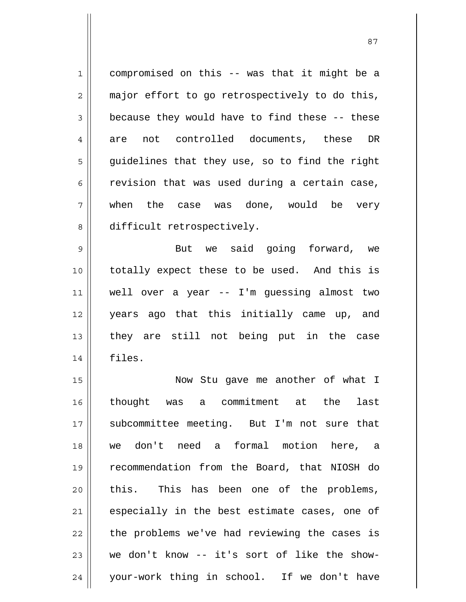1 2 3 4 5 6 7 8 compromised on this -- was that it might be a major effort to go retrospectively to do this, because they would have to find these -- these are not controlled documents, these DR guidelines that they use, so to find the right revision that was used during a certain case, when the case was done, would be very difficult retrospectively.

9 10 11 12 13 14 But we said going forward, we totally expect these to be used. And this is well over a year -- I'm guessing almost two years ago that this initially came up, and they are still not being put in the case files.

15 16 17 18 19 20 21 22 23 24 Now Stu gave me another of what I thought was a commitment at the last subcommittee meeting. But I'm not sure that we don't need a formal motion here, a recommendation from the Board, that NIOSH do this. This has been one of the problems, especially in the best estimate cases, one of the problems we've had reviewing the cases is we don't know -- it's sort of like the showyour-work thing in school. If we don't have

<u>87 and 2014 and 2014 and 2014 and 2014 and 2014 and 2014 and 2014 and 2014 and 2014 and 2014 and 2014 and 201</u>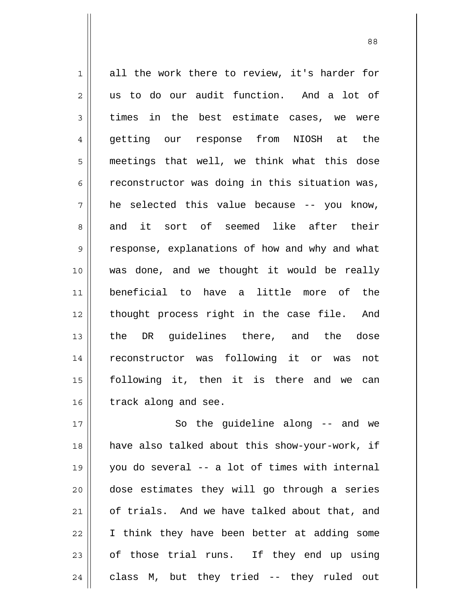1 2 3 4 5 6 7 8 9 10 11 12 13 14 15 16 all the work there to review, it's harder for us to do our audit function. And a lot of times in the best estimate cases, we were getting our response from NIOSH at the meetings that well, we think what this dose reconstructor was doing in this situation was, he selected this value because -- you know, and it sort of seemed like after their response, explanations of how and why and what was done, and we thought it would be really beneficial to have a little more of the thought process right in the case file. And the DR guidelines there, and the dose reconstructor was following it or was not following it, then it is there and we can track along and see.

17 18 19 20 21 22 23 24 So the guideline along -- and we have also talked about this show-your-work, if you do several -- a lot of times with internal dose estimates they will go through a series of trials. And we have talked about that, and I think they have been better at adding some of those trial runs. If they end up using class M, but they tried -- they ruled out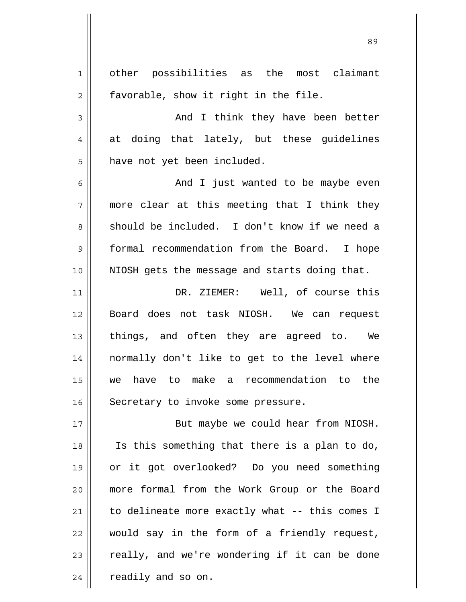1 2 3 4 5 6 7 8 9 10 11 12 13 14 15 16 17 18 19 20 21 22 23 24 other possibilities as the most claimant favorable, show it right in the file. And I think they have been better at doing that lately, but these guidelines have not yet been included. And I just wanted to be maybe even more clear at this meeting that I think they should be included. I don't know if we need a formal recommendation from the Board. I hope NIOSH gets the message and starts doing that. DR. ZIEMER: Well, of course this Board does not task NIOSH. We can request things, and often they are agreed to. We normally don't like to get to the level where we have to make a recommendation to the Secretary to invoke some pressure. But maybe we could hear from NIOSH. Is this something that there is a plan to do, or it got overlooked? Do you need something more formal from the Work Group or the Board to delineate more exactly what -- this comes I would say in the form of a friendly request, really, and we're wondering if it can be done readily and so on.

<u>89 and 2001 and 2002 and 2003 and 2003 and 2003 and 2003 and 2003 and 2003 and 2003 and 2003 and 2003 and 200</u>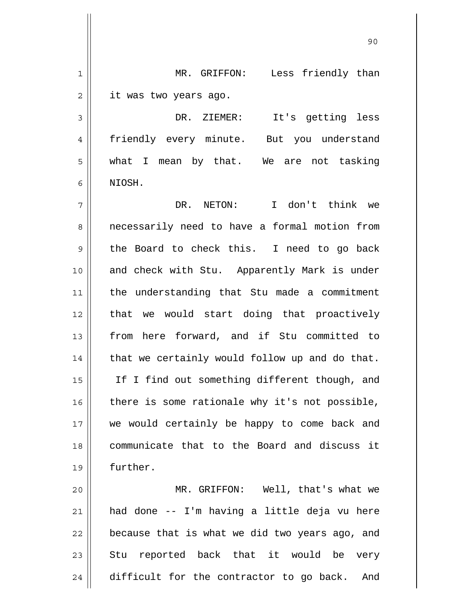| $\mathbf 1$ | Less friendly than<br>MR. GRIFFON:             |
|-------------|------------------------------------------------|
| 2           | it was two years ago.                          |
| 3           | DR. ZIEMER: It's getting less                  |
| 4           | friendly every minute. But you understand      |
| 5           | what I mean by that. We are not tasking        |
| 6           | NIOSH.                                         |
| 7           | DR. NETON: I don't think we                    |
| 8           | necessarily need to have a formal motion from  |
| 9           | the Board to check this. I need to go back     |
| 10          | and check with Stu. Apparently Mark is under   |
| 11          | the understanding that Stu made a commitment   |
| 12          | that we would start doing that proactively     |
| 13          | from here forward, and if Stu committed to     |
| 14          | that we certainly would follow up and do that. |
| 15          | If I find out something different though, and  |
| 16          | there is some rationale why it's not possible, |
| 17          | we would certainly be happy to come back and   |
| 18          | communicate that to the Board and discuss it   |
| 19          | further.                                       |
| 20          | MR. GRIFFON: Well, that's what we              |
| 21          | had done -- I'm having a little deja vu here   |
| 22          | because that is what we did two years ago, and |
| 23          | Stu reported back that it would be very        |
| 24          | difficult for the contractor to go back. And   |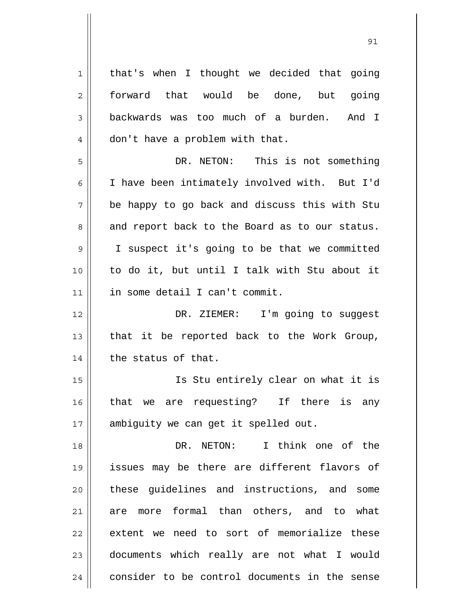1 2 3 4 5 6 7 8 9 10 11 12 13 14 15 16 17 18 19 20 21 22 23 24 that's when I thought we decided that going forward that would be done, but going backwards was too much of a burden. And I don't have a problem with that. DR. NETON: This is not something I have been intimately involved with. But I'd be happy to go back and discuss this with Stu and report back to the Board as to our status. I suspect it's going to be that we committed to do it, but until I talk with Stu about it in some detail I can't commit. DR. ZIEMER: I'm going to suqqest that it be reported back to the Work Group, the status of that. Is Stu entirely clear on what it is that we are requesting? If there is any ambiguity we can get it spelled out. DR. NETON: I think one of the issues may be there are different flavors of these guidelines and instructions, and some are more formal than others, and to what extent we need to sort of memorialize these documents which really are not what I would consider to be control documents in the sense

<u>91</u>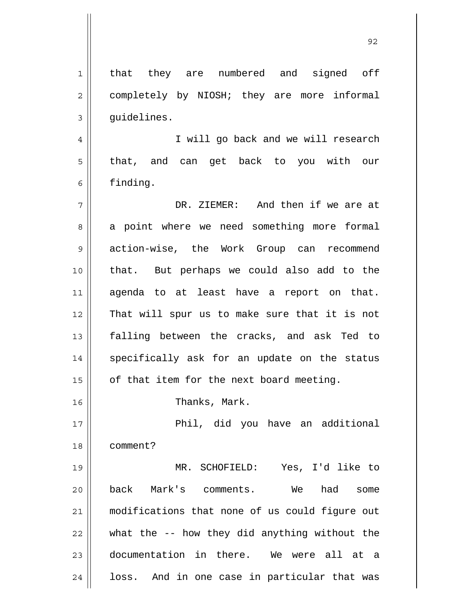1 2 3 4 5 6 7 8 9 10 11 12 13 14 15 16 17 18 19 20 21 22 23 24 that they are numbered and signed off completely by NIOSH; they are more informal guidelines. I will go back and we will research that, and can get back to you with our finding. DR. ZIEMER: And then if we are at a point where we need something more formal action-wise, the Work Group can recommend that. But perhaps we could also add to the agenda to at least have a report on that. That will spur us to make sure that it is not falling between the cracks, and ask Ted to specifically ask for an update on the status of that item for the next board meeting. Thanks, Mark. Phil, did you have an additional comment? MR. SCHOFIELD: Yes, I'd like to back Mark's comments. We had some modifications that none of us could figure out what the -- how they did anything without the documentation in there. We were all at a loss. And in one case in particular that was

<u>92 and 2014 and 2014 and 2014 and 2014 and 2014 and 2014 and 2014 and 2014 and 2014 and 2014 and 2014 and 201</u>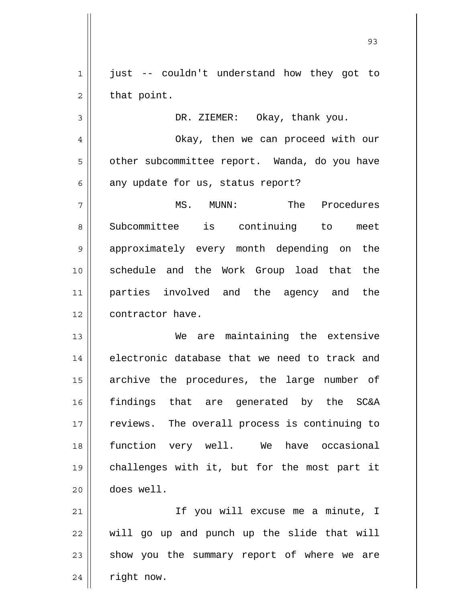1 2 just -- couldn't understand how they got to that point.

3

DR. ZIEMER: Okay, thank you.

4 5 6 Okay, then we can proceed with our other subcommittee report. Wanda, do you have any update for us, status report?

7 8 9 10 11 12 MS. MUNN: The Procedures Subcommittee is continuing to meet approximately every month depending on the schedule and the Work Group load that the parties involved and the agency and the contractor have.

13 14 15 16 17 18 19 20 We are maintaining the extensive electronic database that we need to track and archive the procedures, the large number of findings that are generated by the SC&A reviews. The overall process is continuing to function very well. We have occasional challenges with it, but for the most part it does well.

21 22 23 24 If you will excuse me a minute, I will go up and punch up the slide that will show you the summary report of where we are right now.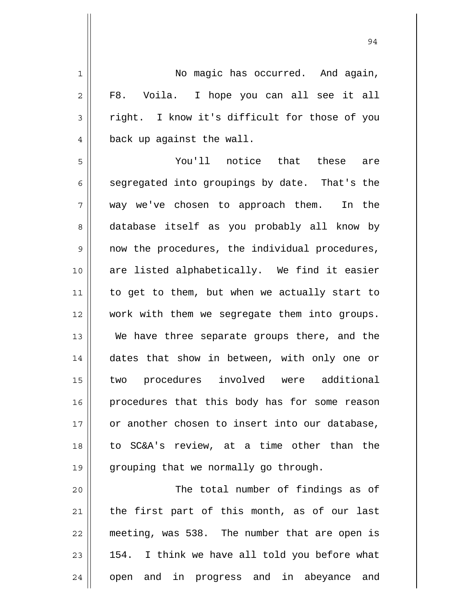| $\mathbf 1$    | No magic has occurred. And again,                |
|----------------|--------------------------------------------------|
| $\overline{2}$ | F8. Voila. I hope you can all see it all         |
| 3              | right. I know it's difficult for those of you    |
| $\overline{4}$ | back up against the wall.                        |
| 5              | You'll notice that these are                     |
| 6              | segregated into groupings by date. That's the    |
| 7              | way we've chosen to approach them. In the        |
| 8              | database itself as you probably all know by      |
| $\mathsf 9$    | now the procedures, the individual procedures,   |
| 10             | are listed alphabetically. We find it easier     |
| 11             | to get to them, but when we actually start to    |
| 12             | work with them we segregate them into groups.    |
| 13             | We have three separate groups there, and the     |
| 14             | dates that show in between, with only one or     |
| 15             | two procedures involved were additional          |
| 16             | procedures that this body has for some reason    |
| 17             | or another chosen to insert into our database,   |
| 18             | to SC&A's review, at a time other than the       |
| 19             | grouping that we normally go through.            |
| 20             | The total number of findings as of               |
| 21             | the first part of this month, as of our last     |
| 22             | meeting, was 538. The number that are open is    |
| 23             | I think we have all told you before what<br>154. |
| 24             | open and in progress and in abeyance and         |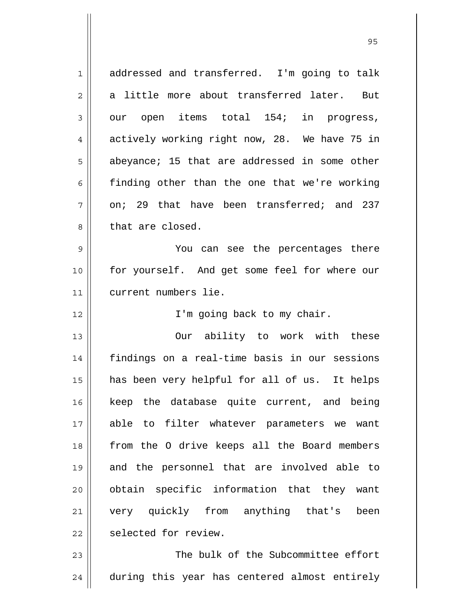| $\mathbf 1$    | addressed and transferred. I'm going to talk  |
|----------------|-----------------------------------------------|
| $\mathbf 2$    | a little more about transferred later. But    |
| 3              | our open items total 154; in progress,        |
| $\overline{4}$ | actively working right now, 28. We have 75 in |
| 5              | abeyance; 15 that are addressed in some other |
| 6              | finding other than the one that we're working |
| 7              | on; 29 that have been transferred; and 237    |
| 8              | that are closed.                              |
| $\mathsf 9$    | You can see the percentages there             |
| 10             | for yourself. And get some feel for where our |
| 11             | current numbers lie.                          |
| 12             | I'm going back to my chair.                   |
|                |                                               |
| 13             | Our ability to work with these                |
| 14             | findings on a real-time basis in our sessions |
| 15             | has been very helpful for all of us. It helps |
| 16             | keep the database quite current, and being    |
| 17             | able to filter whatever parameters we want    |
| 18             | from the O drive keeps all the Board members  |
| 19             | and the personnel that are involved able to   |
| 20             | obtain specific information that they want    |
| 21             | very quickly from anything that's<br>been     |
| 22             | selected for review.                          |
| 23             | The bulk of the Subcommittee effort           |

<u>95 and 2001 and 2001 and 2001 and 2001 and 2001 and 2001 and 2001 and 2001 and 2001 and 2001 and 2001 and 200</u>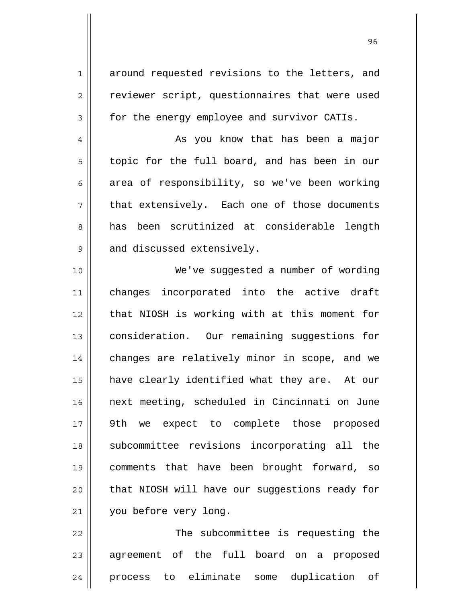around requested revisions to the letters, and reviewer script, questionnaires that were used for the energy employee and survivor CATIs.

1

2

3

4

5

6

7

8

9

 As you know that has been a major topic for the full board, and has been in our area of responsibility, so we've been working that extensively. Each one of those documents has been scrutinized at considerable length and discussed extensively.

10 11 12 13 14 15 16 17 18 19 20 21 We've suggested a number of wording changes incorporated into the active draft that NIOSH is working with at this moment for consideration. Our remaining suggestions for changes are relatively minor in scope, and we have clearly identified what they are. At our next meeting, scheduled in Cincinnati on June 9th we expect to complete those proposed subcommittee revisions incorporating all the comments that have been brought forward, so that NIOSH will have our suggestions ready for you before very long.

22 23 24 The subcommittee is requesting the agreement of the full board on a proposed process to eliminate some duplication of

<u>96 and 200 million and 200 million and 200 million and 200 million and 200 million and 200 million and 200 million and 200 million and 200 million and 200 million and 200 million and 200 million and 200 million and 200 mi</u>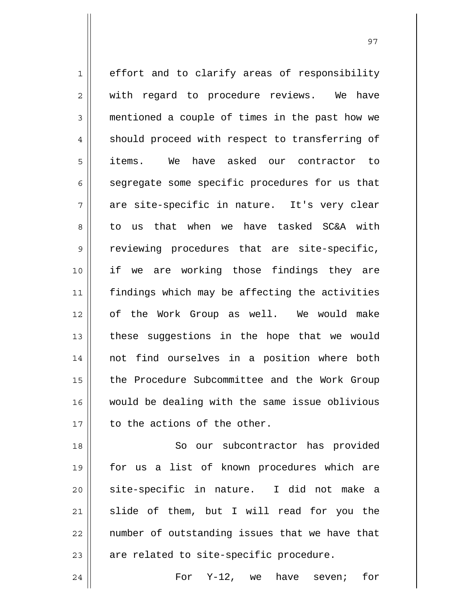1 2 3 4 5 6 7 8 9 10 11 12 13 14 15 16 17 effort and to clarify areas of responsibility with regard to procedure reviews. We have mentioned a couple of times in the past how we should proceed with respect to transferring of items. We have asked our contractor to segregate some specific procedures for us that are site-specific in nature. It's very clear to us that when we have tasked SC&A with reviewing procedures that are site-specific, if we are working those findings they are findings which may be affecting the activities of the Work Group as well. We would make these suggestions in the hope that we would not find ourselves in a position where both the Procedure Subcommittee and the Work Group would be dealing with the same issue oblivious to the actions of the other.

18 19 20 21 22 23 So our subcontractor has provided for us a list of known procedures which are site-specific in nature. I did not make a slide of them, but I will read for you the number of outstanding issues that we have that are related to site-specific procedure.

For Y-12, we have seven; for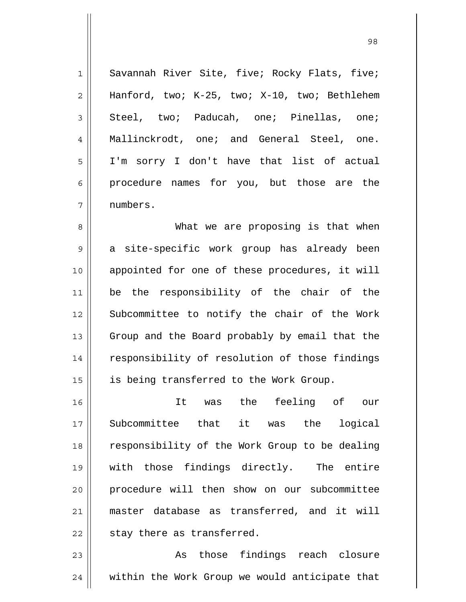1 2 3 4 5 6 7 Savannah River Site, five; Rocky Flats, five; Hanford, two; K-25, two; X-10, two; Bethlehem Steel, two; Paducah, one; Pinellas, one; Mallinckrodt, one; and General Steel, one. I'm sorry I don't have that list of actual procedure names for you, but those are the numbers.

8 9 10 11 12 13 14 15 What we are proposing is that when a site-specific work group has already been appointed for one of these procedures, it will be the responsibility of the chair of the Subcommittee to notify the chair of the Work Group and the Board probably by email that the responsibility of resolution of those findings is being transferred to the Work Group.

16 17 18 19 20 21 22 It was the feeling of our Subcommittee that it was the logical responsibility of the Work Group to be dealing with those findings directly. The entire procedure will then show on our subcommittee master database as transferred, and it will stay there as transferred.

23 24 As those findings reach closure within the Work Group we would anticipate that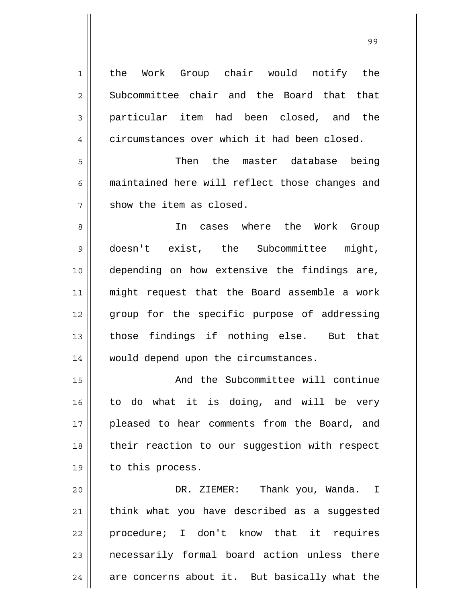1 2 3 4 5 6 7 8 9 10 11 12 13 14 15 16 17 18 19 20 21 22 23 24 the Work Group chair would notify the Subcommittee chair and the Board that that particular item had been closed, and the circumstances over which it had been closed. Then the master database being maintained here will reflect those changes and show the item as closed. In cases where the Work Group doesn't exist, the Subcommittee might, depending on how extensive the findings are, might request that the Board assemble a work group for the specific purpose of addressing those findings if nothing else. But that would depend upon the circumstances. And the Subcommittee will continue to do what it is doing, and will be very pleased to hear comments from the Board, and their reaction to our suggestion with respect to this process. DR. ZIEMER: Thank you, Wanda. I think what you have described as a suggested procedure; I don't know that it requires necessarily formal board action unless there are concerns about it. But basically what the

99 - Paul Barbara, poeta e a contra de 1999 - Paul Barbara, español de 1999 - Paul Barbara, español de 1999 -<br>1990 - Paul Barbara, poeta español de 1990 - Paul Barbara, español de 1990 - Paul Barbara, español de 1990 -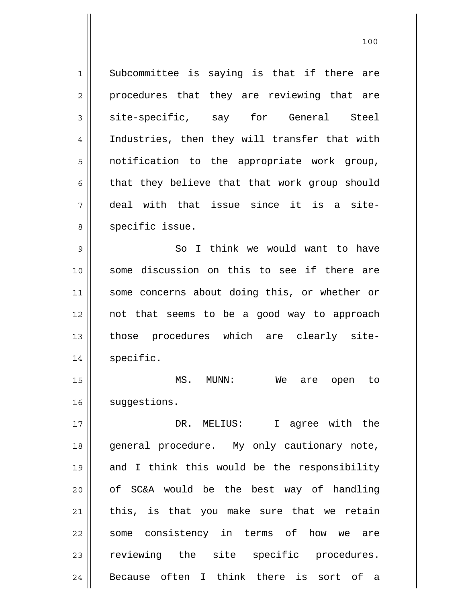1 2 3 4 5 6 7 8 9 10 11 12 13 14 15 16 17 18 19 20 21 22 23 24 Subcommittee is saying is that if there are procedures that they are reviewing that are site-specific, say for General Steel Industries, then they will transfer that with notification to the appropriate work group, that they believe that that work group should deal with that issue since it is a sitespecific issue. So I think we would want to have some discussion on this to see if there are some concerns about doing this, or whether or not that seems to be a good way to approach those procedures which are clearly sitespecific. MS. MUNN: We are open to suggestions. DR. MELIUS: I agree with the general procedure. My only cautionary note, and I think this would be the responsibility of SC&A would be the best way of handling this, is that you make sure that we retain some consistency in terms of how we are reviewing the site specific procedures. Because often I think there is sort of a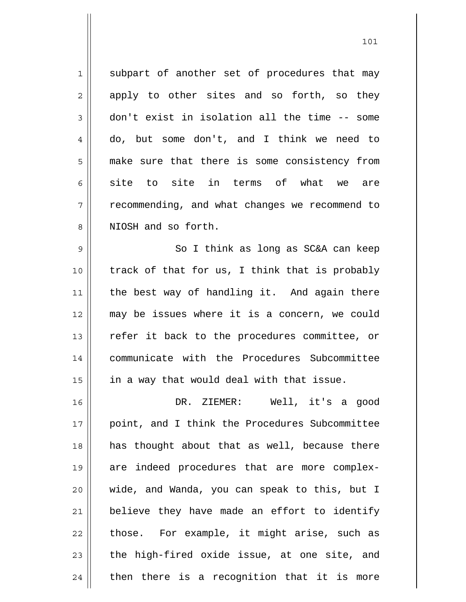1 2 3 4 5 6 7 8 subpart of another set of procedures that may apply to other sites and so forth, so they don't exist in isolation all the time -- some do, but some don't, and I think we need to make sure that there is some consistency from site to site in terms of what we are recommending, and what changes we recommend to NIOSH and so forth.

9 10 11 12 13 14 15 So I think as long as SC&A can keep track of that for us, I think that is probably the best way of handling it. And again there may be issues where it is a concern, we could refer it back to the procedures committee, or communicate with the Procedures Subcommittee in a way that would deal with that issue.

16 17 18 19 20 21 22 23 24 DR. ZIEMER: Well, it's a good point, and I think the Procedures Subcommittee has thought about that as well, because there are indeed procedures that are more complexwide, and Wanda, you can speak to this, but I believe they have made an effort to identify those. For example, it might arise, such as the high-fired oxide issue, at one site, and then there is a recognition that it is more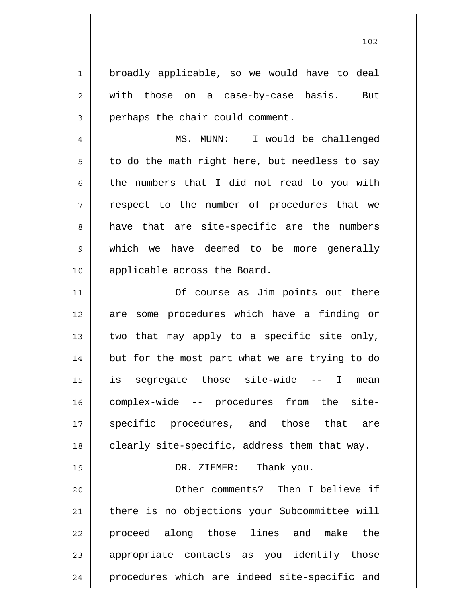broadly applicable, so we would have to deal with those on a case-by-case basis. But perhaps the chair could comment.

1

2

3

19

4 5 6 7 8 9 10 MS. MUNN: I would be challenged to do the math right here, but needless to say the numbers that I did not read to you with respect to the number of procedures that we have that are site-specific are the numbers which we have deemed to be more generally applicable across the Board.

11 12 13 14 15 16 17 18 Of course as Jim points out there are some procedures which have a finding or two that may apply to a specific site only, but for the most part what we are trying to do is segregate those site-wide -- I mean complex-wide -- procedures from the sitespecific procedures, and those that are clearly site-specific, address them that way.

## DR. ZIEMER: Thank you.

20 21 22 23 24 Other comments? Then I believe if there is no objections your Subcommittee will proceed along those lines and make the appropriate contacts as you identify those procedures which are indeed site-specific and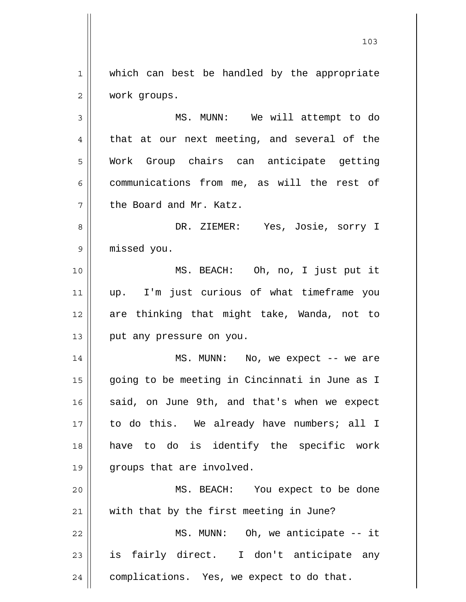1 2 which can best be handled by the appropriate work groups.

3 4 5 6 7 MS. MUNN: We will attempt to do that at our next meeting, and several of the Work Group chairs can anticipate getting communications from me, as will the rest of the Board and Mr. Katz.

8 9 DR. ZIEMER: Yes, Josie, sorry I missed you.

10 11 12 13 MS. BEACH: Oh, no, I just put it up. I'm just curious of what timeframe you are thinking that might take, Wanda, not to put any pressure on you.

14 15 16 17 18 19 MS. MUNN: No, we expect -- we are going to be meeting in Cincinnati in June as I said, on June 9th, and that's when we expect to do this. We already have numbers; all I have to do is identify the specific work groups that are involved.

20 21 22 23 24 MS. BEACH: You expect to be done with that by the first meeting in June? MS. MUNN: Oh, we anticipate -- it is fairly direct. I don't anticipate any complications. Yes, we expect to do that.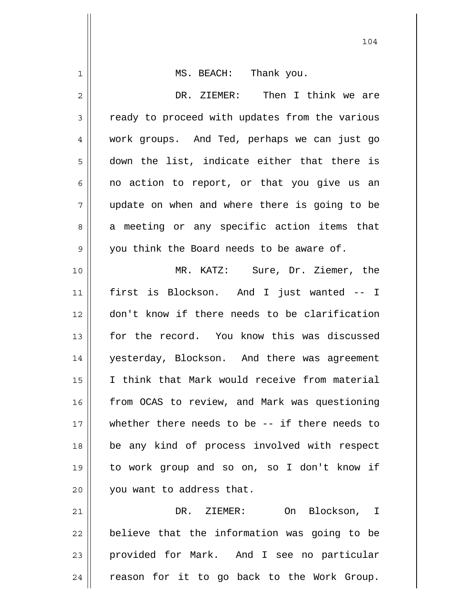| 1  | MS. BEACH: Thank you.                             |
|----|---------------------------------------------------|
| 2  | DR. ZIEMER: Then I think we are                   |
| 3  | ready to proceed with updates from the various    |
| 4  | work groups. And Ted, perhaps we can just go      |
| 5  | down the list, indicate either that there is      |
| 6  | no action to report, or that you give us an       |
| 7  | update on when and where there is going to be     |
| 8  | a meeting or any specific action items that       |
| 9  | you think the Board needs to be aware of.         |
| 10 | MR. KATZ: Sure, Dr. Ziemer, the                   |
| 11 | first is Blockson. And I just wanted -- I         |
| 12 | don't know if there needs to be clarification     |
| 13 | for the record. You know this was discussed       |
| 14 | yesterday, Blockson. And there was agreement      |
| 15 | I think that Mark would receive from material     |
| 16 | from OCAS to review, and Mark was questioning     |
| 17 | whether there needs to be $-$ - if there needs to |
| 18 | be any kind of process involved with respect      |
| 19 | to work group and so on, so I don't know if       |
| 20 | you want to address that.                         |
| 21 | DR. ZIEMER: On Blockson, I                        |
| 22 | believe that the information was going to be      |
| 23 | provided for Mark. And I see no particular        |
| 24 | reason for it to go back to the Work Group.       |
|    |                                                   |

 $\overline{\phantom{a}}$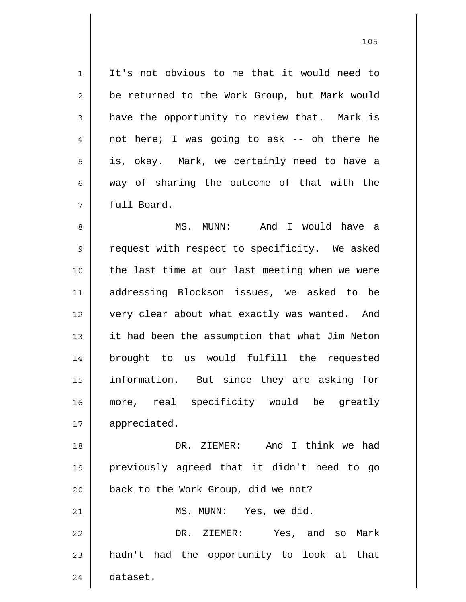1 2 3 4 5 6 7 It's not obvious to me that it would need to be returned to the Work Group, but Mark would have the opportunity to review that. Mark is not here; I was going to ask -- oh there he is, okay. Mark, we certainly need to have a way of sharing the outcome of that with the full Board.

8 9 10 11 12 13 14 15 16 17 MS. MUNN: And I would have a request with respect to specificity. We asked the last time at our last meeting when we were addressing Blockson issues, we asked to be very clear about what exactly was wanted. And it had been the assumption that what Jim Neton brought to us would fulfill the requested information. But since they are asking for more, real specificity would be greatly appreciated.

18 19 20 21 22 23 24 DR. ZIEMER: And I think we had previously agreed that it didn't need to go back to the Work Group, did we not? MS. MUNN: Yes, we did. DR. ZIEMER: Yes, and so Mark hadn't had the opportunity to look at that dataset.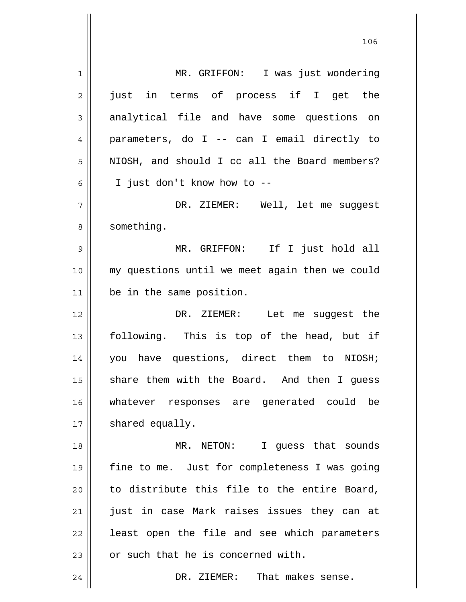1 2 3 4 5 6 7 8 9 10 11 12 13 14 15 16 17 18 19 20 21 22 23 24 MR. GRIFFON: I was just wondering just in terms of process if I get the analytical file and have some questions on parameters, do I -- can I email directly to NIOSH, and should I cc all the Board members? I just don't know how to -- DR. ZIEMER: Well, let me suggest something. MR. GRIFFON: If I just hold all my questions until we meet again then we could be in the same position. DR. ZIEMER: Let me suqqest the following. This is top of the head, but if you have questions, direct them to NIOSH; share them with the Board. And then I guess whatever responses are generated could be shared equally. MR. NETON: I guess that sounds fine to me. Just for completeness I was going to distribute this file to the entire Board, just in case Mark raises issues they can at least open the file and see which parameters or such that he is concerned with. DR. ZIEMER: That makes sense.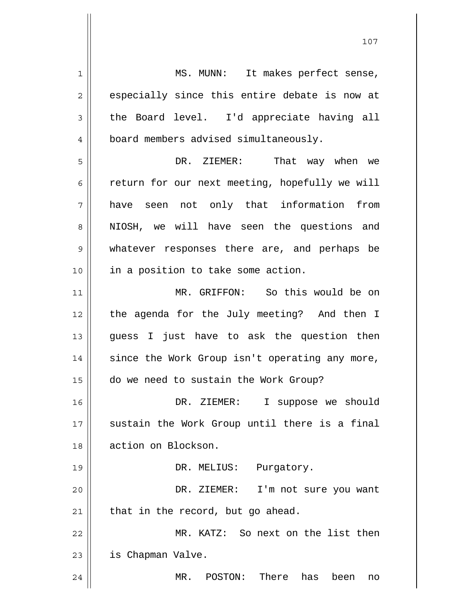1 2 3 4 5 6 7 8 9 10 11 12 13 14 15 16 17 18 19 20 21 22 23 24 MS. MUNN: It makes perfect sense, especially since this entire debate is now at the Board level. I'd appreciate having all board members advised simultaneously. DR. ZIEMER: That way when we return for our next meeting, hopefully we will have seen not only that information from NIOSH, we will have seen the questions and whatever responses there are, and perhaps be in a position to take some action. MR. GRIFFON: So this would be on the agenda for the July meeting? And then I guess I just have to ask the question then since the Work Group isn't operating any more, do we need to sustain the Work Group? DR. ZIEMER: I suppose we should sustain the Work Group until there is a final action on Blockson. DR. MELIUS: Purgatory. DR. ZIEMER: I'm not sure you want that in the record, but go ahead. MR. KATZ: So next on the list then is Chapman Valve. MR. POSTON: There has been no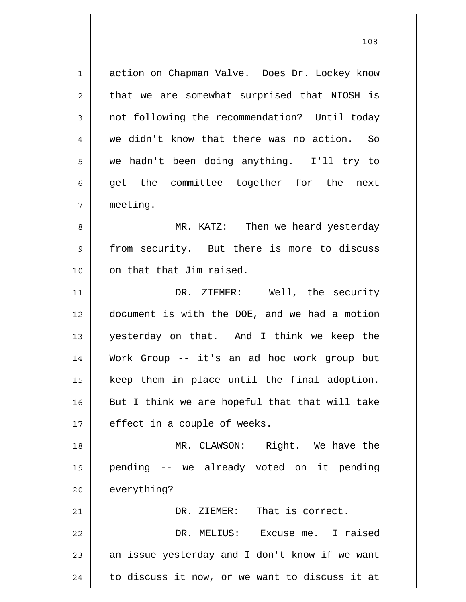1 2 3 4 5 6 7 8 9 10 11 12 13 14 15 16 17 18 19 20 21 22 23 24 action on Chapman Valve. Does Dr. Lockey know that we are somewhat surprised that NIOSH is not following the recommendation? Until today we didn't know that there was no action. So we hadn't been doing anything. I'll try to get the committee together for the next meeting. MR. KATZ: Then we heard yesterday from security. But there is more to discuss on that that Jim raised. DR. ZIEMER: Well, the security document is with the DOE, and we had a motion yesterday on that. And I think we keep the Work Group -- it's an ad hoc work group but keep them in place until the final adoption. But I think we are hopeful that that will take effect in a couple of weeks. MR. CLAWSON: Right. We have the pending -- we already voted on it pending everything? DR. ZIEMER: That is correct. DR. MELIUS: Excuse me. I raised an issue yesterday and I don't know if we want to discuss it now, or we want to discuss it at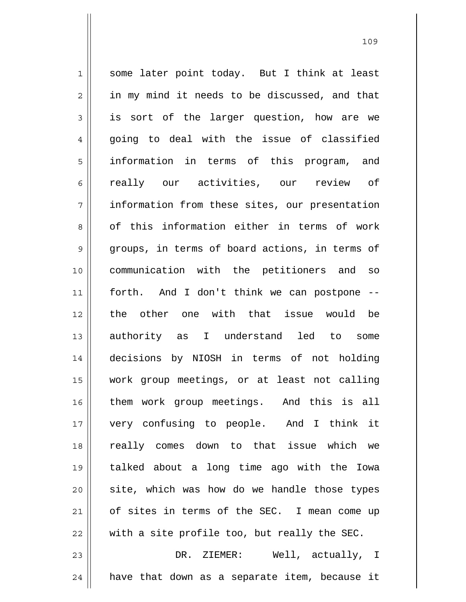1 2 3 4 5 6 7 8 9 10 11 12 13 14 15 16 17 18 19 20 21 22 23 some later point today. But I think at least in my mind it needs to be discussed, and that is sort of the larger question, how are we going to deal with the issue of classified information in terms of this program, and really our activities, our review of information from these sites, our presentation of this information either in terms of work groups, in terms of board actions, in terms of communication with the petitioners and so forth. And I don't think we can postpone - the other one with that issue would be authority as I understand led to some decisions by NIOSH in terms of not holding work group meetings, or at least not calling them work group meetings. And this is all very confusing to people. And I think it really comes down to that issue which we talked about a long time ago with the Iowa site, which was how do we handle those types of sites in terms of the SEC. I mean come up with a site profile too, but really the SEC. DR. ZIEMER: Well, actually, I

have that down as a separate item, because it

109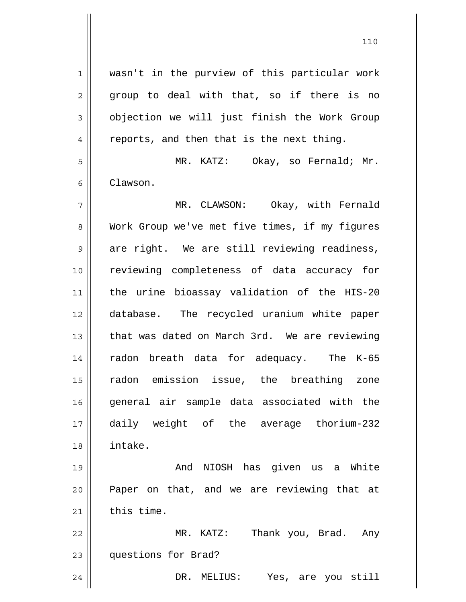1 2 3 4 5 6 7 8 9 10 11 12 13 14 15 16 17 18 19 20 21 22 23 wasn't in the purview of this particular work group to deal with that, so if there is no objection we will just finish the Work Group reports, and then that is the next thing. MR. KATZ: Okay, so Fernald; Mr. Clawson. MR. CLAWSON: Okay, with Fernald Work Group we've met five times, if my figures are right. We are still reviewing readiness, reviewing completeness of data accuracy for the urine bioassay validation of the HIS-20 database. The recycled uranium white paper that was dated on March 3rd. We are reviewing radon breath data for adequacy. The K-65 radon emission issue, the breathing zone general air sample data associated with the daily weight of the average thorium-232 intake. And NIOSH has given us a White Paper on that, and we are reviewing that at this time. MR. KATZ: Thank you, Brad. Any questions for Brad?

DR. MELIUS: Yes, are you still

24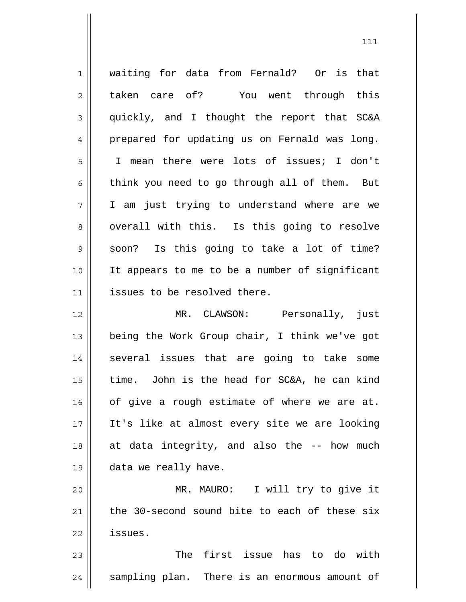| $\mathbf 1$ | waiting for data from Fernald? Or is that      |
|-------------|------------------------------------------------|
| 2           | taken care of? You went through this           |
| 3           | quickly, and I thought the report that SC&A    |
| 4           | prepared for updating us on Fernald was long.  |
| 5           | I mean there were lots of issues; I don't      |
| 6           | think you need to go through all of them. But  |
| 7           | I am just trying to understand where are we    |
| 8           | overall with this. Is this going to resolve    |
| $\mathsf 9$ | soon? Is this going to take a lot of time?     |
| 10          | It appears to me to be a number of significant |
| 11          | issues to be resolved there.                   |
| 12          | MR. CLAWSON: Personally, just                  |
| 13          | being the Work Group chair, I think we've got  |
| 14          | several issues that are going to take some     |
| 15          | time. John is the head for SC&A, he can kind   |
| 16          | of give a rough estimate of where we are at.   |
| 17          | It's like at almost every site we are looking  |
| 18          | at data integrity, and also the -- how much    |
| 19          | data we really have.                           |
| 20          | MR. MAURO: I will try to give it               |
| 21          | the 30-second sound bite to each of these six  |
| 22          | issues.                                        |
| 23          | The first issue has to do with                 |
| 24          | sampling plan. There is an enormous amount of  |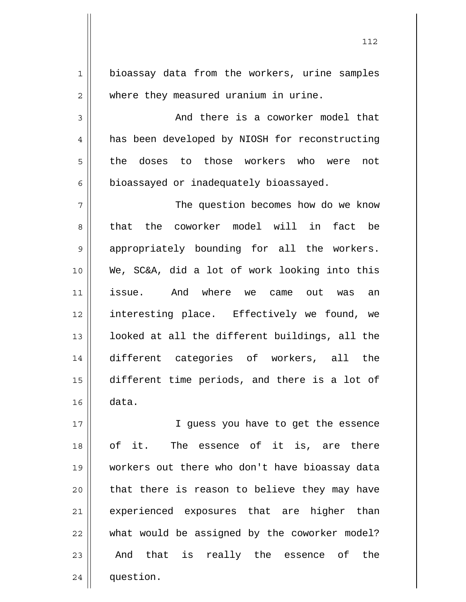1 2 3 4 5 6 7 8 9 10 11 12 13 14 15 16 bioassay data from the workers, urine samples where they measured uranium in urine. And there is a coworker model that has been developed by NIOSH for reconstructing the doses to those workers who were not bioassayed or inadequately bioassayed. The question becomes how do we know that the coworker model will in fact be appropriately bounding for all the workers. We, SC&A, did a lot of work looking into this issue. And where we came out was an interesting place. Effectively we found, we looked at all the different buildings, all the different categories of workers, all the different time periods, and there is a lot of data.

17 18 19 20 21 22 23 24 I guess you have to get the essence of it. The essence of it is, are there workers out there who don't have bioassay data that there is reason to believe they may have experienced exposures that are higher than what would be assigned by the coworker model? And that is really the essence of the question.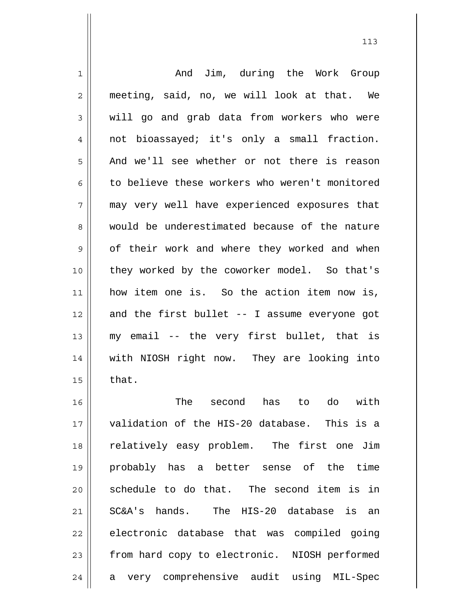| 1  | And Jim, during the Work Group                 |
|----|------------------------------------------------|
| 2  | meeting, said, no, we will look at that. We    |
| 3  | will go and grab data from workers who were    |
| 4  | not bioassayed; it's only a small fraction.    |
| 5  | And we'll see whether or not there is reason   |
| 6  | to believe these workers who weren't monitored |
| 7  | may very well have experienced exposures that  |
| 8  | would be underestimated because of the nature  |
| 9  | of their work and where they worked and when   |
| 10 | they worked by the coworker model. So that's   |
| 11 | how item one is. So the action item now is,    |
| 12 | and the first bullet -- I assume everyone got  |
| 13 | my email -- the very first bullet, that is     |
| 14 | with NIOSH right now. They are looking into    |
| 15 | that.                                          |
| 16 | The second has to do<br>with                   |
| 17 | validation of the HIS-20 database. This is a   |
| 18 | relatively easy problem. The first one Jim     |
| 19 | probably has a better sense of the time        |
| 20 | schedule to do that. The second item is in     |
| 21 | SC&A's hands. The HIS-20 database is an        |
| 22 | electronic database that was compiled going    |
| 23 | from hard copy to electronic. NIOSH performed  |
| 24 | a very comprehensive audit using MIL-Spec      |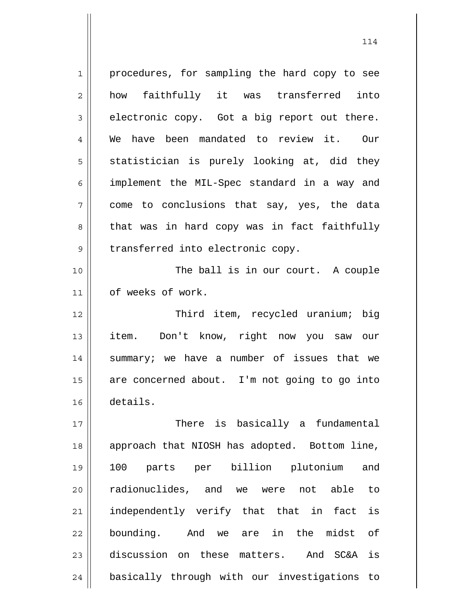| 1  | procedures, for sampling the hard copy to see   |
|----|-------------------------------------------------|
| 2  | how faithfully it was transferred<br>into       |
| 3  | electronic copy. Got a big report out there.    |
| 4  | We have been mandated to review it. Our         |
| 5  | statistician is purely looking at, did they     |
| 6  | implement the MIL-Spec standard in a way and    |
| 7  | come to conclusions that say, yes, the data     |
| 8  | that was in hard copy was in fact faithfully    |
| 9  | transferred into electronic copy.               |
| 10 | The ball is in our court. A couple              |
| 11 | of weeks of work.                               |
| 12 | Third item, recycled uranium; big               |
| 13 | Don't know, right now you saw our<br>item.      |
| 14 | summary; we have a number of issues that we     |
| 15 | are concerned about. I'm not going to go into   |
| 16 | details.                                        |
| 17 | There is basically a fundamental                |
| 18 | approach that NIOSH has adopted. Bottom line,   |
| 19 | parts per billion plutonium<br>100<br>and       |
| 20 | radionuclides, and we were not able<br>to       |
| 21 | is<br>independently verify that that in fact    |
| 22 | bounding. And we are in the midst<br>оf         |
| 23 | discussion on these matters. And SC&A is        |
| 24 | basically through with our investigations<br>to |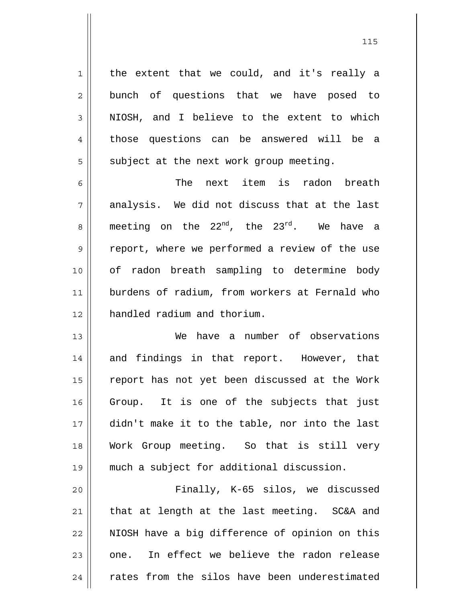the extent that we could, and it's really a bunch of questions that we have posed to NIOSH, and I believe to the extent to which those questions can be answered will be a subject at the next work group meeting.

1

2

3

4

5

6 7 8 9 10 11 12 The next item is radon breath analysis. We did not discuss that at the last meeting on the  $22^{nd}$ , the  $23^{rd}$ . We have a report, where we performed a review of the use of radon breath sampling to determine body burdens of radium, from workers at Fernald who handled radium and thorium.

13 14 15 16 17 18 19 We have a number of observations and findings in that report. However, that report has not yet been discussed at the Work Group. It is one of the subjects that just didn't make it to the table, nor into the last Work Group meeting. So that is still very much a subject for additional discussion.

20 21 22 23 24 Finally, K-65 silos, we discussed that at length at the last meeting. SC&A and NIOSH have a big difference of opinion on this one. In effect we believe the radon release rates from the silos have been underestimated

<u>115</u>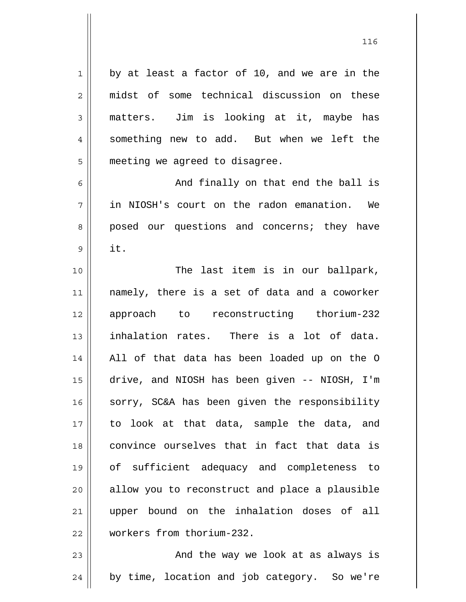by at least a factor of 10, and we are in the midst of some technical discussion on these matters. Jim is looking at it, maybe has something new to add. But when we left the meeting we agreed to disagree.

1

2

3

4

5

6

7

8

9

 And finally on that end the ball is in NIOSH's court on the radon emanation. We posed our questions and concerns; they have it.

10 11 12 13 14 15 16 17 18 19 20 21 22 The last item is in our ballpark, namely, there is a set of data and a coworker approach to reconstructing thorium-232 inhalation rates. There is a lot of data. All of that data has been loaded up on the O drive, and NIOSH has been given -- NIOSH, I'm sorry, SC&A has been given the responsibility to look at that data, sample the data, and convince ourselves that in fact that data is of sufficient adequacy and completeness to allow you to reconstruct and place a plausible upper bound on the inhalation doses of all workers from thorium-232.

23 24 And the way we look at as always is by time, location and job category. So we're

<u>116</u>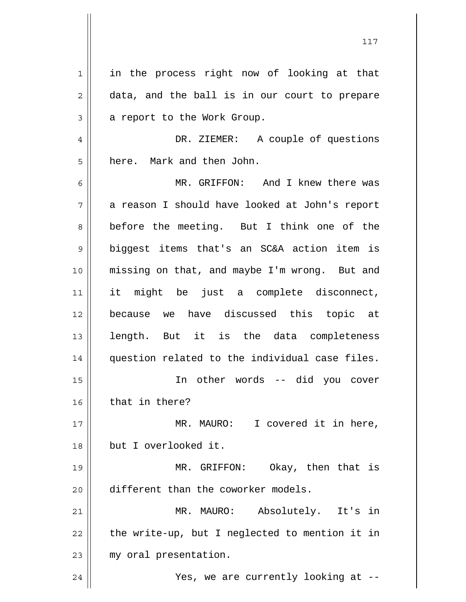1 2 3 4 5 6 7 8 9 10 11 12 13 14 15 16 17 18 19 20 21 22 23 24 in the process right now of looking at that data, and the ball is in our court to prepare a report to the Work Group. DR. ZIEMER: A couple of questions here. Mark and then John. MR. GRIFFON: And I knew there was a reason I should have looked at John's report before the meeting. But I think one of the biggest items that's an SC&A action item is missing on that, and maybe I'm wrong. But and it might be just a complete disconnect, because we have discussed this topic at length. But it is the data completeness question related to the individual case files. In other words -- did you cover that in there? MR. MAURO: I covered it in here, but I overlooked it. MR. GRIFFON: Okay, then that is different than the coworker models. MR. MAURO: Absolutely. It's in the write-up, but I neglected to mention it in my oral presentation. Yes, we are currently looking at --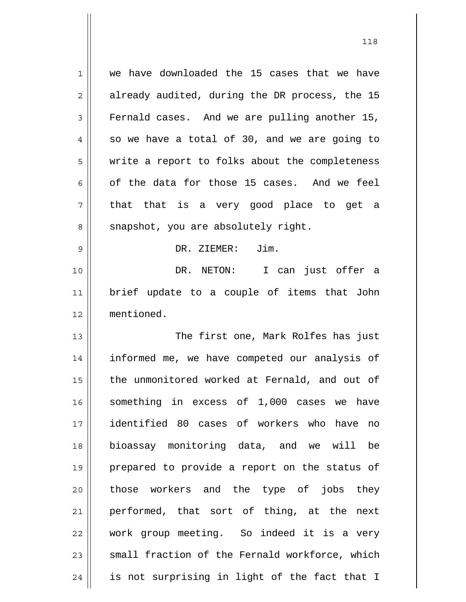| $\mathbf 1$ | we have downloaded the 15 cases that we have   |
|-------------|------------------------------------------------|
| 2           | already audited, during the DR process, the 15 |
| 3           | Fernald cases. And we are pulling another 15,  |
| 4           | so we have a total of 30, and we are going to  |
| 5           | write a report to folks about the completeness |
| 6           | of the data for those 15 cases. And we feel    |
| 7           | that that is a very good place to get a        |
| 8           | snapshot, you are absolutely right.            |
| 9           | Jim.<br>DR. ZIEMER:                            |
| 10          | I can just offer a<br>DR. NETON:               |
| 11          | brief update to a couple of items that John    |
| 12          | mentioned.                                     |
|             |                                                |
| 13          | The first one, Mark Rolfes has just            |
| 14          | informed me, we have competed our analysis of  |
| 15          | the unmonitored worked at Fernald, and out of  |
| 16          | something in excess of 1,000 cases we have     |
| 17          | identified 80 cases of workers who have<br>no  |
| 18          | bioassay monitoring data, and we will be       |
| 19          | prepared to provide a report on the status of  |
| 20          | those workers and the type of jobs they        |
| 21          | performed, that sort of thing, at the<br>next  |
| 22          | work group meeting. So indeed it is a very     |
| 23          | small fraction of the Fernald workforce, which |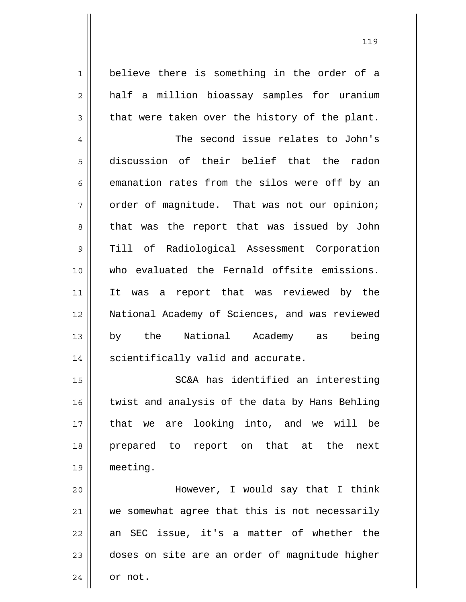believe there is something in the order of a half a million bioassay samples for uranium that were taken over the history of the plant.

1

2

3

4 5 6 7 8 9 10 11 12 13 14 The second issue relates to John's discussion of their belief that the radon emanation rates from the silos were off by an order of magnitude. That was not our opinion; that was the report that was issued by John Till of Radiological Assessment Corporation who evaluated the Fernald offsite emissions. It was a report that was reviewed by the National Academy of Sciences, and was reviewed by the National Academy as being scientifically valid and accurate.

15 16 17 18 19 SC&A has identified an interesting twist and analysis of the data by Hans Behling that we are looking into, and we will be prepared to report on that at the next meeting.

20 21 22 23 24 However, I would say that I think we somewhat agree that this is not necessarily an SEC issue, it's a matter of whether the doses on site are an order of magnitude higher or not.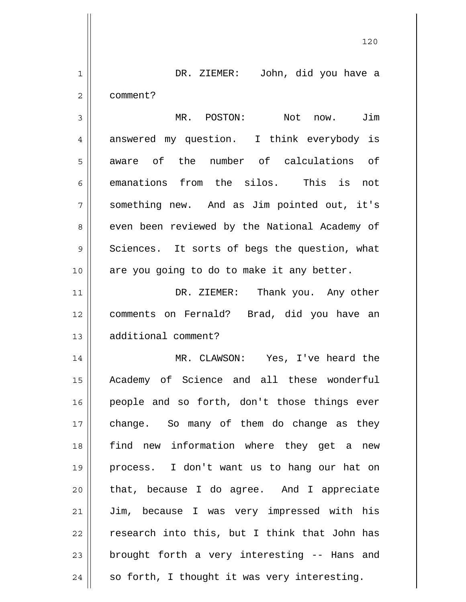| $\mathbf 1$    | DR. ZIEMER: John, did you have a              |
|----------------|-----------------------------------------------|
| $\overline{2}$ | comment?                                      |
| 3              | MR. POSTON:<br>Not now. Jim                   |
| 4              | answered my question. I think everybody is    |
| 5              | aware of the number of calculations of        |
| 6              | emanations from the silos. This is not        |
| 7              | something new. And as Jim pointed out, it's   |
| 8              | even been reviewed by the National Academy of |
| 9              | Sciences. It sorts of begs the question, what |
| 10             | are you going to do to make it any better.    |
| 11             | DR. ZIEMER: Thank you. Any other              |
| 12             | comments on Fernald? Brad, did you have an    |
| 13             | additional comment?                           |
| 14             | MR. CLAWSON: Yes, I've heard the              |
| 15             | Academy of Science and all these wonderful    |
| 16             | people and so forth, don't those things ever  |
| 17             | change. So many of them do change as they     |
| 18             | find new information where they get a new     |
| 19             | process. I don't want us to hang our hat on   |
| 20             | that, because I do agree. And I appreciate    |
| 21             | Jim, because I was very impressed with his    |
| 22             | research into this, but I think that John has |
| 23             | brought forth a very interesting -- Hans and  |
| 24             | so forth, I thought it was very interesting.  |

 $\mathsf{I}$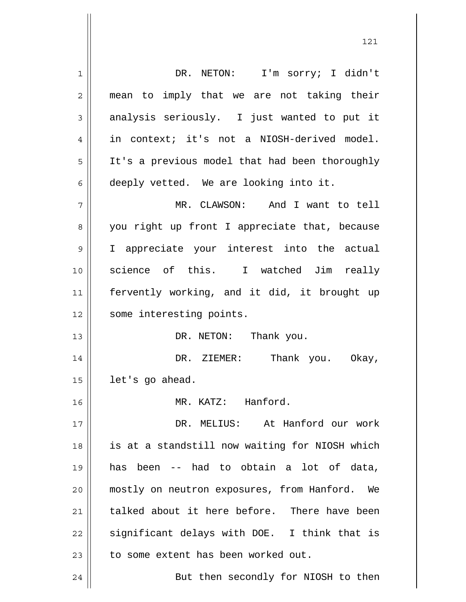1 2 3 4 5 6 7 8 9 10 11 12 13 14 15 16 17 18 19 20 21 22 23 24 DR. NETON: I'm sorry; I didn't mean to imply that we are not taking their analysis seriously. I just wanted to put it in context; it's not a NIOSH-derived model. It's a previous model that had been thoroughly deeply vetted. We are looking into it. MR. CLAWSON: And I want to tell you right up front I appreciate that, because I appreciate your interest into the actual science of this. I watched Jim really fervently working, and it did, it brought up some interesting points. DR. NETON: Thank you. DR. ZIEMER: Thank you. Okay, let's go ahead. MR. KATZ: Hanford. DR. MELIUS: At Hanford our work is at a standstill now waiting for NIOSH which has been -- had to obtain a lot of data, mostly on neutron exposures, from Hanford. We talked about it here before. There have been significant delays with DOE. I think that is to some extent has been worked out. But then secondly for NIOSH to then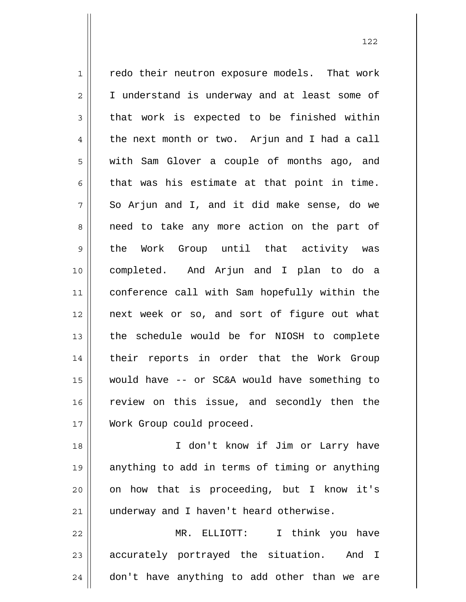1 2 3 4 5 6 7 8 9 10 11 12 13 14 15 16 17 redo their neutron exposure models. That work I understand is underway and at least some of that work is expected to be finished within the next month or two. Arjun and I had a call with Sam Glover a couple of months ago, and that was his estimate at that point in time. So Arjun and I, and it did make sense, do we need to take any more action on the part of the Work Group until that activity was completed. And Arjun and I plan to do a conference call with Sam hopefully within the next week or so, and sort of figure out what the schedule would be for NIOSH to complete their reports in order that the Work Group would have -- or SC&A would have something to review on this issue, and secondly then the Work Group could proceed.

18 19 20 21 I don't know if Jim or Larry have anything to add in terms of timing or anything on how that is proceeding, but I know it's underway and I haven't heard otherwise.

22 23 24 MR. ELLIOTT: I think you have accurately portrayed the situation. And I don't have anything to add other than we are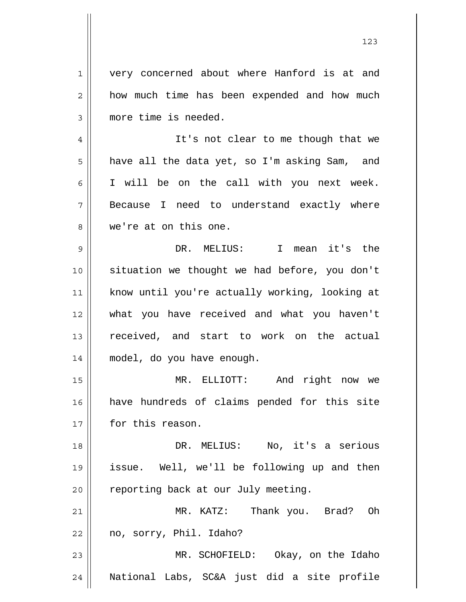1 2 3 4 5 6 7 8 9 10 11 12 13 14 15 16 17 18 19 20 21 22 23 very concerned about where Hanford is at and how much time has been expended and how much more time is needed. It's not clear to me though that we have all the data yet, so I'm asking Sam, and I will be on the call with you next week. Because I need to understand exactly where we're at on this one. DR. MELIUS: I mean it's the situation we thought we had before, you don't know until you're actually working, looking at what you have received and what you haven't received, and start to work on the actual model, do you have enough. MR. ELLIOTT: And right now we have hundreds of claims pended for this site for this reason. DR. MELIUS: No, it's a serious issue. Well, we'll be following up and then reporting back at our July meeting. MR. KATZ: Thank you. Brad? Oh no, sorry, Phil. Idaho? MR. SCHOFIELD: Okay, on the Idaho

National Labs, SC&A just did a site profile

24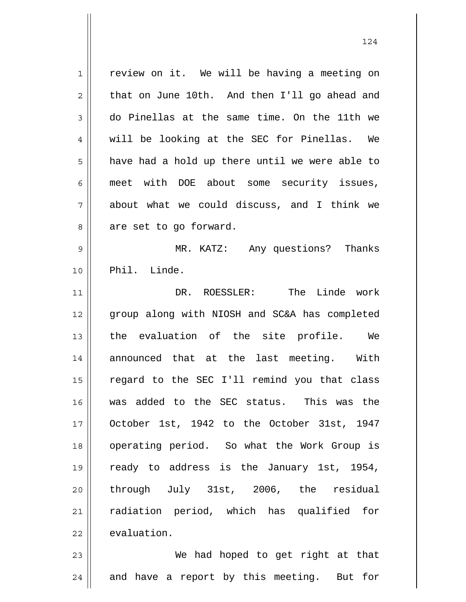1 2 3 4 5 6 7 8 9 10 11 12 13 14 15 16 17 18 19 20 21 22 review on it. We will be having a meeting on that on June 10th. And then I'll go ahead and do Pinellas at the same time. On the 11th we will be looking at the SEC for Pinellas. We have had a hold up there until we were able to meet with DOE about some security issues, about what we could discuss, and I think we are set to go forward. MR. KATZ: Any questions? Thanks Phil. Linde. DR. ROESSLER: The Linde work group along with NIOSH and SC&A has completed the evaluation of the site profile. We announced that at the last meeting. With regard to the SEC I'll remind you that class was added to the SEC status. This was the October 1st, 1942 to the October 31st, 1947 operating period. So what the Work Group is ready to address is the January 1st, 1954, through July 31st, 2006, the residual radiation period, which has qualified for evaluation.

23 24 We had hoped to get right at that and have a report by this meeting. But for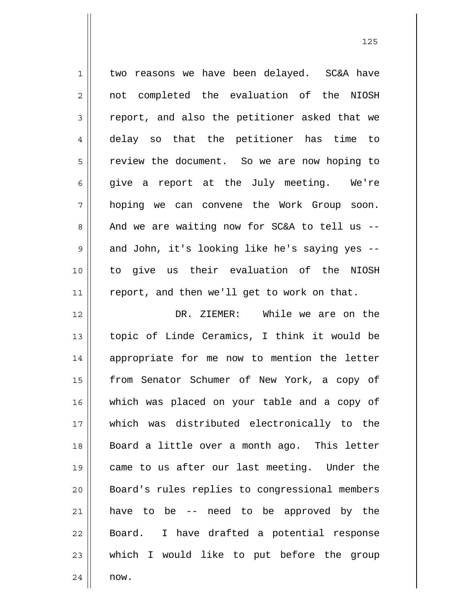| $\mathbf 1$      | two reasons we have been delayed. SC&A have    |
|------------------|------------------------------------------------|
| $\overline{2}$   | not completed the evaluation of the NIOSH      |
| $\mathfrak{Z}$   | report, and also the petitioner asked that we  |
| $\ensuremath{4}$ | delay so that the petitioner has time to       |
| 5                | review the document. So we are now hoping to   |
| 6                | give a report at the July meeting. We're       |
| 7                | hoping we can convene the Work Group soon.     |
| 8                | And we are waiting now for SC&A to tell us --  |
| $\mathsf 9$      | and John, it's looking like he's saying yes -- |
| 10               | to give us their evaluation of the NIOSH       |
| 11               | report, and then we'll get to work on that.    |
| 12               | DR. ZIEMER: While we are on the                |
| 13               | topic of Linde Ceramics, I think it would be   |
| 14               | appropriate for me now to mention the letter   |
| 15               | from Senator Schumer of New York, a copy of    |
| 16               | which was placed on your table and a copy of   |
| 17               | which was distributed electronically to the    |
| 18               | Board a little over a month ago. This letter   |
| 19               | came to us after our last meeting. Under the   |
| 20               | Board's rules replies to congressional members |
| 21               | have to be -- need to be approved by the       |
| 22               | Board. I have drafted a potential response     |
| 23               | which I would like to put before the group     |
| 24               | now.                                           |

<u>125</u>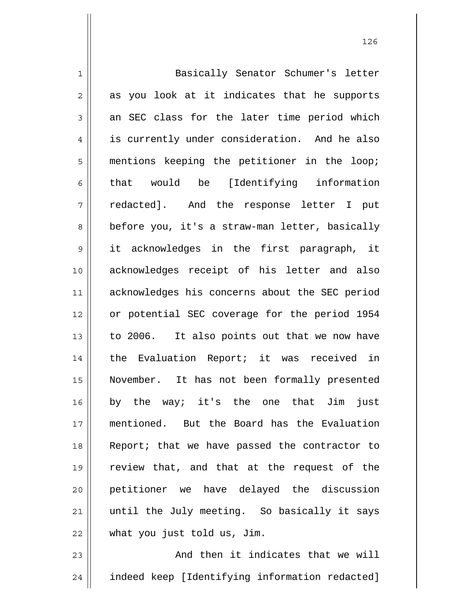| $\mathbf 1$    | Basically Senator Schumer's letter             |
|----------------|------------------------------------------------|
| $\overline{2}$ | as you look at it indicates that he supports   |
| 3              | an SEC class for the later time period which   |
| 4              | is currently under consideration. And he also  |
| 5              | mentions keeping the petitioner in the loop;   |
| 6              | that would be [Identifying information         |
| 7              | redacted]. And the response letter I put       |
| 8              | before you, it's a straw-man letter, basically |
| $\mathsf 9$    | it acknowledges in the first paragraph, it     |
| 10             | acknowledges receipt of his letter and also    |
| 11             | acknowledges his concerns about the SEC period |
| 12             | or potential SEC coverage for the period 1954  |
| 13             | to 2006. It also points out that we now have   |
| 14             | the Evaluation Report; it was received in      |
| 15             | November. It has not been formally presented   |
| 16             | by the way; it's the one that Jim just         |
| 17             | mentioned. But the Board has the Evaluation    |
| 18             | Report; that we have passed the contractor to  |
| 19             | review that, and that at the request of the    |
| 20             | petitioner we have delayed the discussion      |
| 21             | until the July meeting. So basically it says   |
| 22             | what you just told us, Jim.                    |
|                |                                                |

23 24 And then it indicates that we will indeed keep [Identifying information redacted]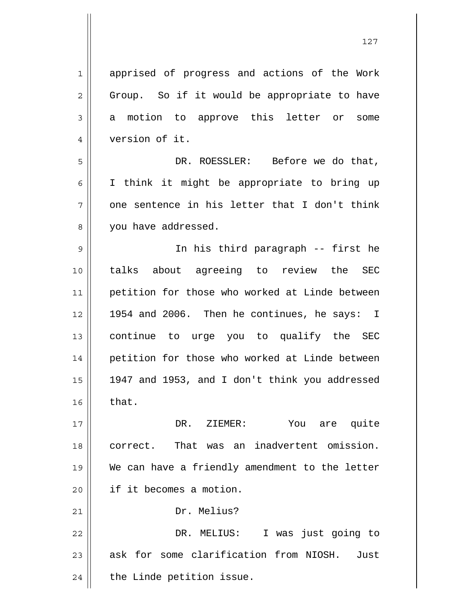1 2 3 4 5 6 7 8 9 10 11 12 13 14 15 16 17 18 19 20 21 22 23 24 apprised of progress and actions of the Work Group. So if it would be appropriate to have a motion to approve this letter or some version of it. DR. ROESSLER: Before we do that, I think it might be appropriate to bring up one sentence in his letter that I don't think you have addressed. In his third paragraph -- first he talks about agreeing to review the SEC petition for those who worked at Linde between 1954 and 2006. Then he continues, he says: I continue to urge you to qualify the SEC petition for those who worked at Linde between 1947 and 1953, and I don't think you addressed that. DR. ZIEMER: You are quite correct. That was an inadvertent omission. We can have a friendly amendment to the letter if it becomes a motion. Dr. Melius? DR. MELIUS: I was just going to ask for some clarification from NIOSH. Just the Linde petition issue.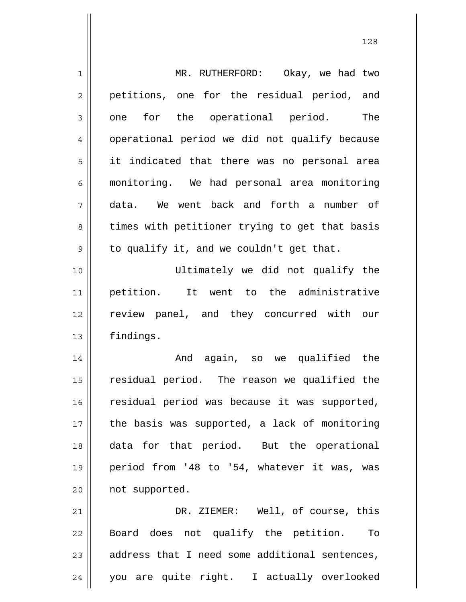| $\mathbf 1$    | MR. RUTHERFORD:<br>Okay, we had two            |
|----------------|------------------------------------------------|
| $\overline{2}$ | petitions, one for the residual period, and    |
| 3              | for the operational period.<br>The<br>one      |
| $\overline{4}$ | operational period we did not qualify because  |
| 5              | it indicated that there was no personal area   |
| 6              | monitoring. We had personal area monitoring    |
| 7              | We went back and forth a number of<br>data.    |
| 8              | times with petitioner trying to get that basis |
| 9              | to qualify it, and we couldn't get that.       |
| 10             | Ultimately we did not qualify the              |
| 11             | It went to the administrative<br>petition.     |
| 12             | review panel, and they concurred with our      |
| 13             | findings.                                      |
| 14             | And again, so we qualified the                 |
| 15             | residual period. The reason we qualified the   |
| 16             | residual period was because it was supported,  |
| 17             | the basis was supported, a lack of monitoring  |
| 18             | data for that period. But the operational      |
| 19             | period from '48 to '54, whatever it was, was   |
| 20             | not supported.                                 |
| 21             | DR. ZIEMER: Well, of course, this              |
| 22             | Board does not qualify the petition. To        |
| 23             | address that I need some additional sentences, |
| 24             | you are quite right. I actually overlooked     |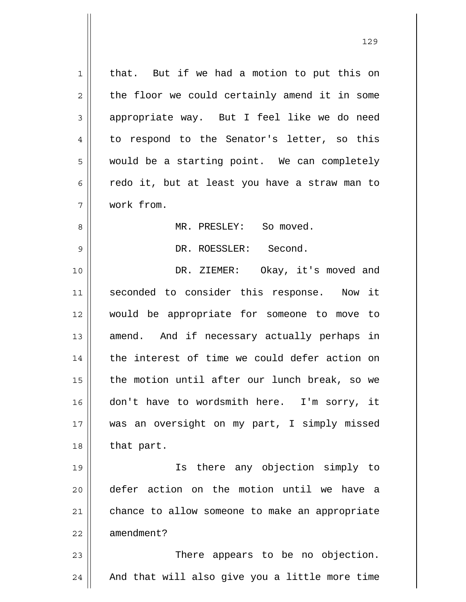1 2 3 4 5 6 7 8 9 10 11 12 13 14 15 16 17 18 19 20 21 that. But if we had a motion to put this on the floor we could certainly amend it in some appropriate way. But I feel like we do need to respond to the Senator's letter, so this would be a starting point. We can completely redo it, but at least you have a straw man to work from. MR. PRESLEY: So moved. DR. ROESSLER: Second. DR. ZIEMER: Okay, it's moved and seconded to consider this response. Now it would be appropriate for someone to move to amend. And if necessary actually perhaps in the interest of time we could defer action on the motion until after our lunch break, so we don't have to wordsmith here. I'm sorry, it was an oversight on my part, I simply missed that part. Is there any objection simply to defer action on the motion until we have a chance to allow someone to make an appropriate

23 24 There appears to be no objection. And that will also give you a little more time

22

amendment?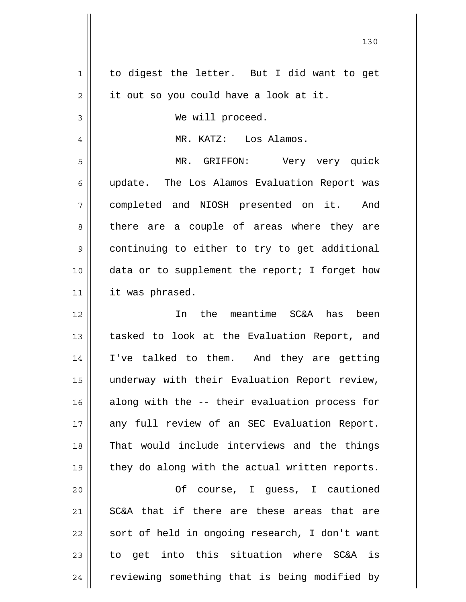| 1      | to digest the letter. But I did want to get    |
|--------|------------------------------------------------|
| 2      | it out so you could have a look at it.         |
| 3      | We will proceed.                               |
| 4      | MR. KATZ: Los Alamos.                          |
| 5      | MR. GRIFFON: Very very quick                   |
| 6      | update. The Los Alamos Evaluation Report was   |
| 7      | completed and NIOSH presented on it. And       |
| 8      | there are a couple of areas where they are     |
| 9      | continuing to either to try to get additional  |
| 10     | data or to supplement the report; I forget how |
| 11     | it was phrased.                                |
| 12     | In the meantime SC&A has<br>been               |
| 13     | tasked to look at the Evaluation Report, and   |
| 14     | I've talked to them. And they are getting      |
| 15     | underway with their Evaluation Report review,  |
| 16     | along with the -- their evaluation process for |
| 17     | any full review of an SEC Evaluation Report.   |
| 18     | That would include interviews and the things   |
| 19     | they do along with the actual written reports. |
| 20     | Of course, I guess, I cautioned                |
| $2\,1$ | SC&A that if there are these areas that are    |
| 22     | sort of held in ongoing research, I don't want |
| 23     | to get into this situation where SC&A is       |
| 24     | reviewing something that is being modified by  |
|        |                                                |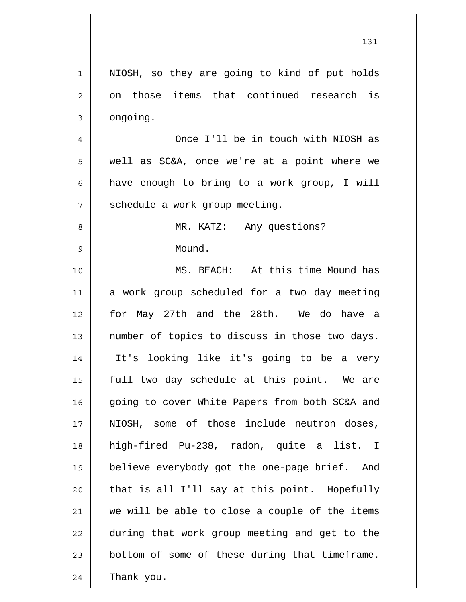| $\mathbf 1$    | NIOSH, so they are going to kind of put holds  |
|----------------|------------------------------------------------|
| $\mathbf 2$    | on those items that continued research is      |
| $\mathfrak{Z}$ | ongoing.                                       |
| $\overline{4}$ | Once I'll be in touch with NIOSH as            |
| 5              | well as SC&A, once we're at a point where we   |
| 6              | have enough to bring to a work group, I will   |
| 7              | schedule a work group meeting.                 |
| 8              | MR. KATZ: Any questions?                       |
| $\mathsf 9$    | Mound.                                         |
| 10             | MS. BEACH: At this time Mound has              |
| 11             | a work group scheduled for a two day meeting   |
| 12             | for May 27th and the 28th. We do have a        |
| 13             | number of topics to discuss in those two days. |
| 14             | It's looking like it's going to be a very      |
| 15             | full two day schedule at this point. We are    |
| 16             | going to cover White Papers from both SC&A and |
| 17             | NIOSH, some of those include neutron doses,    |
| 18             | high-fired Pu-238, radon, quite a list. I      |
| 19             | believe everybody got the one-page brief. And  |
| 20             | that is all I'll say at this point. Hopefully  |
| 21             | we will be able to close a couple of the items |
| 22             | during that work group meeting and get to the  |
| 23             | bottom of some of these during that timeframe. |
| 24             | Thank you.                                     |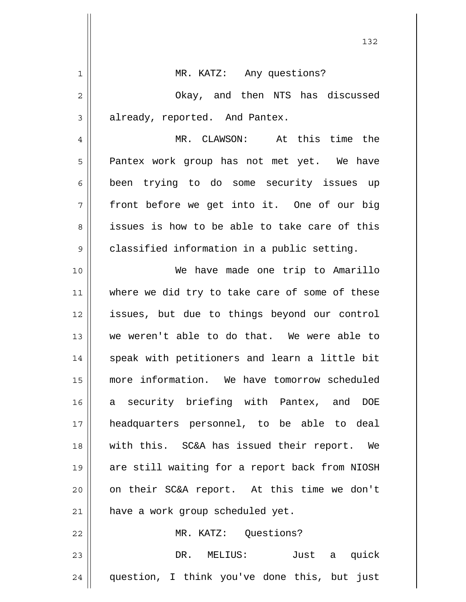| MR. KATZ: Any questions?                       |
|------------------------------------------------|
| Okay, and then NTS has discussed               |
| already, reported. And Pantex.                 |
| MR. CLAWSON: At this time the                  |
| Pantex work group has not met yet. We have     |
| been trying to do some security issues up      |
| front before we get into it. One of our big    |
| issues is how to be able to take care of this  |
| classified information in a public setting.    |
| We have made one trip to Amarillo              |
| where we did try to take care of some of these |
| issues, but due to things beyond our control   |
| we weren't able to do that. We were able to    |
| speak with petitioners and learn a little bit  |
| more information. We have tomorrow scheduled   |
| a security briefing with Pantex, and DOE       |
| headquarters personnel, to be able to deal     |
| with this. SC&A has issued their report. We    |
| are still waiting for a report back from NIOSH |
| on their SC&A report. At this time we don't    |
| have a work group scheduled yet.               |
| MR. KATZ: Questions?                           |
| DR.<br>MELIUS:<br>Just a quick                 |
| question, I think you've done this, but just   |
|                                                |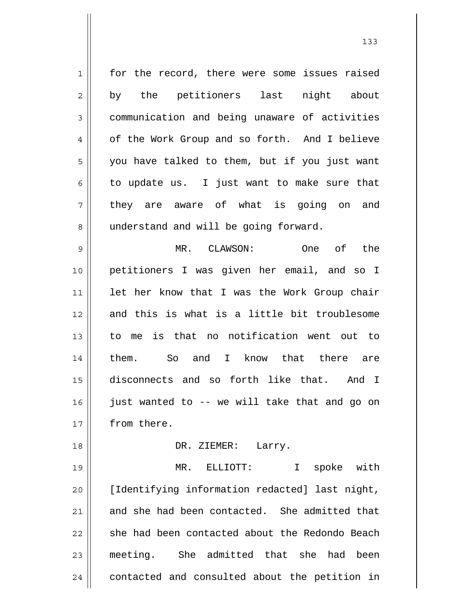1 2 3 4 5 6 7 8 9 10 11 12 13 14 15 16 17 18 19 20 21 22 23 24 for the record, there were some issues raised by the petitioners last night about communication and being unaware of activities of the Work Group and so forth. And I believe you have talked to them, but if you just want to update us. I just want to make sure that they are aware of what is going on and understand and will be going forward. MR. CLAWSON: One of the petitioners I was given her email, and so I let her know that I was the Work Group chair and this is what is a little bit troublesome to me is that no notification went out to them. So and I know that there are disconnects and so forth like that. And I just wanted to -- we will take that and go on from there. DR. ZIEMER: Larry. MR. ELLIOTT: I spoke with [Identifying information redacted] last night, and she had been contacted. She admitted that she had been contacted about the Redondo Beach meeting. She admitted that she had been contacted and consulted about the petition in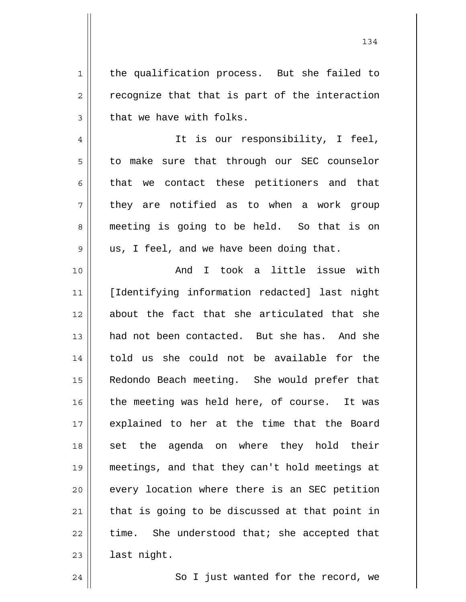the qualification process. But she failed to recognize that that is part of the interaction that we have with folks.

 It is our responsibility, I feel, to make sure that through our SEC counselor that we contact these petitioners and that they are notified as to when a work group meeting is going to be held. So that is on us, I feel, and we have been doing that.

10 11 12 13 14 15 16 17 18 19 20 21 22 23 And I took a little issue with [Identifying information redacted] last night about the fact that she articulated that she had not been contacted. But she has. And she told us she could not be available for the Redondo Beach meeting. She would prefer that the meeting was held here, of course. It was explained to her at the time that the Board set the agenda on where they hold their meetings, and that they can't hold meetings at every location where there is an SEC petition that is going to be discussed at that point in time. She understood that; she accepted that last night.

So I just wanted for the record, we

24

1

2

3

4

5

6

7

8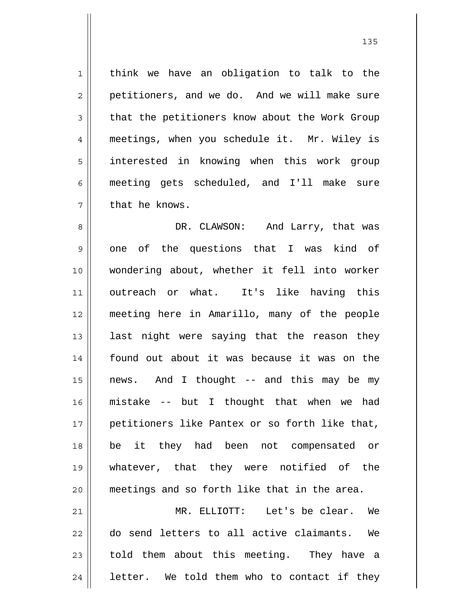1 2 3 4 5 6 7 think we have an obligation to talk to the petitioners, and we do. And we will make sure that the petitioners know about the Work Group meetings, when you schedule it. Mr. Wiley is interested in knowing when this work group meeting gets scheduled, and I'll make sure that he knows.

8 9 10 11 12 13 14 15 16 17 18 19 20 21 DR. CLAWSON: And Larry, that was one of the questions that I was kind of wondering about, whether it fell into worker outreach or what. It's like having this meeting here in Amarillo, many of the people last night were saying that the reason they found out about it was because it was on the news. And I thought -- and this may be my mistake -- but I thought that when we had petitioners like Pantex or so forth like that, be it they had been not compensated or whatever, that they were notified of the meetings and so forth like that in the area. MR. ELLIOTT: Let's be clear. We

22 23 24 do send letters to all active claimants. We told them about this meeting. They have a letter. We told them who to contact if they

<u>135</u>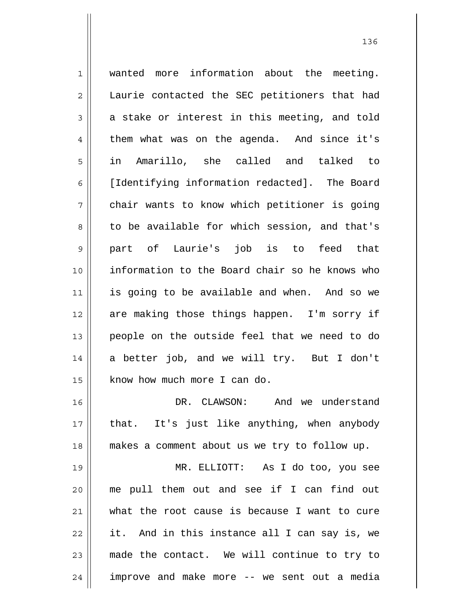1 2 3 4 5 6 7 8 9 10 11 12 13 14 15 16 17 18 19 20 21 22 23 wanted more information about the meeting. Laurie contacted the SEC petitioners that had a stake or interest in this meeting, and told them what was on the agenda. And since it's in Amarillo, she called and talked to [Identifying information redacted]. The Board chair wants to know which petitioner is going to be available for which session, and that's part of Laurie's job is to feed that information to the Board chair so he knows who is going to be available and when. And so we are making those things happen. I'm sorry if people on the outside feel that we need to do a better job, and we will try. But I don't know how much more I can do. DR. CLAWSON: And we understand that. It's just like anything, when anybody makes a comment about us we try to follow up. MR. ELLIOTT: As I do too, you see me pull them out and see if I can find out what the root cause is because I want to cure it. And in this instance all I can say is, we made the contact. We will continue to try to

improve and make more -- we sent out a media

24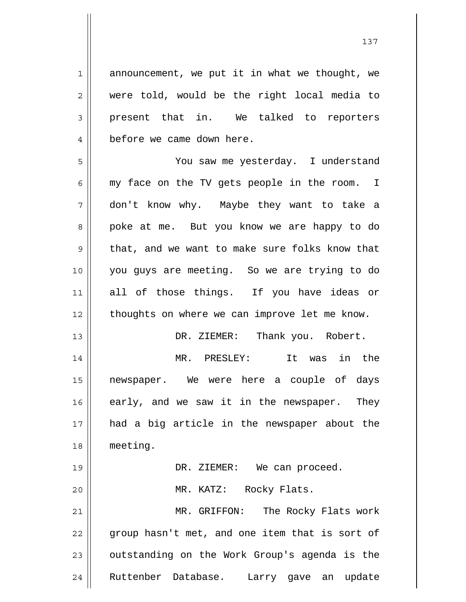1 2 3 4 5 6 7 8 9 10 11 12 13 14 15 16 17 18 19 20 21 22 23 announcement, we put it in what we thought, we were told, would be the right local media to present that in. We talked to reporters before we came down here. You saw me yesterday. I understand my face on the TV gets people in the room. I don't know why. Maybe they want to take a poke at me. But you know we are happy to do that, and we want to make sure folks know that you guys are meeting. So we are trying to do all of those things. If you have ideas or thoughts on where we can improve let me know. DR. ZIEMER: Thank you. Robert. MR. PRESLEY: It was in the newspaper. We were here a couple of days early, and we saw it in the newspaper. They had a big article in the newspaper about the meeting. DR. ZIEMER: We can proceed. MR. KATZ: Rocky Flats. MR. GRIFFON: The Rocky Flats work group hasn't met, and one item that is sort of outstanding on the Work Group's agenda is the

Ruttenber Database. Larry gave an update

24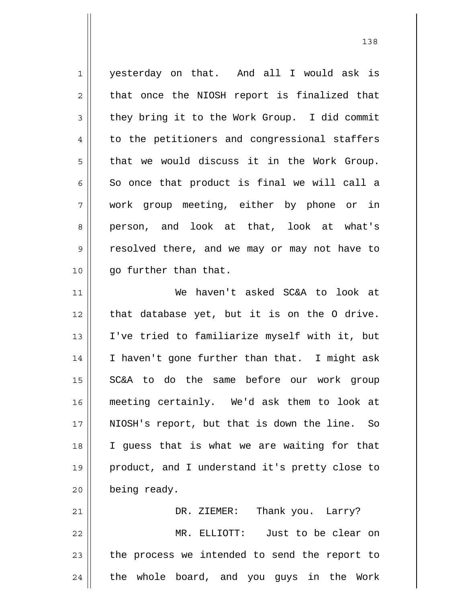1 2 3 4 5 6 7 8 9 10 11 12 13 14 15 16 yesterday on that. And all I would ask is that once the NIOSH report is finalized that they bring it to the Work Group. I did commit to the petitioners and congressional staffers that we would discuss it in the Work Group. So once that product is final we will call a work group meeting, either by phone or in person, and look at that, look at what's resolved there, and we may or may not have to go further than that. We haven't asked SC&A to look at that database yet, but it is on the O drive. I've tried to familiarize myself with it, but I haven't gone further than that. I might ask SC&A to do the same before our work group meeting certainly. We'd ask them to look at

21 22 23 24 DR. ZIEMER: Thank you. Larry? MR. ELLIOTT: Just to be clear on the process we intended to send the report to the whole board, and you guys in the Work

NIOSH's report, but that is down the line. So

I guess that is what we are waiting for that

product, and I understand it's pretty close to

17

18

19

20

being ready.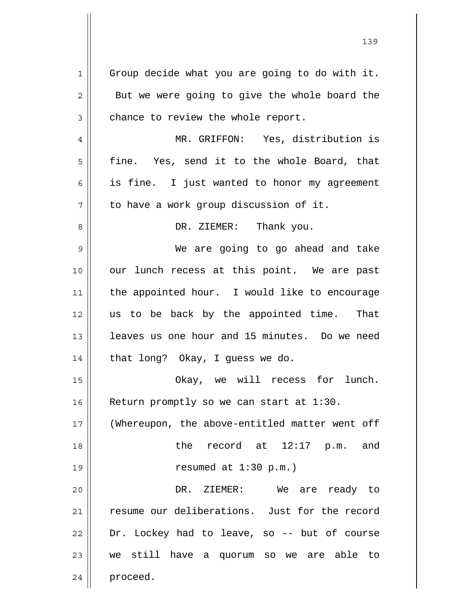1 2 3 4 5 6 7 8 9 10 11 12 13 14 15 16 17 18 19 20 21 22 23 24 Group decide what you are going to do with it. But we were going to give the whole board the chance to review the whole report. MR. GRIFFON: Yes, distribution is fine. Yes, send it to the whole Board, that is fine. I just wanted to honor my agreement to have a work group discussion of it. DR. ZIEMER: Thank you. We are going to go ahead and take our lunch recess at this point. We are past the appointed hour. I would like to encourage us to be back by the appointed time. That leaves us one hour and 15 minutes. Do we need that long? Okay, I guess we do. Okay, we will recess for lunch. Return promptly so we can start at 1:30. (Whereupon, the above-entitled matter went off the record at 12:17 p.m. and resumed at 1:30 p.m.) DR. ZIEMER: We are ready to resume our deliberations. Just for the record Dr. Lockey had to leave, so -- but of course we still have a quorum so we are able to proceed.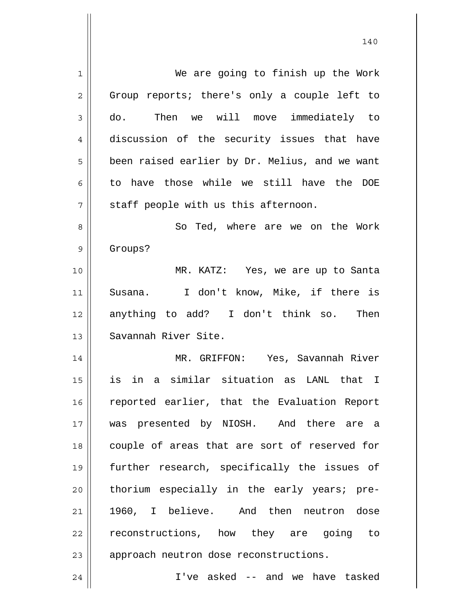1 2 3 4 5 6 7 8 9 10 11 12 13 14 15 16 17 18 19 20 21 22 23 24 We are going to finish up the Work Group reports; there's only a couple left to do. Then we will move immediately to discussion of the security issues that have been raised earlier by Dr. Melius, and we want to have those while we still have the DOE staff people with us this afternoon. So Ted, where are we on the Work Groups? MR. KATZ: Yes, we are up to Santa Susana. I don't know, Mike, if there is anything to add? I don't think so. Then Savannah River Site. MR. GRIFFON: Yes, Savannah River is in a similar situation as LANL that I reported earlier, that the Evaluation Report was presented by NIOSH. And there are a couple of areas that are sort of reserved for further research, specifically the issues of thorium especially in the early years; pre-1960, I believe. And then neutron dose reconstructions, how they are going to approach neutron dose reconstructions. I've asked -- and we have tasked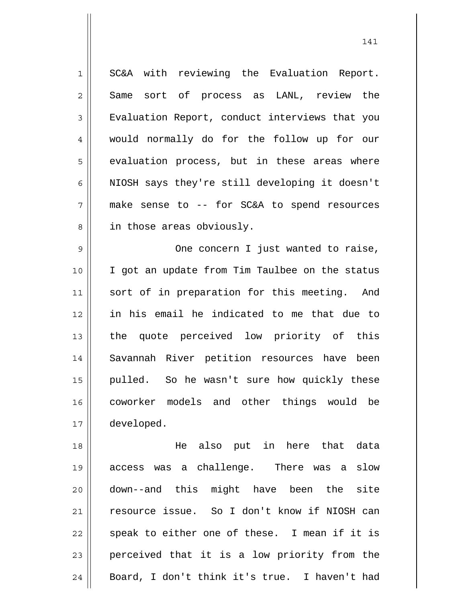1 2 3 4 5 6 7 8 SC&A with reviewing the Evaluation Report. Same sort of process as LANL, review the Evaluation Report, conduct interviews that you would normally do for the follow up for our evaluation process, but in these areas where NIOSH says they're still developing it doesn't make sense to -- for SC&A to spend resources in those areas obviously.

9 10 11 12 13 14 15 16 17 One concern I just wanted to raise, I got an update from Tim Taulbee on the status sort of in preparation for this meeting. And in his email he indicated to me that due to the quote perceived low priority of this Savannah River petition resources have been pulled. So he wasn't sure how quickly these coworker models and other things would be developed.

18 19 20 21 22 23 24 He also put in here that data access was a challenge. There was a slow down--and this might have been the site resource issue. So I don't know if NIOSH can speak to either one of these. I mean if it is perceived that it is a low priority from the Board, I don't think it's true. I haven't had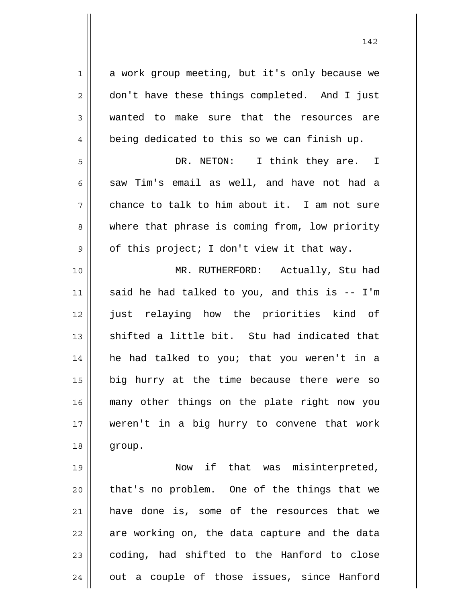1 2 3 4 5 6 7 8 9 10 a work group meeting, but it's only because we don't have these things completed. And I just wanted to make sure that the resources are being dedicated to this so we can finish up. DR. NETON: I think they are. I saw Tim's email as well, and have not had a chance to talk to him about it. I am not sure where that phrase is coming from, low priority of this project; I don't view it that way. MR. RUTHERFORD: Actually, Stu had

11 12 13 14 15 16 17 18 said he had talked to you, and this is -- I'm just relaying how the priorities kind of shifted a little bit. Stu had indicated that he had talked to you; that you weren't in a big hurry at the time because there were so many other things on the plate right now you weren't in a big hurry to convene that work group.

19 20 21 22 23 24 Now if that was misinterpreted, that's no problem. One of the things that we have done is, some of the resources that we are working on, the data capture and the data coding, had shifted to the Hanford to close out a couple of those issues, since Hanford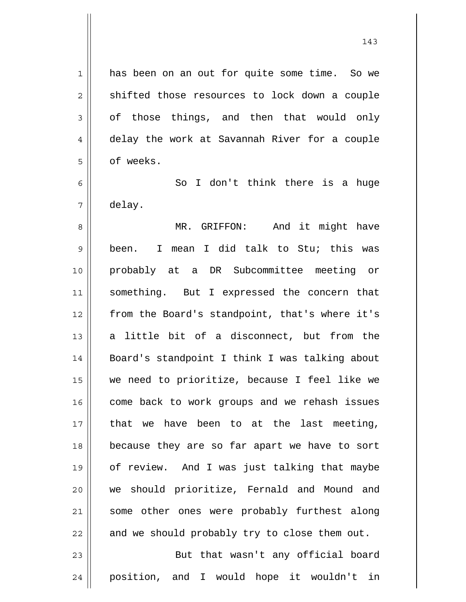has been on an out for quite some time. So we shifted those resources to lock down a couple of those things, and then that would only delay the work at Savannah River for a couple of weeks.

1

2

3

4

5

6 7 So I don't think there is a huge delay.

8 9 10 11 12 13 14 15 16 17 18 19 20 21 22 MR. GRIFFON: And it might have been. I mean I did talk to Stu; this was probably at a DR Subcommittee meeting or something. But I expressed the concern that from the Board's standpoint, that's where it's a little bit of a disconnect, but from the Board's standpoint I think I was talking about we need to prioritize, because I feel like we come back to work groups and we rehash issues that we have been to at the last meeting, because they are so far apart we have to sort of review. And I was just talking that maybe we should prioritize, Fernald and Mound and some other ones were probably furthest along and we should probably try to close them out.

23 24 But that wasn't any official board position, and I would hope it wouldn't in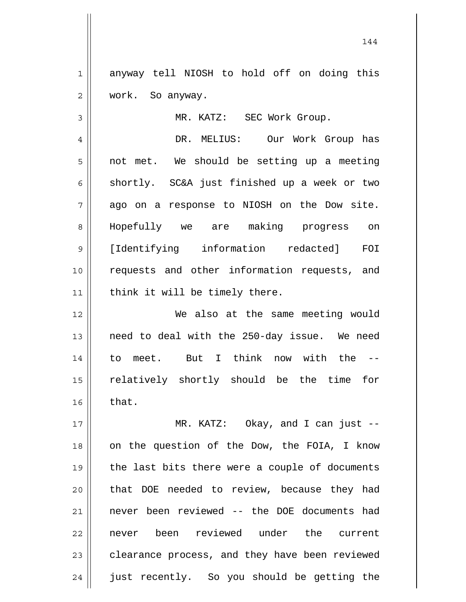1 2 anyway tell NIOSH to hold off on doing this work. So anyway.

3

MR. KATZ: SEC Work Group.

4 5 6 7 8 9 10 11 DR. MELIUS: Our Work Group has not met. We should be setting up a meeting shortly. SC&A just finished up a week or two ago on a response to NIOSH on the Dow site. Hopefully we are making progress on [Identifying information redacted] FOI requests and other information requests, and think it will be timely there.

12 13 14 15 16 We also at the same meeting would need to deal with the 250-day issue. We need to meet. But I think now with the - relatively shortly should be the time for that.

17 18 19 20 21 22 23 24 MR. KATZ: Okay, and I can just - on the question of the Dow, the FOIA, I know the last bits there were a couple of documents that DOE needed to review, because they had never been reviewed -- the DOE documents had never been reviewed under the current clearance process, and they have been reviewed just recently. So you should be getting the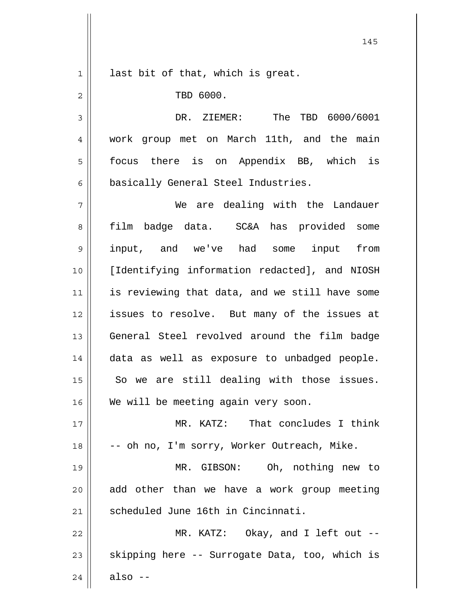| $\mathbf 1$    | last bit of that, which is great.              |
|----------------|------------------------------------------------|
| $\overline{2}$ | TBD 6000.                                      |
| 3              | The TBD 6000/6001<br>DR. ZIEMER:               |
| $\overline{4}$ | work group met on March 11th, and the main     |
| 5              | focus there is on Appendix BB, which is        |
| 6              | basically General Steel Industries.            |
| 7              | We are dealing with the Landauer               |
|                |                                                |
| 8              | film badge data. SC&A has provided some        |
| 9              | input, and we've had some input from           |
| 10             | [Identifying information redacted], and NIOSH  |
| 11             | is reviewing that data, and we still have some |
| 12             | issues to resolve. But many of the issues at   |
| 13             | General Steel revolved around the film badge   |
| 14             | data as well as exposure to unbadged people.   |
| 15             | So we are still dealing with those issues.     |
| 16             | We will be meeting again very soon.            |
| 17             | MR. KATZ: That concludes I think               |
| 18             | -- oh no, I'm sorry, Worker Outreach, Mike.    |
| 19             | MR. GIBSON: Oh, nothing new to                 |
| 20             | add other than we have a work group meeting    |
| 21             | scheduled June 16th in Cincinnati.             |
| 22             | MR. KATZ: Okay, and I left out --              |
| 23             | skipping here -- Surrogate Data, too, which is |
| 24             | also $--$                                      |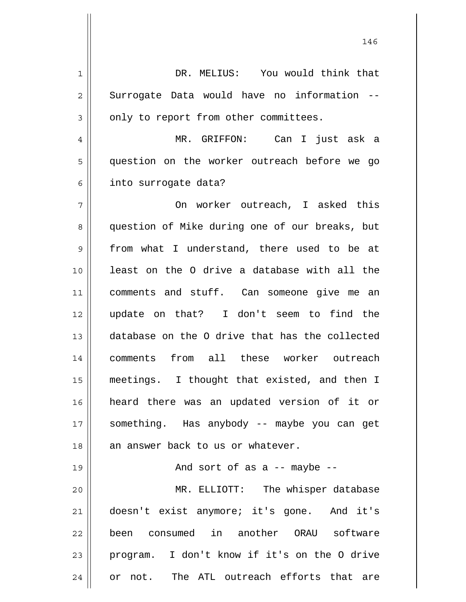1 2 3 4 5 6 7 8 9 10 11 12 13 14 15 16 17 18 19 20 21 22 23 24 DR. MELIUS: You would think that Surrogate Data would have no information - only to report from other committees. MR. GRIFFON: Can I just ask a question on the worker outreach before we go into surrogate data? On worker outreach, I asked this question of Mike during one of our breaks, but from what I understand, there used to be at least on the O drive a database with all the comments and stuff. Can someone give me an update on that? I don't seem to find the database on the O drive that has the collected comments from all these worker outreach meetings. I thought that existed, and then I heard there was an updated version of it or something. Has anybody -- maybe you can get an answer back to us or whatever. And sort of as a -- maybe -- MR. ELLIOTT: The whisper database doesn't exist anymore; it's gone. And it's been consumed in another ORAU software program. I don't know if it's on the O drive or not. The ATL outreach efforts that are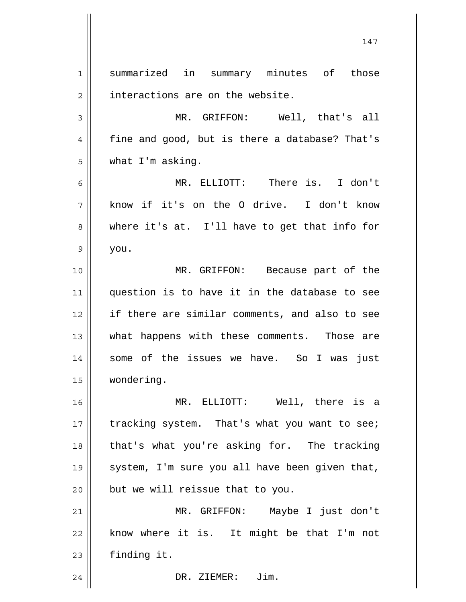1 2 3 4 5 6 7 8 9 10 11 12 13 14 15 16 17 18 19 20 21 22 23 24 summarized in summary minutes of those interactions are on the website. MR. GRIFFON: Well, that's all fine and good, but is there a database? That's what I'm asking. MR. ELLIOTT: There is. I don't know if it's on the O drive. I don't know where it's at. I'll have to get that info for you. MR. GRIFFON: Because part of the question is to have it in the database to see if there are similar comments, and also to see what happens with these comments. Those are some of the issues we have. So I was just wondering. MR. ELLIOTT: Well, there is a tracking system. That's what you want to see; that's what you're asking for. The tracking system, I'm sure you all have been given that, but we will reissue that to you. MR. GRIFFON: Maybe I just don't know where it is. It might be that I'm not finding it. DR. ZIEMER: Jim.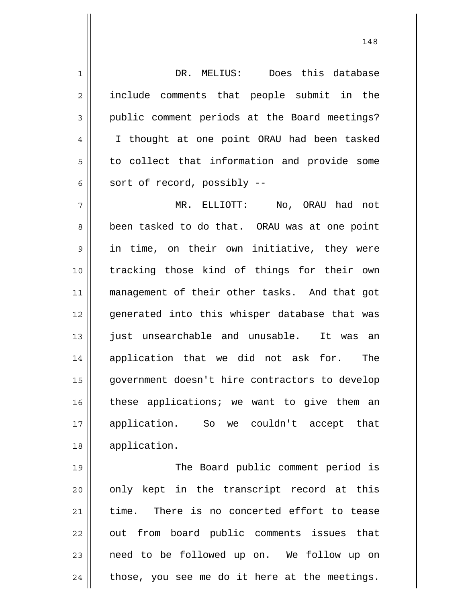1 2 3 4 5 6 DR. MELIUS: Does this database include comments that people submit in the public comment periods at the Board meetings? I thought at one point ORAU had been tasked to collect that information and provide some sort of record, possibly --

7 8 9 10 11 12 13 14 15 16 17 18 MR. ELLIOTT: No, ORAU had not been tasked to do that. ORAU was at one point in time, on their own initiative, they were tracking those kind of things for their own management of their other tasks. And that got generated into this whisper database that was just unsearchable and unusable. It was an application that we did not ask for. The government doesn't hire contractors to develop these applications; we want to give them an application. So we couldn't accept that application.

19 20 21 22 23 24 The Board public comment period is only kept in the transcript record at this time. There is no concerted effort to tease out from board public comments issues that need to be followed up on. We follow up on those, you see me do it here at the meetings.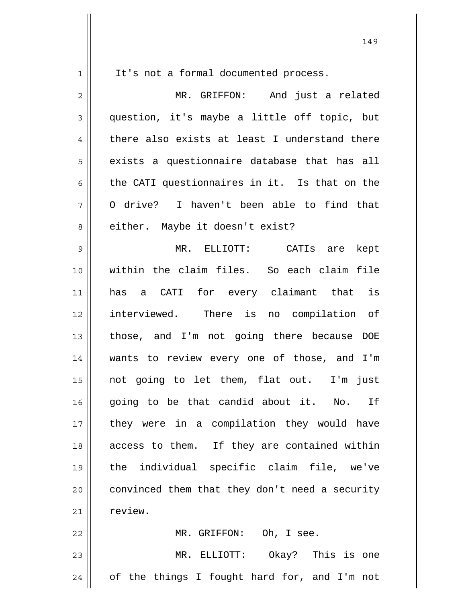| $\mathbf 1$    | It's not a formal documented process.          |
|----------------|------------------------------------------------|
| $\overline{2}$ | MR. GRIFFON: And just a related                |
| 3              | question, it's maybe a little off topic, but   |
| 4              | there also exists at least I understand there  |
| 5              | exists a questionnaire database that has all   |
| 6              | the CATI questionnaires in it. Is that on the  |
| 7              | O drive? I haven't been able to find that      |
| 8              | either. Maybe it doesn't exist?                |
| 9              | MR. ELLIOTT: CATIs are<br>kept                 |
| 10             | within the claim files. So each claim file     |
| 11             | a CATI for every claimant that is<br>has       |
| 12             | interviewed. There is no compilation of        |
| 13             | those, and I'm not going there because DOE     |
| 14             | wants to review every one of those, and I'm    |
| 15             | not going to let them, flat out. I'm just      |
| 16             | going to be that candid about it. No.<br>If    |
| 17             | they were in a compilation they would have     |
| 18             | access to them. If they are contained within   |
| 19             | the individual specific claim file, we've      |
| 20             | convinced them that they don't need a security |
| 21             | review.                                        |
| 22             | MR. GRIFFON: Oh, I see.                        |
| 23             | MR. ELLIOTT: Okay? This is one                 |
| 24             | of the things I fought hard for, and I'm not   |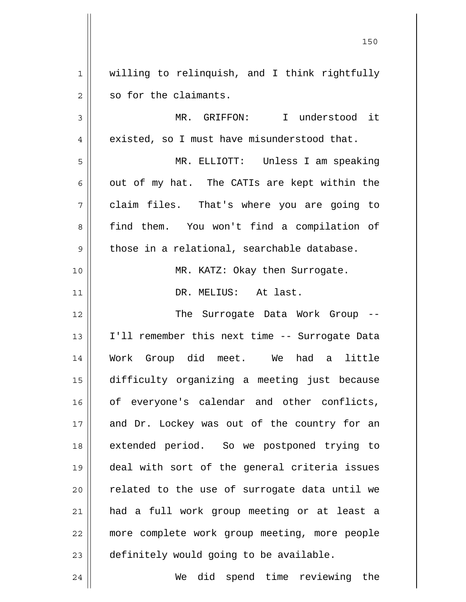1 2 3 4 5 6 7 8 9 10 11 12 13 14 15 16 17 18 19 20 21 22 23 willing to relinquish, and I think rightfully so for the claimants. MR. GRIFFON: I understood it existed, so I must have misunderstood that. MR. ELLIOTT: Unless I am speaking out of my hat. The CATIs are kept within the claim files. That's where you are going to find them. You won't find a compilation of those in a relational, searchable database. MR. KATZ: Okay then Surrogate. DR. MELIUS: At last. The Surrogate Data Work Group -- I'll remember this next time -- Surrogate Data Work Group did meet. We had a little difficulty organizing a meeting just because of everyone's calendar and other conflicts, and Dr. Lockey was out of the country for an extended period. So we postponed trying to deal with sort of the general criteria issues related to the use of surrogate data until we had a full work group meeting or at least a more complete work group meeting, more people definitely would going to be available.

We did spend time reviewing the

24

<u>150</u>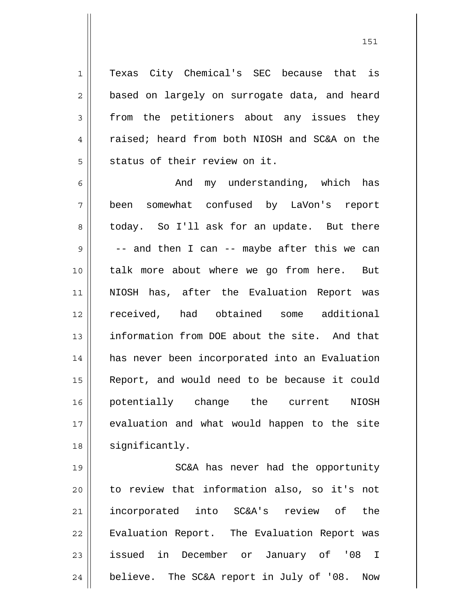1 2 3 4 5 Texas City Chemical's SEC because that is based on largely on surrogate data, and heard from the petitioners about any issues they raised; heard from both NIOSH and SC&A on the status of their review on it.

6 7 8 9 10 11 12 13 14 15 16 17 18 And my understanding, which has been somewhat confused by LaVon's report today. So I'll ask for an update. But there -- and then I can -- maybe after this we can talk more about where we go from here. But NIOSH has, after the Evaluation Report was received, had obtained some additional information from DOE about the site. And that has never been incorporated into an Evaluation Report, and would need to be because it could potentially change the current NIOSH evaluation and what would happen to the site significantly.

19 20 21 22 23 24 SC&A has never had the opportunity to review that information also, so it's not incorporated into SC&A's review of the Evaluation Report. The Evaluation Report was issued in December or January of '08 I believe. The SC&A report in July of '08. Now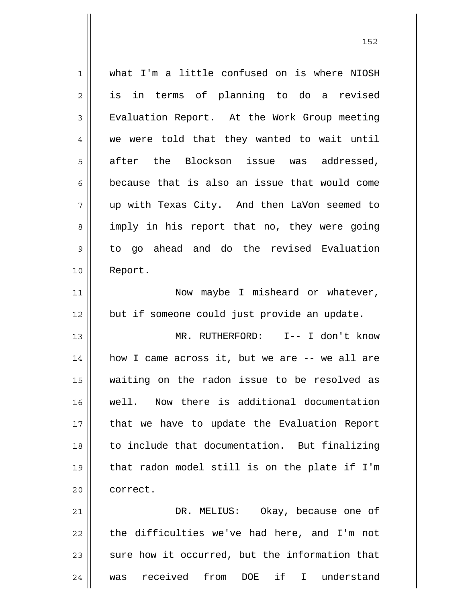| $\mathbf 1$    | what I'm a little confused on is where NIOSH              |
|----------------|-----------------------------------------------------------|
| $\overline{2}$ | is in terms of planning to do a revised                   |
| $\mathfrak{Z}$ | Evaluation Report. At the Work Group meeting              |
| $\overline{4}$ | we were told that they wanted to wait until               |
| 5              | after the Blockson issue was addressed,                   |
| 6              | because that is also an issue that would come             |
| 7              | up with Texas City. And then LaVon seemed to              |
| 8              | imply in his report that no, they were going              |
| 9              | to go ahead and do the revised Evaluation                 |
| 10             | Report.                                                   |
| 11             | Now maybe I misheard or whatever,                         |
| 12             | but if someone could just provide an update.              |
| 13             | MR. RUTHERFORD: I-- I don't know                          |
| 14             | how I came across it, but we are -- we all are            |
| 15             | waiting on the radon issue to be resolved as              |
| 16             | well. Now there is additional documentation               |
| 17             | that we have to update the Evaluation Report              |
| 18             | to include that documentation. But finalizing             |
| 19             | that radon model still is on the plate if I'm             |
| 20             | correct.                                                  |
| 21             | DR. MELIUS: Okay, because one of                          |
| 22             | the difficulties we've had here, and I'm not              |
| 23             | sure how it occurred, but the information that            |
| 24             | from DOE if<br>was received<br>$\mathbf{I}$<br>understand |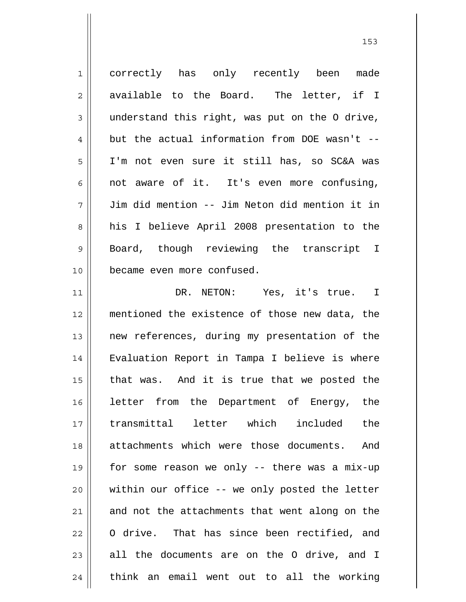1 2 3 4 5 6 7 8 9 10 11 12 13 14 15 16 17 18 19 20 21 22 23 24 correctly has only recently been made available to the Board. The letter, if I understand this right, was put on the O drive, but the actual information from DOE wasn't -- I'm not even sure it still has, so SC&A was not aware of it. It's even more confusing, Jim did mention -- Jim Neton did mention it in his I believe April 2008 presentation to the Board, though reviewing the transcript I became even more confused. DR. NETON: Yes, it's true. I mentioned the existence of those new data, the new references, during my presentation of the Evaluation Report in Tampa I believe is where that was. And it is true that we posted the letter from the Department of Energy, the transmittal letter which included the attachments which were those documents. And for some reason we only -- there was a mix-up within our office -- we only posted the letter and not the attachments that went along on the O drive. That has since been rectified, and all the documents are on the O drive, and I think an email went out to all the working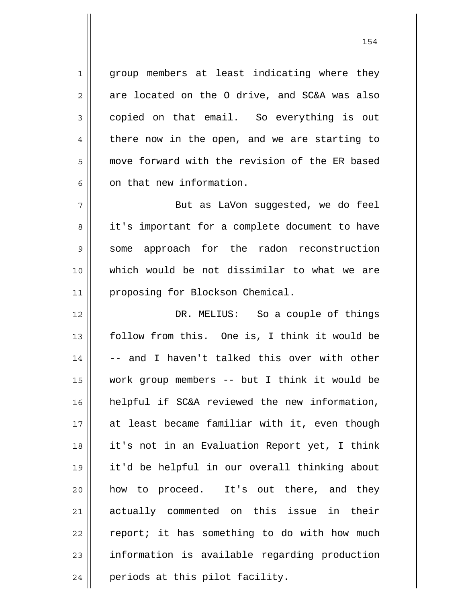group members at least indicating where they are located on the O drive, and SC&A was also copied on that email. So everything is out there now in the open, and we are starting to move forward with the revision of the ER based on that new information.

1

2

3

4

5

6

7 8 9 10 11 But as LaVon suggested, we do feel it's important for a complete document to have some approach for the radon reconstruction which would be not dissimilar to what we are proposing for Blockson Chemical.

12 13 14 15 16 17 18 19 20 21 22 23 24 DR. MELIUS: So a couple of things follow from this. One is, I think it would be -- and I haven't talked this over with other work group members -- but I think it would be helpful if SC&A reviewed the new information, at least became familiar with it, even though it's not in an Evaluation Report yet, I think it'd be helpful in our overall thinking about how to proceed. It's out there, and they actually commented on this issue in their report; it has something to do with how much information is available regarding production periods at this pilot facility.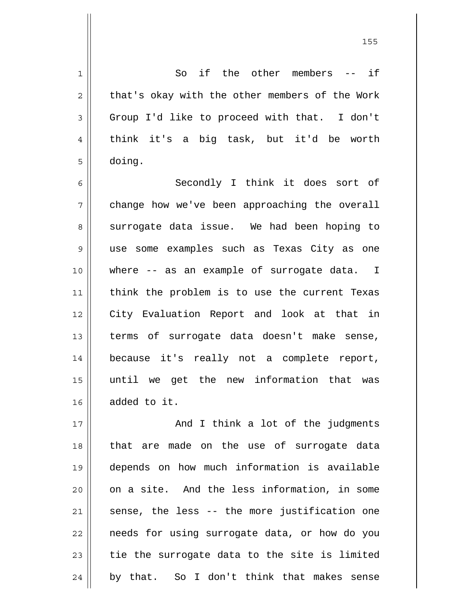So if the other members -- if that's okay with the other members of the Work Group I'd like to proceed with that. I don't think it's a big task, but it'd be worth doing.

1

2

3

4

5

6 7 8 9 10 11 12 13 14 15 16 Secondly I think it does sort of change how we've been approaching the overall surrogate data issue. We had been hoping to use some examples such as Texas City as one where -- as an example of surrogate data. I think the problem is to use the current Texas City Evaluation Report and look at that in terms of surrogate data doesn't make sense, because it's really not a complete report, until we get the new information that was added to it.

17 18 19 20 21 22 23 24 And I think a lot of the judgments that are made on the use of surrogate data depends on how much information is available on a site. And the less information, in some sense, the less -- the more justification one needs for using surrogate data, or how do you tie the surrogate data to the site is limited by that. So I don't think that makes sense

<u>155 میں اس کی استعمال کرتا ہے۔ اس کی اس کی اس کی اس کی اس کی اس کی اس کی اس کی اس کی اس کی اس کی اس کی اس کی</u>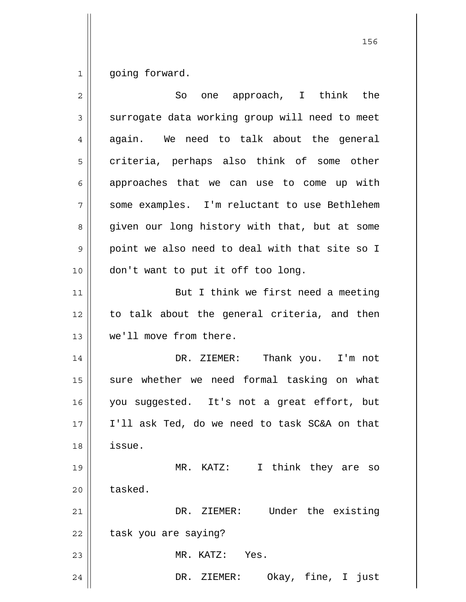1 going forward.

| $\overline{2}$ | one approach, I think the<br>So                |
|----------------|------------------------------------------------|
| 3              | surrogate data working group will need to meet |
| 4              | again. We need to talk about the general       |
| 5              | criteria, perhaps also think of some other     |
| 6              | approaches that we can use to come up with     |
| 7              | some examples. I'm reluctant to use Bethlehem  |
| 8              | given our long history with that, but at some  |
| $\mathsf 9$    | point we also need to deal with that site so I |
| 10             | don't want to put it off too long.             |
| 11             | But I think we first need a meeting            |
| 12             | to talk about the general criteria, and then   |
| 13             | we'll move from there.                         |
| 14             | DR. ZIEMER: Thank you. I'm not                 |
| 15             | sure whether we need formal tasking on what    |
| 16             | you suggested. It's not a great effort, but    |
| 17             | I'll ask Ted, do we need to task SC&A on that  |
| 18             | issue.                                         |
| 19             | I think they are so<br>MR. KATZ:               |
| 20             | tasked.                                        |
| 21             | DR. ZIEMER: Under the existing                 |
| 22             | task you are saying?                           |
| 23             | MR. KATZ: Yes.                                 |
| 24             | Okay, fine, I just<br>DR. ZIEMER:              |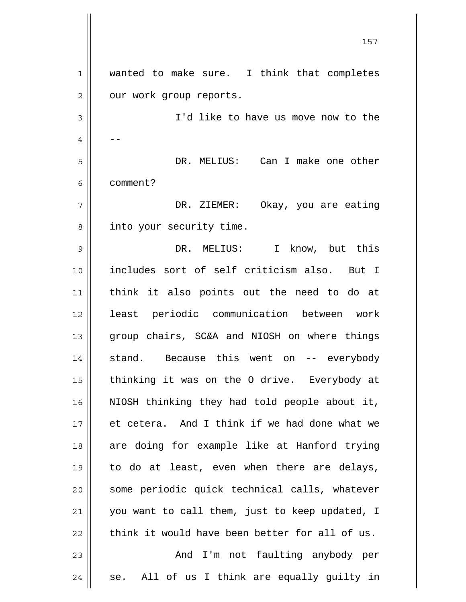1 2 3 4 5 6 7 8 9 10 11 12 13 14 15 16 17 18 19 20 21 22 23 24 wanted to make sure. I think that completes our work group reports. I'd like to have us move now to the -- DR. MELIUS: Can I make one other comment? DR. ZIEMER: Okay, you are eating into your security time. DR. MELIUS: I know, but this includes sort of self criticism also. But I think it also points out the need to do at least periodic communication between work group chairs, SC&A and NIOSH on where things stand. Because this went on -- everybody thinking it was on the O drive. Everybody at NIOSH thinking they had told people about it, et cetera. And I think if we had done what we are doing for example like at Hanford trying to do at least, even when there are delays, some periodic quick technical calls, whatever you want to call them, just to keep updated, I think it would have been better for all of us. And I'm not faulting anybody per se. All of us I think are equally guilty in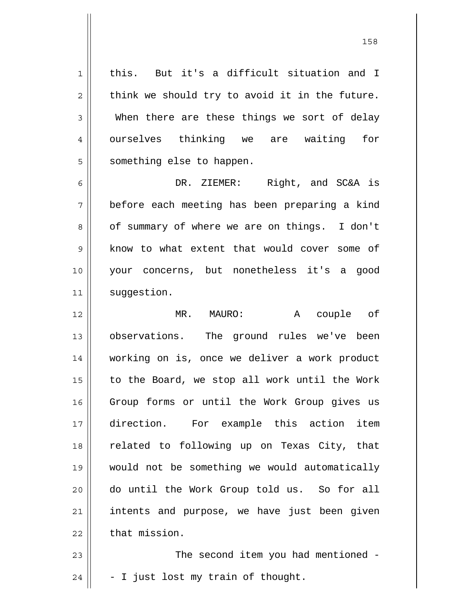1 2 3 4 5 this. But it's a difficult situation and I think we should try to avoid it in the future. When there are these things we sort of delay ourselves thinking we are waiting for something else to happen.

6 7 8 9 10 11 DR. ZIEMER: Right, and SC&A is before each meeting has been preparing a kind of summary of where we are on things. I don't know to what extent that would cover some of your concerns, but nonetheless it's a good suggestion.

12 13 14 15 16 17 18 19 20 21 22 MR. MAURO: A couple of observations. The ground rules we've been working on is, once we deliver a work product to the Board, we stop all work until the Work Group forms or until the Work Group gives us direction. For example this action item related to following up on Texas City, that would not be something we would automatically do until the Work Group told us. So for all intents and purpose, we have just been given that mission.

23 24 The second item you had mentioned - - I just lost my train of thought.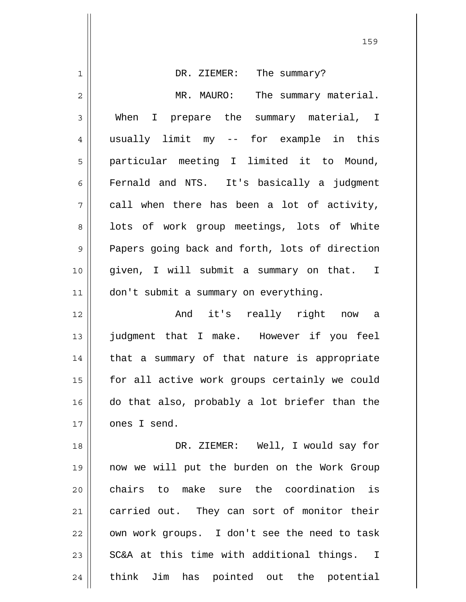|                | 159                                            |
|----------------|------------------------------------------------|
| $\mathbf 1$    | The summary?<br>DR. ZIEMER:                    |
| $\overline{2}$ | MR. MAURO:<br>The summary material.            |
| 3              | When I prepare the summary material, I         |
| $\overline{4}$ | usually limit my -- for example in this        |
| 5              | particular meeting I limited it to Mound,      |
| 6              | Fernald and NTS. It's basically a judgment     |
| 7              | call when there has been a lot of activity,    |
| 8              | lots of work group meetings, lots of White     |
| 9              | Papers going back and forth, lots of direction |
| 10             | given, I will submit a summary on that. I      |
| 11             | don't submit a summary on everything.          |
| 12             | And it's really right now a                    |
| 13             | judgment that I make. However if you feel      |
| 14             | that a summary of that nature is appropriate   |
| 15             | for all active work groups certainly we could  |
| 16             | do that also, probably a lot briefer than the  |
| 17             | ones I send.                                   |
| 18             | DR. ZIEMER: Well, I would say for              |
| 19             | now we will put the burden on the Work Group   |
| 20             | chairs to make sure the coordination is        |
| 21             | carried out. They can sort of monitor their    |
| 22             | own work groups. I don't see the need to task  |
| 23             | SC&A at this time with additional things. I    |
| 24             | think Jim has pointed out the potential        |

 $\mathbb{H}$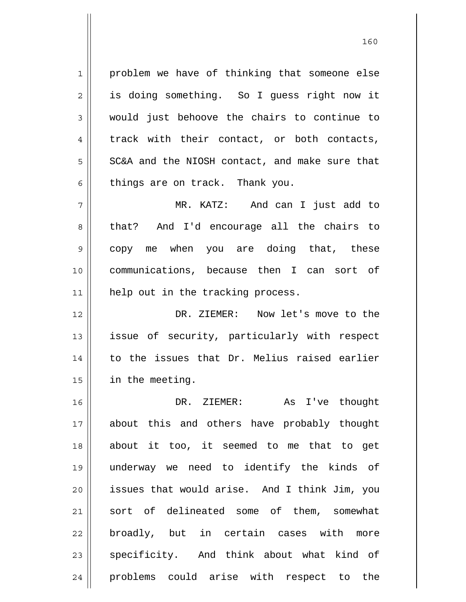1 2 3 4 5 6 7 8 9 10 11 12 13 14 15 16 17 18 19 20 21 22 23 24 problem we have of thinking that someone else is doing something. So I guess right now it would just behoove the chairs to continue to track with their contact, or both contacts, SC&A and the NIOSH contact, and make sure that things are on track. Thank you. MR. KATZ: And can I just add to that? And I'd encourage all the chairs to copy me when you are doing that, these communications, because then I can sort of help out in the tracking process. DR. ZIEMER: Now let's move to the issue of security, particularly with respect to the issues that Dr. Melius raised earlier in the meeting. DR. ZIEMER: As I've thought about this and others have probably thought about it too, it seemed to me that to get underway we need to identify the kinds of issues that would arise. And I think Jim, you sort of delineated some of them, somewhat broadly, but in certain cases with more specificity. And think about what kind of problems could arise with respect to the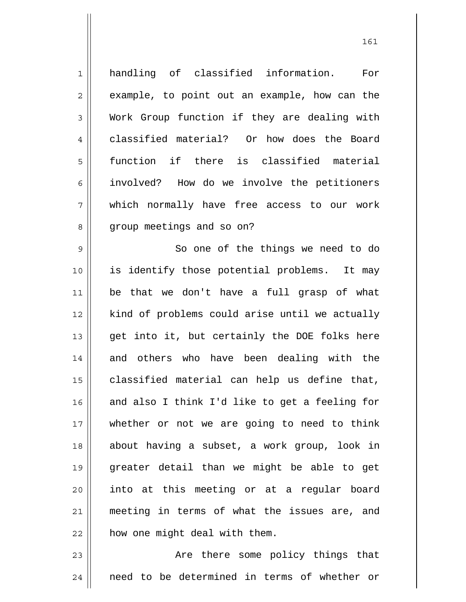1 2 3 4 5 6 7 8 9 10 11 12 13 14 15 16 17 18 19 handling of classified information. For example, to point out an example, how can the Work Group function if they are dealing with classified material? Or how does the Board function if there is classified material involved? How do we involve the petitioners which normally have free access to our work group meetings and so on? So one of the things we need to do is identify those potential problems. It may be that we don't have a full grasp of what kind of problems could arise until we actually get into it, but certainly the DOE folks here and others who have been dealing with the classified material can help us define that, and also I think I'd like to get a feeling for whether or not we are going to need to think about having a subset, a work group, look in greater detail than we might be able to get

23 24 Are there some policy things that need to be determined in terms of whether or

how one might deal with them.

into at this meeting or at a regular board

meeting in terms of what the issues are, and

20

21

22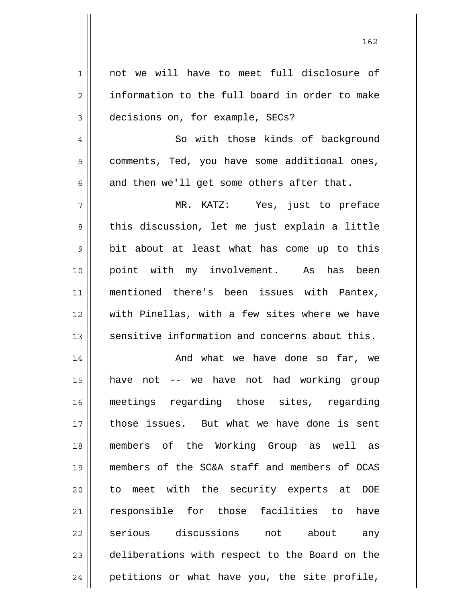| $\mathbf 1$    | not we will have to meet full disclosure of    |
|----------------|------------------------------------------------|
| $\overline{2}$ | information to the full board in order to make |
| 3              | decisions on, for example, SECs?               |
| $\overline{4}$ | So with those kinds of background              |
| 5              | comments, Ted, you have some additional ones,  |
| 6              | and then we'll get some others after that.     |
| 7              | MR. KATZ: Yes, just to preface                 |
| 8              | this discussion, let me just explain a little  |
| 9              | bit about at least what has come up to this    |
| 10             | point with my involvement. As has been         |
| 11             | mentioned there's been issues with Pantex,     |
| 12             | with Pinellas, with a few sites where we have  |
| 13             | sensitive information and concerns about this. |
| 14             | And what we have done so far, we               |
| 15             | have not -- we have not had working group      |
| 16             | meetings regarding those sites, regarding      |
| 17             | those issues. But what we have done is sent    |
| 18             | members of the Working Group as well as        |
| 19             | members of the SC&A staff and members of OCAS  |
| 20             | to meet with the security experts at DOE       |
| 21             | responsible for those facilities to<br>have    |
| 22             | serious discussions not<br>about<br>any        |
| 23             | deliberations with respect to the Board on the |
|                |                                                |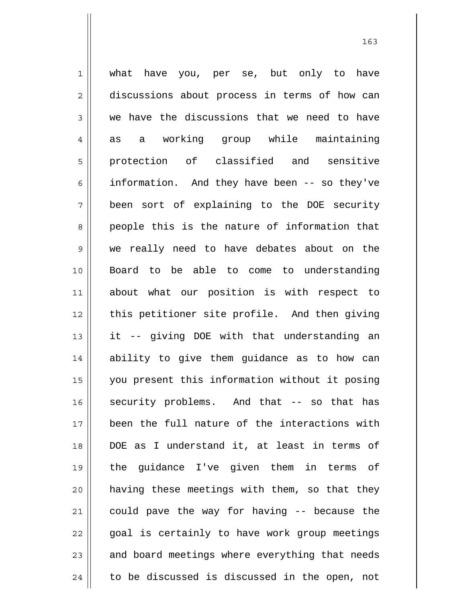1 2 3 4 5 6 7 8 9 10 11 12 13 14 15 16 17 18 19 20 21 22 23 24 what have you, per se, but only to have discussions about process in terms of how can we have the discussions that we need to have as a working group while maintaining protection of classified and sensitive information. And they have been -- so they've been sort of explaining to the DOE security people this is the nature of information that we really need to have debates about on the Board to be able to come to understanding about what our position is with respect to this petitioner site profile. And then giving it -- giving DOE with that understanding an ability to give them guidance as to how can you present this information without it posing security problems. And that -- so that has been the full nature of the interactions with DOE as I understand it, at least in terms of the guidance I've given them in terms of having these meetings with them, so that they could pave the way for having -- because the goal is certainly to have work group meetings and board meetings where everything that needs to be discussed is discussed in the open, not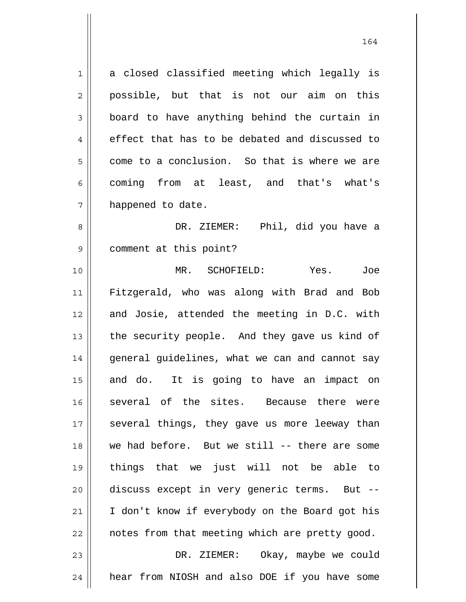1 2 3 4 5 6 7 a closed classified meeting which legally is possible, but that is not our aim on this board to have anything behind the curtain in effect that has to be debated and discussed to come to a conclusion. So that is where we are coming from at least, and that's what's happened to date.

164

8 9 DR. ZIEMER: Phil, did you have a comment at this point?

10 11 12 13 14 15 16 17 18 19 20 21 22 23 MR. SCHOFIELD: Yes. Joe Fitzgerald, who was along with Brad and Bob and Josie, attended the meeting in D.C. with the security people. And they gave us kind of general guidelines, what we can and cannot say and do. It is going to have an impact on several of the sites. Because there were several things, they gave us more leeway than we had before. But we still -- there are some things that we just will not be able to discuss except in very generic terms. But -- I don't know if everybody on the Board got his notes from that meeting which are pretty good. DR. ZIEMER: Okay, maybe we could

hear from NIOSH and also DOE if you have some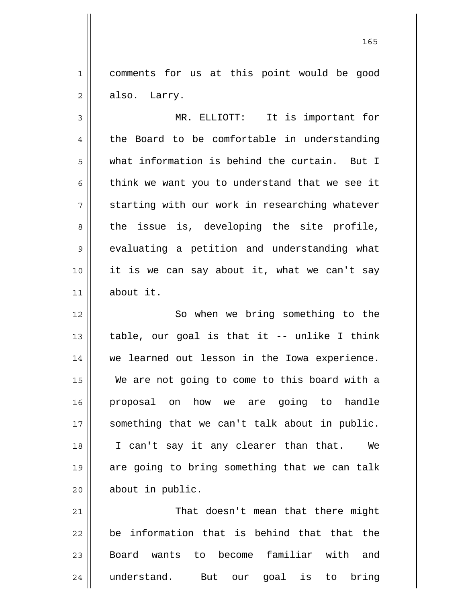1 2 comments for us at this point would be good also. Larry.

3 4 5 6 7 8 9 10 11 MR. ELLIOTT: It is important for the Board to be comfortable in understanding what information is behind the curtain. But I think we want you to understand that we see it starting with our work in researching whatever the issue is, developing the site profile, evaluating a petition and understanding what it is we can say about it, what we can't say about it.

12 13 14 15 16 17 18 19 20 So when we bring something to the table, our goal is that it -- unlike I think we learned out lesson in the Iowa experience. We are not going to come to this board with a proposal on how we are going to handle something that we can't talk about in public. I can't say it any clearer than that. We are going to bring something that we can talk about in public.

21 22 23 24 That doesn't mean that there might be information that is behind that that the Board wants to become familiar with and understand. But our goal is to bring

<u>165</u>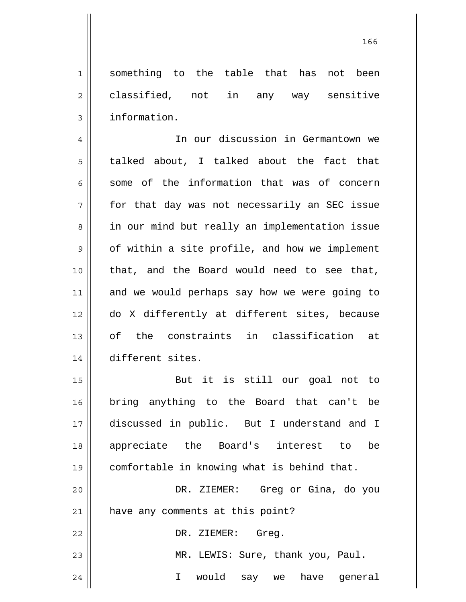something to the table that has not been classified, not in any way sensitive information.

1

2

3

21

4 5 6 7 8 9 10 11 12 13 14 In our discussion in Germantown we talked about, I talked about the fact that some of the information that was of concern for that day was not necessarily an SEC issue in our mind but really an implementation issue of within a site profile, and how we implement that, and the Board would need to see that, and we would perhaps say how we were going to do X differently at different sites, because of the constraints in classification at different sites.

15 16 17 18 19 20 But it is still our goal not to bring anything to the Board that can't be discussed in public. But I understand and I appreciate the Board's interest to be comfortable in knowing what is behind that. DR. ZIEMER: Greg or Gina, do you

have any comments at this point?

22 23 24 DR. ZIEMER: Greg. MR. LEWIS: Sure, thank you, Paul. I would say we have general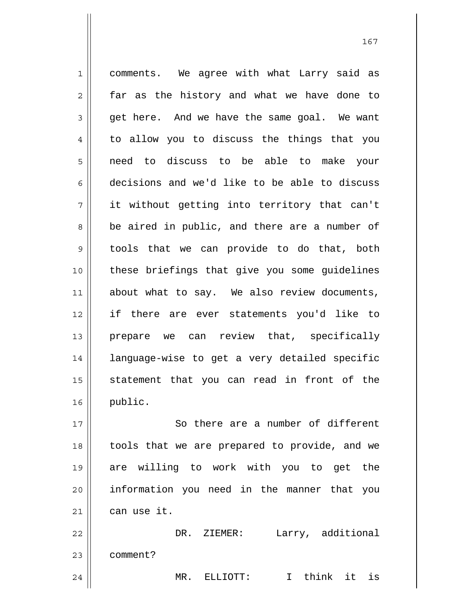1 2 3 4 5 6 7 8 9 10 11 12 13 14 15 16 17 comments. We agree with what Larry said as far as the history and what we have done to get here. And we have the same goal. We want to allow you to discuss the things that you need to discuss to be able to make your decisions and we'd like to be able to discuss it without getting into territory that can't be aired in public, and there are a number of tools that we can provide to do that, both these briefings that give you some guidelines about what to say. We also review documents, if there are ever statements you'd like to prepare we can review that, specifically language-wise to get a very detailed specific statement that you can read in front of the public. So there are a number of different

18 19 20 21 tools that we are prepared to provide, and we are willing to work with you to get the information you need in the manner that you can use it.

22 23 24 DR. ZIEMER: Larry, additional comment? MR. ELLIOTT: I think it is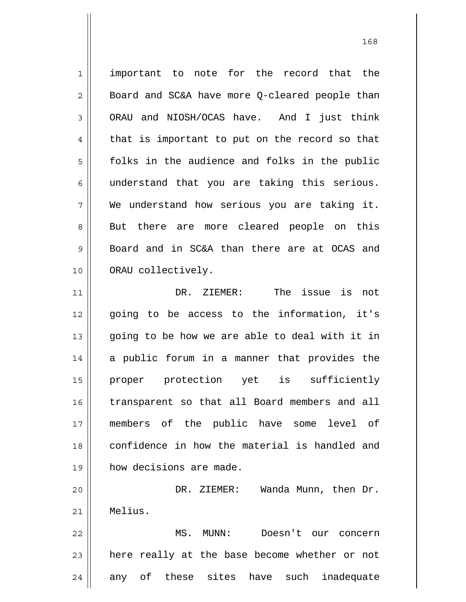1 2 3 4 5 6 7 8 9 10 11 12 13 14 15 16 17 18 19 20 21 22 important to note for the record that the Board and SC&A have more Q-cleared people than ORAU and NIOSH/OCAS have. And I just think that is important to put on the record so that folks in the audience and folks in the public understand that you are taking this serious. We understand how serious you are taking it. But there are more cleared people on this Board and in SC&A than there are at OCAS and ORAU collectively. DR. ZIEMER: The issue is not going to be access to the information, it's going to be how we are able to deal with it in a public forum in a manner that provides the proper protection yet is sufficiently transparent so that all Board members and all members of the public have some level of confidence in how the material is handled and how decisions are made. DR. ZIEMER: Wanda Munn, then Dr. Melius. MS. MUNN: Doesn't our concern

24 any of these sites have such inadequate

here really at the base become whether or not

23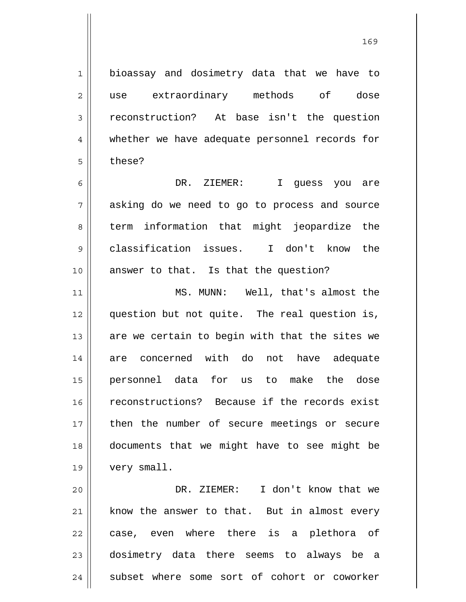bioassay and dosimetry data that we have to use extraordinary methods of dose reconstruction? At base isn't the question whether we have adequate personnel records for these?

1

2

3

4

5

6 7 8 9 10 DR. ZIEMER: I guess you are asking do we need to go to process and source term information that might jeopardize the classification issues. I don't know the answer to that. Is that the question?

11 12 13 14 15 16 17 18 19 MS. MUNN: Well, that's almost the question but not quite. The real question is, are we certain to begin with that the sites we are concerned with do not have adequate personnel data for us to make the dose reconstructions? Because if the records exist then the number of secure meetings or secure documents that we might have to see might be very small.

20 21 22 23 24 DR. ZIEMER: I don't know that we know the answer to that. But in almost every case, even where there is a plethora of dosimetry data there seems to always be a subset where some sort of cohort or coworker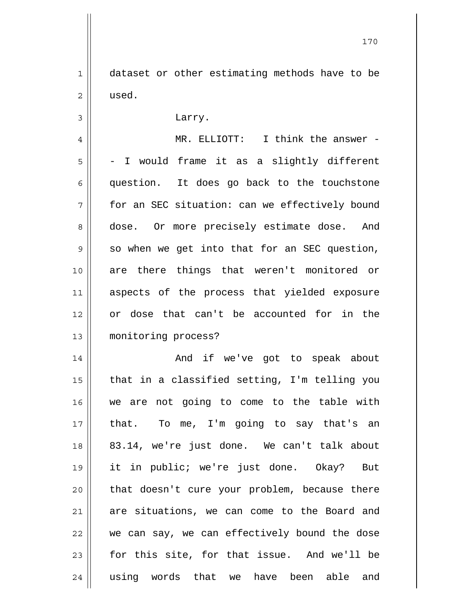1 2 dataset or other estimating methods have to be used.

3 4 5 6 7 8 9 10 11 12 13 14 Larry. MR. ELLIOTT: I think the answer -- I would frame it as a slightly different question. It does go back to the touchstone for an SEC situation: can we effectively bound dose. Or more precisely estimate dose. And so when we get into that for an SEC question, are there things that weren't monitored or aspects of the process that yielded exposure or dose that can't be accounted for in the monitoring process? And if we've got to speak about

15 16 17 18 19 20 21 22 23 24 that in a classified setting, I'm telling you we are not going to come to the table with that. To me, I'm going to say that's an 83.14, we're just done. We can't talk about it in public; we're just done. Okay? But that doesn't cure your problem, because there are situations, we can come to the Board and we can say, we can effectively bound the dose for this site, for that issue. And we'll be using words that we have been able and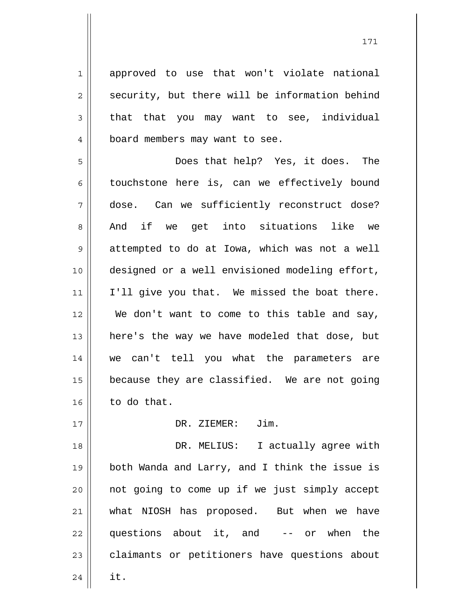approved to use that won't violate national security, but there will be information behind that that you may want to see, individual board members may want to see.

1

2

3

4

17

5 6 7 8 9 10 11 12 13 14 15 16 Does that help? Yes, it does. The touchstone here is, can we effectively bound dose. Can we sufficiently reconstruct dose? And if we get into situations like we attempted to do at Iowa, which was not a well designed or a well envisioned modeling effort, I'll give you that. We missed the boat there. We don't want to come to this table and say, here's the way we have modeled that dose, but we can't tell you what the parameters are because they are classified. We are not going to do that.

DR. ZIEMER: Jim.

18 19 20 21 22 23 24 DR. MELIUS: I actually agree with both Wanda and Larry, and I think the issue is not going to come up if we just simply accept what NIOSH has proposed. But when we have questions about it, and -- or when the claimants or petitioners have questions about it.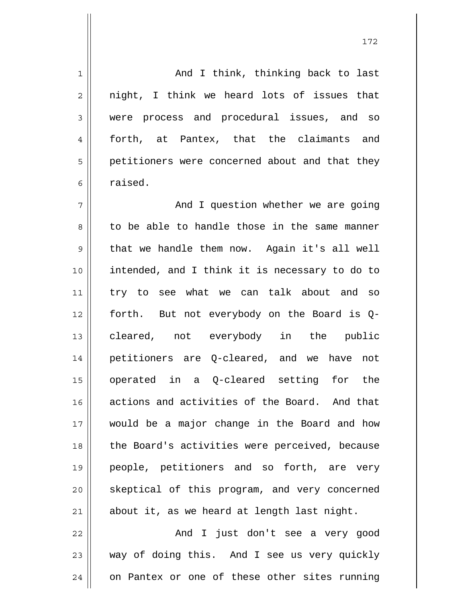1 2 3 4 5 6 7 8 9 10 11 12 13 14 15 16 17 18 19 20 21 22 And I think, thinking back to last night, I think we heard lots of issues that were process and procedural issues, and so forth, at Pantex, that the claimants and petitioners were concerned about and that they raised. And I question whether we are going to be able to handle those in the same manner that we handle them now. Again it's all well intended, and I think it is necessary to do to try to see what we can talk about and so forth. But not everybody on the Board is Qcleared, not everybody in the public petitioners are Q-cleared, and we have not operated in a Q-cleared setting for the actions and activities of the Board. And that would be a major change in the Board and how the Board's activities were perceived, because people, petitioners and so forth, are very skeptical of this program, and very concerned about it, as we heard at length last night. And I just don't see a very good

23 24 way of doing this. And I see us very quickly on Pantex or one of these other sites running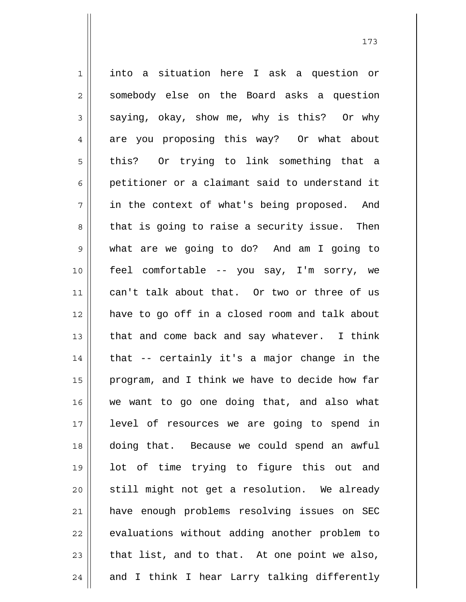1 2 3 4 5 6 7 8 9 10 11 12 13 14 15 16 17 18 19 20 21 22 23 24 into a situation here I ask a question or somebody else on the Board asks a question saying, okay, show me, why is this? Or why are you proposing this way? Or what about this? Or trying to link something that a petitioner or a claimant said to understand it in the context of what's being proposed. And that is going to raise a security issue. Then what are we going to do? And am I going to feel comfortable -- you say, I'm sorry, we can't talk about that. Or two or three of us have to go off in a closed room and talk about that and come back and say whatever. I think that -- certainly it's a major change in the program, and I think we have to decide how far we want to go one doing that, and also what level of resources we are going to spend in doing that. Because we could spend an awful lot of time trying to figure this out and still might not get a resolution. We already have enough problems resolving issues on SEC evaluations without adding another problem to that list, and to that. At one point we also, and I think I hear Larry talking differently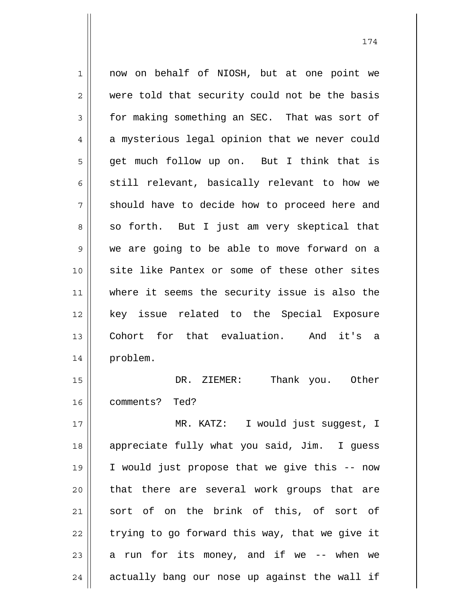1 2 3 4 5 6 7 8 9 10 11 12 13 14 15 16 17 18 19 20 21 22 now on behalf of NIOSH, but at one point we were told that security could not be the basis for making something an SEC. That was sort of a mysterious legal opinion that we never could get much follow up on. But I think that is still relevant, basically relevant to how we should have to decide how to proceed here and so forth. But I just am very skeptical that we are going to be able to move forward on a site like Pantex or some of these other sites where it seems the security issue is also the key issue related to the Special Exposure Cohort for that evaluation. And it's a problem. DR. ZIEMER: Thank you. Other comments? Ted? MR. KATZ: I would just suggest, I appreciate fully what you said, Jim. I guess I would just propose that we give this -- now that there are several work groups that are sort of on the brink of this, of sort of trying to go forward this way, that we give it

174

24 actually bang our nose up against the wall if

a run for its money, and if we -- when we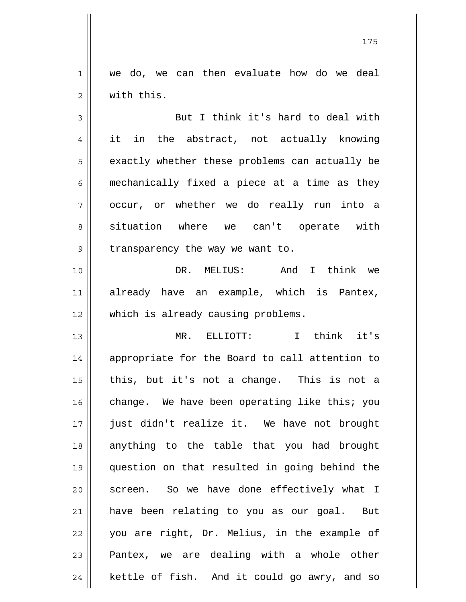1 2 we do, we can then evaluate how do we deal with this.

3 4 5 6 7 8 9 But I think it's hard to deal with it in the abstract, not actually knowing exactly whether these problems can actually be mechanically fixed a piece at a time as they occur, or whether we do really run into a situation where we can't operate with transparency the way we want to.

10 11 12 DR. MELIUS: And I think we already have an example, which is Pantex, which is already causing problems.

13 14 15 16 17 18 19 20 21 22 23 24 MR. ELLIOTT: I think it's appropriate for the Board to call attention to this, but it's not a change. This is not a change. We have been operating like this; you just didn't realize it. We have not brought anything to the table that you had brought question on that resulted in going behind the screen. So we have done effectively what I have been relating to you as our goal. But you are right, Dr. Melius, in the example of Pantex, we are dealing with a whole other kettle of fish. And it could go awry, and so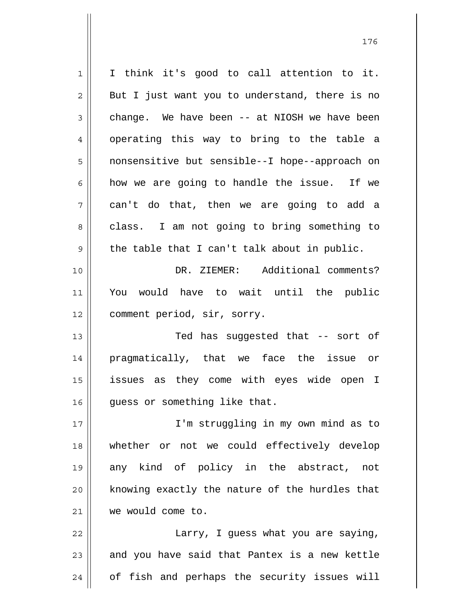1 2 3 4 5 6 7 8 9 10 11 12 13 14 15 16 17 18 19 20 21 22 23 I think it's good to call attention to it. But I just want you to understand, there is no change. We have been -- at NIOSH we have been operating this way to bring to the table a nonsensitive but sensible--I hope--approach on how we are going to handle the issue. If we can't do that, then we are going to add a class. I am not going to bring something to the table that I can't talk about in public. DR. ZIEMER: Additional comments? You would have to wait until the public comment period, sir, sorry. Ted has suggested that -- sort of pragmatically, that we face the issue or issues as they come with eyes wide open I guess or something like that. I'm struggling in my own mind as to whether or not we could effectively develop any kind of policy in the abstract, not knowing exactly the nature of the hurdles that we would come to. Larry, I guess what you are saying, and you have said that Pantex is a new kettle

of fish and perhaps the security issues will

24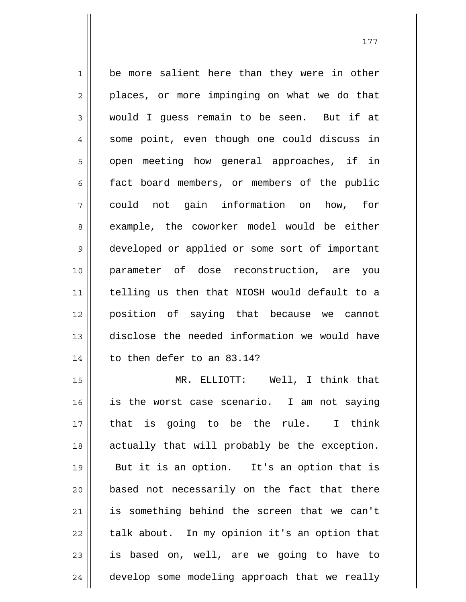1 2 3 4 5 6 7 8 9 10 11 12 13 14 15 16 be more salient here than they were in other places, or more impinging on what we do that would I guess remain to be seen. But if at some point, even though one could discuss in open meeting how general approaches, if in fact board members, or members of the public could not gain information on how, for example, the coworker model would be either developed or applied or some sort of important parameter of dose reconstruction, are you telling us then that NIOSH would default to a position of saying that because we cannot disclose the needed information we would have to then defer to an 83.14? MR. ELLIOTT: Well, I think that is the worst case scenario. I am not saying that is going to be the rule. I think

17 18 19 20 21 22 23 24 actually that will probably be the exception. But it is an option. It's an option that is based not necessarily on the fact that there is something behind the screen that we can't talk about. In my opinion it's an option that is based on, well, are we going to have to develop some modeling approach that we really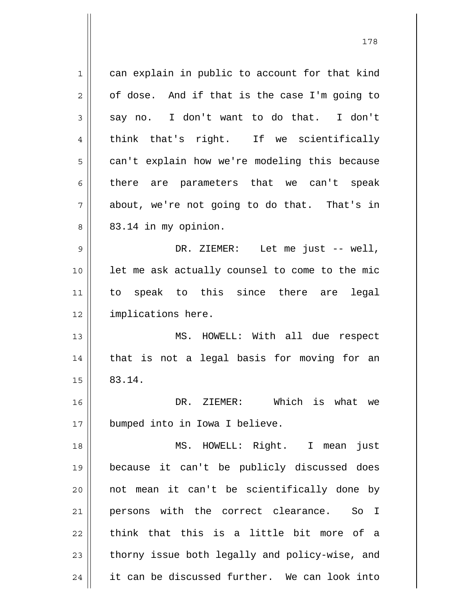1 2 3 4 5 6 7 8 9 10 11 12 13 14 15 16 17 18 19 20 21 22 23 24 can explain in public to account for that kind of dose. And if that is the case I'm going to say no. I don't want to do that. I don't think that's right. If we scientifically can't explain how we're modeling this because there are parameters that we can't speak about, we're not going to do that. That's in 83.14 in my opinion. DR. ZIEMER: Let me just -- well, let me ask actually counsel to come to the mic to speak to this since there are legal implications here. MS. HOWELL: With all due respect that is not a legal basis for moving for an 83.14. DR. ZIEMER: Which is what we bumped into in Iowa I believe. MS. HOWELL: Right. I mean just because it can't be publicly discussed does not mean it can't be scientifically done by persons with the correct clearance. So I think that this is a little bit more of a thorny issue both legally and policy-wise, and it can be discussed further. We can look into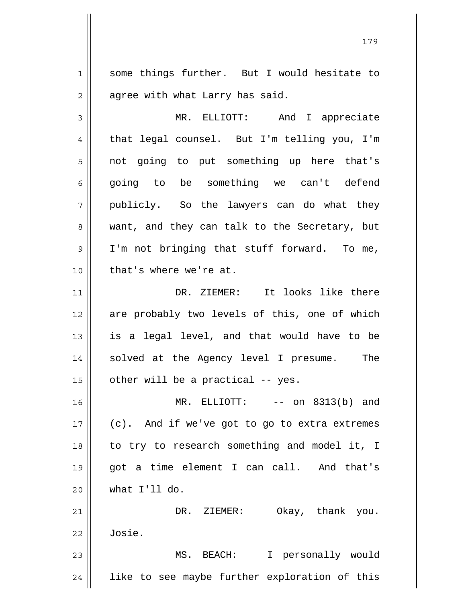1 2 some things further. But I would hesitate to agree with what Larry has said.

3 4 5 6 7 8 9 10 MR. ELLIOTT: And I appreciate that legal counsel. But I'm telling you, I'm not going to put something up here that's going to be something we can't defend publicly. So the lawyers can do what they want, and they can talk to the Secretary, but I'm not bringing that stuff forward. To me, that's where we're at.

11 12 13 14 15 DR. ZIEMER: It looks like there are probably two levels of this, one of which is a legal level, and that would have to be solved at the Agency level I presume. The other will be a practical -- yes.

16 17 18 19 20 MR. ELLIOTT: -- on 8313(b) and (c). And if we've got to go to extra extremes to try to research something and model it, I got a time element I can call. And that's what I'll do.

21 22 DR. ZIEMER: Okay, thank you. Josie.

23 24 MS. BEACH: I personally would like to see maybe further exploration of this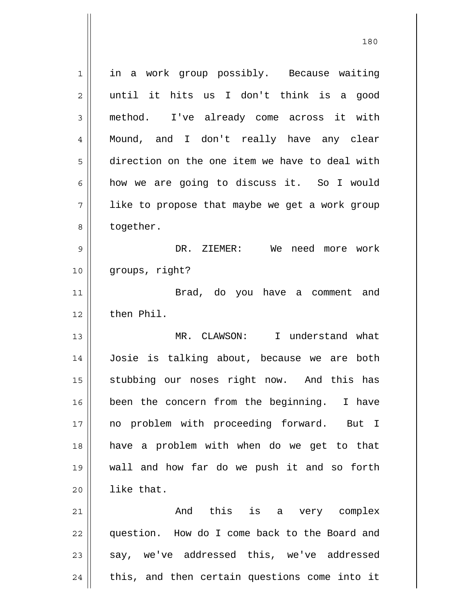1 2 3 4 5 6 7 8 9 10 11 12 13 14 15 16 17 18 19 20 21 22 23 in a work group possibly. Because waiting until it hits us I don't think is a good method. I've already come across it with Mound, and I don't really have any clear direction on the one item we have to deal with how we are going to discuss it. So I would like to propose that maybe we get a work group together. DR. ZIEMER: We need more work groups, right? Brad, do you have a comment and then Phil. MR. CLAWSON: I understand what Josie is talking about, because we are both stubbing our noses right now. And this has been the concern from the beginning. I have no problem with proceeding forward. But I have a problem with when do we get to that wall and how far do we push it and so forth like that. And this is a very complex question. How do I come back to the Board and say, we've addressed this, we've addressed

this, and then certain questions come into it

24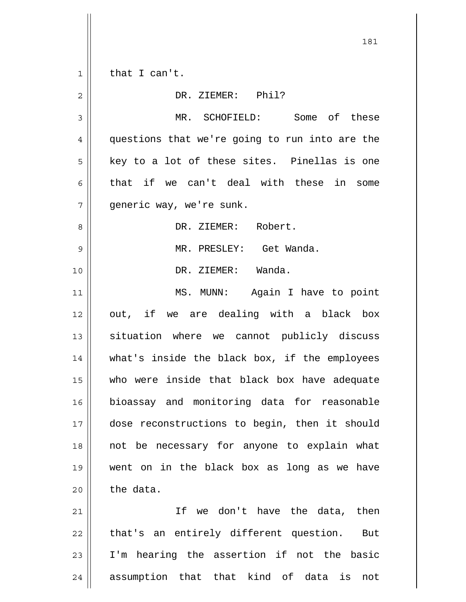1 2 3 4 5 6 7 8 9 10 11 12 13 14 15 16 17 18 19 20 21 22 23 24 that I can't. DR. ZIEMER: Phil? MR. SCHOFIELD: Some of these questions that we're going to run into are the key to a lot of these sites. Pinellas is one that if we can't deal with these in some generic way, we're sunk. DR. ZIEMER: Robert. MR. PRESLEY: Get Wanda. DR. ZIEMER: Wanda. MS. MUNN: Again I have to point out, if we are dealing with a black box situation where we cannot publicly discuss what's inside the black box, if the employees who were inside that black box have adequate bioassay and monitoring data for reasonable dose reconstructions to begin, then it should not be necessary for anyone to explain what went on in the black box as long as we have the data. If we don't have the data, then that's an entirely different question. But I'm hearing the assertion if not the basic assumption that that kind of data is not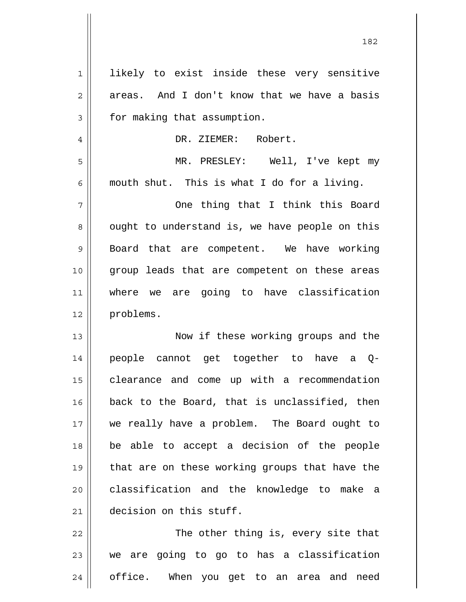| $\mathbf 1$ | likely to exist inside these very sensitive    |
|-------------|------------------------------------------------|
| 2           | areas. And I don't know that we have a basis   |
| 3           | for making that assumption.                    |
| 4           | DR. ZIEMER: Robert.                            |
| 5           | MR. PRESLEY: Well, I've kept my                |
| 6           | mouth shut. This is what I do for a living.    |
| 7           | One thing that I think this Board              |
| 8           | ought to understand is, we have people on this |
| 9           | Board that are competent. We have working      |
| 10          | group leads that are competent on these areas  |
| 11          | where we are going to have classification      |
| 12          | problems.                                      |
| 13          | Now if these working groups and the            |
| 14          | people cannot get together to have a Q-        |
| 15          | clearance and come up with a recommendation    |
| 16          | back to the Board, that is unclassified, then  |
| 17          | we really have a problem. The Board ought to   |
| 18          | be able to accept a decision of the people     |
| 19          | that are on these working groups that have the |
| 20          | classification and the knowledge to make a     |
| 21          | decision on this stuff.                        |
| 22          | The other thing is, every site that            |
| 23          | we are going to go to has a classification     |
|             |                                                |

24 office. When you get to an area and need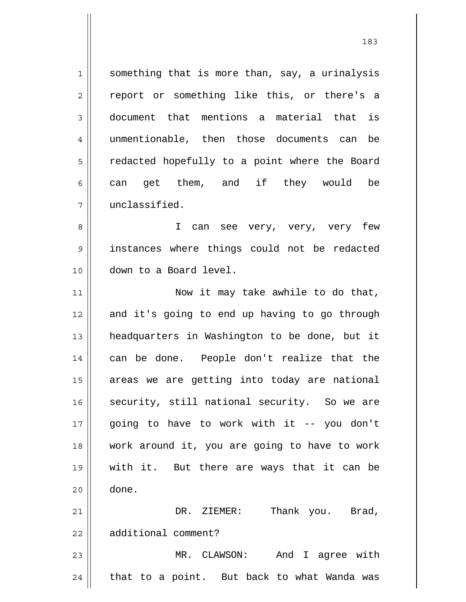1 2 3 4 5 6 7 something that is more than, say, a urinalysis report or something like this, or there's a document that mentions a material that is unmentionable, then those documents can be redacted hopefully to a point where the Board can get them, and if they would be unclassified.

8 9 10 I can see very, very, very few instances where things could not be redacted down to a Board level.

11 12 13 14 15 16 17 18 19 20 21 Now it may take awhile to do that, and it's going to end up having to go through headquarters in Washington to be done, but it can be done. People don't realize that the areas we are getting into today are national security, still national security. So we are going to have to work with it -- you don't work around it, you are going to have to work with it. But there are ways that it can be done. DR. ZIEMER: Thank you. Brad,

22 additional comment?

23 24 MR. CLAWSON: And I agree with that to a point. But back to what Wanda was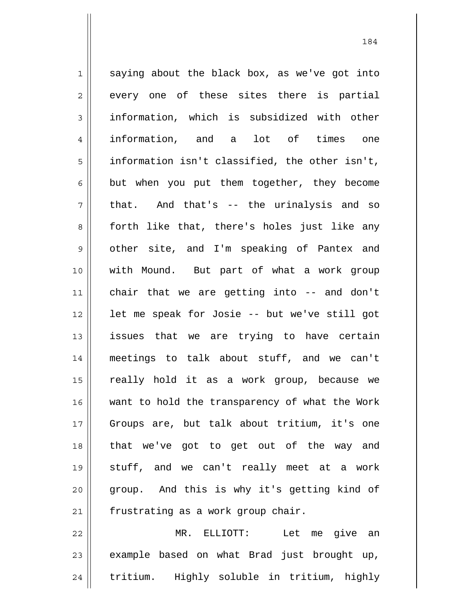1 2 3 4 5 6 7 8 9 10 11 12 13 14 15 16 17 18 19 20 21 saying about the black box, as we've got into every one of these sites there is partial information, which is subsidized with other information, and a lot of times one information isn't classified, the other isn't, but when you put them together, they become that. And that's -- the urinalysis and so forth like that, there's holes just like any other site, and I'm speaking of Pantex and with Mound. But part of what a work group chair that we are getting into -- and don't let me speak for Josie -- but we've still got issues that we are trying to have certain meetings to talk about stuff, and we can't really hold it as a work group, because we want to hold the transparency of what the Work Groups are, but talk about tritium, it's one that we've got to get out of the way and stuff, and we can't really meet at a work group. And this is why it's getting kind of frustrating as a work group chair.

22 23 24 MR. ELLIOTT: Let me give an example based on what Brad just brought up, tritium. Highly soluble in tritium, highly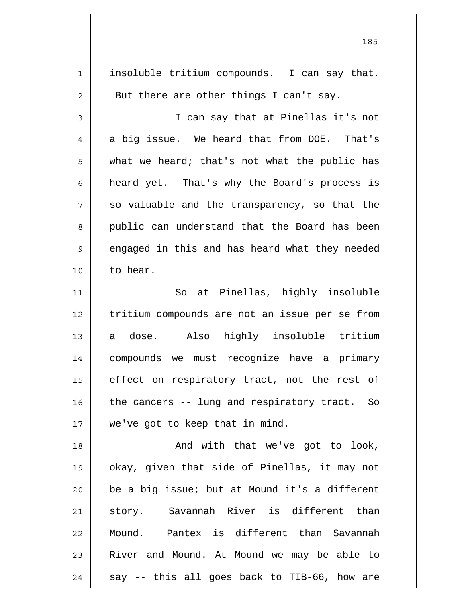| $\mathbf{1}$   | insoluble tritium compounds. I can say that.   |
|----------------|------------------------------------------------|
| $\overline{2}$ | But there are other things I can't say.        |
| 3              | I can say that at Pinellas it's not            |
| $\overline{4}$ | a big issue. We heard that from DOE. That's    |
| 5              | what we heard; that's not what the public has  |
| 6              | heard yet. That's why the Board's process is   |
| 7              | so valuable and the transparency, so that the  |
| 8              | public can understand that the Board has been  |
| $\mathsf 9$    | engaged in this and has heard what they needed |
| 10             | to hear.                                       |
| 11             | So at Pinellas, highly insoluble               |
| 12             | tritium compounds are not an issue per se from |
| 13             | a dose. Also highly insoluble tritium          |
| 14             | compounds we must recognize have a primary     |
| 15             | effect on respiratory tract, not the rest of   |
| 16             | the cancers -- lung and respiratory tract. So  |
| 17             | we've got to keep that in mind.                |
| 18             | And with that we've got to look,               |
| 19             | okay, given that side of Pinellas, it may not  |
| 20             | be a big issue; but at Mound it's a different  |
| 21             | story. Savannah River is different than        |
| 22             | Pantex is different than Savannah<br>Mound.    |
| 23             | River and Mound. At Mound we may be able to    |
| 24             | say -- this all goes back to TIB-66, how are   |

<u>185</u>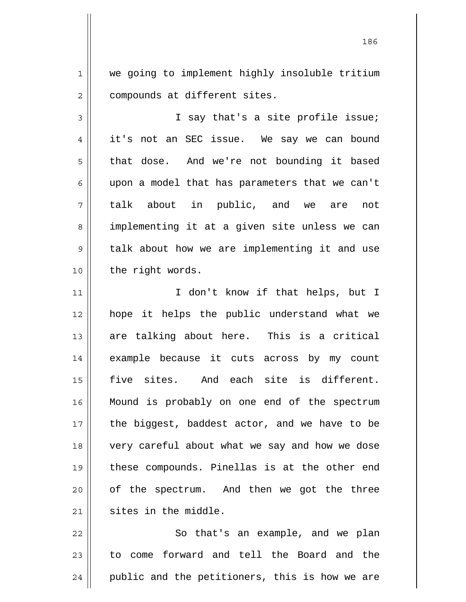1 2 we going to implement highly insoluble tritium compounds at different sites.

3 4 5 6 7 8 9 10 I say that's a site profile issue; it's not an SEC issue. We say we can bound that dose. And we're not bounding it based upon a model that has parameters that we can't talk about in public, and we are not implementing it at a given site unless we can talk about how we are implementing it and use the right words.

11 12 13 14 15 16 17 18 19 20 21 I don't know if that helps, but I hope it helps the public understand what we are talking about here. This is a critical example because it cuts across by my count five sites. And each site is different. Mound is probably on one end of the spectrum the biggest, baddest actor, and we have to be very careful about what we say and how we dose these compounds. Pinellas is at the other end of the spectrum. And then we got the three sites in the middle.

22 23 24 So that's an example, and we plan to come forward and tell the Board and the public and the petitioners, this is how we are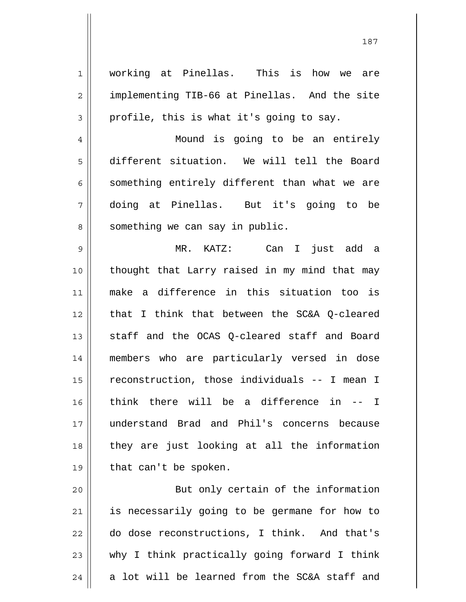1 2 3 4 5 6 7 8 9 10 11 12 13 14 15 16 17 18 19 working at Pinellas. This is how we are implementing TIB-66 at Pinellas. And the site profile, this is what it's going to say. Mound is going to be an entirely different situation. We will tell the Board something entirely different than what we are doing at Pinellas. But it's going to be something we can say in public. MR. KATZ: Can I just add a thought that Larry raised in my mind that may make a difference in this situation too is that I think that between the SC&A Q-cleared staff and the OCAS Q-cleared staff and Board members who are particularly versed in dose reconstruction, those individuals -- I mean I think there will be a difference in -- I understand Brad and Phil's concerns because they are just looking at all the information that can't be spoken.

20 21 22 23 24 But only certain of the information is necessarily going to be germane for how to do dose reconstructions, I think. And that's why I think practically going forward I think a lot will be learned from the SC&A staff and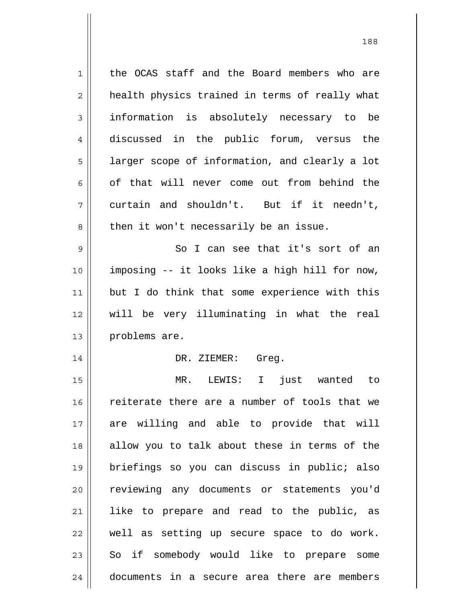| 1           | the OCAS staff and the Board members who are   |
|-------------|------------------------------------------------|
| 2           | health physics trained in terms of really what |
| 3           | information is absolutely necessary to be      |
| 4           | discussed in the public forum, versus the      |
| 5           | larger scope of information, and clearly a lot |
| 6           | of that will never come out from behind the    |
| 7           | curtain and shouldn't. But if it needn't,      |
| 8           | then it won't necessarily be an issue.         |
| $\mathsf 9$ | So I can see that it's sort of an              |
| 10          | imposing -- it looks like a high hill for now, |
| 11          | but I do think that some experience with this  |
| 12          | will be very illuminating in what the real     |
|             |                                                |
| 13          | problems are.                                  |
| 14          | DR. ZIEMER: Greg.                              |
| 15          | just wanted to<br>MR. LEWIS: I                 |
| 16          | reiterate there are a number of tools that we  |
| 17          | are willing and able to provide that will      |
| 18          | allow you to talk about these in terms of the  |
| 19          | briefings so you can discuss in public; also   |
| 20          | reviewing any documents or statements you'd    |
| 21          | like to prepare and read to the public, as     |
| 22          | well as setting up secure space to do work.    |
| 23          | So if somebody would like to prepare some      |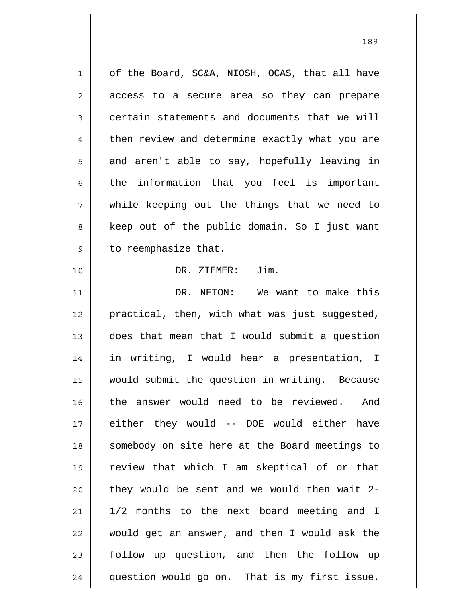1 2 3 4 5 6 7 8 9 10 11 12 13 14 15 16 17 18 19 20 21 22 23 24 of the Board, SC&A, NIOSH, OCAS, that all have access to a secure area so they can prepare certain statements and documents that we will then review and determine exactly what you are and aren't able to say, hopefully leaving in the information that you feel is important while keeping out the things that we need to keep out of the public domain. So I just want to reemphasize that. DR. ZIEMER: Jim. DR. NETON: We want to make this practical, then, with what was just suggested, does that mean that I would submit a question in writing, I would hear a presentation, I would submit the question in writing. Because the answer would need to be reviewed. And either they would -- DOE would either have somebody on site here at the Board meetings to review that which I am skeptical of or that they would be sent and we would then wait 2- 1/2 months to the next board meeting and I would get an answer, and then I would ask the follow up question, and then the follow up question would go on. That is my first issue.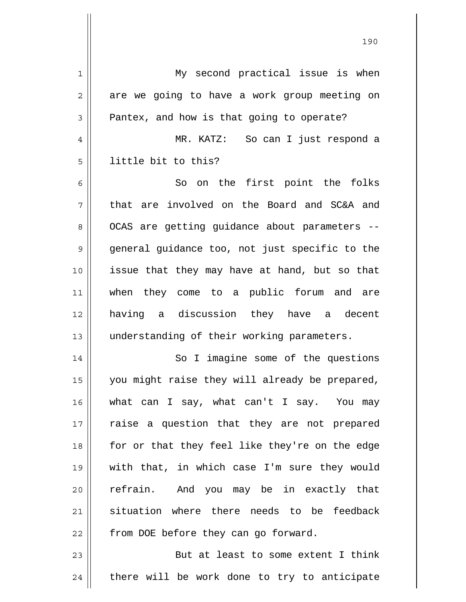| $\mathbf 1$    | My second practical issue is when              |
|----------------|------------------------------------------------|
| $\overline{c}$ | are we going to have a work group meeting on   |
| 3              | Pantex, and how is that going to operate?      |
| 4              | MR. KATZ: So can I just respond a              |
| 5              | little bit to this?                            |
| 6              | on the first point the folks<br>So             |
| 7              | that are involved on the Board and SC&A and    |
| 8              | OCAS are getting guidance about parameters --  |
| $\mathsf 9$    | general guidance too, not just specific to the |
| 10             | issue that they may have at hand, but so that  |
| 11             | when they come to a public forum and are       |
| 12             | having a discussion they have a decent         |
| 13             | understanding of their working parameters.     |
| 14             | So I imagine some of the questions             |
| 15             | you might raise they will already be prepared, |
| 16             | what can I say, what can't I say. You may      |
| 17             | raise a question that they are not prepared    |
| 18             | for or that they feel like they're on the edge |
| 19             | with that, in which case I'm sure they would   |
| 20             | refrain. And you may be in exactly that        |
| 21             | situation where there needs to be feedback     |
| 22             | from DOE before they can go forward.           |
| 23             | But at least to some extent I think            |
| 24             | there will be work done to try to anticipate   |

<u>190</u>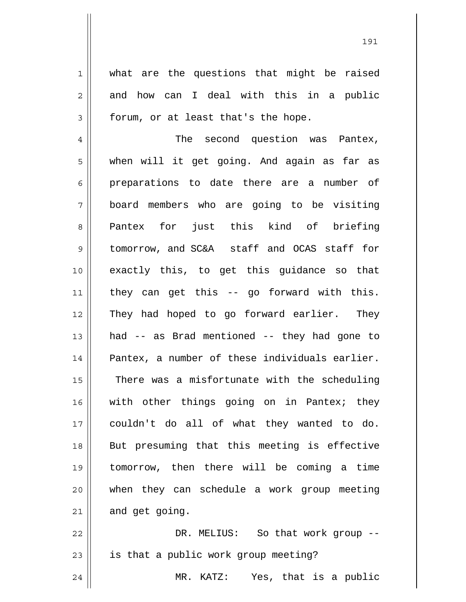what are the questions that might be raised and how can I deal with this in a public forum, or at least that's the hope.

1

2

3

4 5 6 7 8 9 10 11 12 13 14 15 16 17 18 19 20 21 The second question was Pantex, when will it get going. And again as far as preparations to date there are a number of board members who are going to be visiting Pantex for just this kind of briefing tomorrow, and SC&A staff and OCAS staff for exactly this, to get this guidance so that they can get this -- go forward with this. They had hoped to go forward earlier. They had -- as Brad mentioned -- they had gone to Pantex, a number of these individuals earlier. There was a misfortunate with the scheduling with other things going on in Pantex; they couldn't do all of what they wanted to do. But presuming that this meeting is effective tomorrow, then there will be coming a time when they can schedule a work group meeting and get going.

22 23 24 DR. MELIUS: So that work group - is that a public work group meeting? MR. KATZ: Yes, that is a public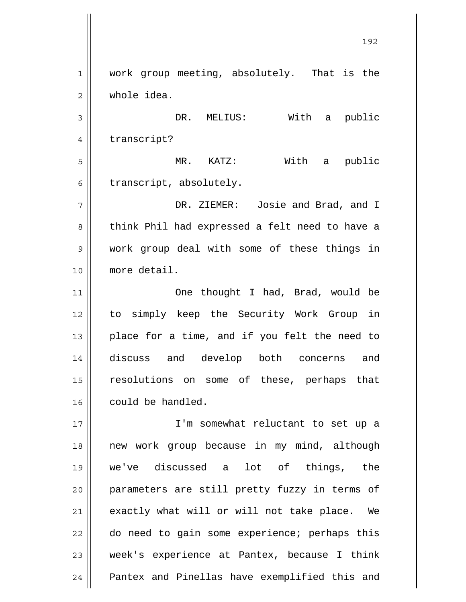1 2 3 4 5 6 7 8 9 10 11 12 13 14 15 16 17 18 19 20 21 22 23 24 work group meeting, absolutely. That is the whole idea. DR. MELIUS: With a public transcript? MR. KATZ: With a public transcript, absolutely. DR. ZIEMER: Josie and Brad, and I think Phil had expressed a felt need to have a work group deal with some of these things in more detail. One thought I had, Brad, would be to simply keep the Security Work Group in place for a time, and if you felt the need to discuss and develop both concerns and resolutions on some of these, perhaps that could be handled. I'm somewhat reluctant to set up a new work group because in my mind, although we've discussed a lot of things, the parameters are still pretty fuzzy in terms of exactly what will or will not take place. We do need to gain some experience; perhaps this week's experience at Pantex, because I think Pantex and Pinellas have exemplified this and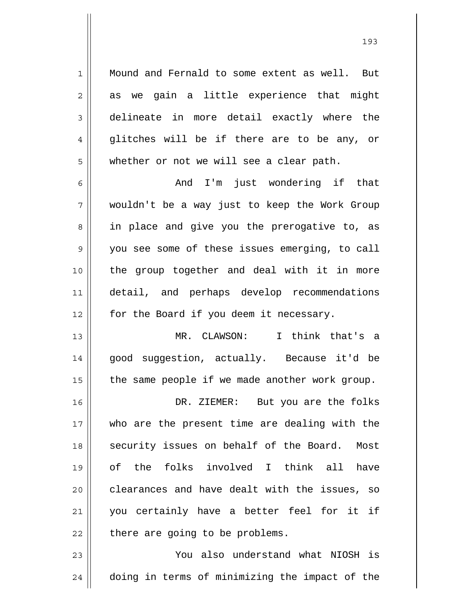Mound and Fernald to some extent as well. But as we gain a little experience that might delineate in more detail exactly where the glitches will be if there are to be any, or whether or not we will see a clear path.

1

2

3

4

5

6 7 8 9 10 11 12 And I'm just wondering if that wouldn't be a way just to keep the Work Group in place and give you the prerogative to, as you see some of these issues emerging, to call the group together and deal with it in more detail, and perhaps develop recommendations for the Board if you deem it necessary.

13 14 15 MR. CLAWSON: I think that's a good suggestion, actually. Because it'd be the same people if we made another work group.

16 17 18 19 20 21 22 DR. ZIEMER: But you are the folks who are the present time are dealing with the security issues on behalf of the Board. Most of the folks involved I think all have clearances and have dealt with the issues, so you certainly have a better feel for it if there are going to be problems.

23 24 You also understand what NIOSH is doing in terms of minimizing the impact of the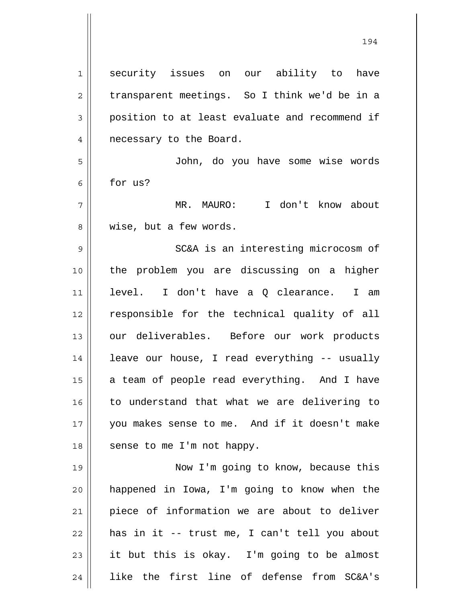| $\mathbf 1$ | security issues on our ability to<br>have      |
|-------------|------------------------------------------------|
| 2           | transparent meetings. So I think we'd be in a  |
| 3           | position to at least evaluate and recommend if |
| 4           | necessary to the Board.                        |
| 5           | John, do you have some wise words              |
| 6           | for us?                                        |
| 7           | I don't know about<br>MR. MAURO:               |
| 8           | wise, but a few words.                         |
| 9           | SC&A is an interesting microcosm of            |
| 10          | the problem you are discussing on a higher     |
| 11          | I don't have a Q clearance. I am<br>level.     |
| 12          | responsible for the technical quality of all   |
| 13          | our deliverables. Before our work products     |
| 14          | leave our house, I read everything -- usually  |
| 15          | a team of people read everything. And I have   |
| 16          | to understand that what we are delivering to   |
| 17          | you makes sense to me. And if it doesn't make  |
| 18          | sense to me I'm not happy.                     |
| 19          | Now I'm going to know, because this            |
| 20          | happened in Iowa, I'm going to know when the   |
| 21          | piece of information we are about to deliver   |
| 22          | has in it -- trust me, I can't tell you about  |
| 23          | it but this is okay. I'm going to be almost    |
|             |                                                |

24 like the first line of defense from SC&A's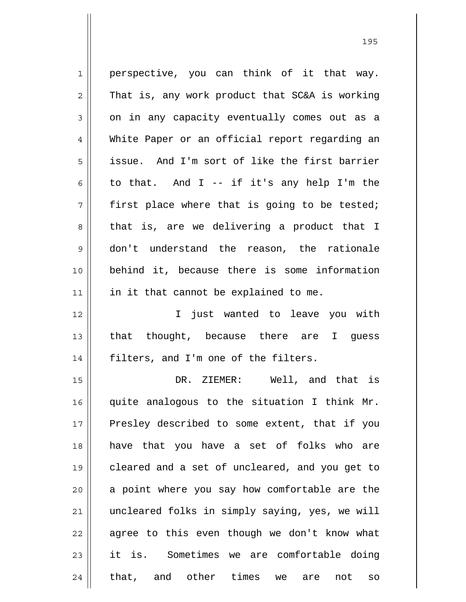| $\mathbf{1}$   | perspective, you can think of it that way.      |
|----------------|-------------------------------------------------|
| $\overline{2}$ | That is, any work product that SC&A is working  |
| 3              | on in any capacity eventually comes out as a    |
| $\overline{4}$ | White Paper or an official report regarding an  |
| 5              | issue. And I'm sort of like the first barrier   |
| 6              | to that. And I -- if it's any help I'm the      |
| 7              | first place where that is going to be tested;   |
| 8              | that is, are we delivering a product that I     |
| $\mathsf 9$    | don't understand the reason, the rationale      |
| 10             | behind it, because there is some information    |
| 11             | in it that cannot be explained to me.           |
| 12             | I just wanted to leave you with                 |
| 13             | that thought, because there are I guess         |
| 14             | filters, and I'm one of the filters.            |
| 15             | DR. ZIEMER: Well, and that is                   |
| 16             | quite analogous to the situation I think Mr.    |
| 17             | Presley described to some extent, that if you   |
| 18             | have that you have a set of folks who are       |
| 19             | cleared and a set of uncleared, and you get to  |
| 20             | a point where you say how comfortable are the   |
| 21             | uncleared folks in simply saying, yes, we will  |
| 22             | agree to this even though we don't know what    |
| 23             | it is. Sometimes we are comfortable doing       |
| 24             | that, and other times<br>not<br>we<br>are<br>SO |

<u>195</u>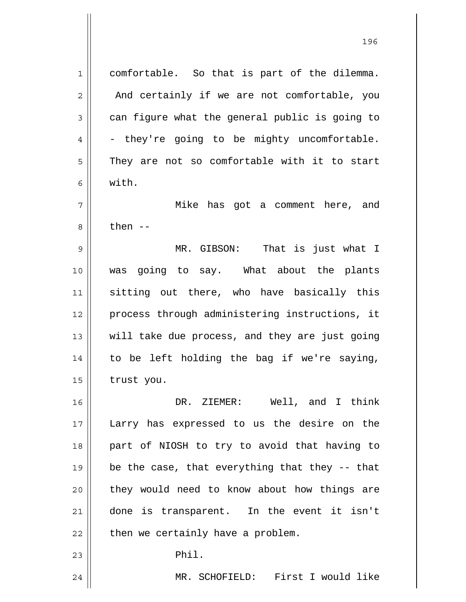1 2 3 4 5 6 7 8 9 10 11 12 13 14 15 16 17 18 19 20 21 22 23 24 comfortable. So that is part of the dilemma. And certainly if we are not comfortable, you can figure what the general public is going to - they're going to be mighty uncomfortable. They are not so comfortable with it to start with. Mike has got a comment here, and then  $--$  MR. GIBSON: That is just what I was going to say. What about the plants sitting out there, who have basically this process through administering instructions, it will take due process, and they are just going to be left holding the bag if we're saying, trust you. DR. ZIEMER: Well, and I think Larry has expressed to us the desire on the part of NIOSH to try to avoid that having to be the case, that everything that they -- that they would need to know about how things are done is transparent. In the event it isn't then we certainly have a problem. Phil. MR. SCHOFIELD: First I would like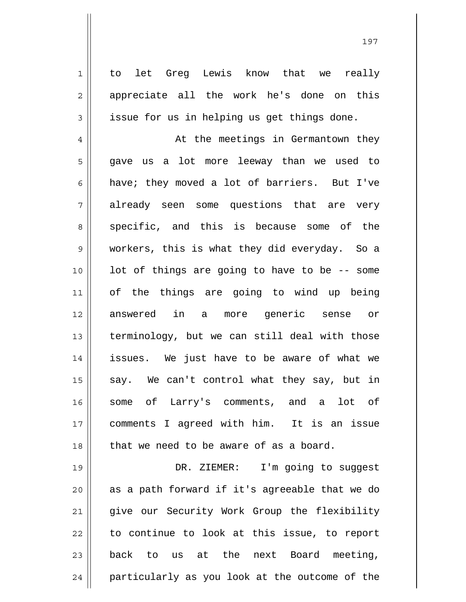to let Greg Lewis know that we really appreciate all the work he's done on this issue for us in helping us get things done.

1

2

3

4 5 6 7 8 9 10 11 12 13 14 15 16 17 18 At the meetings in Germantown they gave us a lot more leeway than we used to have; they moved a lot of barriers. But I've already seen some questions that are very specific, and this is because some of the workers, this is what they did everyday. So a lot of things are going to have to be -- some of the things are going to wind up being answered in a more generic sense or terminology, but we can still deal with those issues. We just have to be aware of what we say. We can't control what they say, but in some of Larry's comments, and a lot of comments I agreed with him. It is an issue that we need to be aware of as a board.

19 20 21 22 23 24 DR. ZIEMER: I'm going to suggest as a path forward if it's agreeable that we do give our Security Work Group the flexibility to continue to look at this issue, to report back to us at the next Board meeting, particularly as you look at the outcome of the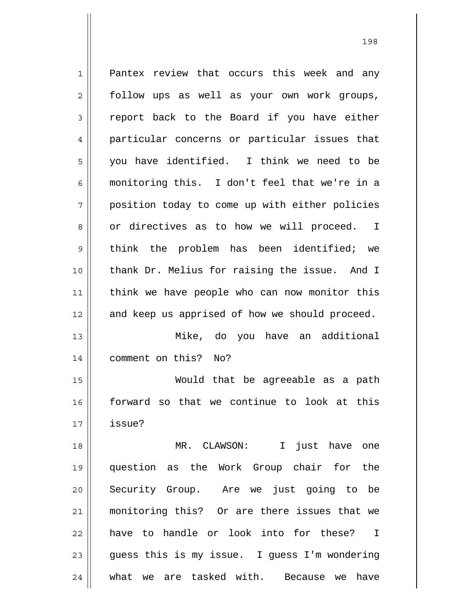1 2 3 4 5 6 7 8 9 10 11 12 13 14 15 16 17 18 19 20 21 22 23 24 Pantex review that occurs this week and any follow ups as well as your own work groups, report back to the Board if you have either particular concerns or particular issues that you have identified. I think we need to be monitoring this. I don't feel that we're in a position today to come up with either policies or directives as to how we will proceed. I think the problem has been identified; we thank Dr. Melius for raising the issue. And I think we have people who can now monitor this and keep us apprised of how we should proceed. Mike, do you have an additional comment on this? No? Would that be agreeable as a path forward so that we continue to look at this issue? MR. CLAWSON: I just have one question as the Work Group chair for the Security Group. Are we just going to be monitoring this? Or are there issues that we have to handle or look into for these? I guess this is my issue. I guess I'm wondering what we are tasked with. Because we have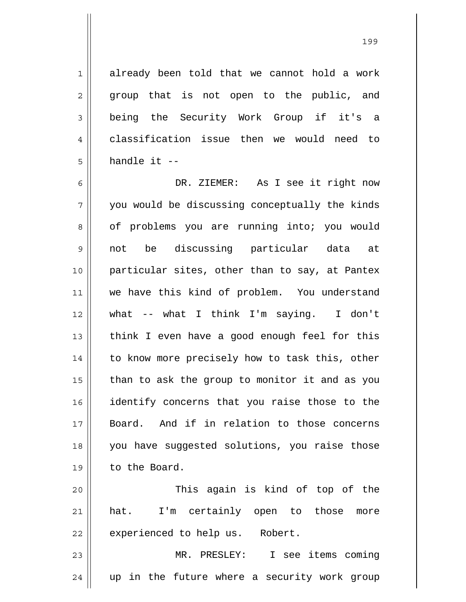already been told that we cannot hold a work group that is not open to the public, and being the Security Work Group if it's a classification issue then we would need to handle it --

1

2

3

4

5

6 7 8 9 10 11 12 13 14 15 16 17 18 19 20 DR. ZIEMER: As I see it right now you would be discussing conceptually the kinds of problems you are running into; you would not be discussing particular data at particular sites, other than to say, at Pantex we have this kind of problem. You understand what -- what I think I'm saying. I don't think I even have a good enough feel for this to know more precisely how to task this, other than to ask the group to monitor it and as you identify concerns that you raise those to the Board. And if in relation to those concerns you have suggested solutions, you raise those to the Board. This again is kind of top of the

21 22 hat. I'm certainly open to those more experienced to help us. Robert.

23 24 MR. PRESLEY: I see items coming up in the future where a security work group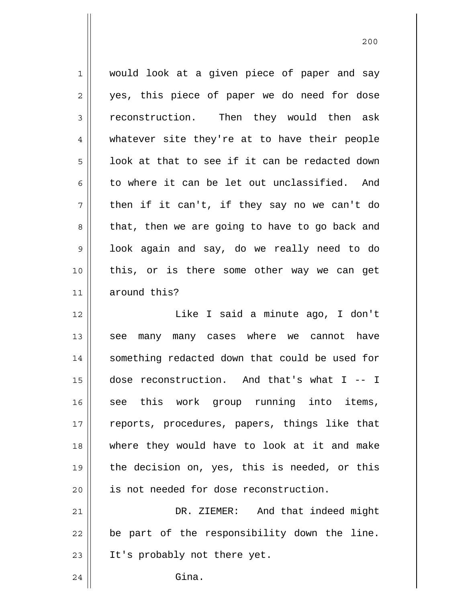1 2 3 4 5 6 7 8 9 10 11 would look at a given piece of paper and say yes, this piece of paper we do need for dose reconstruction. Then they would then ask whatever site they're at to have their people look at that to see if it can be redacted down to where it can be let out unclassified. And then if it can't, if they say no we can't do that, then we are going to have to go back and look again and say, do we really need to do this, or is there some other way we can get around this?

12 13 14 15 16 17 18 19 20 21 Like I said a minute ago, I don't see many many cases where we cannot have something redacted down that could be used for dose reconstruction. And that's what I -- I see this work group running into items, reports, procedures, papers, things like that where they would have to look at it and make the decision on, yes, this is needed, or this is not needed for dose reconstruction. DR. ZIEMER: And that indeed might

22 23 be part of the responsibility down the line. It's probably not there yet.

24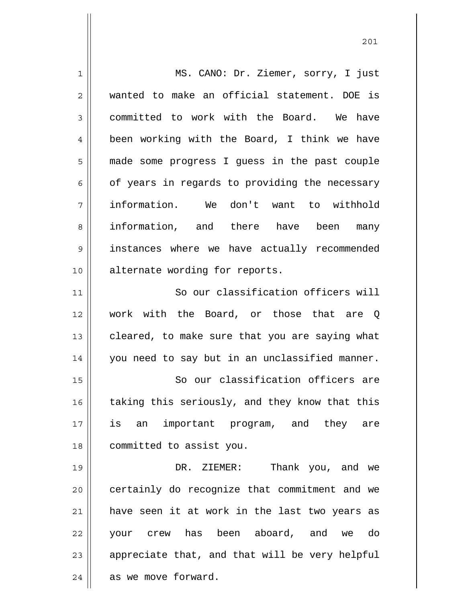1 2 3 4 5 6 7 8 9 10 11 12 13 14 15 16 17 18 19 20 21 22 23 24 MS. CANO: Dr. Ziemer, sorry, I just wanted to make an official statement. DOE is committed to work with the Board. We have been working with the Board, I think we have made some progress I guess in the past couple of years in regards to providing the necessary information. We don't want to withhold information, and there have been many instances where we have actually recommended alternate wording for reports. So our classification officers will work with the Board, or those that are Q cleared, to make sure that you are saying what you need to say but in an unclassified manner. So our classification officers are taking this seriously, and they know that this is an important program, and they are committed to assist you. DR. ZIEMER: Thank you, and we certainly do recognize that commitment and we have seen it at work in the last two years as your crew has been aboard, and we do appreciate that, and that will be very helpful as we move forward.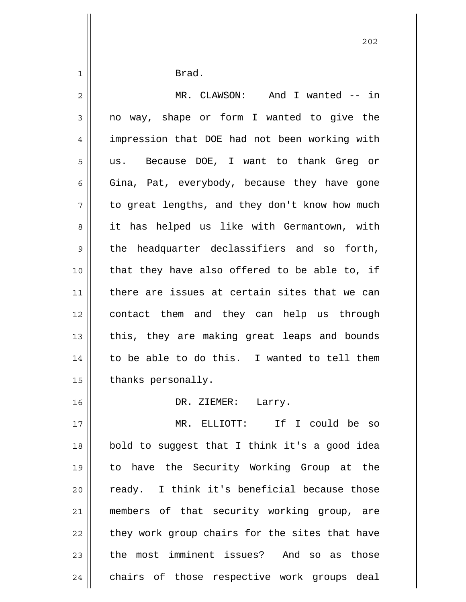| $\mathbf 1$    | Brad.                                          |
|----------------|------------------------------------------------|
| $\overline{2}$ | MR. CLAWSON: And I wanted -- in                |
| $\mathsf 3$    | no way, shape or form I wanted to give the     |
| $\overline{4}$ | impression that DOE had not been working with  |
| 5              | us. Because DOE, I want to thank Greg or       |
| 6              | Gina, Pat, everybody, because they have gone   |
| 7              | to great lengths, and they don't know how much |
| 8              | it has helped us like with Germantown, with    |
| 9              | the headquarter declassifiers and so forth,    |
| 10             | that they have also offered to be able to, if  |
| 11             | there are issues at certain sites that we can  |
| 12             | contact them and they can help us through      |
| 13             | this, they are making great leaps and bounds   |
| 14             | to be able to do this. I wanted to tell them   |
| 15             | thanks personally.                             |
| 16             | DR. ZIEMER:<br>Larry.                          |
| 17             | MR. ELLIOTT: If I could be so                  |
| 18             | bold to suggest that I think it's a good idea  |
| 19             | to have the Security Working Group at the      |
| 20             | ready. I think it's beneficial because those   |
| 21             | members of that security working group, are    |
| 22             | they work group chairs for the sites that have |
| 23             | the most imminent issues? And so as those      |
| 24             | chairs of those respective work groups deal    |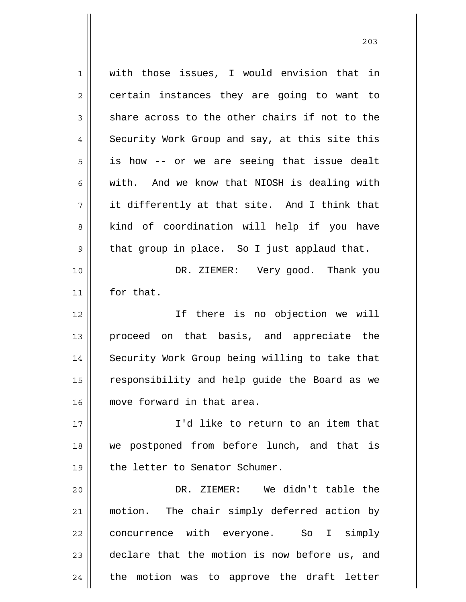1 2 3 4 5 6 7 8 9 10 11 12 13 14 15 16 17 18 19 20 21 22 23 24 with those issues, I would envision that in certain instances they are going to want to share across to the other chairs if not to the Security Work Group and say, at this site this is how -- or we are seeing that issue dealt with. And we know that NIOSH is dealing with it differently at that site. And I think that kind of coordination will help if you have that group in place. So I just applaud that. DR. ZIEMER: Very good. Thank you for that. If there is no objection we will proceed on that basis, and appreciate the Security Work Group being willing to take that responsibility and help guide the Board as we move forward in that area. I'd like to return to an item that we postponed from before lunch, and that is the letter to Senator Schumer. DR. ZIEMER: We didn't table the motion. The chair simply deferred action by concurrence with everyone. So I simply declare that the motion is now before us, and the motion was to approve the draft letter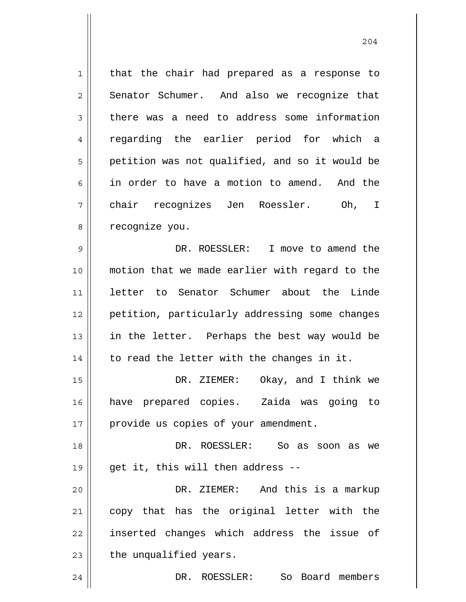1 2 3 4 5 6 7 8 9 10 11 12 13 14 15 16 17 18 19 20 that the chair had prepared as a response to Senator Schumer. And also we recognize that there was a need to address some information regarding the earlier period for which a petition was not qualified, and so it would be in order to have a motion to amend. And the chair recognizes Jen Roessler. Oh, I recognize you. DR. ROESSLER: I move to amend the motion that we made earlier with regard to the letter to Senator Schumer about the Linde petition, particularly addressing some changes in the letter. Perhaps the best way would be to read the letter with the changes in it. DR. ZIEMER: Okay, and I think we have prepared copies. Zaida was going to provide us copies of your amendment. DR. ROESSLER: So as soon as we get it, this will then address -- DR. ZIEMER: And this is a markup

21 22 23 copy that has the original letter with the inserted changes which address the issue of the unqualified years.

DR. ROESSLER: So Board members

24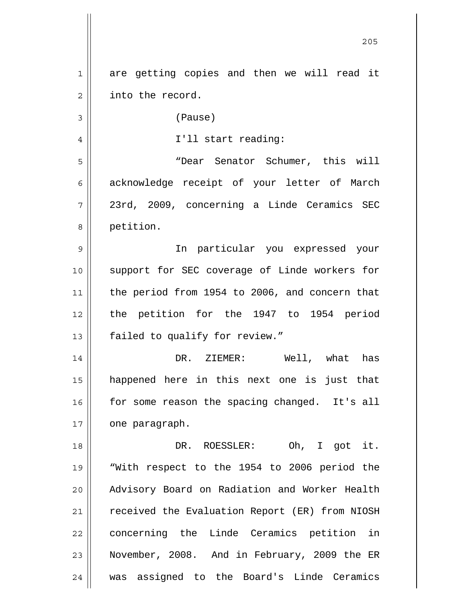| 1  | are getting copies and then we will read it    |
|----|------------------------------------------------|
| 2  | into the record.                               |
| 3  | (Pause)                                        |
| 4  | I'll start reading:                            |
| 5  | "Dear Senator Schumer, this will               |
| 6  | acknowledge receipt of your letter of March    |
| 7  | 23rd, 2009, concerning a Linde Ceramics SEC    |
| 8  | petition.                                      |
| 9  | In particular you expressed your               |
| 10 | support for SEC coverage of Linde workers for  |
| 11 | the period from 1954 to 2006, and concern that |
| 12 | the petition for the 1947 to 1954 period       |
| 13 | failed to qualify for review."                 |
| 14 | DR. ZIEMER: Well, what has                     |
| 15 | happened here in this next one is just that    |
| 16 | for some reason the spacing changed. It's all  |
| 17 | one paragraph.                                 |
| 18 | DR. ROESSLER: Oh, I got it.                    |
| 19 | "With respect to the 1954 to 2006 period the   |
| 20 | Advisory Board on Radiation and Worker Health  |
| 21 | received the Evaluation Report (ER) from NIOSH |
| 22 | concerning the Linde Ceramics petition in      |
| 23 | November, 2008. And in February, 2009 the ER   |
| 24 | was assigned to the Board's Linde Ceramics     |

<u>205</u>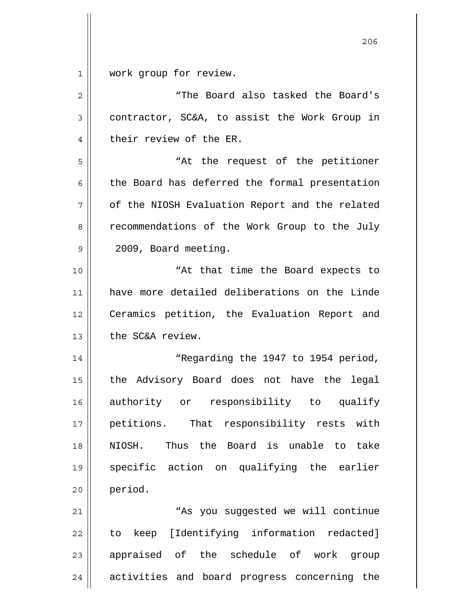$\begin{array}{c|c} 1 & \text{ } \end{array}$ work group for review.

| $\overline{2}$ | "The Board also tasked the Board's             |
|----------------|------------------------------------------------|
| 3              | contractor, SC&A, to assist the Work Group in  |
| $\overline{4}$ | their review of the ER.                        |
| 5              | "At the request of the petitioner              |
| 6              | the Board has deferred the formal presentation |
| 7              | of the NIOSH Evaluation Report and the related |
| 8              | recommendations of the Work Group to the July  |
| $\mathsf 9$    | 2009, Board meeting.                           |
| 10             | "At that time the Board expects to             |
| 11             | have more detailed deliberations on the Linde  |
| 12             | Ceramics petition, the Evaluation Report and   |
| 13             | the SC&A review.                               |
| 14             | "Regarding the 1947 to 1954 period,            |
| 15             | the Advisory Board does not have the legal     |
| 16             | authority or responsibility to qualify         |
| 17             | petitions. That responsibility rests with      |
| 18             | Thus the Board is unable to take<br>NIOSH.     |
| 19             | specific action on qualifying the earlier      |
| 20             | period.                                        |
| 21             | "As you suggested we will continue             |
| 22             | to keep [Identifying information redacted]     |
| 23             | appraised of the schedule of work group        |
| 24             | activities and board progress concerning the   |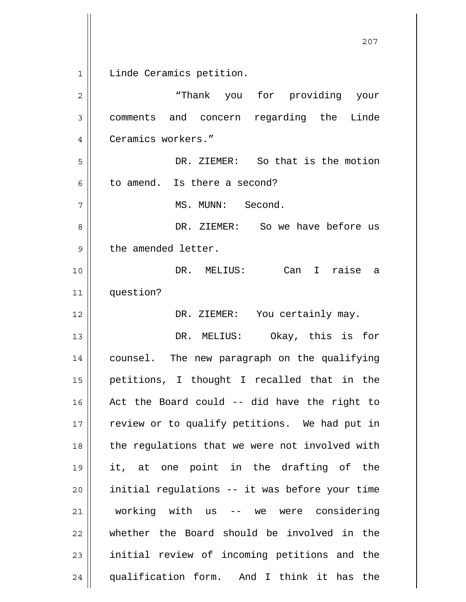1 2 3 4 5 6 7 8 9 10 11 12 13 14 15 16 17 18 19 20 21 22 23 24 Linde Ceramics petition. "Thank you for providing your comments and concern regarding the Linde Ceramics workers." DR. ZIEMER: So that is the motion to amend. Is there a second? MS. MUNN: Second. DR. ZIEMER: So we have before us the amended letter. DR. MELIUS: Can I raise a question? DR. ZIEMER: You certainly may. DR. MELIUS: Okay, this is for counsel. The new paragraph on the qualifying petitions, I thought I recalled that in the Act the Board could -- did have the right to review or to qualify petitions. We had put in the regulations that we were not involved with it, at one point in the drafting of the initial regulations -- it was before your time working with us -- we were considering whether the Board should be involved in the initial review of incoming petitions and the qualification form. And I think it has the

<u>207</u>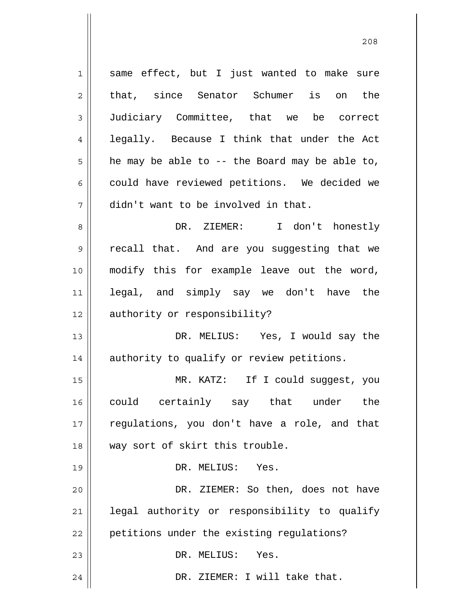1 2 3 4 5 6 7 8 9 10 11 12 13 14 15 16 17 18 19 20 21 22 23 24 same effect, but I just wanted to make sure that, since Senator Schumer is on the Judiciary Committee, that we be correct legally. Because I think that under the Act he may be able to -- the Board may be able to, could have reviewed petitions. We decided we didn't want to be involved in that. DR. ZIEMER: I don't honestly recall that. And are you suggesting that we modify this for example leave out the word, legal, and simply say we don't have the authority or responsibility? DR. MELIUS: Yes, I would say the authority to qualify or review petitions. MR. KATZ: If I could suggest, you could certainly say that under the regulations, you don't have a role, and that way sort of skirt this trouble. DR. MELIUS: Yes. DR. ZIEMER: So then, does not have legal authority or responsibility to qualify petitions under the existing regulations? DR. MELIUS: Yes. DR. ZIEMER: I will take that.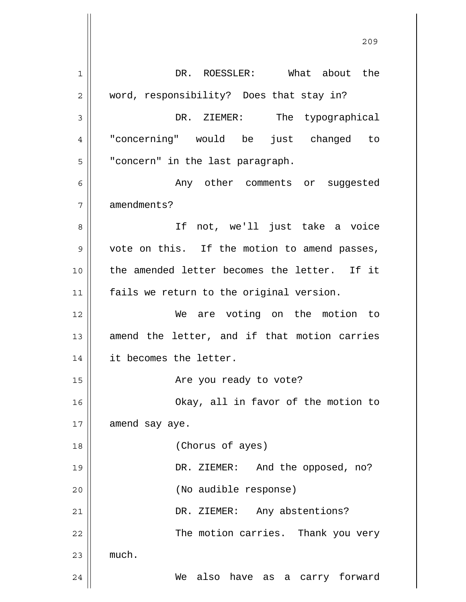1 2 3 4 5 6 7 8 9 10 11 12 13 14 15 16 17 18 19 20 21 22 23 24 DR. ROESSLER: What about the word, responsibility? Does that stay in? DR. ZIEMER: The typographical "concerning" would be just changed to "concern" in the last paragraph. Any other comments or suggested amendments? If not, we'll just take a voice vote on this. If the motion to amend passes, the amended letter becomes the letter. If it fails we return to the original version. We are voting on the motion to amend the letter, and if that motion carries it becomes the letter. Are you ready to vote? Okay, all in favor of the motion to amend say aye. (Chorus of ayes) DR. ZIEMER: And the opposed, no? (No audible response) DR. ZIEMER: Any abstentions? The motion carries. Thank you very much. We also have as a carry forward

<u>209</u>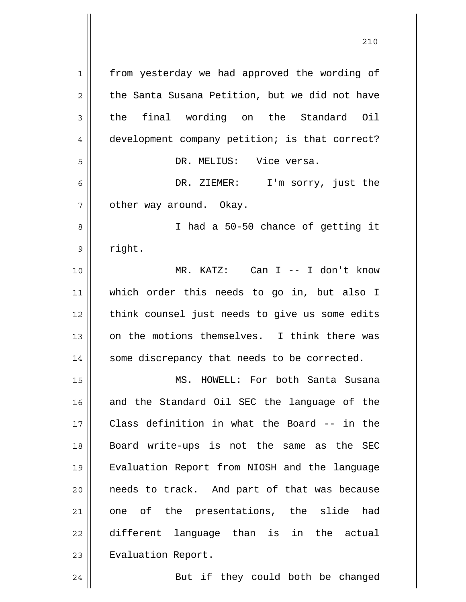1 2 3 4 5 6 7 8 9 10 11 12 13 14 15 16 17 18 19 20 21 22 23 24 from yesterday we had approved the wording of the Santa Susana Petition, but we did not have the final wording on the Standard Oil development company petition; is that correct? DR. MELIUS: Vice versa. DR. ZIEMER: I'm sorry, just the other way around. Okay. I had a 50-50 chance of getting it right. MR. KATZ: Can I -- I don't know which order this needs to go in, but also I think counsel just needs to give us some edits on the motions themselves. I think there was some discrepancy that needs to be corrected. MS. HOWELL: For both Santa Susana and the Standard Oil SEC the language of the Class definition in what the Board -- in the Board write-ups is not the same as the SEC Evaluation Report from NIOSH and the language needs to track. And part of that was because one of the presentations, the slide had different language than is in the actual Evaluation Report. But if they could both be changed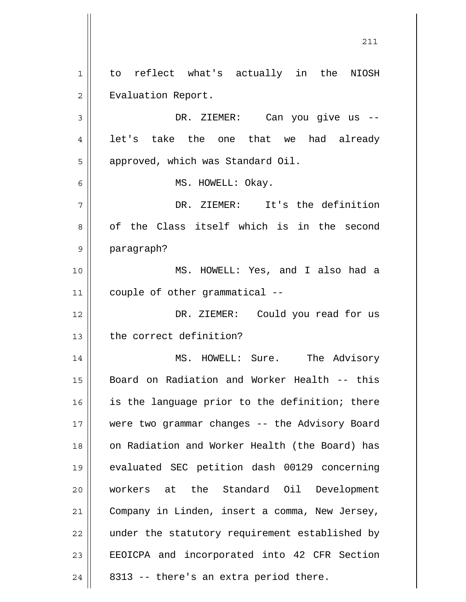1 2 3 4 5 6 7 8 9 10 11 12 13 14 15 16 17 18 19 20 21 22 23 24 to reflect what's actually in the NIOSH Evaluation Report. DR. ZIEMER: Can you give us - let's take the one that we had already approved, which was Standard Oil. MS. HOWELL: Okay. DR. ZIEMER: It's the definition of the Class itself which is in the second paragraph? MS. HOWELL: Yes, and I also had a couple of other grammatical -- DR. ZIEMER: Could you read for us the correct definition? MS. HOWELL: Sure. The Advisory Board on Radiation and Worker Health -- this is the language prior to the definition; there were two grammar changes -- the Advisory Board on Radiation and Worker Health (the Board) has evaluated SEC petition dash 00129 concerning workers at the Standard Oil Development Company in Linden, insert a comma, New Jersey, under the statutory requirement established by EEOICPA and incorporated into 42 CFR Section 8313 -- there's an extra period there.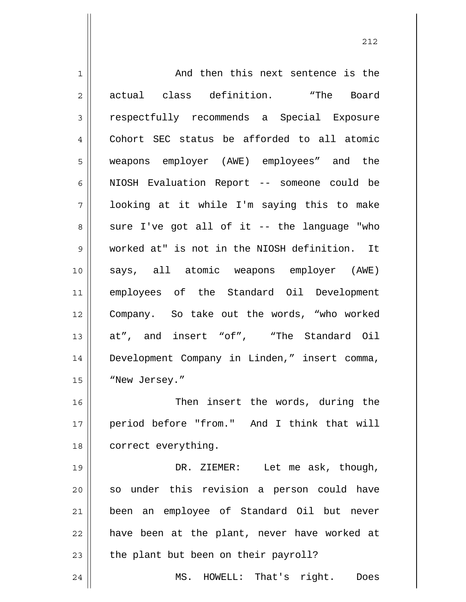1 2 3 4 5 6 7 8 9 10 11 12 13 14 15 16 17 18 19 20 21 22 23 24 And then this next sentence is the actual class definition. "The Board respectfully recommends a Special Exposure Cohort SEC status be afforded to all atomic weapons employer (AWE) employees" and the NIOSH Evaluation Report -- someone could be looking at it while I'm saying this to make sure I've got all of it -- the language "who worked at" is not in the NIOSH definition. It says, all atomic weapons employer (AWE) employees of the Standard Oil Development Company. So take out the words, "who worked at", and insert "of", "The Standard Oil Development Company in Linden," insert comma, "New Jersey." Then insert the words, during the period before "from." And I think that will correct everything. DR. ZIEMER: Let me ask, though, so under this revision a person could have been an employee of Standard Oil but never have been at the plant, never have worked at the plant but been on their payroll? MS. HOWELL: That's right. Does

<u>212</u>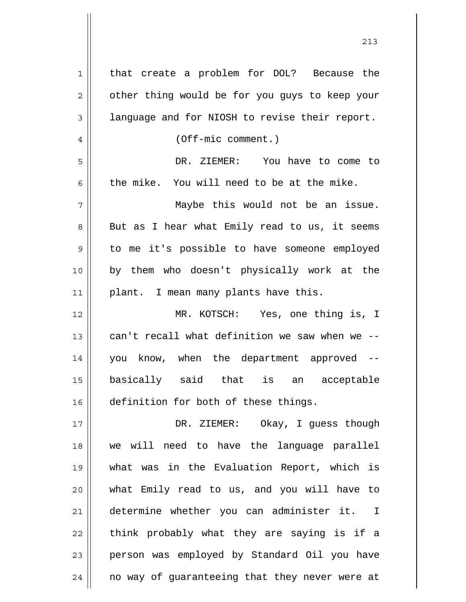| 1  | that create a problem for DOL? Because the               |
|----|----------------------------------------------------------|
| 2  | other thing would be for you guys to keep your           |
| 3  | language and for NIOSH to revise their report.           |
| 4  | $(Off-mic comment.)$                                     |
| 5  | DR. ZIEMER: You have to come to                          |
| 6  | the mike. You will need to be at the mike.               |
| 7  | Maybe this would not be an issue.                        |
| 8  | But as I hear what Emily read to us, it seems            |
| 9  | to me it's possible to have someone employed             |
| 10 | by them who doesn't physically work at the               |
| 11 | plant. I mean many plants have this.                     |
| 12 | MR. KOTSCH: Yes, one thing is, I                         |
| 13 | can't recall what definition we saw when we --           |
| 14 | you know, when the department approved --                |
| 15 | basically said that is<br>acceptable<br>an               |
| 16 | definition for both of these things.                     |
| 17 | DR. ZIEMER: Okay, I guess though                         |
| 18 | we will need to have the language parallel               |
| 19 | what was in the Evaluation Report, which is              |
| 20 | what Emily read to us, and you will have to              |
| 21 | determine whether you can administer it.<br>$\mathbf{I}$ |
| 22 |                                                          |
|    | think probably what they are saying is if a              |
| 23 | person was employed by Standard Oil you have             |
| 24 | no way of guaranteeing that they never were at           |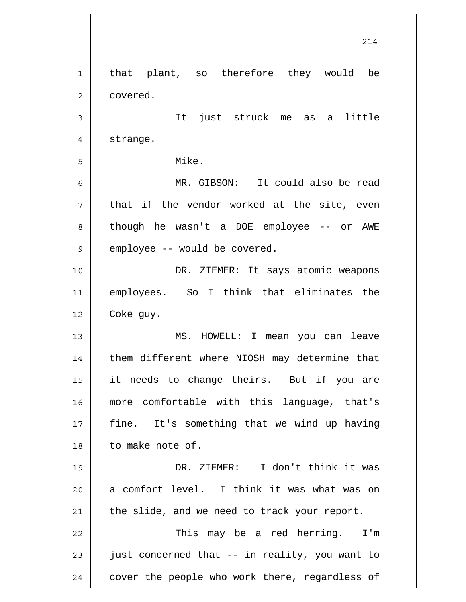1 2 3 4 5 6 7 8 9 10 11 12 13 14 15 16 17 18 19 20 21 22 23 24 that plant, so therefore they would be covered. It just struck me as a little strange. Mike. MR. GIBSON: It could also be read that if the vendor worked at the site, even though he wasn't a DOE employee -- or AWE employee -- would be covered. DR. ZIEMER: It says atomic weapons employees. So I think that eliminates the Coke guy. MS. HOWELL: I mean you can leave them different where NIOSH may determine that it needs to change theirs. But if you are more comfortable with this language, that's fine. It's something that we wind up having to make note of. DR. ZIEMER: I don't think it was a comfort level. I think it was what was on the slide, and we need to track your report. This may be a red herring. I'm just concerned that -- in reality, you want to cover the people who work there, regardless of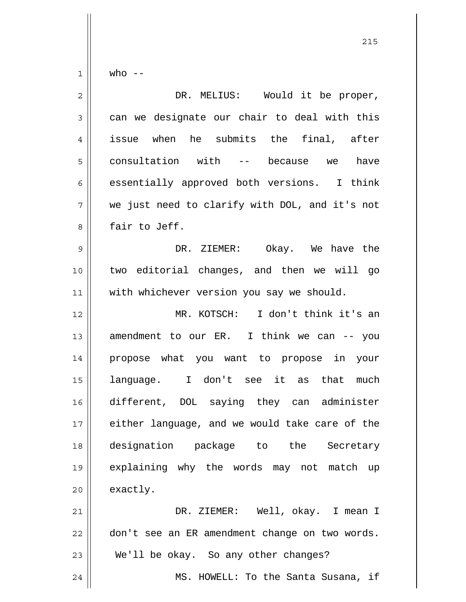who  $--$ 

1

| $\overline{c}$ | DR. MELIUS: Would it be proper,                |
|----------------|------------------------------------------------|
| $\mathfrak{Z}$ | can we designate our chair to deal with this   |
| $\overline{4}$ | issue when he submits the final, after         |
| 5              | consultation with -- because we<br>have        |
| 6              | essentially approved both versions. I think    |
| 7              | we just need to clarify with DOL, and it's not |
| 8              | fair to Jeff.                                  |
| $\mathsf 9$    | DR. ZIEMER: Okay. We have the                  |
| 10             | two editorial changes, and then we will go     |
| 11             | with whichever version you say we should.      |
| 12             | MR. KOTSCH: I don't think it's an              |
| 13             | amendment to our ER. I think we can -- you     |
| 14             | propose what you want to propose in your       |
| 15             | language. I don't see it as that<br>much       |
| 16             | different, DOL saying they can administer      |
| 17             | either language, and we would take care of the |
| 18             | designation package to the Secretary           |
| 19             | explaining why the words may not match up      |
| 20             | exactly.                                       |
| 21             | DR. ZIEMER: Well, okay. I mean I               |
| 22             | don't see an ER amendment change on two words. |
| 23             | We'll be okay. So any other changes?           |
| 24             | MS. HOWELL: To the Santa Susana, if            |

<u>215</u>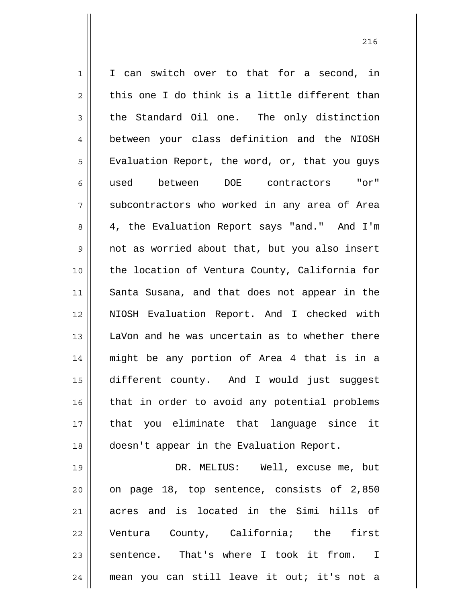1 2 3 4 5 6 7 8 9 10 11 12 13 14 15 16 17 18 19 20 21 I can switch over to that for a second, in this one I do think is a little different than the Standard Oil one. The only distinction between your class definition and the NIOSH Evaluation Report, the word, or, that you guys used between DOE contractors "or" subcontractors who worked in any area of Area 4, the Evaluation Report says "and." And I'm not as worried about that, but you also insert the location of Ventura County, California for Santa Susana, and that does not appear in the NIOSH Evaluation Report. And I checked with LaVon and he was uncertain as to whether there might be any portion of Area 4 that is in a different county. And I would just suggest that in order to avoid any potential problems that you eliminate that language since it doesn't appear in the Evaluation Report. DR. MELIUS: Well, excuse me, but on page 18, top sentence, consists of 2,850 acres and is located in the Simi hills of

22 23 24 Ventura County, California; the first sentence. That's where I took it from. I mean you can still leave it out; it's not a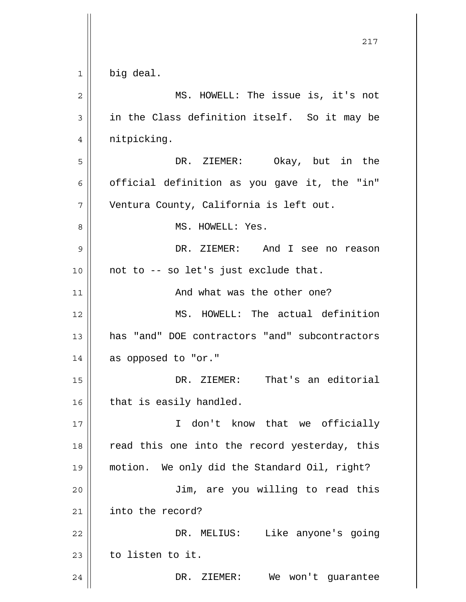|    | 217                                            |
|----|------------------------------------------------|
| 1  | big deal.                                      |
| 2  | MS. HOWELL: The issue is, it's not             |
| 3  | in the Class definition itself. So it may be   |
| 4  | nitpicking.                                    |
| 5  | DR. ZIEMER: Okay, but in the                   |
| 6  | official definition as you gave it, the "in"   |
| 7  | Ventura County, California is left out.        |
| 8  | MS. HOWELL: Yes.                               |
| 9  | DR. ZIEMER: And I see no reason                |
| 10 | not to -- so let's just exclude that.          |
| 11 | And what was the other one?                    |
| 12 | MS. HOWELL: The actual definition              |
| 13 | has "and" DOE contractors "and" subcontractors |
| 14 | as opposed to "or."                            |
| 15 | That's an editorial<br>DR. ZIEMER:             |
| 16 | that is easily handled.                        |
| 17 | I don't know that we officially                |
| 18 | read this one into the record yesterday, this  |
| 19 | motion. We only did the Standard Oil, right?   |
| 20 | Jim, are you willing to read this              |
| 21 | into the record?                               |
| 22 | Like anyone's going<br>DR. MELIUS:             |
| 23 | to listen to it.                               |
| 24 | DR.<br>ZIEMER:<br>We<br>won't guarantee        |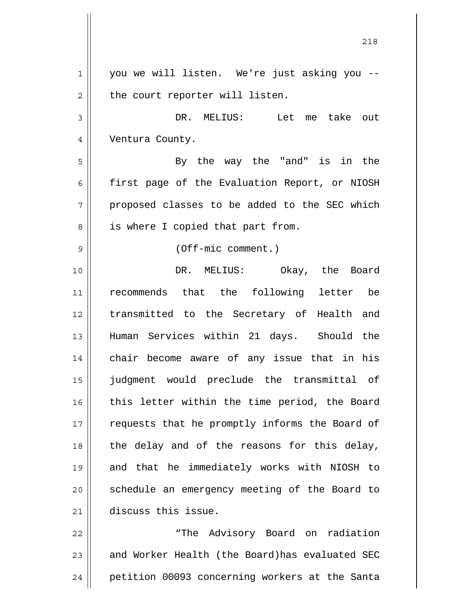1 2 3 4 5 6 7 8 9 10 11 12 13 14 15 16 17 18 19 20 21 22 you we will listen. We're just asking you - the court reporter will listen. DR. MELIUS: Let me take out Ventura County. By the way the "and" is in the first page of the Evaluation Report, or NIOSH proposed classes to be added to the SEC which is where I copied that part from. (Off-mic comment.) DR. MELIUS: Okay, the Board recommends that the following letter be transmitted to the Secretary of Health and Human Services within 21 days. Should the chair become aware of any issue that in his judgment would preclude the transmittal of this letter within the time period, the Board requests that he promptly informs the Board of the delay and of the reasons for this delay, and that he immediately works with NIOSH to schedule an emergency meeting of the Board to discuss this issue. "The Advisory Board on radiation

23 24 and Worker Health (the Board)has evaluated SEC petition 00093 concerning workers at the Santa

<u>218</u>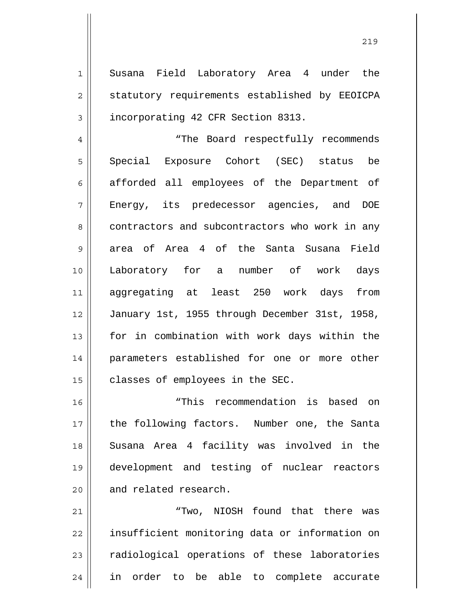1 2 3 Susana Field Laboratory Area 4 under the statutory requirements established by EEOICPA incorporating 42 CFR Section 8313.

4 5 6 7 8 9 10 11 12 13 14 15 "The Board respectfully recommends Special Exposure Cohort (SEC) status be afforded all employees of the Department of Energy, its predecessor agencies, and DOE contractors and subcontractors who work in any area of Area 4 of the Santa Susana Field Laboratory for a number of work days aggregating at least 250 work days from January 1st, 1955 through December 31st, 1958, for in combination with work days within the parameters established for one or more other classes of employees in the SEC.

16 17 18 19 20 "This recommendation is based on the following factors. Number one, the Santa Susana Area 4 facility was involved in the development and testing of nuclear reactors and related research.

21 22 23 24 "Two, NIOSH found that there was insufficient monitoring data or information on radiological operations of these laboratories in order to be able to complete accurate

<u>219</u>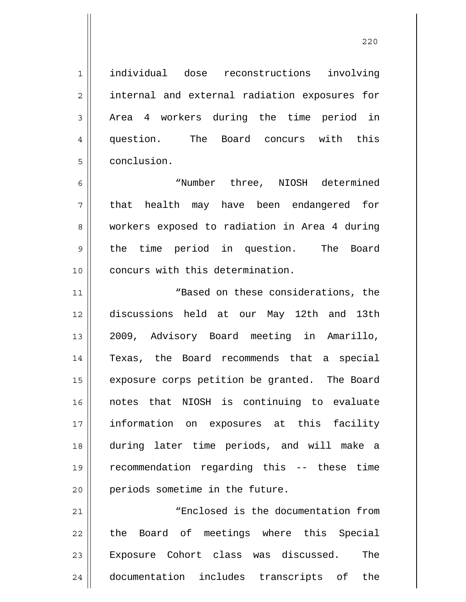individual dose reconstructions involving internal and external radiation exposures for Area 4 workers during the time period in question. The Board concurs with this conclusion.

1

2

3

4

5

6 7 8 9 10 "Number three, NIOSH determined that health may have been endangered for workers exposed to radiation in Area 4 during the time period in question. The Board concurs with this determination.

11 12 13 14 15 16 17 18 19 20 "Based on these considerations, the discussions held at our May 12th and 13th 2009, Advisory Board meeting in Amarillo, Texas, the Board recommends that a special exposure corps petition be granted. The Board notes that NIOSH is continuing to evaluate information on exposures at this facility during later time periods, and will make a recommendation regarding this -- these time periods sometime in the future.

21 22 23 24 "Enclosed is the documentation from the Board of meetings where this Special Exposure Cohort class was discussed. The documentation includes transcripts of the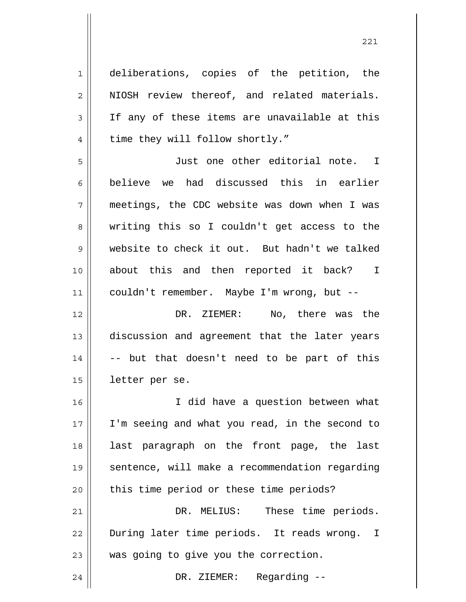1 2 3 4 5 6 7 8 9 10 11 12 13 14 15 16 17 18 19 20 21 22 23 24 deliberations, copies of the petition, the NIOSH review thereof, and related materials. If any of these items are unavailable at this time they will follow shortly." Just one other editorial note. I believe we had discussed this in earlier meetings, the CDC website was down when I was writing this so I couldn't get access to the website to check it out. But hadn't we talked about this and then reported it back? I couldn't remember. Maybe I'm wrong, but -- DR. ZIEMER: No, there was the discussion and agreement that the later years -- but that doesn't need to be part of this letter per se. I did have a question between what I'm seeing and what you read, in the second to last paragraph on the front page, the last sentence, will make a recommendation regarding this time period or these time periods? DR. MELIUS: These time periods. During later time periods. It reads wrong. I was going to give you the correction. DR. ZIEMER: Regarding --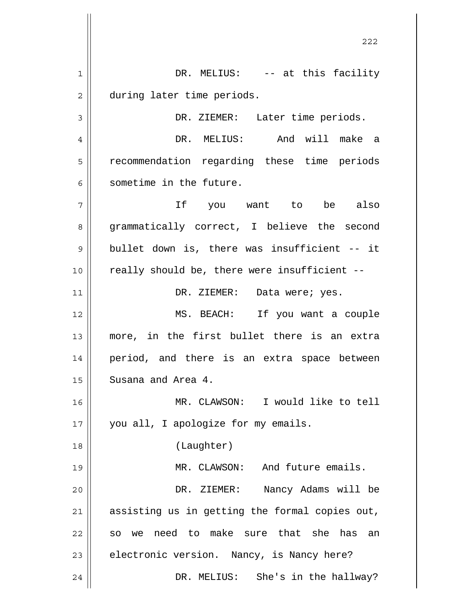<u>222</u> 1 2 3 4 5 6 7 8 9 10 11 12 13 14 15 16 17 18 19 20 21 22 23 24 DR. MELIUS: -- at this facility during later time periods. DR. ZIEMER: Later time periods. DR. MELIUS: And will make a recommendation regarding these time periods sometime in the future. If you want to be also grammatically correct, I believe the second bullet down is, there was insufficient -- it really should be, there were insufficient -- DR. ZIEMER: Data were; yes. MS. BEACH: If you want a couple more, in the first bullet there is an extra period, and there is an extra space between Susana and Area 4. MR. CLAWSON: I would like to tell you all, I apologize for my emails. (Laughter) MR. CLAWSON: And future emails. DR. ZIEMER: Nancy Adams will be assisting us in getting the formal copies out, so we need to make sure that she has an electronic version. Nancy, is Nancy here? DR. MELIUS: She's in the hallway?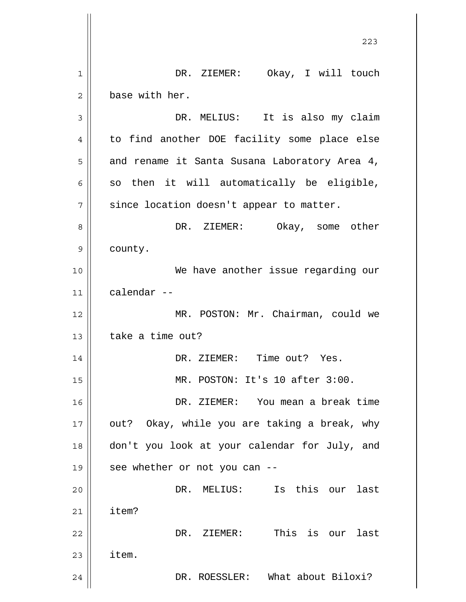|             | 223                                           |
|-------------|-----------------------------------------------|
| $\mathbf 1$ | Okay, I will touch<br>DR. ZIEMER:             |
| 2           | base with her.                                |
| 3           | DR. MELIUS: It is also my claim               |
| 4           | to find another DOE facility some place else  |
| 5           | and rename it Santa Susana Laboratory Area 4, |
| 6           | so then it will automatically be eligible,    |
| 7           | since location doesn't appear to matter.      |
| 8           | DR. ZIEMER:<br>Okay, some other               |
| 9           | county.                                       |
| 10          | We have another issue regarding our           |
| 11          | calendar --                                   |
| 12          | MR. POSTON: Mr. Chairman, could we            |
| 13          | take a time out?                              |
| 14          | DR. ZIEMER: Time out? Yes.                    |
| 15          | MR. POSTON: It's 10 after 3:00.               |
| 16          | DR. ZIEMER: You mean a break time             |
| 17          | out? Okay, while you are taking a break, why  |
| 18          | don't you look at your calendar for July, and |
| 19          | see whether or not you can --                 |
| 20          | Is this our<br>DR. MELIUS:<br>last            |
| 21          | item?                                         |
| 22          | This is our last<br>DR. ZIEMER:               |
| 23          | item.                                         |
| 24          | DR. ROESSLER: What about Biloxi?              |

 $\overline{\phantom{a}}$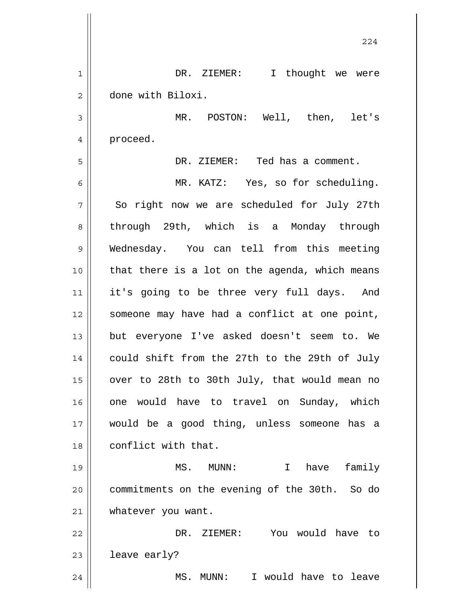|              | 224                                            |
|--------------|------------------------------------------------|
| $\mathbf 1$  | DR. ZIEMER: I thought we were                  |
| $\mathbf{2}$ | done with Biloxi.                              |
| 3            | MR. POSTON: Well, then, let's                  |
| 4            | proceed.                                       |
| 5            | DR. ZIEMER: Ted has a comment.                 |
| 6            | MR. KATZ: Yes, so for scheduling.              |
| 7            | So right now we are scheduled for July 27th    |
| 8            | through 29th, which is a Monday through        |
| 9            | Wednesday. You can tell from this meeting      |
| 10           | that there is a lot on the agenda, which means |
| 11           | it's going to be three very full days. And     |
| 12           | someone may have had a conflict at one point,  |
| 13           | but everyone I've asked doesn't seem to. We    |
| 14           | could shift from the 27th to the 29th of July  |
| 15           | over to 28th to 30th July, that would mean no  |
| 16           | one would have to travel on Sunday, which      |
| 17           | would be a good thing, unless someone has a    |
| 18           | conflict with that.                            |
| 19           | I have<br>family<br>MS.<br>$MUNN$ :            |
| 20           | commitments on the evening of the 30th. So do  |
| 21           | whatever you want.                             |
| 22           | DR. ZIEMER: You would have to                  |
| 23           | leave early?                                   |
| 24           | MS. MUNN: I would have to leave                |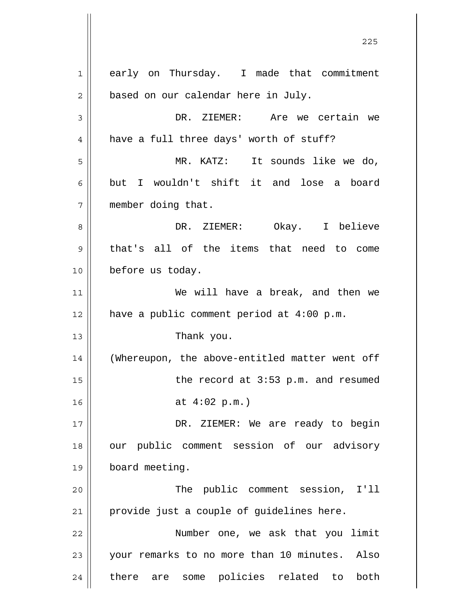1 2 3 4 5 6 7 8 9 10 11 12 13 14 15 16 17 18 19 20 21 22 23 24 early on Thursday. I made that commitment based on our calendar here in July. DR. ZIEMER: Are we certain we have a full three days' worth of stuff? MR. KATZ: It sounds like we do, but I wouldn't shift it and lose a board member doing that. DR. ZIEMER: Okay. I believe that's all of the items that need to come before us today. We will have a break, and then we have a public comment period at 4:00 p.m. Thank you. (Whereupon, the above-entitled matter went off the record at 3:53 p.m. and resumed at 4:02 p.m.) DR. ZIEMER: We are ready to begin our public comment session of our advisory board meeting. The public comment session, I'll provide just a couple of guidelines here. Number one, we ask that you limit your remarks to no more than 10 minutes. Also there are some policies related to both

<u>225</u>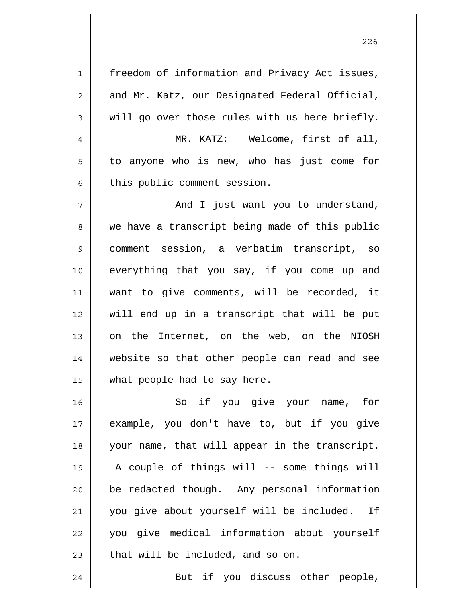1 2 3 4 5 6 7 8 9 10 11 12 13 14 15 16 17 18 19 20 21 22 23 freedom of information and Privacy Act issues, and Mr. Katz, our Designated Federal Official, will go over those rules with us here briefly. MR. KATZ: Welcome, first of all, to anyone who is new, who has just come for this public comment session. And I just want you to understand, we have a transcript being made of this public comment session, a verbatim transcript, so everything that you say, if you come up and want to give comments, will be recorded, it will end up in a transcript that will be put on the Internet, on the web, on the NIOSH website so that other people can read and see what people had to say here. So if you give your name, for example, you don't have to, but if you give your name, that will appear in the transcript. A couple of things will -- some things will be redacted though. Any personal information you give about yourself will be included. If you give medical information about yourself that will be included, and so on.

24 But if you discuss other people,

<u>226</u>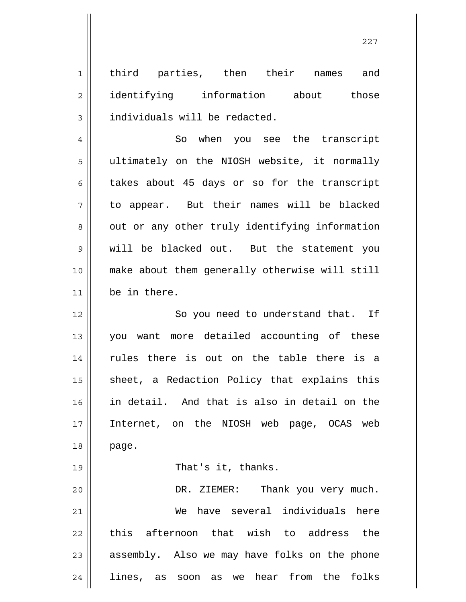1 2 3 third parties, then their names and identifying information about those individuals will be redacted.

4 5 6 7 8 9 10 11 So when you see the transcript ultimately on the NIOSH website, it normally takes about 45 days or so for the transcript to appear. But their names will be blacked out or any other truly identifying information will be blacked out. But the statement you make about them generally otherwise will still be in there.

12 13 14 15 16 17 18 So you need to understand that. If you want more detailed accounting of these rules there is out on the table there is a sheet, a Redaction Policy that explains this in detail. And that is also in detail on the Internet, on the NIOSH web page, OCAS web page.

That's it, thanks.

19

20 21 22 23 24 DR. ZIEMER: Thank you very much. We have several individuals here this afternoon that wish to address the assembly. Also we may have folks on the phone lines, as soon as we hear from the folks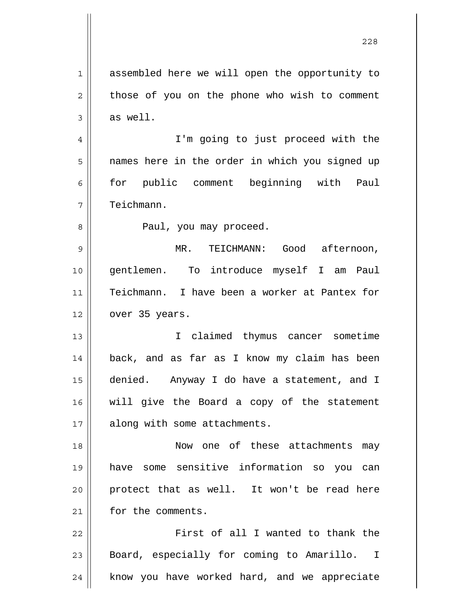1 2 3 4 5 6 7 8 9 10 11 12 13 14 15 16 17 18 19 20 21 22 23 assembled here we will open the opportunity to those of you on the phone who wish to comment as well. I'm going to just proceed with the names here in the order in which you signed up for public comment beginning with Paul Teichmann. Paul, you may proceed. MR. TEICHMANN: Good afternoon, gentlemen. To introduce myself I am Paul Teichmann. I have been a worker at Pantex for over 35 years. I claimed thymus cancer sometime back, and as far as I know my claim has been denied. Anyway I do have a statement, and I will give the Board a copy of the statement along with some attachments. Now one of these attachments may have some sensitive information so you can protect that as well. It won't be read here for the comments. First of all I wanted to thank the Board, especially for coming to Amarillo. I

know you have worked hard, and we appreciate

24

<u>228</u>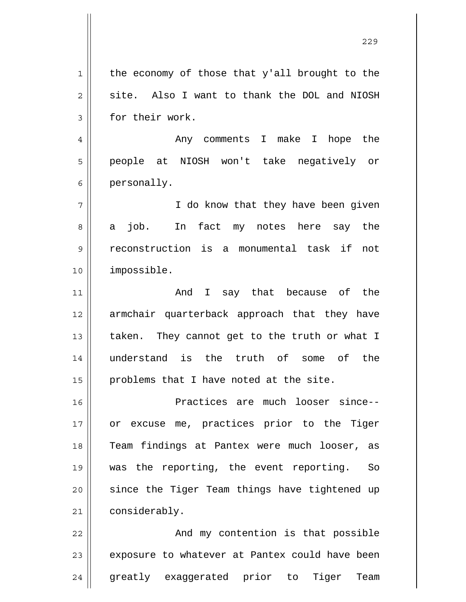1 2 3 4 5 6 7 8 9 10 11 12 13 14 15 16 17 18 19 20 21 22 23 the economy of those that y'all brought to the site. Also I want to thank the DOL and NIOSH for their work. Any comments I make I hope the people at NIOSH won't take negatively or personally. I do know that they have been given a job. In fact my notes here say the reconstruction is a monumental task if not impossible. And I say that because of the armchair quarterback approach that they have taken. They cannot get to the truth or what I understand is the truth of some of the problems that I have noted at the site. Practices are much looser since- or excuse me, practices prior to the Tiger Team findings at Pantex were much looser, as was the reporting, the event reporting. So since the Tiger Team things have tightened up considerably. And my contention is that possible exposure to whatever at Pantex could have been

greatly exaggerated prior to Tiger Team

24

<u>229</u>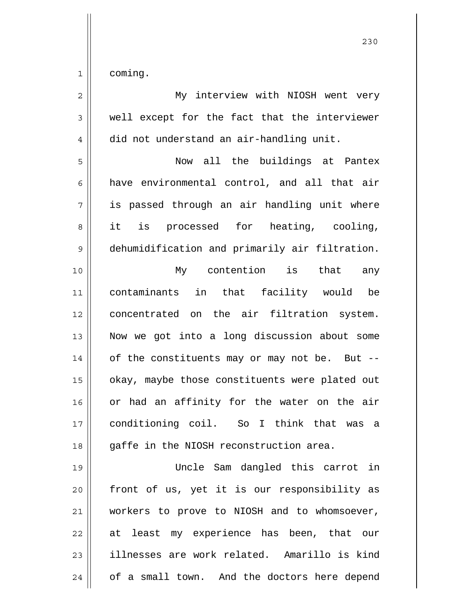| $\overline{2}$ | My interview with NIOSH went very              |
|----------------|------------------------------------------------|
| 3              | well except for the fact that the interviewer  |
| $\overline{4}$ | did not understand an air-handling unit.       |
| 5              | Now all the buildings at Pantex                |
| 6              | have environmental control, and all that air   |
| 7              | is passed through an air handling unit where   |
| 8              | it is processed for heating, cooling,          |
| 9              | dehumidification and primarily air filtration. |
| 10             | My contention is that any                      |
| 11             | contaminants in that facility would be         |
| 12             | concentrated on the air filtration system.     |
| 13             | Now we got into a long discussion about some   |
| 14             | of the constituents may or may not be. But --  |
| 15             | okay, maybe those constituents were plated out |
| 16             | or had an affinity for the water on the air    |
| 17             | conditioning coil. So I think that was a       |
| 18             | gaffe in the NIOSH reconstruction area.        |
| 19             | Uncle Sam dangled this carrot in               |
| 20             | front of us, yet it is our responsibility as   |
| 21             | workers to prove to NIOSH and to whomsoever,   |
| 22             | at least my experience has been, that our      |
| 23             | illnesses are work related. Amarillo is kind   |

24 of a small town. And the doctors here depend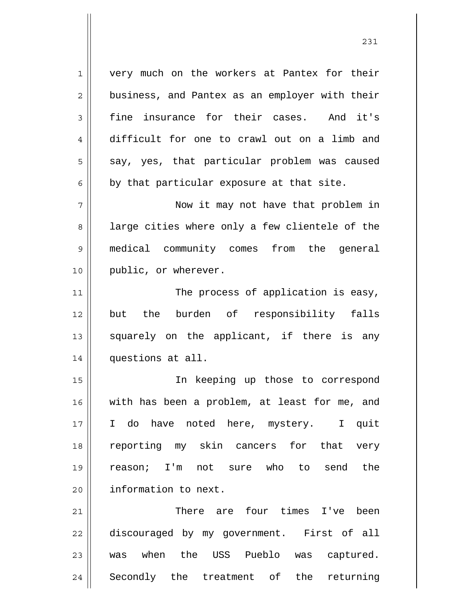very much on the workers at Pantex for their business, and Pantex as an employer with their fine insurance for their cases. And it's difficult for one to crawl out on a limb and say, yes, that particular problem was caused by that particular exposure at that site.

1

2

3

4

5

6

7

8

9

10

11

14

 Now it may not have that problem in large cities where only a few clientele of the medical community comes from the general public, or wherever.

12 13 The process of application is easy, but the burden of responsibility falls squarely on the applicant, if there is any questions at all.

15 16 17 18 19 20 In keeping up those to correspond with has been a problem, at least for me, and I do have noted here, mystery. I quit reporting my skin cancers for that very reason; I'm not sure who to send the information to next.

21 22 23 24 There are four times I've been discouraged by my government. First of all was when the USS Pueblo was captured. Secondly the treatment of the returning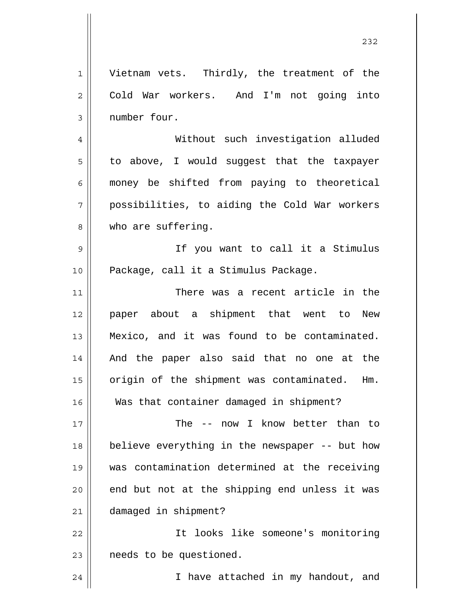1 2 3 4 5 6 7 8 9 10 11 12 13 14 15 16 17 18 19 20 21 22 23 Vietnam vets. Thirdly, the treatment of the Cold War workers. And I'm not going into number four. Without such investigation alluded to above, I would suggest that the taxpayer money be shifted from paying to theoretical possibilities, to aiding the Cold War workers who are suffering. If you want to call it a Stimulus Package, call it a Stimulus Package. There was a recent article in the paper about a shipment that went to New Mexico, and it was found to be contaminated. And the paper also said that no one at the origin of the shipment was contaminated. Hm. Was that container damaged in shipment? The -- now I know better than to believe everything in the newspaper -- but how was contamination determined at the receiving end but not at the shipping end unless it was damaged in shipment? It looks like someone's monitoring needs to be questioned. I have attached in my handout, and

24

<u>232</u>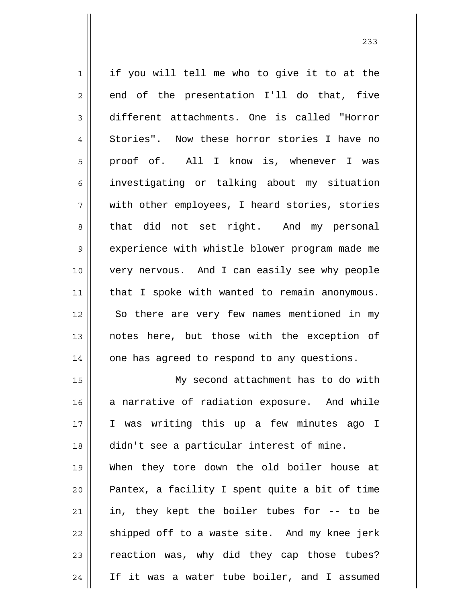| $\mathbf 1$    | if you will tell me who to give it to at the   |
|----------------|------------------------------------------------|
| $\sqrt{2}$     | end of the presentation I'll do that, five     |
| $\mathfrak{Z}$ | different attachments. One is called "Horror   |
| $\overline{4}$ | Stories". Now these horror stories I have no   |
| 5              | proof of. All I know is, whenever I was        |
| 6              | investigating or talking about my situation    |
| 7              | with other employees, I heard stories, stories |
| 8              | that did not set right. And my personal        |
| $\mathsf 9$    | experience with whistle blower program made me |
| 10             | very nervous. And I can easily see why people  |
| 11             | that I spoke with wanted to remain anonymous.  |
| 12             | So there are very few names mentioned in my    |
| 13             | notes here, but those with the exception of    |
| 14             | one has agreed to respond to any questions.    |
| 15             | My second attachment has to do with            |
| 16             | a narrative of radiation exposure. And while   |
| 17             | I was writing this up a few minutes ago I      |
| 18             | didn't see a particular interest of mine.      |
| 19             | When they tore down the old boiler house at    |
| 20             | Pantex, a facility I spent quite a bit of time |
| 21             | in, they kept the boiler tubes for -- to be    |
| 22             | shipped off to a waste site. And my knee jerk  |
| 23             | reaction was, why did they cap those tubes?    |
| 24             | If it was a water tube boiler, and I assumed   |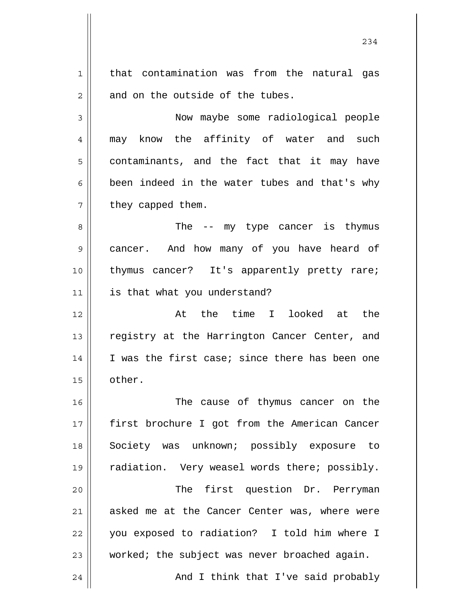1 2 3 4 5 6 7 8 9 10 11 12 13 14 15 16 that contamination was from the natural gas and on the outside of the tubes. Now maybe some radiological people may know the affinity of water and such contaminants, and the fact that it may have been indeed in the water tubes and that's why they capped them. The -- my type cancer is thymus cancer. And how many of you have heard of thymus cancer? It's apparently pretty rare; is that what you understand? At the time I looked at the registry at the Harrington Cancer Center, and I was the first case; since there has been one other. The cause of thymus cancer on the

17 18 19 20 21 22 23 24 first brochure I got from the American Cancer Society was unknown; possibly exposure to radiation. Very weasel words there; possibly. The first question Dr. Perryman asked me at the Cancer Center was, where were you exposed to radiation? I told him where I worked; the subject was never broached again. And I think that I've said probably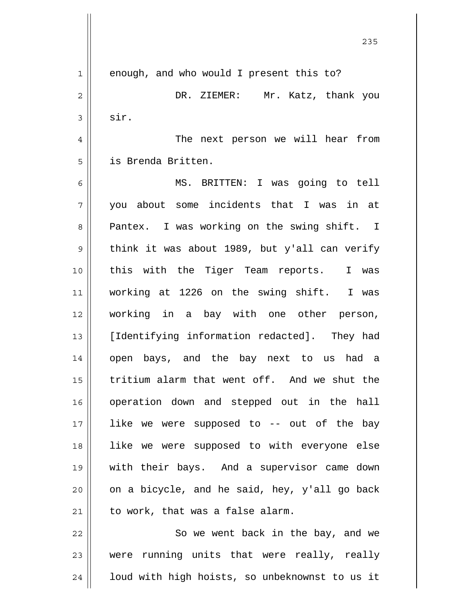1 2 3 4 5 6 7 8 9 10 11 12 13 14 15 16 17 18 19 20 21 22 enough, and who would I present this to? DR. ZIEMER: Mr. Katz, thank you sir. The next person we will hear from is Brenda Britten. MS. BRITTEN: I was going to tell you about some incidents that I was in at Pantex. I was working on the swing shift. I think it was about 1989, but y'all can verify this with the Tiger Team reports. I was working at 1226 on the swing shift. I was working in a bay with one other person, [Identifying information redacted]. They had open bays, and the bay next to us had a tritium alarm that went off. And we shut the operation down and stepped out in the hall like we were supposed to -- out of the bay like we were supposed to with everyone else with their bays. And a supervisor came down on a bicycle, and he said, hey, y'all go back to work, that was a false alarm. So we went back in the bay, and we

23 24 were running units that were really, really loud with high hoists, so unbeknownst to us it

<u>235</u>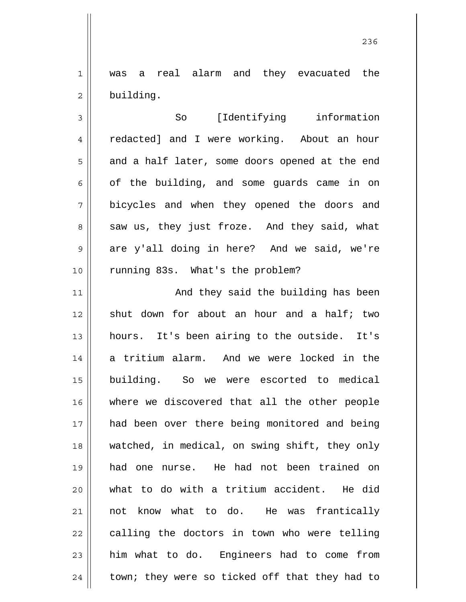1 2 was a real alarm and they evacuated the building.

3 4 5 6 7 8 9 10 So [Identifying information redacted] and I were working. About an hour and a half later, some doors opened at the end of the building, and some guards came in on bicycles and when they opened the doors and saw us, they just froze. And they said, what are y'all doing in here? And we said, we're running 83s. What's the problem?

11 12 13 14 15 16 17 18 19 20 21 22 23 24 And they said the building has been shut down for about an hour and a half; two hours. It's been airing to the outside. It's a tritium alarm. And we were locked in the building. So we were escorted to medical where we discovered that all the other people had been over there being monitored and being watched, in medical, on swing shift, they only had one nurse. He had not been trained on what to do with a tritium accident. He did not know what to do. He was frantically calling the doctors in town who were telling him what to do. Engineers had to come from town; they were so ticked off that they had to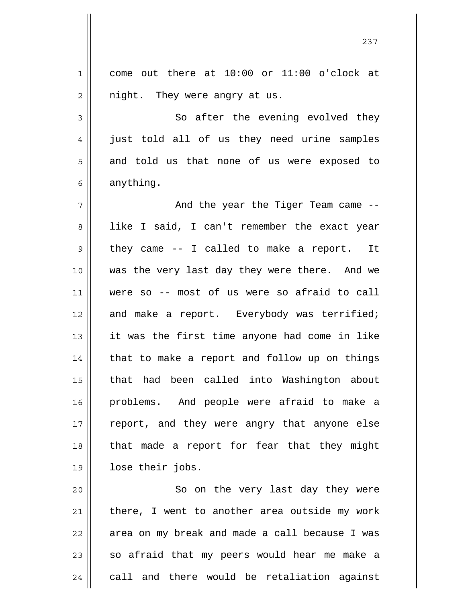1 2 3 4 5 come out there at 10:00 or 11:00 o'clock at night. They were angry at us. So after the evening evolved they just told all of us they need urine samples and told us that none of us were exposed to

6

anything.

7 8 9 10 11 12 13 14 15 16 17 18 19 And the year the Tiger Team came - like I said, I can't remember the exact year they came -- I called to make a report. It was the very last day they were there. And we were so -- most of us were so afraid to call and make a report. Everybody was terrified; it was the first time anyone had come in like that to make a report and follow up on things that had been called into Washington about problems. And people were afraid to make a report, and they were angry that anyone else that made a report for fear that they might lose their jobs.

20 21 22 23 24 So on the very last day they were there, I went to another area outside my work area on my break and made a call because I was so afraid that my peers would hear me make a call and there would be retaliation against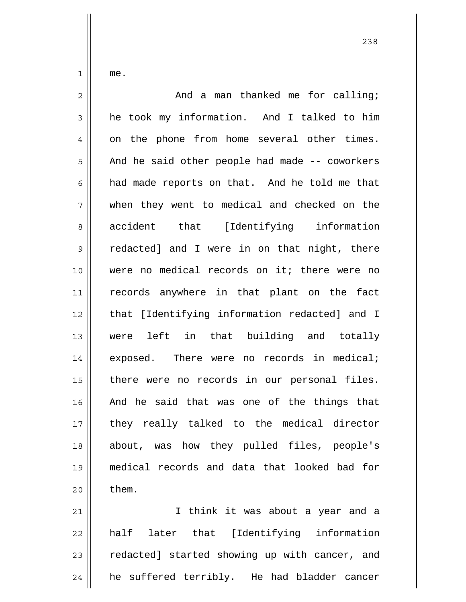me.

1

| 2  | And a man thanked me for calling;              |
|----|------------------------------------------------|
| 3  | he took my information. And I talked to him    |
| 4  | on the phone from home several other times.    |
| 5  | And he said other people had made -- coworkers |
| 6  | had made reports on that. And he told me that  |
| 7  | when they went to medical and checked on the   |
| 8  | accident that [Identifying information         |
| 9  | redacted] and I were in on that night, there   |
| 10 | were no medical records on it; there were no   |
| 11 | records anywhere in that plant on the fact     |
| 12 | that [Identifying information redacted] and I  |
| 13 | were left in that building and totally         |
| 14 | exposed. There were no records in medical;     |
| 15 | there were no records in our personal files.   |
| 16 | And he said that was one of the things that    |
| 17 | they really talked to the medical director     |
| 18 | about, was how they pulled files, people's     |
| 19 | medical records and data that looked bad for   |
| 20 | them.                                          |
| 21 | I think it was about a year and a              |

22 23 24 half later that [Identifying information redacted] started showing up with cancer, and he suffered terribly. He had bladder cancer

<u>238</u>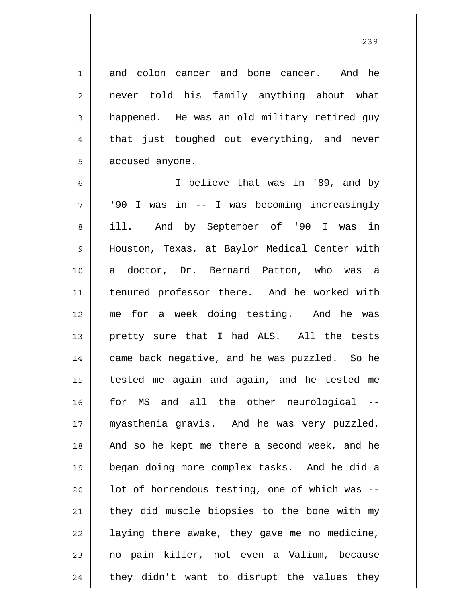and colon cancer and bone cancer. And he never told his family anything about what happened. He was an old military retired guy that just toughed out everything, and never accused anyone.

1

2

3

4

5

6 7 8 9 10 11 12 13 14 15 16 17 18 19 20 21 22 23 24 I believe that was in '89, and by '90 I was in -- I was becoming increasingly ill. And by September of '90 I was in Houston, Texas, at Baylor Medical Center with a doctor, Dr. Bernard Patton, who was a tenured professor there. And he worked with me for a week doing testing. And he was pretty sure that I had ALS. All the tests came back negative, and he was puzzled. So he tested me again and again, and he tested me for MS and all the other neurological - myasthenia gravis. And he was very puzzled. And so he kept me there a second week, and he began doing more complex tasks. And he did a lot of horrendous testing, one of which was - they did muscle biopsies to the bone with my laying there awake, they gave me no medicine, no pain killer, not even a Valium, because they didn't want to disrupt the values they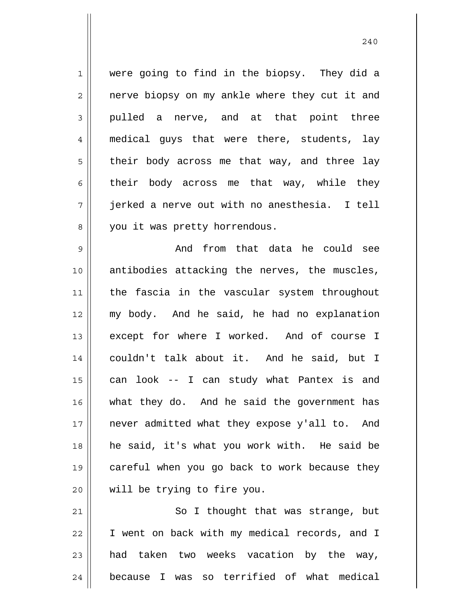1 2 3 4 5 6 7 8 were going to find in the biopsy. They did a nerve biopsy on my ankle where they cut it and pulled a nerve, and at that point three medical guys that were there, students, lay their body across me that way, and three lay their body across me that way, while they jerked a nerve out with no anesthesia. I tell you it was pretty horrendous.

9 10 11 12 13 14 15 16 17 18 19 20 And from that data he could see antibodies attacking the nerves, the muscles, the fascia in the vascular system throughout my body. And he said, he had no explanation except for where I worked. And of course I couldn't talk about it. And he said, but I can look -- I can study what Pantex is and what they do. And he said the government has never admitted what they expose y'all to. And he said, it's what you work with. He said be careful when you go back to work because they will be trying to fire you.

21 22 23 24 So I thought that was strange, but I went on back with my medical records, and I had taken two weeks vacation by the way, because I was so terrified of what medical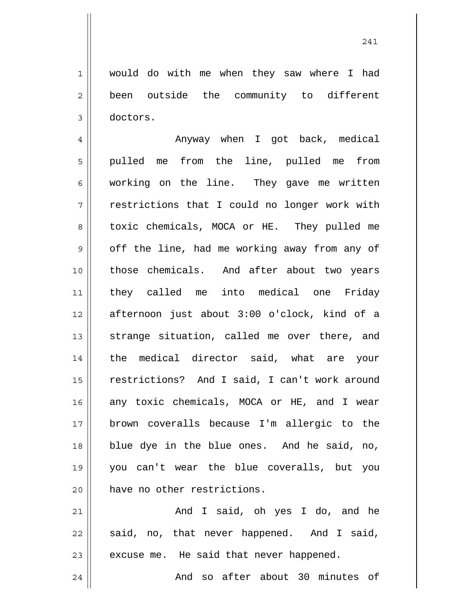would do with me when they saw where I had been outside the community to different doctors.

1

2

3

4 5 6 7 8 9 10 11 12 13 14 15 16 17 18 19 20 Anyway when I got back, medical pulled me from the line, pulled me from working on the line. They gave me written restrictions that I could no longer work with toxic chemicals, MOCA or HE. They pulled me off the line, had me working away from any of those chemicals. And after about two years they called me into medical one Friday afternoon just about 3:00 o'clock, kind of a strange situation, called me over there, and the medical director said, what are your restrictions? And I said, I can't work around any toxic chemicals, MOCA or HE, and I wear brown coveralls because I'm allergic to the blue dye in the blue ones. And he said, no, you can't wear the blue coveralls, but you have no other restrictions.

21 22 23 24 And I said, oh yes I do, and he said, no, that never happened. And I said, excuse me. He said that never happened. And so after about 30 minutes of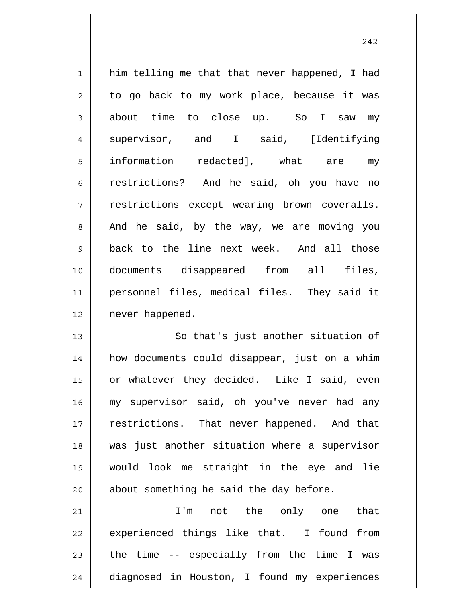1 2 3 4 5 6 7 8 9 10 11 12 him telling me that that never happened, I had to go back to my work place, because it was about time to close up. So I saw my supervisor, and I said, [Identifying information redacted], what are my restrictions? And he said, oh you have no restrictions except wearing brown coveralls. And he said, by the way, we are moving you back to the line next week. And all those documents disappeared from all files, personnel files, medical files. They said it never happened.

13 14 15 16 17 18 19 20 So that's just another situation of how documents could disappear, just on a whim or whatever they decided. Like I said, even my supervisor said, oh you've never had any restrictions. That never happened. And that was just another situation where a supervisor would look me straight in the eye and lie about something he said the day before.

21 22 23 24 I'm not the only one that experienced things like that. I found from the time -- especially from the time I was diagnosed in Houston, I found my experiences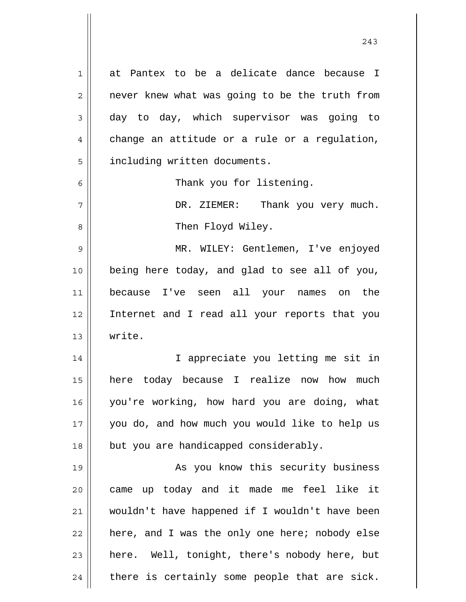1 2 3 4 5 6 7 8 9 10 11 12 13 14 15 16 17 18 19 20 21 22 23 24 at Pantex to be a delicate dance because I never knew what was going to be the truth from day to day, which supervisor was going to change an attitude or a rule or a regulation, including written documents. Thank you for listening. DR. ZIEMER: Thank you very much. Then Floyd Wiley. MR. WILEY: Gentlemen, I've enjoyed being here today, and glad to see all of you, because I've seen all your names on the Internet and I read all your reports that you write. I appreciate you letting me sit in here today because I realize now how much you're working, how hard you are doing, what you do, and how much you would like to help us but you are handicapped considerably. As you know this security business came up today and it made me feel like it wouldn't have happened if I wouldn't have been here, and I was the only one here; nobody else here. Well, tonight, there's nobody here, but there is certainly some people that are sick.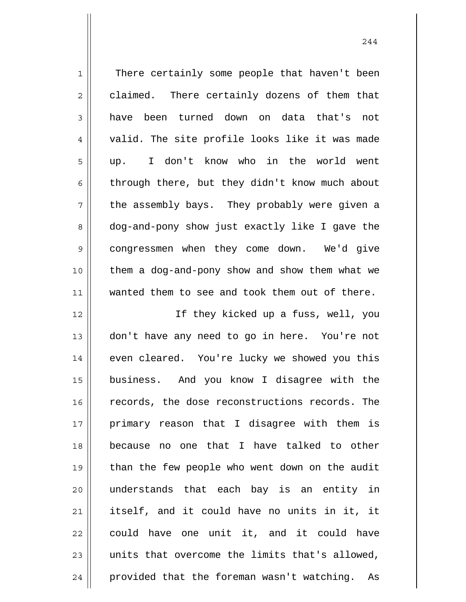| $\mathbf 1$    | There certainly some people that haven't been  |
|----------------|------------------------------------------------|
| $\mathbf{2}$   | claimed. There certainly dozens of them that   |
| 3              | have been turned down on data that's<br>not    |
| $\overline{4}$ | valid. The site profile looks like it was made |
| 5              | I don't know who in the world went<br>up.      |
| 6              | through there, but they didn't know much about |
| 7              | the assembly bays. They probably were given a  |
| 8              | dog-and-pony show just exactly like I gave the |
| $\mathsf 9$    | congressmen when they come down. We'd give     |
| 10             | them a dog-and-pony show and show them what we |
| 11             | wanted them to see and took them out of there. |
| 12             | If they kicked up a fuss, well, you            |
| 13             | don't have any need to go in here. You're not  |
| 14             | even cleared. You're lucky we showed you this  |
| 15             | business. And you know I disagree with the     |
| 16             | records, the dose reconstructions records. The |
| 17             | primary reason that I disagree with them is    |
| 18             | because no one that I have talked to other     |
| 19             | than the few people who went down on the audit |
| 20             | understands that each bay is an entity in      |
| 21             | itself, and it could have no units in it, it   |
| 22             | could have one unit it, and it could have      |
| 23             | units that overcome the limits that's allowed, |
| 24             | provided that the foreman wasn't watching. As  |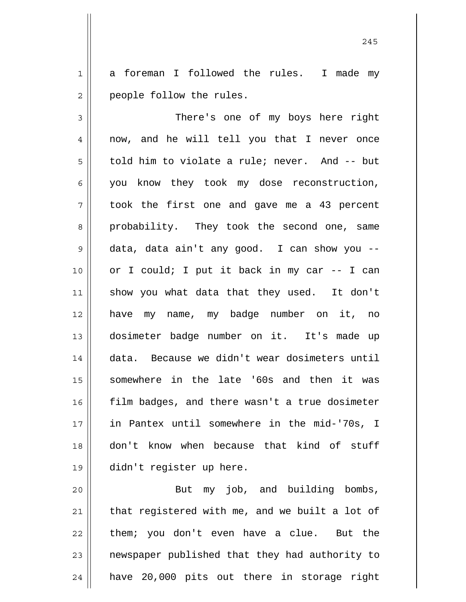1 2 a foreman I followed the rules. I made my people follow the rules.

3 4 5 6 7 8 9 10 11 12 13 14 15 16 17 18 19 There's one of my boys here right now, and he will tell you that I never once told him to violate a rule; never. And -- but you know they took my dose reconstruction, took the first one and gave me a 43 percent probability. They took the second one, same data, data ain't any good. I can show you - or I could; I put it back in my car -- I can show you what data that they used. It don't have my name, my badge number on it, no dosimeter badge number on it. It's made up data. Because we didn't wear dosimeters until somewhere in the late '60s and then it was film badges, and there wasn't a true dosimeter in Pantex until somewhere in the mid-'70s, I don't know when because that kind of stuff didn't register up here.

20 21 22 23 24 But my job, and building bombs, that registered with me, and we built a lot of them; you don't even have a clue. But the newspaper published that they had authority to have 20,000 pits out there in storage right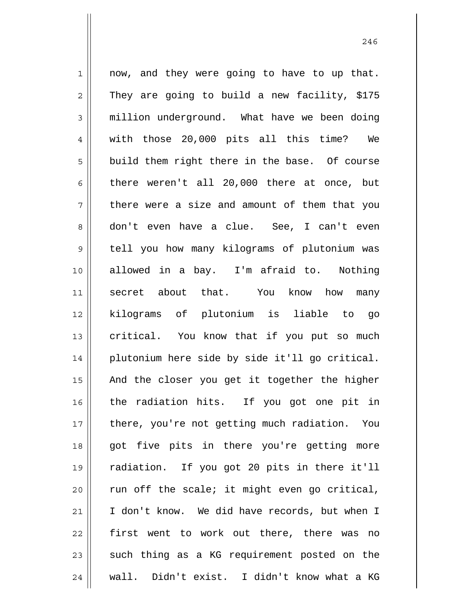1 2 3 4 5 6 7 8 9 10 11 12 13 14 15 16 17 18 19 20 21 22 23 24 now, and they were going to have to up that. They are going to build a new facility, \$175 million underground. What have we been doing with those 20,000 pits all this time? We build them right there in the base. Of course there weren't all 20,000 there at once, but there were a size and amount of them that you don't even have a clue. See, I can't even tell you how many kilograms of plutonium was allowed in a bay. I'm afraid to. Nothing secret about that. You know how many kilograms of plutonium is liable to go critical. You know that if you put so much plutonium here side by side it'll go critical. And the closer you get it together the higher the radiation hits. If you got one pit in there, you're not getting much radiation. You got five pits in there you're getting more radiation. If you got 20 pits in there it'll run off the scale; it might even go critical, I don't know. We did have records, but when I first went to work out there, there was no such thing as a KG requirement posted on the wall. Didn't exist. I didn't know what a KG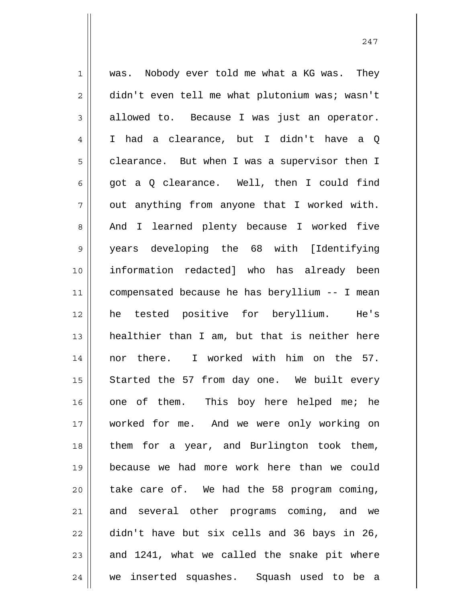1 2 3 4 5 6 7 8 9 10 11 12 13 14 15 16 17 18 19 20 21 22 23 24 was. Nobody ever told me what a KG was. They didn't even tell me what plutonium was; wasn't allowed to. Because I was just an operator. I had a clearance, but I didn't have a Q clearance. But when I was a supervisor then I got a Q clearance. Well, then I could find out anything from anyone that I worked with. And I learned plenty because I worked five years developing the 68 with [Identifying information redacted] who has already been compensated because he has beryllium -- I mean he tested positive for beryllium. He's healthier than I am, but that is neither here nor there. I worked with him on the 57. Started the 57 from day one. We built every one of them. This boy here helped me; he worked for me. And we were only working on them for a year, and Burlington took them, because we had more work here than we could take care of. We had the 58 program coming, and several other programs coming, and we didn't have but six cells and 36 bays in 26, and 1241, what we called the snake pit where we inserted squashes. Squash used to be a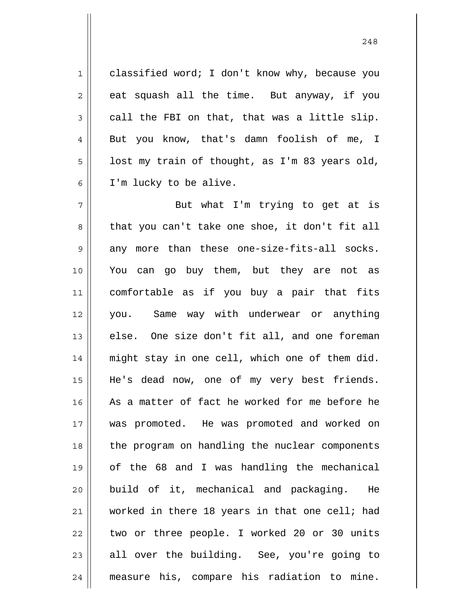classified word; I don't know why, because you eat squash all the time. But anyway, if you call the FBI on that, that was a little slip. But you know, that's damn foolish of me, I lost my train of thought, as I'm 83 years old, I'm lucky to be alive.

1

2

3

4

5

6

7 8 9 10 11 12 13 14 15 16 17 18 19 20 21 22 23 24 But what I'm trying to get at is that you can't take one shoe, it don't fit all any more than these one-size-fits-all socks. You can go buy them, but they are not as comfortable as if you buy a pair that fits you. Same way with underwear or anything else. One size don't fit all, and one foreman might stay in one cell, which one of them did. He's dead now, one of my very best friends. As a matter of fact he worked for me before he was promoted. He was promoted and worked on the program on handling the nuclear components of the 68 and I was handling the mechanical build of it, mechanical and packaging. He worked in there 18 years in that one cell; had two or three people. I worked 20 or 30 units all over the building. See, you're going to measure his, compare his radiation to mine.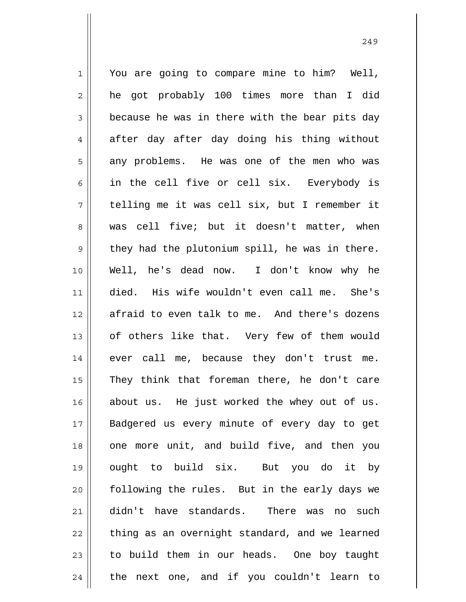1 2 3 4 5 6 7 8 9 10 11 12 13 14 15 16 17 18 19 20 21 22 23 24 You are going to compare mine to him? Well, he got probably 100 times more than I did because he was in there with the bear pits day after day after day doing his thing without any problems. He was one of the men who was in the cell five or cell six. Everybody is telling me it was cell six, but I remember it was cell five; but it doesn't matter, when they had the plutonium spill, he was in there. Well, he's dead now. I don't know why he died. His wife wouldn't even call me. She's afraid to even talk to me. And there's dozens of others like that. Very few of them would ever call me, because they don't trust me. They think that foreman there, he don't care about us. He just worked the whey out of us. Badgered us every minute of every day to get one more unit, and build five, and then you ought to build six. But you do it by following the rules. But in the early days we didn't have standards. There was no such thing as an overnight standard, and we learned to build them in our heads. One boy taught the next one, and if you couldn't learn to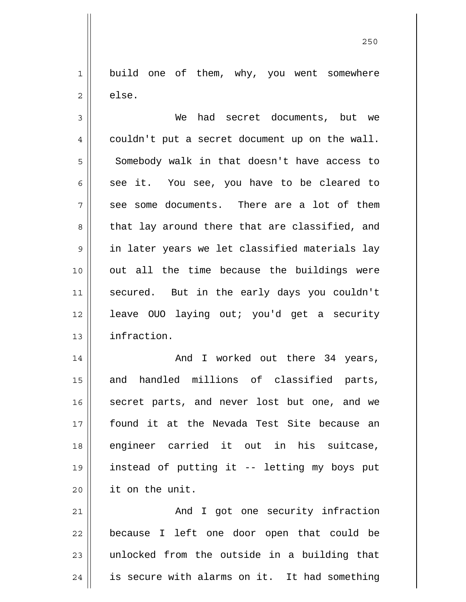1 2 build one of them, why, you went somewhere else.

3 4 5 6 7 8 9 10 11 12 13 We had secret documents, but we couldn't put a secret document up on the wall. Somebody walk in that doesn't have access to see it. You see, you have to be cleared to see some documents. There are a lot of them that lay around there that are classified, and in later years we let classified materials lay out all the time because the buildings were secured. But in the early days you couldn't leave OUO laying out; you'd get a security infraction.

14 15 16 17 18 19 20 And I worked out there 34 years, and handled millions of classified parts, secret parts, and never lost but one, and we found it at the Nevada Test Site because an engineer carried it out in his suitcase, instead of putting it -- letting my boys put it on the unit.

21 22 23 24 And I got one security infraction because I left one door open that could be unlocked from the outside in a building that is secure with alarms on it. It had something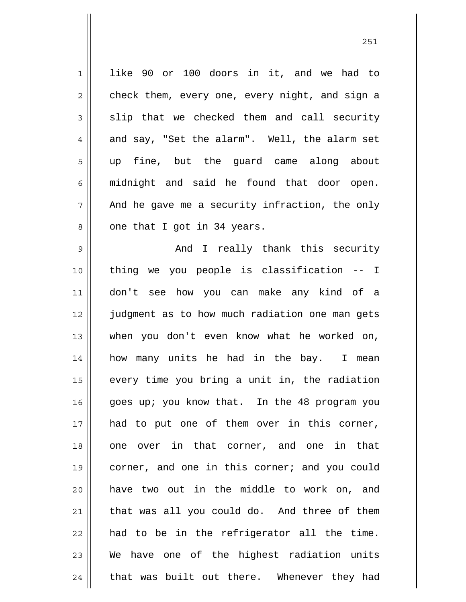1 2 3 4 5 6 7 8 like 90 or 100 doors in it, and we had to check them, every one, every night, and sign a slip that we checked them and call security and say, "Set the alarm". Well, the alarm set up fine, but the guard came along about midnight and said he found that door open. And he gave me a security infraction, the only one that I got in 34 years.

9 10 11 12 13 14 15 16 17 18 19 20 21 22 23 24 And I really thank this security thing we you people is classification -- I don't see how you can make any kind of a judgment as to how much radiation one man gets when you don't even know what he worked on, how many units he had in the bay. I mean every time you bring a unit in, the radiation goes up; you know that. In the 48 program you had to put one of them over in this corner, one over in that corner, and one in that corner, and one in this corner; and you could have two out in the middle to work on, and that was all you could do. And three of them had to be in the refrigerator all the time. We have one of the highest radiation units that was built out there. Whenever they had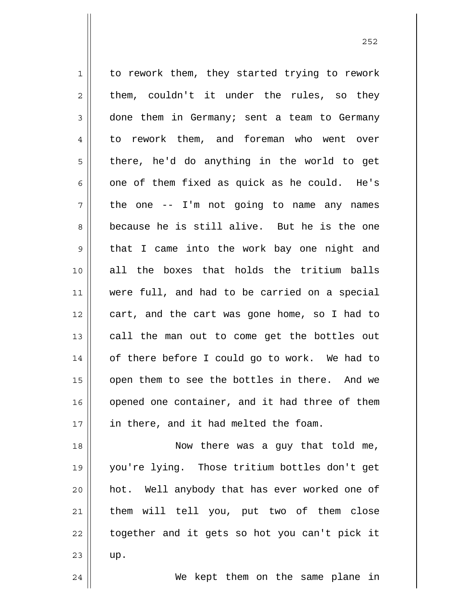1 2 3 4 5 6 7 8 9 10 11 12 13 14 15 16 17 18 19 20 to rework them, they started trying to rework them, couldn't it under the rules, so they done them in Germany; sent a team to Germany to rework them, and foreman who went over there, he'd do anything in the world to get one of them fixed as quick as he could. He's the one -- I'm not going to name any names because he is still alive. But he is the one that I came into the work bay one night and all the boxes that holds the tritium balls were full, and had to be carried on a special cart, and the cart was gone home, so I had to call the man out to come get the bottles out of there before I could go to work. We had to open them to see the bottles in there. And we opened one container, and it had three of them in there, and it had melted the foam. Now there was a guy that told me, you're lying. Those tritium bottles don't get hot. Well anybody that has ever worked one of

22

23

up.

21

We kept them on the same plane in

them will tell you, put two of them close

together and it gets so hot you can't pick it

<u>252</u>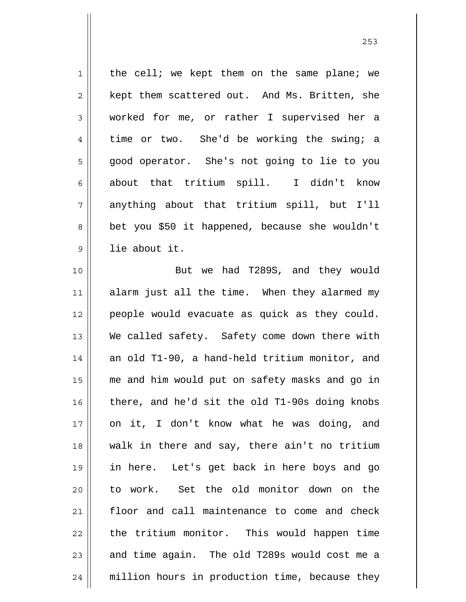1 2 3 4 5 6 7 8 9 10 11 12 13 14 15 16 17 18 19 20 21 22 23 24 the cell; we kept them on the same plane; we kept them scattered out. And Ms. Britten, she worked for me, or rather I supervised her a time or two. She'd be working the swing; a good operator. She's not going to lie to you about that tritium spill. I didn't know anything about that tritium spill, but I'll bet you \$50 it happened, because she wouldn't lie about it. But we had T289S, and they would alarm just all the time. When they alarmed my people would evacuate as quick as they could. We called safety. Safety come down there with an old T1-90, a hand-held tritium monitor, and me and him would put on safety masks and go in there, and he'd sit the old T1-90s doing knobs on it, I don't know what he was doing, and walk in there and say, there ain't no tritium in here. Let's get back in here boys and go to work. Set the old monitor down on the floor and call maintenance to come and check the tritium monitor. This would happen time and time again. The old T289s would cost me a million hours in production time, because they

<u>253</u>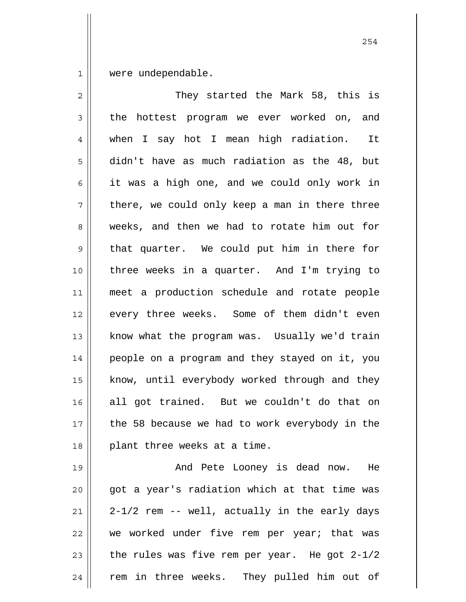1 were undependable.

2 3 4 5 6 7 8 9 10 11 12 13 14 15 16 17 18 They started the Mark 58, this is the hottest program we ever worked on, and when I say hot I mean high radiation. It didn't have as much radiation as the 48, but it was a high one, and we could only work in there, we could only keep a man in there three weeks, and then we had to rotate him out for that quarter. We could put him in there for three weeks in a quarter. And I'm trying to meet a production schedule and rotate people every three weeks. Some of them didn't even know what the program was. Usually we'd train people on a program and they stayed on it, you know, until everybody worked through and they all got trained. But we couldn't do that on the 58 because we had to work everybody in the plant three weeks at a time.

19 20 21 22 23 24 And Pete Looney is dead now. He got a year's radiation which at that time was 2-1/2 rem -- well, actually in the early days we worked under five rem per year; that was the rules was five rem per year. He got 2-1/2 rem in three weeks. They pulled him out of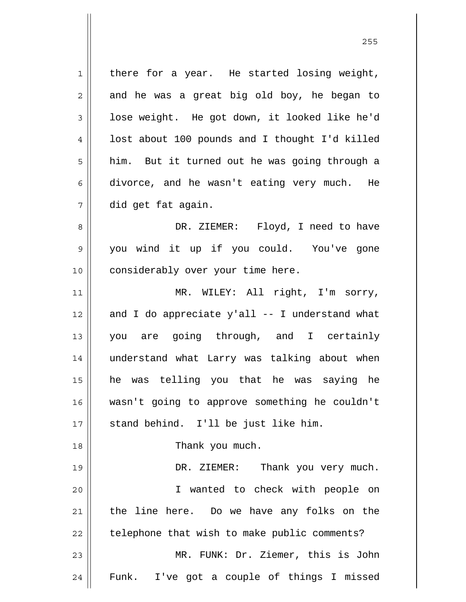1 2 3 4 5 6 7 8 9 10 11 12 13 14 15 16 17 18 19 20 21 22 23 24 there for a year. He started losing weight, and he was a great big old boy, he began to lose weight. He got down, it looked like he'd lost about 100 pounds and I thought I'd killed him. But it turned out he was going through a divorce, and he wasn't eating very much. He did get fat again. DR. ZIEMER: Floyd, I need to have you wind it up if you could. You've gone considerably over your time here. MR. WILEY: All right, I'm sorry, and I do appreciate y'all -- I understand what you are going through, and I certainly understand what Larry was talking about when he was telling you that he was saying he wasn't going to approve something he couldn't stand behind. I'll be just like him. Thank you much. DR. ZIEMER: Thank you very much. I wanted to check with people on the line here. Do we have any folks on the telephone that wish to make public comments? MR. FUNK: Dr. Ziemer, this is John Funk. I've got a couple of things I missed

<u>255</u>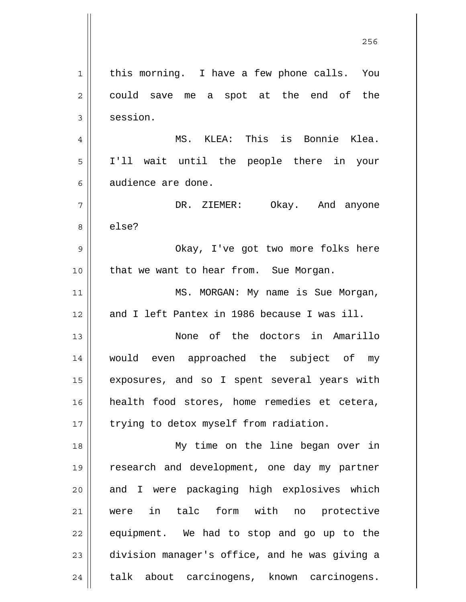1 2 3 4 5 6 7 8 9 10 11 12 13 14 15 16 17 18 19 20 21 22 23 24 this morning. I have a few phone calls. You could save me a spot at the end of the session. MS. KLEA: This is Bonnie Klea. I'll wait until the people there in your audience are done. DR. ZIEMER: Okay. And anyone else? Okay, I've got two more folks here that we want to hear from. Sue Morgan. MS. MORGAN: My name is Sue Morgan, and I left Pantex in 1986 because I was ill. None of the doctors in Amarillo would even approached the subject of my exposures, and so I spent several years with health food stores, home remedies et cetera, trying to detox myself from radiation. My time on the line began over in research and development, one day my partner and I were packaging high explosives which were in talc form with no protective equipment. We had to stop and go up to the division manager's office, and he was giving a talk about carcinogens, known carcinogens.

<u>256 میں اس کا 17 مئی میں اس کا 17 مئی میں اس کا 17 مئی میں اس کا 17 مئی میں اس کا 17 مئی میں اس کا 256 مئی می</u>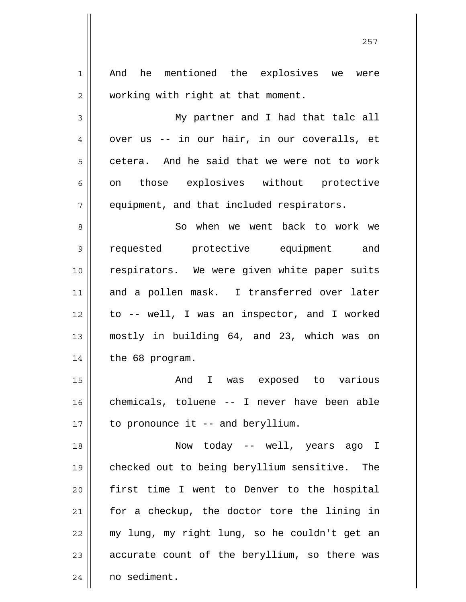| $1\,$          | And he mentioned the explosives<br>we<br>were |
|----------------|-----------------------------------------------|
| $\overline{2}$ | working with right at that moment.            |
| 3              | My partner and I had that talc all            |
| $\overline{4}$ | over us -- in our hair, in our coveralls, et  |
| 5              | cetera. And he said that we were not to work  |
| 6              | on those explosives without protective        |
| 7              | equipment, and that included respirators.     |
| 8              | So when we went back to work we               |
| $\mathsf 9$    | requested protective equipment and            |
| 10             | respirators. We were given white paper suits  |
| 11             | and a pollen mask. I transferred over later   |
| 12             | to -- well, I was an inspector, and I worked  |
| 13             | mostly in building 64, and 23, which was on   |
| 14             | the 68 program.                               |
| 15             | And<br>was exposed to various<br>$\mathbf{I}$ |
| 16             | chemicals, toluene -- I never have been able  |
| 17             | to pronounce it -- and beryllium.             |
| 18             | Now today -- well, years ago I                |
| 19             | checked out to being beryllium sensitive. The |
| 20             | first time I went to Denver to the hospital   |
| 21             | for a checkup, the doctor tore the lining in  |
| 22             | my lung, my right lung, so he couldn't get an |
| 23             | accurate count of the beryllium, so there was |
| 24             | no sediment.                                  |

<u>257 and 257</u>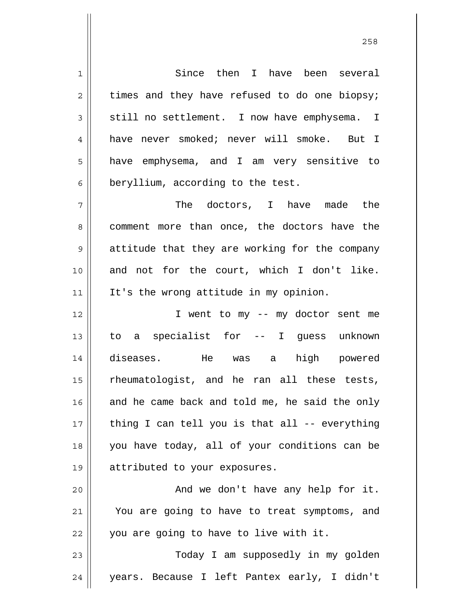1 2 3 4 5 6 7 8 9 10 11 12 13 14 15 16 17 18 19 20 21 22 23 24 Since then I have been several times and they have refused to do one biopsy; still no settlement. I now have emphysema. I have never smoked; never will smoke. But I have emphysema, and I am very sensitive to beryllium, according to the test. The doctors, I have made the comment more than once, the doctors have the attitude that they are working for the company and not for the court, which I don't like. It's the wrong attitude in my opinion. I went to my -- my doctor sent me to a specialist for -- I guess unknown diseases. He was a high powered rheumatologist, and he ran all these tests, and he came back and told me, he said the only thing I can tell you is that all -- everything you have today, all of your conditions can be attributed to your exposures. And we don't have any help for it. You are going to have to treat symptoms, and you are going to have to live with it. Today I am supposedly in my golden years. Because I left Pantex early, I didn't

<u>258</u>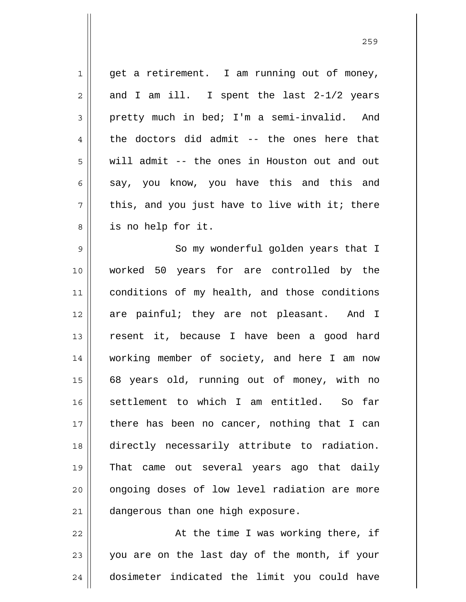1 2 3 4 5 6 7 8 9 10 11 12 13 14 15 16 17 18 19 20 21 get a retirement. I am running out of money, and I am ill. I spent the last 2-1/2 years pretty much in bed; I'm a semi-invalid. And the doctors did admit -- the ones here that will admit -- the ones in Houston out and out say, you know, you have this and this and this, and you just have to live with it; there is no help for it. So my wonderful golden years that I worked 50 years for are controlled by the conditions of my health, and those conditions are painful; they are not pleasant. And I resent it, because I have been a good hard working member of society, and here I am now 68 years old, running out of money, with no settlement to which I am entitled. So far there has been no cancer, nothing that I can directly necessarily attribute to radiation. That came out several years ago that daily ongoing doses of low level radiation are more dangerous than one high exposure.

22 23 24 At the time I was working there, if you are on the last day of the month, if your dosimeter indicated the limit you could have

<u>259 میں اس کا اعتبار اور اس کا اعتبار اور اس کا اعتبار اور اس کا اعتبار اور اس کا اعتبار اور اس کا اعتبار اور ا</u>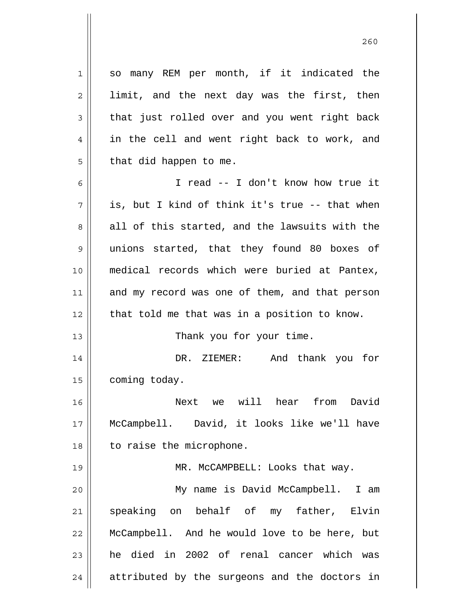1 2 3 4 5 6 7 8 9 10 11 12 13 14 15 16 17 18 19 20 21 22 23 24 so many REM per month, if it indicated the limit, and the next day was the first, then that just rolled over and you went right back in the cell and went right back to work, and that did happen to me. I read -- I don't know how true it is, but I kind of think it's true -- that when all of this started, and the lawsuits with the unions started, that they found 80 boxes of medical records which were buried at Pantex, and my record was one of them, and that person that told me that was in a position to know. Thank you for your time. DR. ZIEMER: And thank you for coming today. Next we will hear from David McCampbell. David, it looks like we'll have to raise the microphone. MR. McCAMPBELL: Looks that way. My name is David McCampbell. I am speaking on behalf of my father, Elvin McCampbell. And he would love to be here, but he died in 2002 of renal cancer which was attributed by the surgeons and the doctors in

<u>260</u>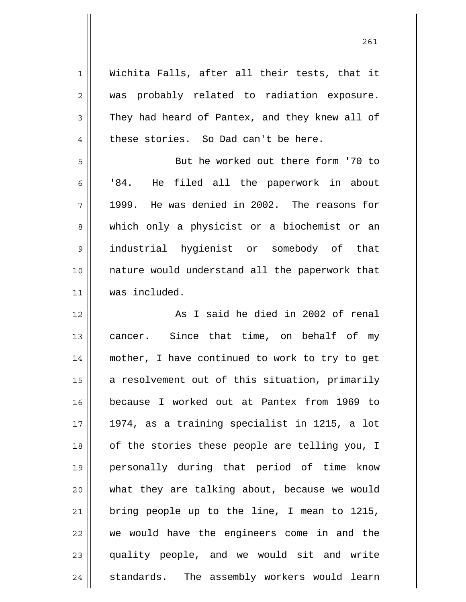| $\mathbf 1$    | Wichita Falls, after all their tests, that it   |
|----------------|-------------------------------------------------|
| $\overline{2}$ | was probably related to radiation exposure.     |
| $\mathfrak{Z}$ | They had heard of Pantex, and they knew all of  |
| 4              | these stories. So Dad can't be here.            |
| 5              | But he worked out there form '70 to             |
| 6              | He filed all the paperwork in about<br>'84.     |
| 7              | He was denied in 2002. The reasons for<br>1999. |
| 8              | which only a physicist or a biochemist or an    |
| $\mathsf 9$    | industrial hygienist or somebody of that        |
| 10             | nature would understand all the paperwork that  |
| 11             | was included.                                   |
| 12             | As I said he died in 2002 of renal              |
| 13             | cancer. Since that time, on behalf of my        |
| 14             | mother, I have continued to work to try to get  |
| 15             | a resolvement out of this situation, primarily  |
| 16             | because I worked out at Pantex from 1969 to     |
| 17             | 1974, as a training specialist in 1215, a lot   |
| 18             | of the stories these people are telling you, I  |
| 19             | personally during that period of time know      |
| 20             | what they are talking about, because we would   |
| 21             | bring people up to the line, I mean to 1215,    |
| 22             | we would have the engineers come in and the     |
| 23             | quality people, and we would sit and write      |
| 24             | standards. The assembly workers would learn     |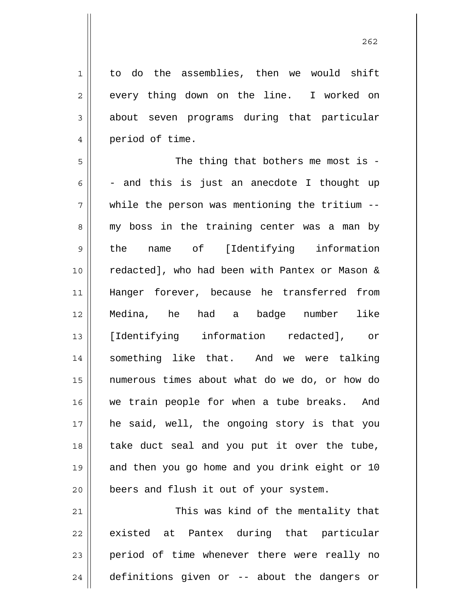1 to do the assemblies, then we would shift every thing down on the line. I worked on about seven programs during that particular period of time.

2

3

4

5 6 7 8 9 10 11 12 13 14 15 16 17 18 19 20 The thing that bothers me most is -- and this is just an anecdote I thought up while the person was mentioning the tritium -my boss in the training center was a man by the name of [Identifying information redacted], who had been with Pantex or Mason & Hanger forever, because he transferred from Medina, he had a badge number like [Identifying information redacted], or something like that. And we were talking numerous times about what do we do, or how do we train people for when a tube breaks. And he said, well, the ongoing story is that you take duct seal and you put it over the tube, and then you go home and you drink eight or 10 beers and flush it out of your system.

21 22 23 24 This was kind of the mentality that existed at Pantex during that particular period of time whenever there were really no definitions given or -- about the dangers or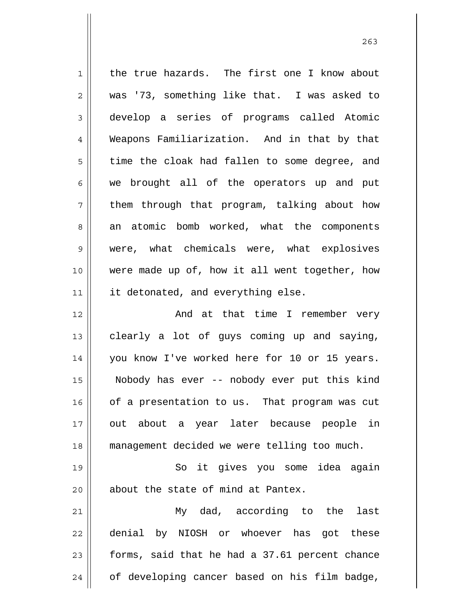| $\mathbf{1}$ | the true hazards. The first one I know about   |
|--------------|------------------------------------------------|
| 2            | was '73, something like that. I was asked to   |
| 3            | develop a series of programs called Atomic     |
| 4            | Weapons Familiarization. And in that by that   |
| 5            | time the cloak had fallen to some degree, and  |
| 6            | we brought all of the operators up and put     |
| 7            | them through that program, talking about how   |
| 8            | an atomic bomb worked, what the components     |
| $\mathsf 9$  | were, what chemicals were, what explosives     |
| 10           | were made up of, how it all went together, how |
| 11           | it detonated, and everything else.             |
| 12           | And at that time I remember very               |
| 13           | clearly a lot of guys coming up and saying,    |
| 14           | you know I've worked here for 10 or 15 years.  |
| 15           | Nobody has ever -- nobody ever put this kind   |
| 16           | of a presentation to us. That program was cut  |
| 17           | out about a year later because people in       |
| 18           | management decided we were telling too much.   |
| 19           | So it gives you some idea again                |
| 20           | about the state of mind at Pantex.             |
| 21           | My dad, according to the<br>last               |
| 22           | denial by NIOSH or whoever has got these       |
| 23           | forms, said that he had a 37.61 percent chance |
| 24           | of developing cancer based on his film badge,  |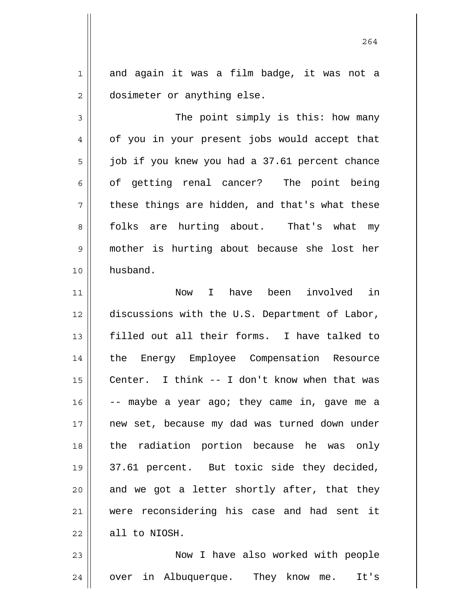and again it was a film badge, it was not a dosimeter or anything else.

1

2

3 4 5 6 7 8 9 10 The point simply is this: how many of you in your present jobs would accept that job if you knew you had a 37.61 percent chance of getting renal cancer? The point being these things are hidden, and that's what these folks are hurting about. That's what my mother is hurting about because she lost her husband.

11 12 13 14 15 16 17 18 19 20 21 22 Now I have been involved in discussions with the U.S. Department of Labor, filled out all their forms. I have talked to the Energy Employee Compensation Resource Center. I think -- I don't know when that was -- maybe a year ago; they came in, gave me a new set, because my dad was turned down under the radiation portion because he was only 37.61 percent. But toxic side they decided, and we got a letter shortly after, that they were reconsidering his case and had sent it all to NIOSH.

23 24 Now I have also worked with people over in Albuquerque. They know me. It's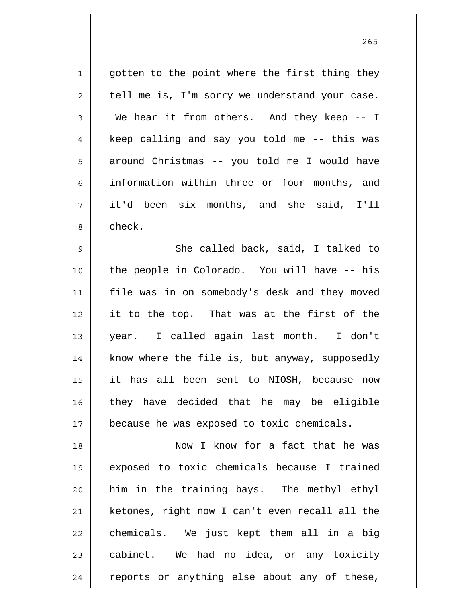1 2 3 4 5 6 7 8 9 10 11 12 13 14 15 16 17 18 19 gotten to the point where the first thing they tell me is, I'm sorry we understand your case. We hear it from others. And they keep -- I keep calling and say you told me -- this was around Christmas -- you told me I would have information within three or four months, and it'd been six months, and she said, I'll check. She called back, said, I talked to the people in Colorado. You will have -- his file was in on somebody's desk and they moved it to the top. That was at the first of the year. I called again last month. I don't know where the file is, but anyway, supposedly it has all been sent to NIOSH, because now they have decided that he may be eligible because he was exposed to toxic chemicals. Now I know for a fact that he was exposed to toxic chemicals because I trained

20 21 22 23 24 him in the training bays. The methyl ethyl ketones, right now I can't even recall all the chemicals. We just kept them all in a big cabinet. We had no idea, or any toxicity reports or anything else about any of these,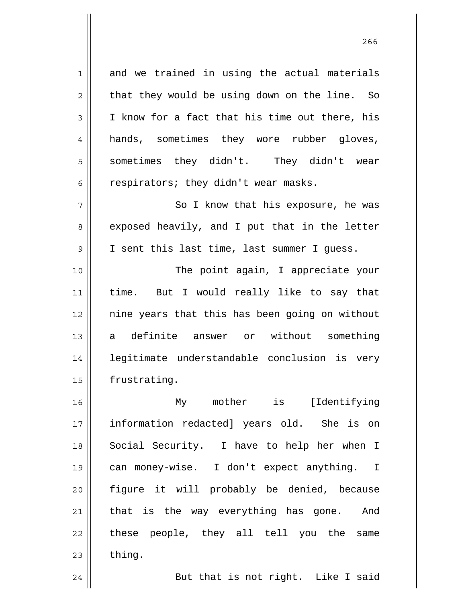1 2 3 4 5 6 and we trained in using the actual materials that they would be using down on the line. So I know for a fact that his time out there, his hands, sometimes they wore rubber gloves, sometimes they didn't. They didn't wear respirators; they didn't wear masks.

7 8 9 So I know that his exposure, he was exposed heavily, and I put that in the letter I sent this last time, last summer I guess.

10 11 12 13 14 15 The point again, I appreciate your time. But I would really like to say that nine years that this has been going on without a definite answer or without something legitimate understandable conclusion is very frustrating.

16 17 18 19 20 21 22 23 My mother is [Identifying information redacted] years old. She is on Social Security. I have to help her when I can money-wise. I don't expect anything. I figure it will probably be denied, because that is the way everything has gone. And these people, they all tell you the same thing.

24

But that is not right. Like I said

проставляют производите в 266 году в 266 году в 266 году в 266 году в 266 году в 266 году в 266 году в 266 год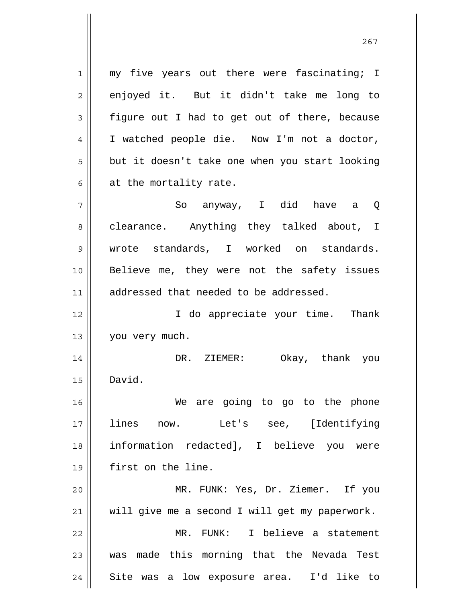1 2 3 4 5 6 7 my five years out there were fascinating; I enjoyed it. But it didn't take me long to figure out I had to get out of there, because I watched people die. Now I'm not a doctor, but it doesn't take one when you start looking at the mortality rate. So anyway, I did have a Q

8 9 10 11 clearance. Anything they talked about, I wrote standards, I worked on standards. Believe me, they were not the safety issues addressed that needed to be addressed.

12 13 I do appreciate your time. Thank you very much.

14 15 DR. ZIEMER: Okay, thank you David.

16 17 18 19 We are going to go to the phone lines now. Let's see, [Identifying information redacted], I believe you were first on the line.

20 21 MR. FUNK: Yes, Dr. Ziemer. If you will give me a second I will get my paperwork.

22 23 24 MR. FUNK: I believe a statement was made this morning that the Nevada Test Site was a low exposure area. I'd like to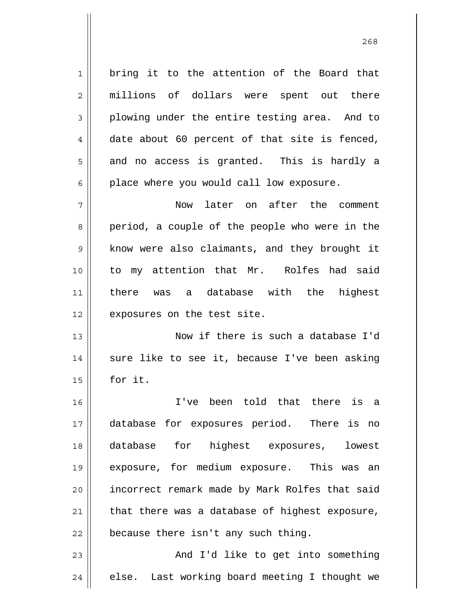1 2 3 4 5 6 7 8 9 10 11 12 13 14 15 16 17 18 19 20 21 bring it to the attention of the Board that millions of dollars were spent out there plowing under the entire testing area. And to date about 60 percent of that site is fenced, and no access is granted. This is hardly a place where you would call low exposure. Now later on after the comment period, a couple of the people who were in the know were also claimants, and they brought it to my attention that Mr. Rolfes had said there was a database with the highest exposures on the test site. Now if there is such a database I'd sure like to see it, because I've been asking for it. I've been told that there is a database for exposures period. There is no database for highest exposures, lowest exposure, for medium exposure. This was an incorrect remark made by Mark Rolfes that said that there was a database of highest exposure,

22 because there isn't any such thing.

23 24 And I'd like to get into something else. Last working board meeting I thought we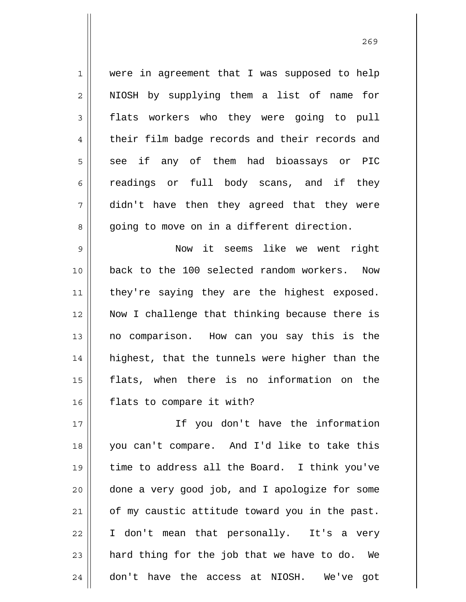1 2 3 4 5 6 7 8 were in agreement that I was supposed to help NIOSH by supplying them a list of name for flats workers who they were going to pull their film badge records and their records and see if any of them had bioassays or PIC readings or full body scans, and if they didn't have then they agreed that they were going to move on in a different direction.

9 10 11 12 13 14 15 16 Now it seems like we went right back to the 100 selected random workers. Now they're saying they are the highest exposed. Now I challenge that thinking because there is no comparison. How can you say this is the highest, that the tunnels were higher than the flats, when there is no information on the flats to compare it with?

17 18 19 20 21 22 23 24 If you don't have the information you can't compare. And I'd like to take this time to address all the Board. I think you've done a very good job, and I apologize for some of my caustic attitude toward you in the past. I don't mean that personally. It's a very hard thing for the job that we have to do. We don't have the access at NIOSH. We've got

<u>269</u>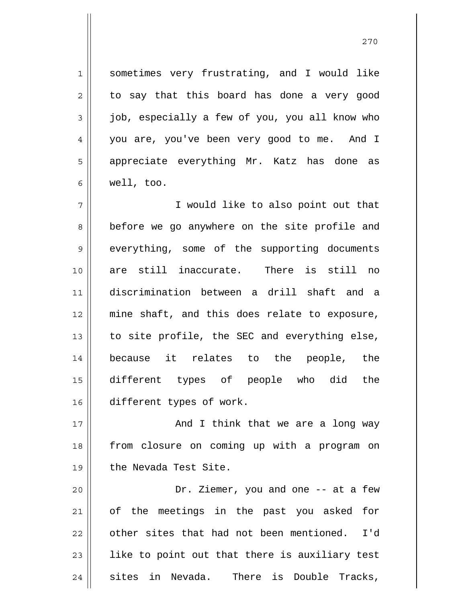sometimes very frustrating, and I would like to say that this board has done a very good job, especially a few of you, you all know who you are, you've been very good to me. And I appreciate everything Mr. Katz has done as well, too.

1

2

3

4

5

6

7 8 9 10 11 12 13 14 15 16 I would like to also point out that before we go anywhere on the site profile and everything, some of the supporting documents are still inaccurate. There is still no discrimination between a drill shaft and a mine shaft, and this does relate to exposure, to site profile, the SEC and everything else, because it relates to the people, the different types of people who did the different types of work.

17 18 19 And I think that we are a long way from closure on coming up with a program on the Nevada Test Site.

20 21 22 23 24 Dr. Ziemer, you and one -- at a few of the meetings in the past you asked for other sites that had not been mentioned. I'd like to point out that there is auxiliary test sites in Nevada. There is Double Tracks,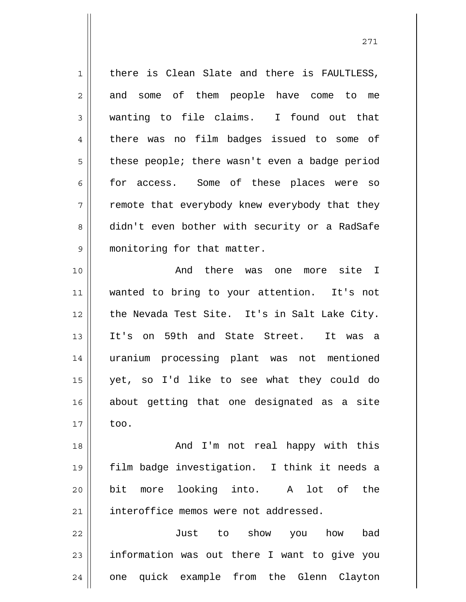1 2 3 4 5 6 7 8 9 10 11 12 13 14 15 16 17 18 19 20 21 22 23 24 there is Clean Slate and there is FAULTLESS, and some of them people have come to me wanting to file claims. I found out that there was no film badges issued to some of these people; there wasn't even a badge period for access. Some of these places were so remote that everybody knew everybody that they didn't even bother with security or a RadSafe monitoring for that matter. And there was one more site I wanted to bring to your attention. It's not the Nevada Test Site. It's in Salt Lake City. It's on 59th and State Street. It was a uranium processing plant was not mentioned yet, so I'd like to see what they could do about getting that one designated as a site too. And I'm not real happy with this film badge investigation. I think it needs a bit more looking into. A lot of the interoffice memos were not addressed. Just to show you how bad information was out there I want to give you one quick example from the Glenn Clayton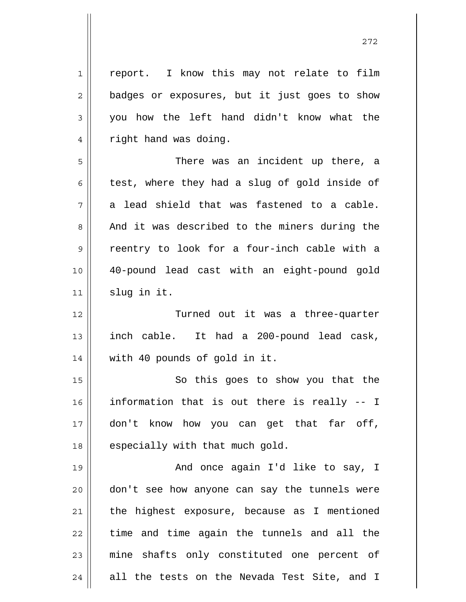1 2 3 4 5 6 7 8 9 10 11 12 13 14 15 16 17 18 19 20 21 22 23 24 report. I know this may not relate to film badges or exposures, but it just goes to show you how the left hand didn't know what the right hand was doing. There was an incident up there, a test, where they had a slug of gold inside of a lead shield that was fastened to a cable. And it was described to the miners during the reentry to look for a four-inch cable with a 40-pound lead cast with an eight-pound gold slug in it. Turned out it was a three-quarter inch cable. It had a 200-pound lead cask, with 40 pounds of gold in it. So this goes to show you that the information that is out there is really -- I don't know how you can get that far off, especially with that much gold. And once again I'd like to say, I don't see how anyone can say the tunnels were the highest exposure, because as I mentioned time and time again the tunnels and all the mine shafts only constituted one percent of all the tests on the Nevada Test Site, and I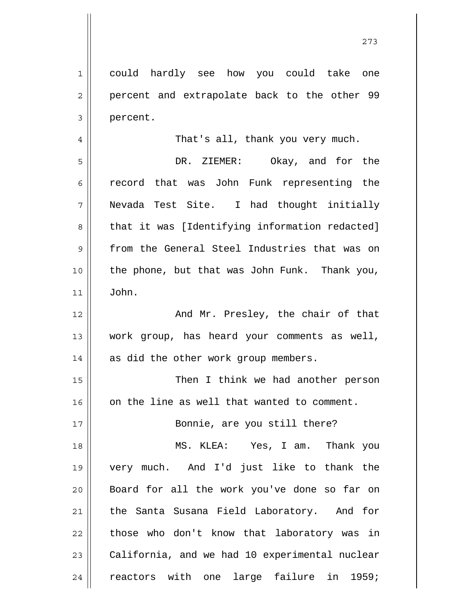1 2 3 4 5 6 7 8 9 10 11 12 13 14 15 16 17 18 19 20 21 22 23 could hardly see how you could take one percent and extrapolate back to the other 99 percent. That's all, thank you very much. DR. ZIEMER: Okay, and for the record that was John Funk representing the Nevada Test Site. I had thought initially that it was [Identifying information redacted] from the General Steel Industries that was on the phone, but that was John Funk. Thank you, John. And Mr. Presley, the chair of that work group, has heard your comments as well, as did the other work group members. Then I think we had another person on the line as well that wanted to comment. Bonnie, are you still there? MS. KLEA: Yes, I am. Thank you very much. And I'd just like to thank the Board for all the work you've done so far on the Santa Susana Field Laboratory. And for those who don't know that laboratory was in California, and we had 10 experimental nuclear

reactors with one large failure in 1959;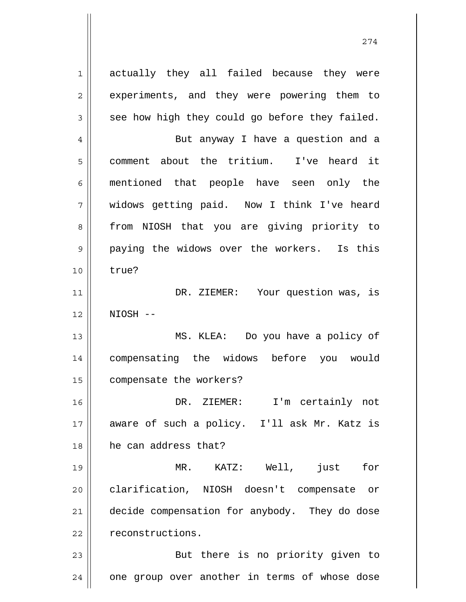1 2 3 4 5 6 7 8 9 10 11 12 13 14 15 16 17 18 19 20 21 22 23 24 actually they all failed because they were experiments, and they were powering them to see how high they could go before they failed. But anyway I have a question and a comment about the tritium. I've heard it mentioned that people have seen only the widows getting paid. Now I think I've heard from NIOSH that you are giving priority to paying the widows over the workers. Is this true? DR. ZIEMER: Your question was, is NIOSH -- MS. KLEA: Do you have a policy of compensating the widows before you would compensate the workers? DR. ZIEMER: I'm certainly not aware of such a policy. I'll ask Mr. Katz is he can address that? MR. KATZ: Well, just for clarification, NIOSH doesn't compensate or decide compensation for anybody. They do dose reconstructions. But there is no priority given to one group over another in terms of whose dose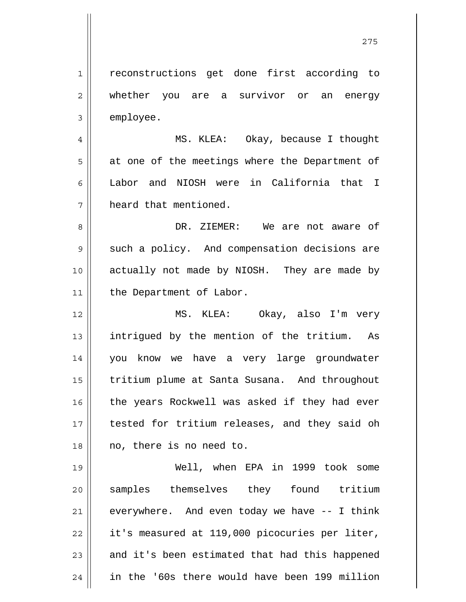1 2 3 reconstructions get done first according to whether you are a survivor or an energy employee.

4 5 6 7 MS. KLEA: Okay, because I thought at one of the meetings where the Department of Labor and NIOSH were in California that I heard that mentioned.

8 9 10 11 DR. ZIEMER: We are not aware of such a policy. And compensation decisions are actually not made by NIOSH. They are made by the Department of Labor.

12 13 14 15 16 17 18 MS. KLEA: Okay, also I'm very intrigued by the mention of the tritium. As you know we have a very large groundwater tritium plume at Santa Susana. And throughout the years Rockwell was asked if they had ever tested for tritium releases, and they said oh no, there is no need to.

19 20 21 22 23 24 Well, when EPA in 1999 took some samples themselves they found tritium everywhere. And even today we have -- I think it's measured at 119,000 picocuries per liter, and it's been estimated that had this happened in the '60s there would have been 199 million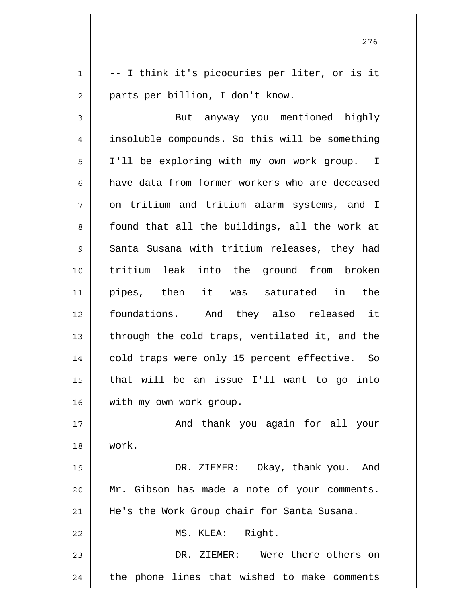1 2 -- I think it's picocuries per liter, or is it parts per billion, I don't know.

3 4 5 6 7 8 9 10 11 12 13 14 15 16 But anyway you mentioned highly insoluble compounds. So this will be something I'll be exploring with my own work group. I have data from former workers who are deceased on tritium and tritium alarm systems, and I found that all the buildings, all the work at Santa Susana with tritium releases, they had tritium leak into the ground from broken pipes, then it was saturated in the foundations. And they also released it through the cold traps, ventilated it, and the cold traps were only 15 percent effective. So that will be an issue I'll want to go into with my own work group.

17 18 And thank you again for all your work.

19 20 21 DR. ZIEMER: Okay, thank you. And Mr. Gibson has made a note of your comments. He's the Work Group chair for Santa Susana.

MS. KLEA: Right.

22

23 24 DR. ZIEMER: Were there others on the phone lines that wished to make comments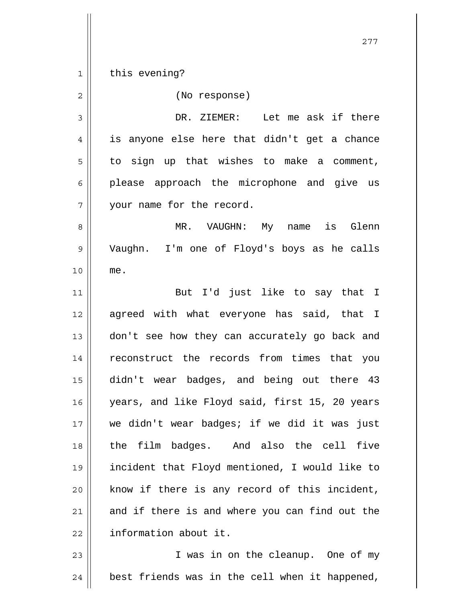1 2 3 4 5 6 7 8 9 10 11 12 13 14 15 16 17 18 19 20 21 22 23 this evening? (No response) DR. ZIEMER: Let me ask if there is anyone else here that didn't get a chance to sign up that wishes to make a comment, please approach the microphone and give us your name for the record. MR. VAUGHN: My name is Glenn Vaughn. I'm one of Floyd's boys as he calls me. But I'd just like to say that I agreed with what everyone has said, that I don't see how they can accurately go back and reconstruct the records from times that you didn't wear badges, and being out there 43 years, and like Floyd said, first 15, 20 years we didn't wear badges; if we did it was just the film badges. And also the cell five incident that Floyd mentioned, I would like to know if there is any record of this incident, and if there is and where you can find out the information about it. I was in on the cleanup. One of my

24 best friends was in the cell when it happened,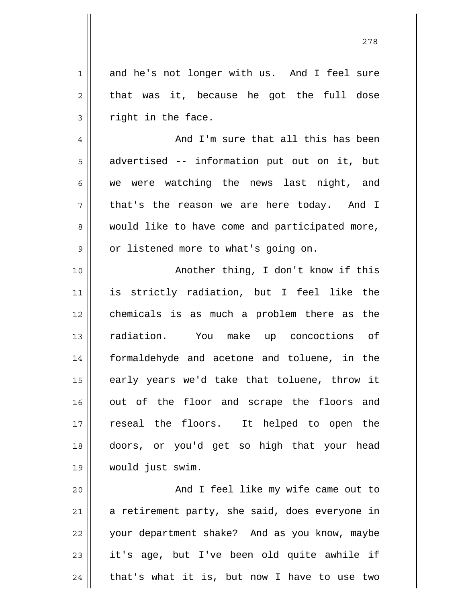1 2 3 and he's not longer with us. And I feel sure that was it, because he got the full dose right in the face.

4

5

6

7

8

9

 And I'm sure that all this has been advertised -- information put out on it, but we were watching the news last night, and that's the reason we are here today. And I would like to have come and participated more, or listened more to what's going on.

10 11 12 13 14 15 16 17 18 19 Another thing, I don't know if this is strictly radiation, but I feel like the chemicals is as much a problem there as the radiation. You make up concoctions of formaldehyde and acetone and toluene, in the early years we'd take that toluene, throw it out of the floor and scrape the floors and reseal the floors. It helped to open the doors, or you'd get so high that your head would just swim.

20 21 22 23 24 And I feel like my wife came out to a retirement party, she said, does everyone in your department shake? And as you know, maybe it's age, but I've been old quite awhile if that's what it is, but now I have to use two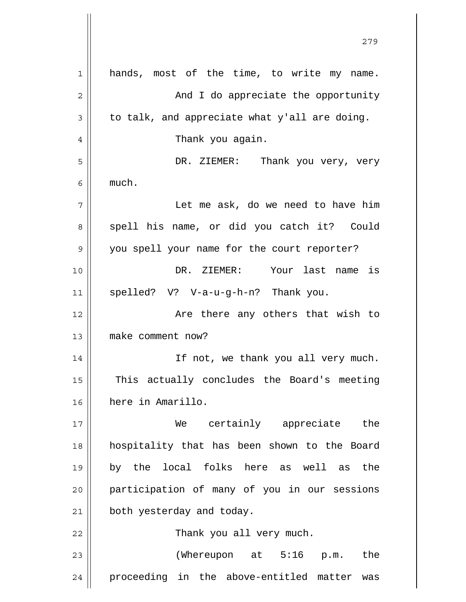| 1            | hands, most of the time, to write my name.     |
|--------------|------------------------------------------------|
| $\mathbf{2}$ | And I do appreciate the opportunity            |
| 3            | to talk, and appreciate what y'all are doing.  |
| 4            | Thank you again.                               |
| 5            | DR. ZIEMER: Thank you very, very               |
| 6            | much.                                          |
| 7            | Let me ask, do we need to have him             |
| 8            | spell his name, or did you catch it? Could     |
| 9            | you spell your name for the court reporter?    |
| 10           | DR. ZIEMER: Your last name is                  |
| 11           | spelled? V? V-a-u-g-h-n? Thank you.            |
| 12           | Are there any others that wish to              |
| 13           | make comment now?                              |
| 14           | If not, we thank you all very much.            |
| 15           | This actually concludes the Board's meeting    |
| 16           | here in Amarillo.                              |
| 17           | We certainly appreciate<br>the                 |
| 18           | hospitality that has been shown to the Board   |
| 19           | by the local folks here as well as<br>the      |
| 20           | participation of many of you in our sessions   |
| 21           | both yesterday and today.                      |
| 22           | Thank you all very much.                       |
| 23           | (Whereupon at 5:16<br>the<br>p.m.              |
| 24           | proceeding in the above-entitled matter<br>was |